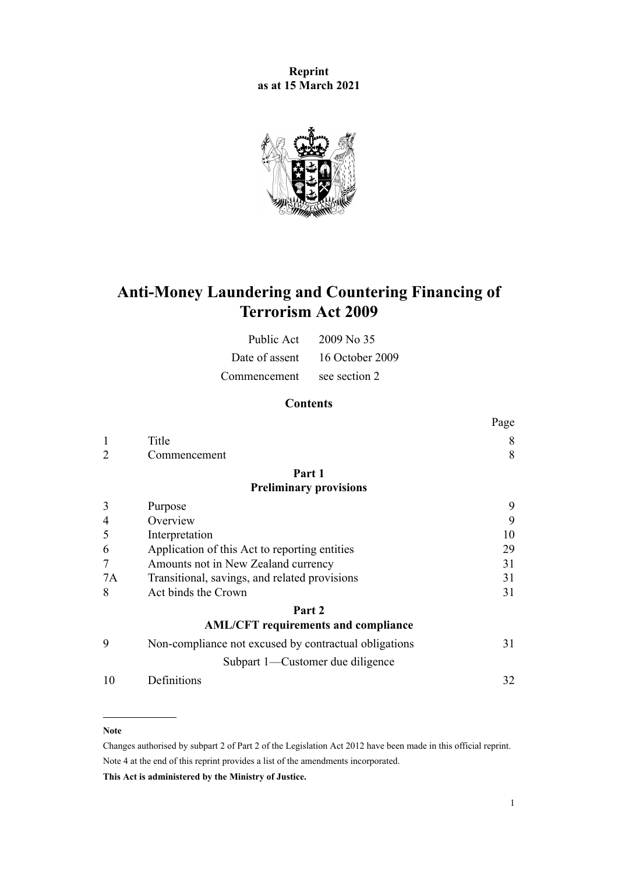**Reprint as at 15 March 2021**



# **Anti-Money Laundering and Countering Financing of Terrorism Act 2009**

| Public Act     | $2009$ No 35    |
|----------------|-----------------|
| Date of assent | 16 October 2009 |
| Commencement   | see section 2   |

# **Contents**

|    |                                                       | Page |
|----|-------------------------------------------------------|------|
| 1  | Title                                                 | 8    |
| 2  | Commencement                                          | 8    |
|    | Part 1                                                |      |
|    | <b>Preliminary provisions</b>                         |      |
| 3  | Purpose                                               | 9    |
| 4  | Overview                                              | 9    |
| 5  | Interpretation                                        | 10   |
| 6  | Application of this Act to reporting entities         | 29   |
| 7  | Amounts not in New Zealand currency                   | 31   |
| 7A | Transitional, savings, and related provisions         | 31   |
| 8  | Act binds the Crown                                   | 31   |
|    | Part 2                                                |      |
|    | <b>AML/CFT</b> requirements and compliance            |      |
| 9  | Non-compliance not excused by contractual obligations | 31   |
|    | Subpart 1—Customer due diligence                      |      |
| 10 | Definitions                                           | 32   |
|    |                                                       |      |

#### **Note**

Changes authorised by [subpart 2](http://legislation.govt.nz/pdflink.aspx?id=DLM2998524) of Part 2 of the Legislation Act 2012 have been made in this official reprint. Note 4 at the end of this reprint provides a list of the amendments incorporated.

**This Act is administered by the Ministry of Justice.**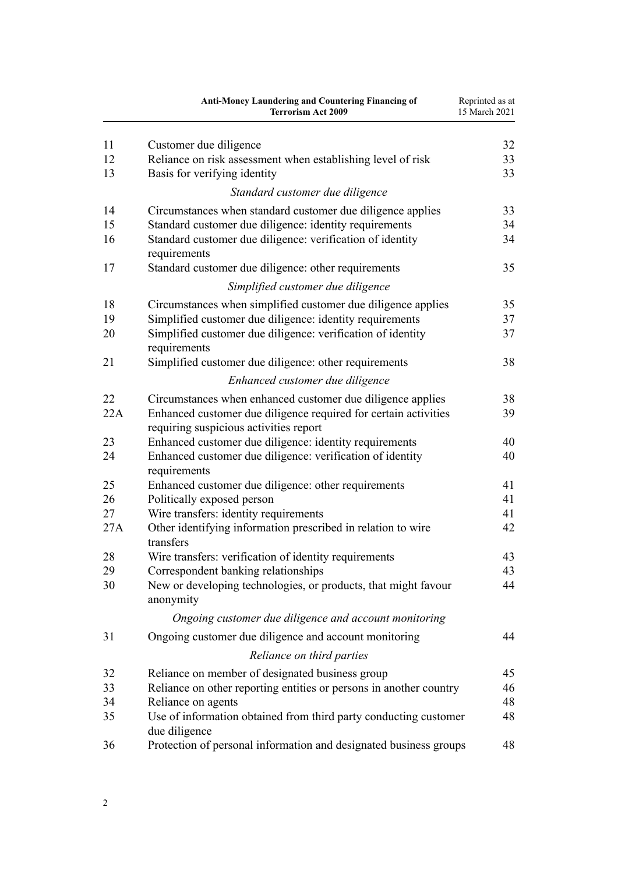|     | <b>Anti-Money Laundering and Countering Financing of</b><br><b>Terrorism Act 2009</b>                     | Reprinted as at<br>15 March 2021 |
|-----|-----------------------------------------------------------------------------------------------------------|----------------------------------|
| 11  | Customer due diligence                                                                                    | 32                               |
| 12  | Reliance on risk assessment when establishing level of risk                                               | 33                               |
| 13  | Basis for verifying identity                                                                              | 33                               |
|     | Standard customer due diligence                                                                           |                                  |
| 14  | Circumstances when standard customer due diligence applies                                                | 33                               |
| 15  | Standard customer due diligence: identity requirements                                                    | 34                               |
| 16  | Standard customer due diligence: verification of identity<br>requirements                                 | 34                               |
| 17  | Standard customer due diligence: other requirements                                                       | 35                               |
|     | Simplified customer due diligence                                                                         |                                  |
| 18  | Circumstances when simplified customer due diligence applies                                              | 35                               |
| 19  | Simplified customer due diligence: identity requirements                                                  | 37                               |
| 20  | Simplified customer due diligence: verification of identity<br>requirements                               | 37                               |
| 21  | Simplified customer due diligence: other requirements                                                     | 38                               |
|     | Enhanced customer due diligence                                                                           |                                  |
| 22  | Circumstances when enhanced customer due diligence applies                                                | 38                               |
| 22A | Enhanced customer due diligence required for certain activities<br>requiring suspicious activities report | 39                               |
| 23  | Enhanced customer due diligence: identity requirements                                                    | 40                               |
| 24  | Enhanced customer due diligence: verification of identity<br>requirements                                 | 40                               |
| 25  | Enhanced customer due diligence: other requirements                                                       | 41                               |
| 26  | Politically exposed person                                                                                | 41                               |
| 27  | Wire transfers: identity requirements                                                                     | 41                               |
| 27A | Other identifying information prescribed in relation to wire<br>transfers                                 | 42                               |
| 28  | Wire transfers: verification of identity requirements                                                     | 43                               |
| 29  | Correspondent banking relationships                                                                       | 43                               |
| 30  | New or developing technologies, or products, that might favour<br>anonymity                               | 44                               |
|     | Ongoing customer due diligence and account monitoring                                                     |                                  |
| 31  | Ongoing customer due diligence and account monitoring                                                     | 44                               |
|     | Reliance on third parties                                                                                 |                                  |
| 32  | Reliance on member of designated business group                                                           | 45                               |
| 33  | Reliance on other reporting entities or persons in another country                                        | 46                               |
| 34  | Reliance on agents                                                                                        | 48                               |
| 35  | Use of information obtained from third party conducting customer<br>due diligence                         | 48                               |
| 36  | Protection of personal information and designated business groups                                         | 48                               |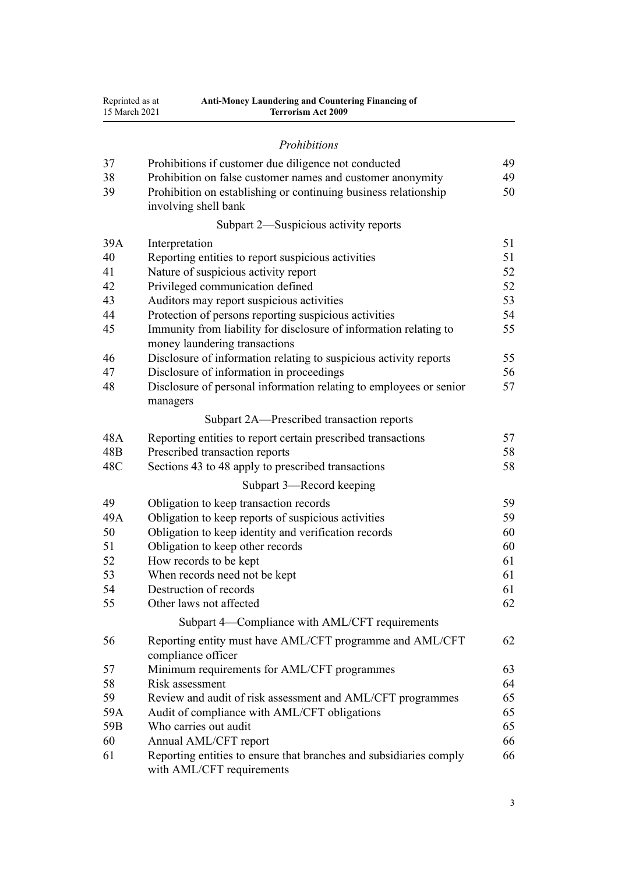| Reprinted as at | Anti-Money Laundering and Countering Financing of |  |
|-----------------|---------------------------------------------------|--|
| 15 March 2021   | <b>Terrorism Act 2009</b>                         |  |

# *[Prohibitions](#page-48-0)*

| 37              | Prohibitions if customer due diligence not conducted                                               | 49 |  |
|-----------------|----------------------------------------------------------------------------------------------------|----|--|
| 38              | Prohibition on false customer names and customer anonymity                                         |    |  |
| 39              | Prohibition on establishing or continuing business relationship<br>involving shell bank            | 50 |  |
|                 | Subpart 2—Suspicious activity reports                                                              |    |  |
| 39A             | Interpretation                                                                                     | 51 |  |
| 40              | Reporting entities to report suspicious activities                                                 | 51 |  |
| 41              | Nature of suspicious activity report                                                               | 52 |  |
| 42              | Privileged communication defined                                                                   | 52 |  |
| 43              | Auditors may report suspicious activities                                                          | 53 |  |
| 44              | Protection of persons reporting suspicious activities                                              | 54 |  |
| 45              | Immunity from liability for disclosure of information relating to<br>money laundering transactions | 55 |  |
| 46              | Disclosure of information relating to suspicious activity reports                                  | 55 |  |
| 47              | Disclosure of information in proceedings                                                           | 56 |  |
| 48              | Disclosure of personal information relating to employees or senior<br>managers                     | 57 |  |
|                 | Subpart 2A—Prescribed transaction reports                                                          |    |  |
| 48A             | Reporting entities to report certain prescribed transactions                                       | 57 |  |
| 48 <sub>B</sub> | Prescribed transaction reports                                                                     | 58 |  |
| 48C             | Sections 43 to 48 apply to prescribed transactions                                                 | 58 |  |
|                 | Subpart 3-Record keeping                                                                           |    |  |
| 49              | Obligation to keep transaction records                                                             | 59 |  |
| 49A             | Obligation to keep reports of suspicious activities                                                | 59 |  |
| 50              | Obligation to keep identity and verification records                                               | 60 |  |
| 51              | Obligation to keep other records                                                                   | 60 |  |
| 52              | How records to be kept                                                                             | 61 |  |
| 53              | When records need not be kept                                                                      | 61 |  |
| 54              | Destruction of records                                                                             | 61 |  |
| 55              | Other laws not affected                                                                            | 62 |  |
|                 | Subpart 4-Compliance with AML/CFT requirements                                                     |    |  |
| 56              | Reporting entity must have AML/CFT programme and AML/CFT<br>compliance officer                     | 62 |  |
| 57              | Minimum requirements for AML/CFT programmes                                                        | 63 |  |
| 58              | Risk assessment                                                                                    | 64 |  |
| 59              | Review and audit of risk assessment and AML/CFT programmes                                         | 65 |  |
| 59A             | Audit of compliance with AML/CFT obligations                                                       | 65 |  |
| 59B             | Who carries out audit                                                                              | 65 |  |
| 60              | Annual AML/CFT report                                                                              | 66 |  |
| 61              | Reporting entities to ensure that branches and subsidiaries comply<br>with AML/CFT requirements    | 66 |  |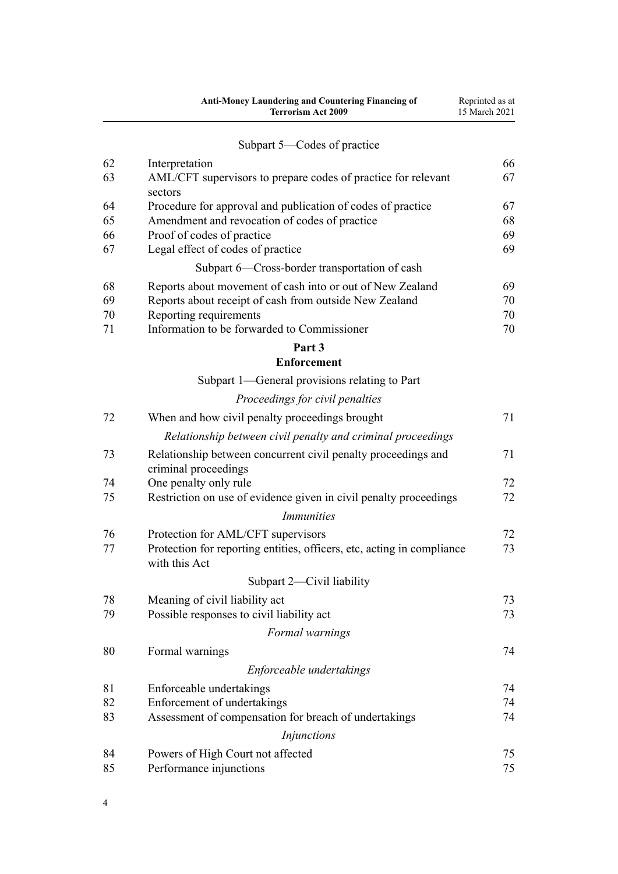|    | <b>Anti-Money Laundering and Countering Financing of</b><br><b>Terrorism Act 2009</b>   | Reprinted as at<br>15 March 2021 |
|----|-----------------------------------------------------------------------------------------|----------------------------------|
|    | Subpart 5—Codes of practice                                                             |                                  |
| 62 | Interpretation                                                                          | 66                               |
| 63 | AML/CFT supervisors to prepare codes of practice for relevant<br>sectors                | 67                               |
| 64 | Procedure for approval and publication of codes of practice                             | 67                               |
| 65 | Amendment and revocation of codes of practice                                           | 68                               |
| 66 | Proof of codes of practice                                                              | 69                               |
| 67 | Legal effect of codes of practice                                                       | 69                               |
|    | Subpart 6-Cross-border transportation of cash                                           |                                  |
| 68 | Reports about movement of cash into or out of New Zealand                               | 69                               |
| 69 | Reports about receipt of cash from outside New Zealand                                  | 70                               |
| 70 | Reporting requirements                                                                  | 70                               |
| 71 | Information to be forwarded to Commissioner                                             | 70                               |
|    | Part 3<br><b>Enforcement</b>                                                            |                                  |
|    | Subpart 1-General provisions relating to Part                                           |                                  |
|    |                                                                                         |                                  |
|    | Proceedings for civil penalties                                                         |                                  |
| 72 | When and how civil penalty proceedings brought                                          | 71                               |
|    | Relationship between civil penalty and criminal proceedings                             |                                  |
| 73 | Relationship between concurrent civil penalty proceedings and<br>criminal proceedings   | 71                               |
| 74 | One penalty only rule                                                                   | 72                               |
| 75 | Restriction on use of evidence given in civil penalty proceedings                       | 72                               |
|    | <i>Immunities</i>                                                                       |                                  |
| 76 | Protection for AML/CFT supervisors                                                      | 72                               |
| 77 | Protection for reporting entities, officers, etc, acting in compliance<br>with this Act | 73                               |
|    | Subpart 2—Civil liability                                                               |                                  |
| 78 | Meaning of civil liability act                                                          | 73                               |
| 79 | Possible responses to civil liability act                                               | 73                               |
|    | Formal warnings                                                                         |                                  |
| 80 | Formal warnings                                                                         | 74                               |
|    | Enforceable undertakings                                                                |                                  |
| 81 | Enforceable undertakings                                                                | 74                               |
| 82 | Enforcement of undertakings                                                             | 74                               |
| 83 | Assessment of compensation for breach of undertakings                                   | 74                               |
|    | Injunctions                                                                             |                                  |
| 84 | Powers of High Court not affected                                                       | 75                               |
| 85 | Performance injunctions                                                                 | 75                               |

#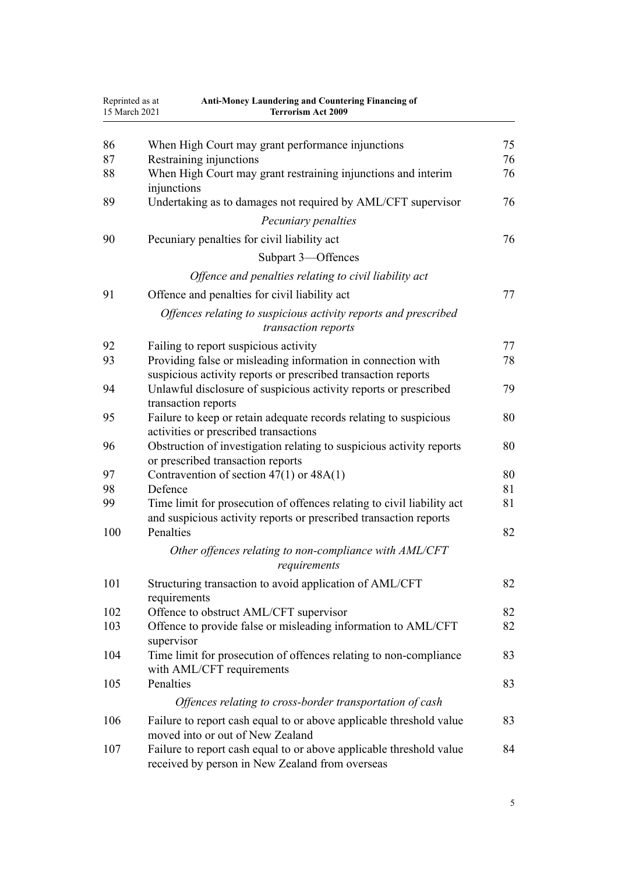| Reprinted as at<br>15 March 2021 | <b>Anti-Money Laundering and Countering Financing of</b><br><b>Terrorism Act 2009</b>                   |    |
|----------------------------------|---------------------------------------------------------------------------------------------------------|----|
| 86                               | When High Court may grant performance injunctions                                                       | 75 |
| 87                               | Restraining injunctions                                                                                 | 76 |
| 88                               | When High Court may grant restraining injunctions and interim                                           | 76 |
|                                  | injunctions                                                                                             |    |
| 89                               | Undertaking as to damages not required by AML/CFT supervisor                                            | 76 |
|                                  | Pecuniary penalties                                                                                     |    |
| 90                               | Pecuniary penalties for civil liability act                                                             | 76 |
|                                  | Subpart 3-Offences                                                                                      |    |
|                                  | Offence and penalties relating to civil liability act                                                   |    |
| 91                               | Offence and penalties for civil liability act                                                           | 77 |
|                                  | Offences relating to suspicious activity reports and prescribed<br>transaction reports                  |    |
| 92                               | Failing to report suspicious activity                                                                   | 77 |
| 93                               | Providing false or misleading information in connection with                                            | 78 |
|                                  | suspicious activity reports or prescribed transaction reports                                           |    |
| 94                               | Unlawful disclosure of suspicious activity reports or prescribed<br>transaction reports                 | 79 |
| 95                               | Failure to keep or retain adequate records relating to suspicious                                       | 80 |
|                                  | activities or prescribed transactions                                                                   |    |
| 96                               | Obstruction of investigation relating to suspicious activity reports                                    | 80 |
|                                  | or prescribed transaction reports                                                                       |    |
| 97                               | Contravention of section $47(1)$ or $48A(1)$                                                            | 80 |
| 98                               | Defence                                                                                                 | 81 |
| 99                               | Time limit for prosecution of offences relating to civil liability act                                  | 81 |
| 100                              | and suspicious activity reports or prescribed transaction reports<br>Penalties                          | 82 |
|                                  |                                                                                                         |    |
|                                  | Other offences relating to non-compliance with AML/CFT<br>requirements                                  |    |
| 101                              | Structuring transaction to avoid application of AML/CFT                                                 | 82 |
|                                  | requirements                                                                                            |    |
| 102                              | Offence to obstruct AML/CFT supervisor                                                                  | 82 |
| 103                              | Offence to provide false or misleading information to AML/CFT                                           | 82 |
|                                  | supervisor                                                                                              |    |
| 104                              | Time limit for prosecution of offences relating to non-compliance                                       | 83 |
| 105                              | with AML/CFT requirements<br>Penalties                                                                  | 83 |
|                                  | Offences relating to cross-border transportation of cash                                                |    |
|                                  |                                                                                                         |    |
| 106                              | Failure to report cash equal to or above applicable threshold value<br>moved into or out of New Zealand | 83 |
| 107                              | Failure to report cash equal to or above applicable threshold value                                     | 84 |
|                                  | received by person in New Zealand from overseas                                                         |    |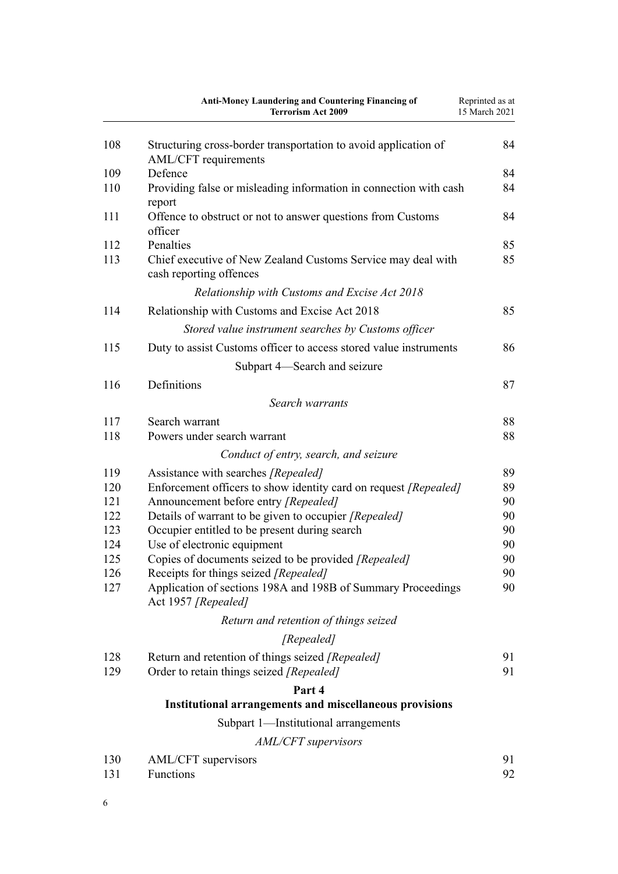|     | Anti-Money Laundering and Countering Financing of<br><b>Terrorism Act 2009</b>          | Reprinted as at<br>15 March 2021 |
|-----|-----------------------------------------------------------------------------------------|----------------------------------|
| 108 | Structuring cross-border transportation to avoid application of<br>AML/CFT requirements | 84                               |
| 109 | Defence                                                                                 | 84                               |
| 110 | Providing false or misleading information in connection with cash<br>report             | 84                               |
| 111 | Offence to obstruct or not to answer questions from Customs<br>officer                  | 84                               |
| 112 | Penalties                                                                               | 85                               |
| 113 | Chief executive of New Zealand Customs Service may deal with<br>cash reporting offences | 85                               |
|     | Relationship with Customs and Excise Act 2018                                           |                                  |
| 114 | Relationship with Customs and Excise Act 2018                                           | 85                               |
|     | Stored value instrument searches by Customs officer                                     |                                  |
| 115 | Duty to assist Customs officer to access stored value instruments                       | 86                               |
|     | Subpart 4—Search and seizure                                                            |                                  |
| 116 | Definitions                                                                             | 87                               |
|     | Search warrants                                                                         |                                  |
| 117 | Search warrant                                                                          | 88                               |
| 118 | Powers under search warrant                                                             | 88                               |
|     | Conduct of entry, search, and seizure                                                   |                                  |
| 119 | Assistance with searches [Repealed]                                                     | 89                               |
| 120 | Enforcement officers to show identity card on request [Repealed]                        | 89                               |
| 121 | Announcement before entry [Repealed]                                                    | 90                               |
| 122 | Details of warrant to be given to occupier [Repealed]                                   | 90                               |
| 123 | Occupier entitled to be present during search                                           | 90                               |
| 124 | Use of electronic equipment                                                             | 90                               |
| 125 | Copies of documents seized to be provided [Repealed]                                    | 90                               |
| 126 | Receipts for things seized [Repealed]                                                   | 90                               |
| 127 | Application of sections 198A and 198B of Summary Proceedings<br>Act 1957 [Repealed]     | 90                               |
|     | Return and retention of things seized                                                   |                                  |
|     | [Repealed]                                                                              |                                  |
| 128 | Return and retention of things seized [Repealed]                                        | 91                               |
| 129 | Order to retain things seized [Repealed]                                                | 91                               |
|     | Part 4                                                                                  |                                  |
|     | <b>Institutional arrangements and miscellaneous provisions</b>                          |                                  |
|     | Subpart 1—Institutional arrangements                                                    |                                  |
|     | AML/CFT supervisors                                                                     |                                  |
| 130 | AML/CFT supervisors                                                                     | 91                               |
| 131 | Functions                                                                               | 92                               |

6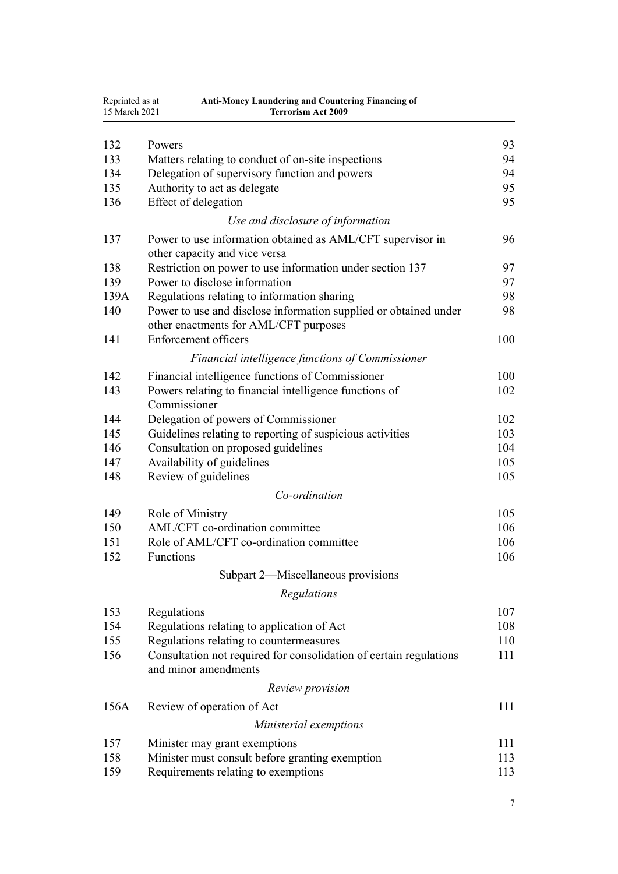| Reprinted as at<br>15 March 2021 | <b>Anti-Money Laundering and Countering Financing of</b><br><b>Terrorism Act 2009</b>      |     |
|----------------------------------|--------------------------------------------------------------------------------------------|-----|
|                                  |                                                                                            |     |
| 132                              | Powers                                                                                     | 93  |
| 133                              | Matters relating to conduct of on-site inspections                                         | 94  |
| 134                              | Delegation of supervisory function and powers                                              | 94  |
| 135                              | Authority to act as delegate                                                               | 95  |
| 136                              | Effect of delegation                                                                       | 95  |
|                                  | Use and disclosure of information                                                          |     |
| 137                              | Power to use information obtained as AML/CFT supervisor in                                 | 96  |
|                                  | other capacity and vice versa                                                              |     |
| 138                              | Restriction on power to use information under section 137                                  | 97  |
| 139                              | Power to disclose information                                                              | 97  |
| 139A                             | Regulations relating to information sharing                                                | 98  |
| 140                              | Power to use and disclose information supplied or obtained under                           | 98  |
|                                  | other enactments for AML/CFT purposes                                                      |     |
| 141                              | <b>Enforcement officers</b>                                                                | 100 |
|                                  | Financial intelligence functions of Commissioner                                           |     |
| 142                              | Financial intelligence functions of Commissioner                                           | 100 |
| 143                              | Powers relating to financial intelligence functions of                                     | 102 |
|                                  | Commissioner                                                                               |     |
| 144                              | Delegation of powers of Commissioner                                                       | 102 |
| 145                              | Guidelines relating to reporting of suspicious activities                                  | 103 |
| 146                              | Consultation on proposed guidelines                                                        | 104 |
| 147                              | Availability of guidelines                                                                 | 105 |
| 148                              | Review of guidelines                                                                       | 105 |
|                                  | Co-ordination                                                                              |     |
| 149                              | Role of Ministry                                                                           | 105 |
| 150                              | AML/CFT co-ordination committee                                                            | 106 |
| 151                              | Role of AML/CFT co-ordination committee                                                    | 106 |
| 152                              | Functions                                                                                  | 106 |
|                                  | Subpart 2—Miscellaneous provisions                                                         |     |
|                                  |                                                                                            |     |
|                                  | Regulations                                                                                |     |
| 153                              | Regulations                                                                                | 107 |
| 154                              | Regulations relating to application of Act                                                 | 108 |
| 155                              | Regulations relating to countermeasures                                                    | 110 |
| 156                              | Consultation not required for consolidation of certain regulations<br>and minor amendments | 111 |
|                                  | Review provision                                                                           |     |
| 156A                             | Review of operation of Act                                                                 | 111 |
|                                  | Ministerial exemptions                                                                     |     |
| 157                              | Minister may grant exemptions                                                              | 111 |
| 158                              | Minister must consult before granting exemption                                            | 113 |
| 159                              | Requirements relating to exemptions                                                        | 113 |
|                                  |                                                                                            |     |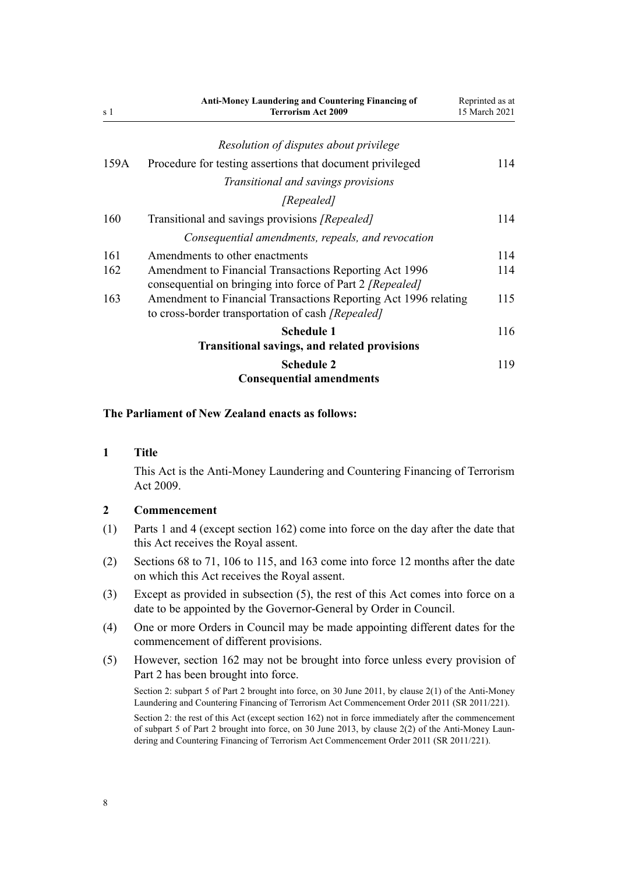<span id="page-7-0"></span>

| s 1  | <b>Anti-Money Laundering and Countering Financing of</b><br><b>Terrorism Act 2009</b>                                       | Reprinted as at<br>15 March 2021 |
|------|-----------------------------------------------------------------------------------------------------------------------------|----------------------------------|
|      | Resolution of disputes about privilege                                                                                      |                                  |
| 159A | Procedure for testing assertions that document privileged                                                                   | 114                              |
|      | Transitional and savings provisions                                                                                         |                                  |
|      | [Repealed]                                                                                                                  |                                  |
| 160  | Transitional and savings provisions [Repealed]                                                                              | 114                              |
|      | Consequential amendments, repeals, and revocation                                                                           |                                  |
| 161  | Amendments to other enactments                                                                                              | 114                              |
| 162  | Amendment to Financial Transactions Reporting Act 1996<br>consequential on bringing into force of Part 2 [Repealed]         | 114                              |
| 163  | Amendment to Financial Transactions Reporting Act 1996 relating<br>to cross-border transportation of cash <i>[Repealed]</i> | 115                              |
|      | <b>Schedule 1</b>                                                                                                           | 116                              |
|      | <b>Transitional savings, and related provisions</b>                                                                         |                                  |
|      | <b>Schedule 2</b><br><b>Consequential amendments</b>                                                                        | 119                              |

### **The Parliament of New Zealand enacts as follows:**

### **1 Title**

This Act is the Anti-Money Laundering and Countering Financing of Terrorism Act 2009.

### **2 Commencement**

- (1) [Parts 1](#page-8-0) and [4](#page-90-0) (except [section 162](#page-113-0)) come into force on the day after the date that this Act receives the Royal assent.
- (2) [Sections 68 to 71,](#page-68-0) [106 to 115,](#page-82-0) and [163](#page-114-0) come into force 12 months after the date on which this Act receives the Royal assent.
- (3) Except as provided in subsection (5), the rest of this Act comes into force on a date to be appointed by the Governor-General by Order in Council.
- (4) One or more Orders in Council may be made appointing different dates for the commencement of different provisions.
- (5) However, [section 162](#page-113-0) may not be brought into force unless every provision of [Part 2](#page-30-0) has been brought into force.

Section 2: subpart 5 of Part 2 brought into force, on 30 June 2011, by [clause 2\(1\)](http://legislation.govt.nz/pdflink.aspx?id=DLM3831005) of the Anti-Money Laundering and Countering Financing of Terrorism Act Commencement Order 2011 (SR 2011/221).

Section 2: the rest of this Act (except section 162) not in force immediately after the commencement of subpart 5 of Part 2 brought into force, on 30 June 2013, by [clause 2\(2\)](http://legislation.govt.nz/pdflink.aspx?id=DLM3831005) of the Anti-Money Laundering and Countering Financing of Terrorism Act Commencement Order 2011 (SR 2011/221).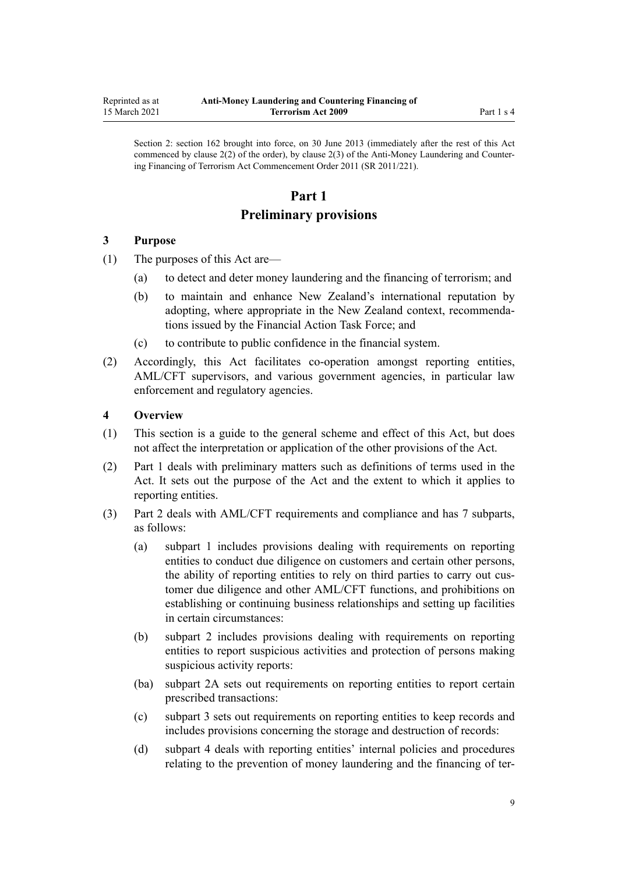<span id="page-8-0"></span>Section 2: section 162 brought into force, on 30 June 2013 (immediately after the rest of this Act commenced by clause 2(2) of the order), by [clause 2\(3\)](http://legislation.govt.nz/pdflink.aspx?id=DLM3831005) of the Anti-Money Laundering and Countering Financing of Terrorism Act Commencement Order 2011 (SR 2011/221).

# **Part 1**

# **Preliminary provisions**

### **3 Purpose**

- (1) The purposes of this Act are—
	- (a) to detect and deter money laundering and the financing of terrorism; and
	- (b) to maintain and enhance New Zealand's international reputation by adopting, where appropriate in the New Zealand context, recommendations issued by the Financial Action Task Force; and
	- (c) to contribute to public confidence in the financial system.
- (2) Accordingly, this Act facilitates co-operation amongst reporting entities, AML/CFT supervisors, and various government agencies, in particular law enforcement and regulatory agencies.

## **4 Overview**

- (1) This section is a guide to the general scheme and effect of this Act, but does not affect the interpretation or application of the other provisions of the Act.
- (2) Part 1 deals with preliminary matters such as definitions of terms used in the Act. It sets out the purpose of the Act and the extent to which it applies to reporting entities.
- (3) [Part 2](#page-30-0) deals with AML/CFT requirements and compliance and has 7 subparts, as follows:
	- (a) [subpart 1](#page-31-0) includes provisions dealing with requirements on reporting entities to conduct due diligence on customers and certain other persons, the ability of reporting entities to rely on third parties to carry out customer due diligence and other AML/CFT functions, and prohibitions on establishing or continuing business relationships and setting up facilities in certain circumstances:
	- (b) [subpart 2](#page-50-0) includes provisions dealing with requirements on reporting entities to report suspicious activities and protection of persons making suspicious activity reports:
	- (ba) [subpart 2A](#page-56-0) sets out requirements on reporting entities to report certain prescribed transactions:
	- (c) [subpart 3](#page-58-0) sets out requirements on reporting entities to keep records and includes provisions concerning the storage and destruction of records:
	- (d) [subpart 4](#page-61-0) deals with reporting entities' internal policies and procedures relating to the prevention of money laundering and the financing of ter-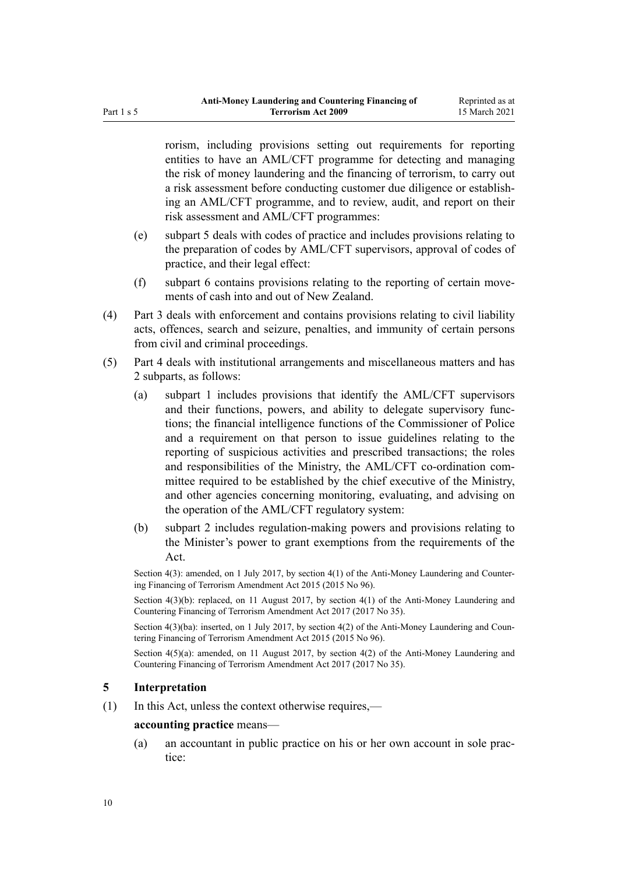<span id="page-9-0"></span>rorism, including provisions setting out requirements for reporting entities to have an AML/CFT programme for detecting and managing the risk of money laundering and the financing of terrorism, to carry out a risk assessment before conducting customer due diligence or establishing an AML/CFT programme, and to review, audit, and report on their risk assessment and AML/CFT programmes:

- (e) [subpart 5](#page-65-0) deals with codes of practice and includes provisions relating to the preparation of codes by AML/CFT supervisors, approval of codes of practice, and their legal effect:
- (f) [subpart 6](#page-68-0) contains provisions relating to the reporting of certain movements of cash into and out of New Zealand.
- (4) [Part 3](#page-70-0) deals with enforcement and contains provisions relating to civil liability acts, offences, search and seizure, penalties, and immunity of certain persons from civil and criminal proceedings.
- (5) [Part 4](#page-90-0) deals with institutional arrangements and miscellaneous matters and has 2 subparts, as follows:
	- (a) [subpart 1](#page-90-0) includes provisions that identify the AML/CFT supervisors and their functions, powers, and ability to delegate supervisory functions; the financial intelligence functions of the Commissioner of Police and a requirement on that person to issue guidelines relating to the reporting of suspicious activities and prescribed transactions; the roles and responsibilities of the Ministry, the AML/CFT co-ordination committee required to be established by the chief executive of the Ministry, and other agencies concerning monitoring, evaluating, and advising on the operation of the AML/CFT regulatory system:
	- (b) [subpart 2](#page-106-0) includes regulation-making powers and provisions relating to the Minister's power to grant exemptions from the requirements of the Act.

Section 4(3): amended, on 1 July 2017, by [section 4\(1\)](http://legislation.govt.nz/pdflink.aspx?id=DLM6602208) of the Anti-Money Laundering and Countering Financing of Terrorism Amendment Act 2015 (2015 No 96).

Section  $4(3)(b)$ : replaced, on 11 August 2017, by section  $4(1)$  of the Anti-Money Laundering and Countering Financing of Terrorism Amendment Act 2017 (2017 No 35).

Section 4(3)(ba): inserted, on 1 July 2017, by [section 4\(2\)](http://legislation.govt.nz/pdflink.aspx?id=DLM6602208) of the Anti-Money Laundering and Countering Financing of Terrorism Amendment Act 2015 (2015 No 96).

Section  $4(5)(a)$ : amended, on 11 August 2017, by [section 4\(2\)](http://legislation.govt.nz/pdflink.aspx?id=DLM7161215) of the Anti-Money Laundering and Countering Financing of Terrorism Amendment Act 2017 (2017 No 35).

### **5 Interpretation**

(1) In this Act, unless the context otherwise requires,—

### **accounting practice** means—

(a) an accountant in public practice on his or her own account in sole practice: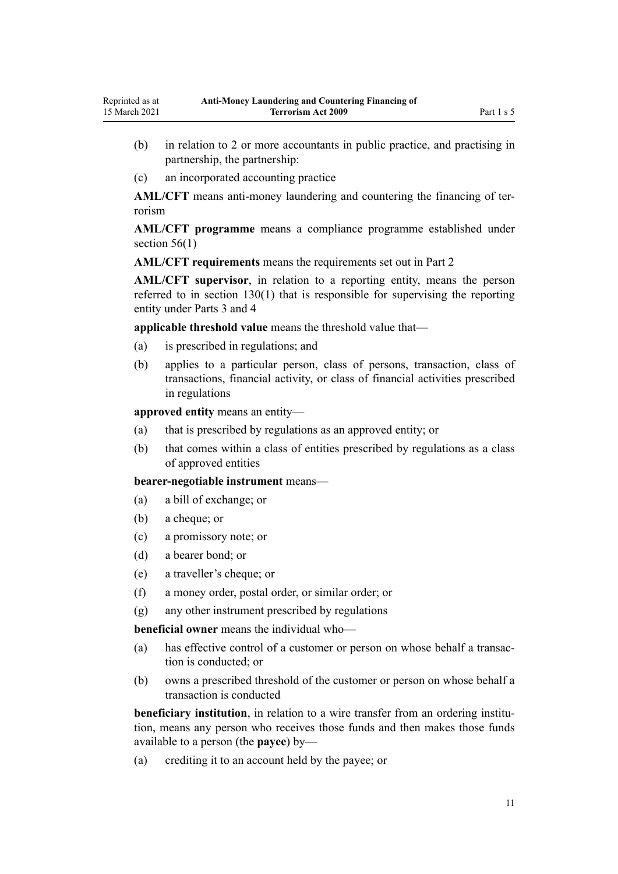- (b) in relation to 2 or more accountants in public practice, and practising in partnership, the partnership:
- (c) an incorporated accounting practice

**AML/CFT** means anti-money laundering and countering the financing of terrorism

**AML/CFT programme** means a compliance programme established under section  $56(1)$ 

**AML/CFT requirements** means the requirements set out in [Part 2](#page-30-0)

**AML/CFT supervisor**, in relation to a reporting entity, means the person referred to in [section 130\(1\)](#page-90-0) that is responsible for supervising the reporting entity under [Parts 3](#page-70-0) and [4](#page-90-0)

**applicable threshold value** means the threshold value that—

- (a) is prescribed in regulations; and
- (b) applies to a particular person, class of persons, transaction, class of transactions, financial activity, or class of financial activities prescribed in regulations

**approved entity** means an entity—

- (a) that is prescribed by regulations as an approved entity; or
- (b) that comes within a class of entities prescribed by regulations as a class of approved entities

**bearer-negotiable instrument** means—

- (a) a bill of exchange; or
- (b) a cheque; or
- (c) a promissory note; or
- (d) a bearer bond; or
- (e) a traveller's cheque; or
- (f) a money order, postal order, or similar order; or
- (g) any other instrument prescribed by regulations

**beneficial owner** means the individual who—

- (a) has effective control of a customer or person on whose behalf a transaction is conducted; or
- (b) owns a prescribed threshold of the customer or person on whose behalf a transaction is conducted

**beneficiary institution**, in relation to a wire transfer from an ordering institution, means any person who receives those funds and then makes those funds available to a person (the **payee**) by—

(a) crediting it to an account held by the payee; or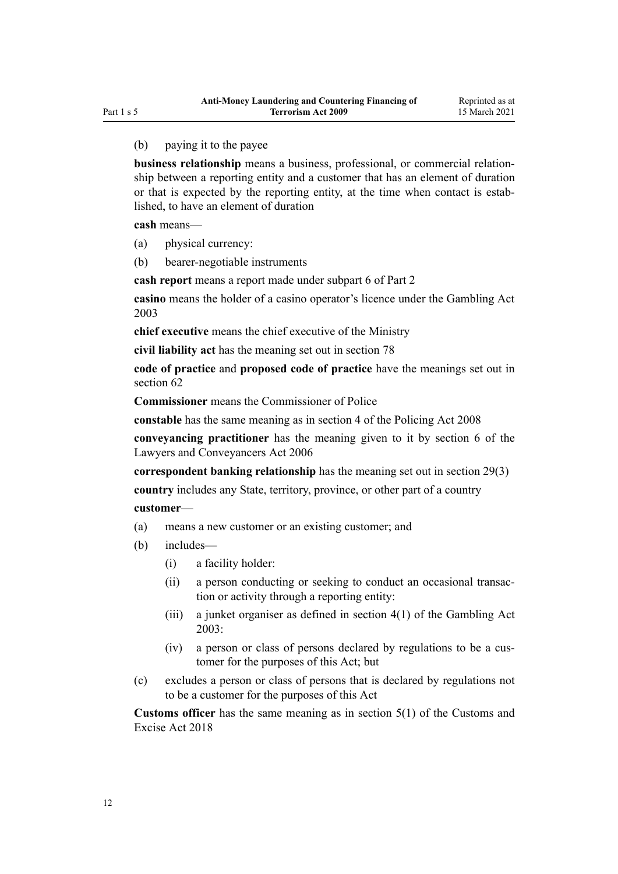# (b) paying it to the payee

**business relationship** means a business, professional, or commercial relationship between a reporting entity and a customer that has an element of duration or that is expected by the reporting entity, at the time when contact is established, to have an element of duration

**cash** means—

- (a) physical currency:
- (b) bearer-negotiable instruments

**cash report** means a report made under [subpart 6](#page-68-0) of Part 2

**casino** means the holder of a casino operator's licence under the [Gambling Act](http://legislation.govt.nz/pdflink.aspx?id=DLM207496) [2003](http://legislation.govt.nz/pdflink.aspx?id=DLM207496)

**chief executive** means the chief executive of the Ministry

**civil liability act** has the meaning set out in [section 78](#page-72-0)

**code of practice** and **proposed code of practice** have the meanings set out in [section 62](#page-65-0)

**Commissioner** means the Commissioner of Police

**constable** has the same meaning as in [section 4](http://legislation.govt.nz/pdflink.aspx?id=DLM1102132) of the Policing Act 2008

**conveyancing practitioner** has the meaning given to it by [section 6](http://legislation.govt.nz/pdflink.aspx?id=DLM364948) of the Lawyers and Conveyancers Act 2006

**correspondent banking relationship** has the meaning set out in [section 29\(3\)](#page-42-0)

**country** includes any State, territory, province, or other part of a country

### **customer**—

- (a) means a new customer or an existing customer; and
- (b) includes—
	- (i) a facility holder:
	- (ii) a person conducting or seeking to conduct an occasional transaction or activity through a reporting entity:
	- (iii) a junket organiser as defined in [section 4\(1\)](http://legislation.govt.nz/pdflink.aspx?id=DLM207804) of the Gambling Act 2003:
	- (iv) a person or class of persons declared by regulations to be a customer for the purposes of this Act; but
- (c) excludes a person or class of persons that is declared by regulations not to be a customer for the purposes of this Act

**Customs officer** has the same meaning as in [section 5\(1\)](http://legislation.govt.nz/pdflink.aspx?id=DLM7038971) of the Customs and Excise Act 2018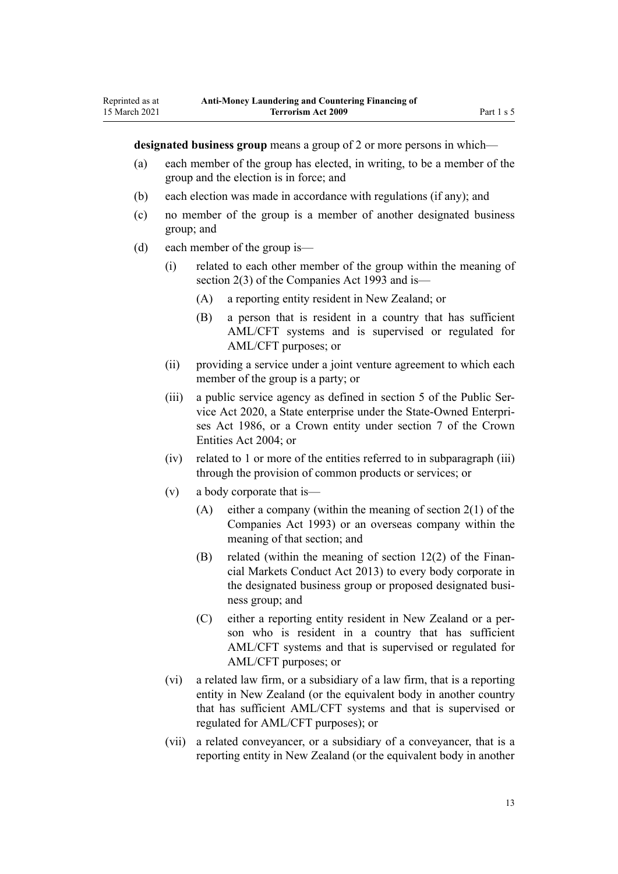**designated business group** means a group of 2 or more persons in which—

- (a) each member of the group has elected, in writing, to be a member of the group and the election is in force; and
- (b) each election was made in accordance with regulations (if any); and
- (c) no member of the group is a member of another designated business group; and
- (d) each member of the group is—

Reprinted as at 15 March 2021

- (i) related to each other member of the group within the meaning of [section 2\(3\)](http://legislation.govt.nz/pdflink.aspx?id=DLM319576) of the Companies Act 1993 and is—
	- (A) a reporting entity resident in New Zealand; or
	- (B) a person that is resident in a country that has sufficient AML/CFT systems and is supervised or regulated for AML/CFT purposes; or
- (ii) providing a service under a joint venture agreement to which each member of the group is a party; or
- (iii) a public service agency as defined in [section 5](http://legislation.govt.nz/pdflink.aspx?id=LMS356868) of the Public Service Act 2020, a State enterprise under the [State-Owned Enterpri](http://legislation.govt.nz/pdflink.aspx?id=DLM97376)[ses Act 1986,](http://legislation.govt.nz/pdflink.aspx?id=DLM97376) or a Crown entity under [section 7](http://legislation.govt.nz/pdflink.aspx?id=DLM329641) of the Crown Entities Act 2004; or
- (iv) related to 1 or more of the entities referred to in subparagraph (iii) through the provision of common products or services; or
- (v) a body corporate that is—
	- (A) either a company (within the meaning of [section 2\(1\)](http://legislation.govt.nz/pdflink.aspx?id=DLM319576) of the Companies Act 1993) or an overseas company within the meaning of that section; and
	- (B) related (within the meaning of [section 12\(2\)](http://legislation.govt.nz/pdflink.aspx?id=DLM4090933) of the Financial Markets Conduct Act 2013) to every body corporate in the designated business group or proposed designated business group; and
	- (C) either a reporting entity resident in New Zealand or a person who is resident in a country that has sufficient AML/CFT systems and that is supervised or regulated for AML/CFT purposes; or
- (vi) a related law firm, or a subsidiary of a law firm, that is a reporting entity in New Zealand (or the equivalent body in another country that has sufficient AML/CFT systems and that is supervised or regulated for AML/CFT purposes); or
- (vii) a related conveyancer, or a subsidiary of a conveyancer, that is a reporting entity in New Zealand (or the equivalent body in another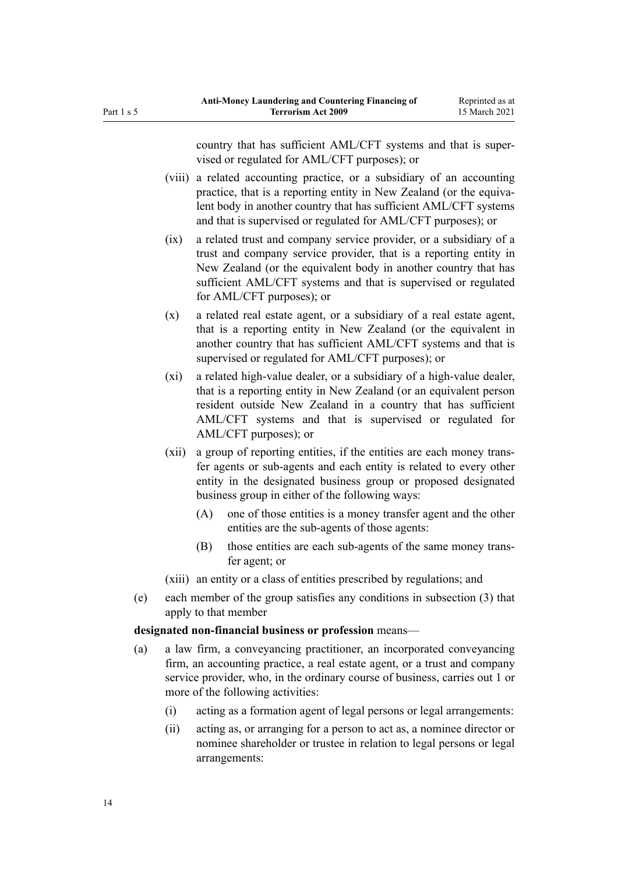country that has sufficient AML/CFT systems and that is supervised or regulated for AML/CFT purposes); or

- (viii) a related accounting practice, or a subsidiary of an accounting practice, that is a reporting entity in New Zealand (or the equivalent body in another country that has sufficient AML/CFT systems and that is supervised or regulated for AML/CFT purposes); or
- (ix) a related trust and company service provider, or a subsidiary of a trust and company service provider, that is a reporting entity in New Zealand (or the equivalent body in another country that has sufficient AML/CFT systems and that is supervised or regulated for AML/CFT purposes); or
- (x) a related real estate agent, or a subsidiary of a real estate agent, that is a reporting entity in New Zealand (or the equivalent in another country that has sufficient AML/CFT systems and that is supervised or regulated for AML/CFT purposes); or
- (xi) a related high-value dealer, or a subsidiary of a high-value dealer, that is a reporting entity in New Zealand (or an equivalent person resident outside New Zealand in a country that has sufficient AML/CFT systems and that is supervised or regulated for AML/CFT purposes); or
- (xii) a group of reporting entities, if the entities are each money transfer agents or sub-agents and each entity is related to every other entity in the designated business group or proposed designated business group in either of the following ways:
	- (A) one of those entities is a money transfer agent and the other entities are the sub-agents of those agents:
	- (B) those entities are each sub-agents of the same money transfer agent; or
- (xiii) an entity or a class of entities prescribed by regulations; and
- (e) each member of the group satisfies any conditions in subsection (3) that apply to that member

# **designated non-financial business or profession** means—

- (a) a law firm, a conveyancing practitioner, an incorporated conveyancing firm, an accounting practice, a real estate agent, or a trust and company service provider, who, in the ordinary course of business, carries out 1 or more of the following activities:
	- (i) acting as a formation agent of legal persons or legal arrangements:
	- (ii) acting as, or arranging for a person to act as, a nominee director or nominee shareholder or trustee in relation to legal persons or legal arrangements: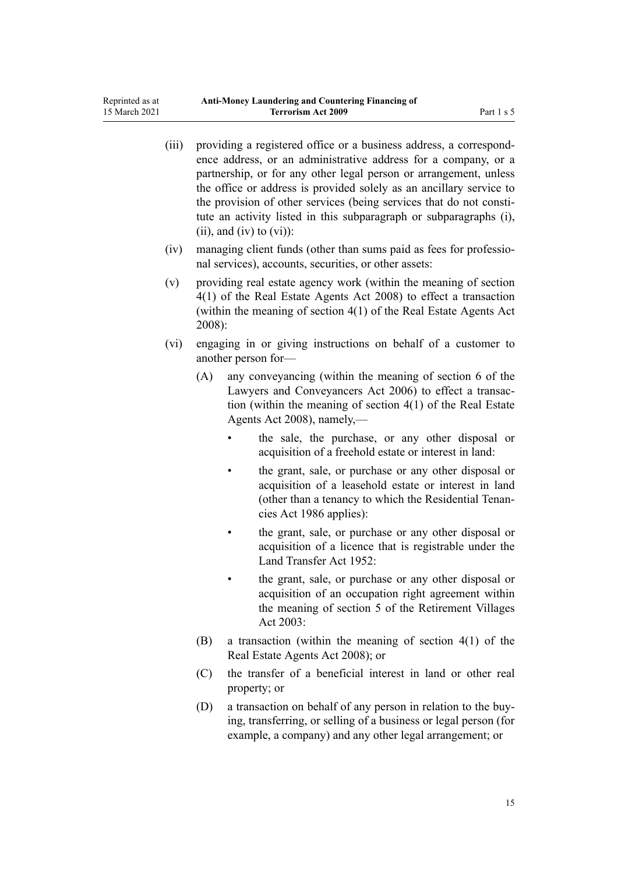| (iii) |           | providing a registered office or a business address, a correspond-<br>ence address, or an administrative address for a company, or a<br>partnership, or for any other legal person or arrangement, unless<br>the office or address is provided solely as an ancillary service to<br>the provision of other services (being services that do not consti-<br>tute an activity listed in this subparagraph or subparagraphs (i),<br>$(ii)$ , and $(iv)$ to $(vi)$ : |  |  |
|-------|-----------|------------------------------------------------------------------------------------------------------------------------------------------------------------------------------------------------------------------------------------------------------------------------------------------------------------------------------------------------------------------------------------------------------------------------------------------------------------------|--|--|
| (iv)  |           | managing client funds (other than sums paid as fees for professio-<br>nal services), accounts, securities, or other assets:                                                                                                                                                                                                                                                                                                                                      |  |  |
| (v)   | $2008$ :  | providing real estate agency work (within the meaning of section<br>4(1) of the Real Estate Agents Act 2008) to effect a transaction<br>(within the meaning of section 4(1) of the Real Estate Agents Act                                                                                                                                                                                                                                                        |  |  |
| (vi)  |           | engaging in or giving instructions on behalf of a customer to<br>another person for-                                                                                                                                                                                                                                                                                                                                                                             |  |  |
|       | (A)       | any conveyancing (within the meaning of section 6 of the<br>Lawyers and Conveyancers Act 2006) to effect a transac-<br>tion (within the meaning of section $4(1)$ of the Real Estate<br>Agents Act 2008), namely,—                                                                                                                                                                                                                                               |  |  |
|       |           | the sale, the purchase, or any other disposal or<br>acquisition of a freehold estate or interest in land:                                                                                                                                                                                                                                                                                                                                                        |  |  |
|       |           | the grant, sale, or purchase or any other disposal or<br>acquisition of a leasehold estate or interest in land<br>(other than a tenancy to which the Residential Tenan-<br>cies Act 1986 applies):                                                                                                                                                                                                                                                               |  |  |
|       |           | the grant, sale, or purchase or any other disposal or<br>acquisition of a licence that is registrable under the<br>Land Transfer Act 1952:                                                                                                                                                                                                                                                                                                                       |  |  |
|       |           | the grant, sale, or purchase or any other disposal or<br>acquisition of an occupation right agreement within<br>the meaning of section 5 of the Retirement Villages<br>Act 2003:                                                                                                                                                                                                                                                                                 |  |  |
|       | (B)       | a transaction (within the meaning of section $4(1)$ of the<br>Real Estate Agents Act 2008); or                                                                                                                                                                                                                                                                                                                                                                   |  |  |
|       | (C)       | the transfer of a beneficial interest in land or other real<br>property; or                                                                                                                                                                                                                                                                                                                                                                                      |  |  |
|       | $\bigcap$ | a transaction on bobolf of any parson in relation to the buy                                                                                                                                                                                                                                                                                                                                                                                                     |  |  |

(D) a transaction on behalf of any person in relation to the buying, transferring, or selling of a business or legal person (for example, a company) and any other legal arrangement; or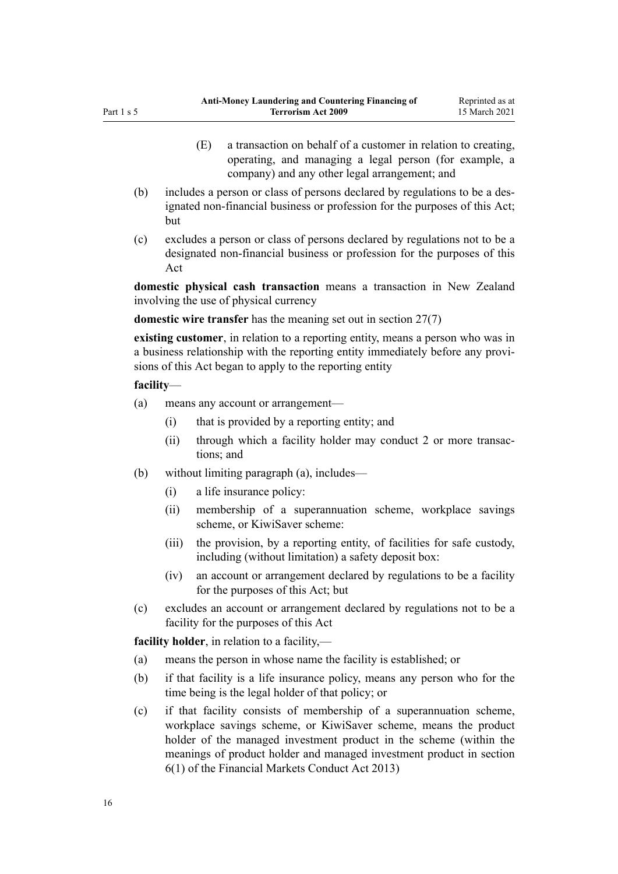- (E) a transaction on behalf of a customer in relation to creating, operating, and managing a legal person (for example, a company) and any other legal arrangement; and
- (b) includes a person or class of persons declared by regulations to be a designated non-financial business or profession for the purposes of this Act; but
- (c) excludes a person or class of persons declared by regulations not to be a designated non-financial business or profession for the purposes of this Act

**domestic physical cash transaction** means a transaction in New Zealand involving the use of physical currency

**domestic wire transfer** has the meaning set out in [section 27\(7\)](#page-40-0)

**existing customer**, in relation to a reporting entity, means a person who was in a business relationship with the reporting entity immediately before any provisions of this Act began to apply to the reporting entity

### **facility**—

- (a) means any account or arrangement—
	- (i) that is provided by a reporting entity; and
	- (ii) through which a facility holder may conduct 2 or more transactions; and
- (b) without limiting paragraph (a), includes—
	- (i) a life insurance policy:
	- (ii) membership of a superannuation scheme, workplace savings scheme, or KiwiSaver scheme:
	- (iii) the provision, by a reporting entity, of facilities for safe custody, including (without limitation) a safety deposit box:
	- (iv) an account or arrangement declared by regulations to be a facility for the purposes of this Act; but
- (c) excludes an account or arrangement declared by regulations not to be a facility for the purposes of this Act

**facility holder**, in relation to a facility,—

- (a) means the person in whose name the facility is established; or
- (b) if that facility is a life insurance policy, means any person who for the time being is the legal holder of that policy; or
- (c) if that facility consists of membership of a superannuation scheme, workplace savings scheme, or KiwiSaver scheme, means the product holder of the managed investment product in the scheme (within the meanings of product holder and managed investment product in [section](http://legislation.govt.nz/pdflink.aspx?id=DLM4090590) [6\(1\)](http://legislation.govt.nz/pdflink.aspx?id=DLM4090590) of the Financial Markets Conduct Act 2013)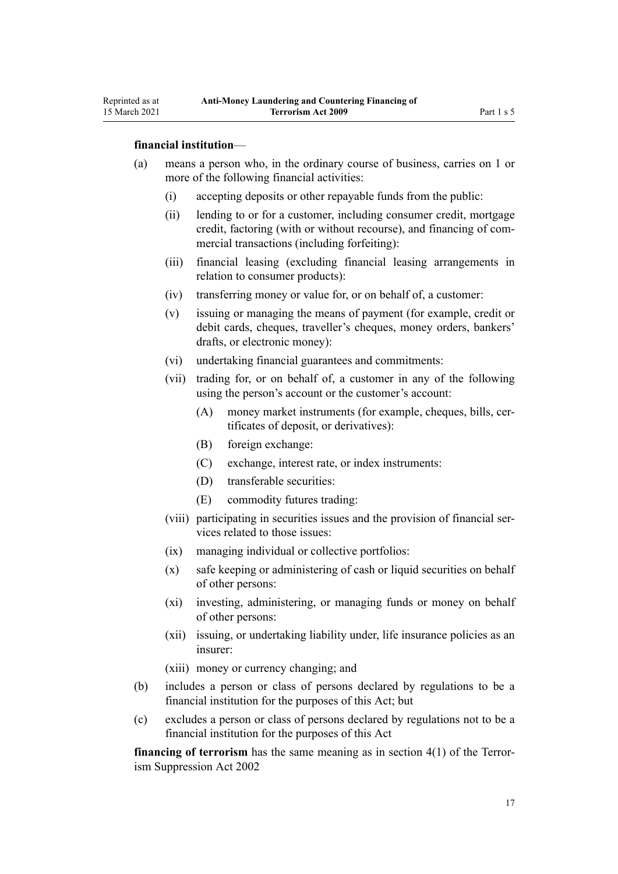Reprinted as at 15 March 2021

- (a) means a person who, in the ordinary course of business, carries on 1 or more of the following financial activities:
	- (i) accepting deposits or other repayable funds from the public:
	- (ii) lending to or for a customer, including consumer credit, mortgage credit, factoring (with or without recourse), and financing of commercial transactions (including forfeiting):
	- (iii) financial leasing (excluding financial leasing arrangements in relation to consumer products):
	- (iv) transferring money or value for, or on behalf of, a customer:
	- (v) issuing or managing the means of payment (for example, credit or debit cards, cheques, traveller's cheques, money orders, bankers' drafts, or electronic money):
	- (vi) undertaking financial guarantees and commitments:
	- (vii) trading for, or on behalf of, a customer in any of the following using the person's account or the customer's account:
		- (A) money market instruments (for example, cheques, bills, certificates of deposit, or derivatives):
		- (B) foreign exchange:
		- (C) exchange, interest rate, or index instruments:
		- (D) transferable securities:
		- (E) commodity futures trading:
	- (viii) participating in securities issues and the provision of financial services related to those issues:
	- (ix) managing individual or collective portfolios:
	- (x) safe keeping or administering of cash or liquid securities on behalf of other persons:
	- (xi) investing, administering, or managing funds or money on behalf of other persons:
	- (xii) issuing, or undertaking liability under, life insurance policies as an insurer:
	- (xiii) money or currency changing; and
- (b) includes a person or class of persons declared by regulations to be a financial institution for the purposes of this Act; but
- (c) excludes a person or class of persons declared by regulations not to be a financial institution for the purposes of this Act

**financing of terrorism** has the same meaning as in [section 4\(1\)](http://legislation.govt.nz/pdflink.aspx?id=DLM152400) of the Terrorism Suppression Act 2002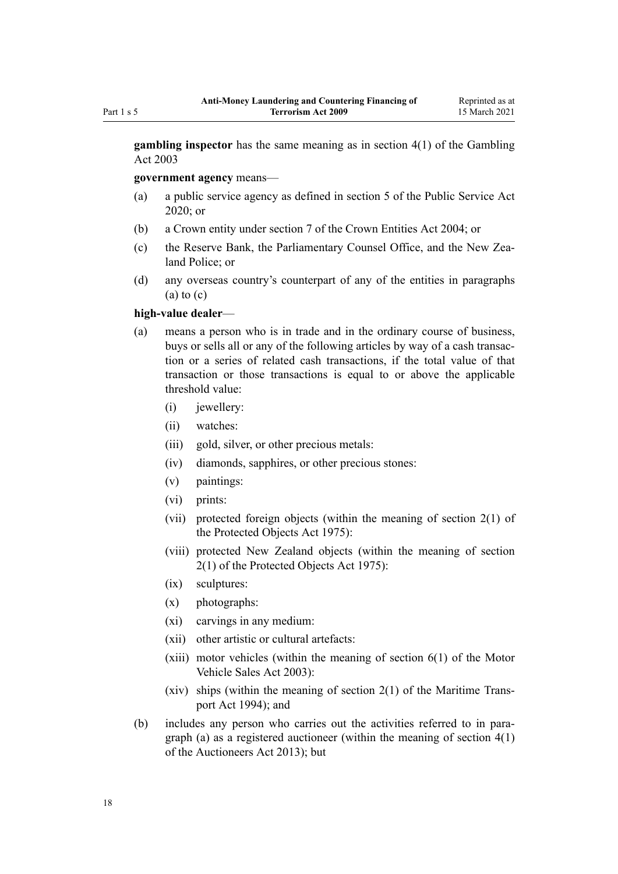**gambling inspector** has the same meaning as in [section 4\(1\)](http://legislation.govt.nz/pdflink.aspx?id=DLM207804) of the Gambling Act 2003

**government agency** means—

- (a) a public service agency as defined in [section 5](http://legislation.govt.nz/pdflink.aspx?id=LMS356868) of the Public Service Act 2020; or
- (b) a Crown entity under [section 7](http://legislation.govt.nz/pdflink.aspx?id=DLM329641) of the Crown Entities Act 2004; or
- (c) the Reserve Bank, the Parliamentary Counsel Office, and the New Zealand Police; or
- (d) any overseas country's counterpart of any of the entities in paragraphs  $(a)$  to  $(c)$

### **high-value dealer**—

- (a) means a person who is in trade and in the ordinary course of business, buys or sells all or any of the following articles by way of a cash transaction or a series of related cash transactions, if the total value of that transaction or those transactions is equal to or above the applicable threshold value:
	- (i) iewellery:
	- (ii) watches:
	- (iii) gold, silver, or other precious metals:
	- (iv) diamonds, sapphires, or other precious stones:
	- (v) paintings:
	- (vi) prints:
	- (vii) protected foreign objects (within the meaning of [section 2\(1\)](http://legislation.govt.nz/pdflink.aspx?id=DLM432125) of the Protected Objects Act 1975):
	- (viii) protected New Zealand objects (within the meaning of [section](http://legislation.govt.nz/pdflink.aspx?id=DLM432125) [2\(1\)](http://legislation.govt.nz/pdflink.aspx?id=DLM432125) of the Protected Objects Act 1975):
	- (ix) sculptures:
	- (x) photographs:
	- (xi) carvings in any medium:
	- (xii) other artistic or cultural artefacts:
	- $(xiii)$  motor vehicles (within the meaning of section  $6(1)$  of the Motor Vehicle Sales Act 2003):
	- (xiv) ships (within the meaning of [section 2\(1\)](http://legislation.govt.nz/pdflink.aspx?id=DLM334667) of the Maritime Transport Act 1994); and
- (b) includes any person who carries out the activities referred to in paragraph (a) as a registered auctioneer (within the meaning of [section 4\(1\)](http://legislation.govt.nz/pdflink.aspx?id=DLM5788508) of the Auctioneers Act 2013); but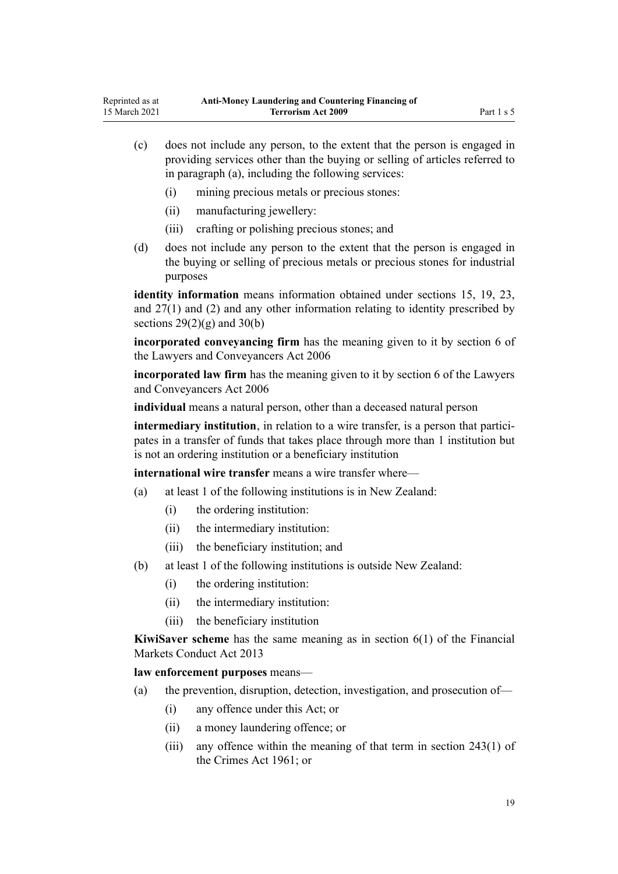- (c) does not include any person, to the extent that the person is engaged in providing services other than the buying or selling of articles referred to in paragraph (a), including the following services:
	- (i) mining precious metals or precious stones:
	- (ii) manufacturing jewellery:
	- (iii) crafting or polishing precious stones; and
- (d) does not include any person to the extent that the person is engaged in the buying or selling of precious metals or precious stones for industrial purposes

**identity information** means information obtained under [sections 15](#page-33-0), [19](#page-36-0), [23](#page-39-0), and [27\(1\) and \(2\)](#page-40-0) and any other information relating to identity prescribed by sections  $29(2)(g)$  and  $30(b)$ 

**incorporated conveyancing firm** has the meaning given to it by [section 6](http://legislation.govt.nz/pdflink.aspx?id=DLM364948) of the Lawyers and Conveyancers Act 2006

**incorporated law firm** has the meaning given to it by [section 6](http://legislation.govt.nz/pdflink.aspx?id=DLM364948) of the Lawyers and Conveyancers Act 2006

**individual** means a natural person, other than a deceased natural person

**intermediary institution**, in relation to a wire transfer, is a person that participates in a transfer of funds that takes place through more than 1 institution but is not an ordering institution or a beneficiary institution

**international wire transfer** means a wire transfer where—

- (a) at least 1 of the following institutions is in New Zealand:
	- (i) the ordering institution:
	- (ii) the intermediary institution:
	- (iii) the beneficiary institution; and
- (b) at least 1 of the following institutions is outside New Zealand:
	- (i) the ordering institution:
	- (ii) the intermediary institution:
	- (iii) the beneficiary institution

**KiwiSaver scheme** has the same meaning as in [section 6\(1\)](http://legislation.govt.nz/pdflink.aspx?id=DLM4090590) of the Financial Markets Conduct Act 2013

**law enforcement purposes** means—

- (a) the prevention, disruption, detection, investigation, and prosecution of—
	- (i) any offence under this Act; or
	- (ii) a money laundering offence; or
	- (iii) any offence within the meaning of that term in [section 243\(1\)](http://legislation.govt.nz/pdflink.aspx?id=DLM330289) of the Crimes Act 1961; or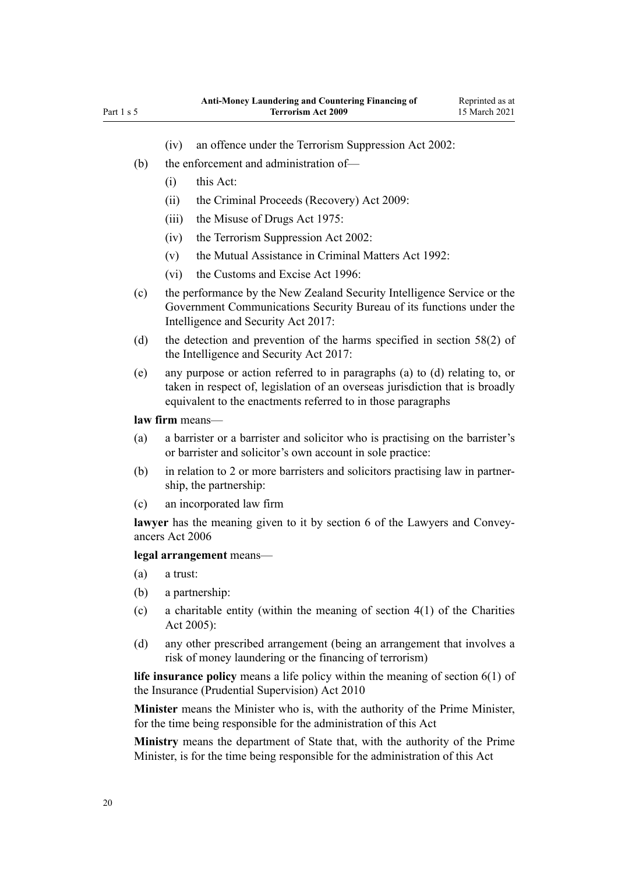- (iv) an offence under the [Terrorism Suppression Act 2002:](http://legislation.govt.nz/pdflink.aspx?id=DLM151490)
- (b) the enforcement and administration of—
	- (i) this Act:
	- (ii) the [Criminal Proceeds \(Recovery\) Act 2009](http://legislation.govt.nz/pdflink.aspx?id=BILL-SCDRAFT-7242):
	- (iii) the [Misuse of Drugs Act 1975](http://legislation.govt.nz/pdflink.aspx?id=DLM436100):
	- (iv) the [Terrorism Suppression Act 2002:](http://legislation.govt.nz/pdflink.aspx?id=DLM151490)
	- (v) the [Mutual Assistance in Criminal Matters Act 1992](http://legislation.govt.nz/pdflink.aspx?id=DLM273056):
	- (vi) the [Customs and Excise Act 1996:](http://legislation.govt.nz/pdflink.aspx?id=DLM377336)
- (c) the performance by the New Zealand Security Intelligence Service or the Government Communications Security Bureau of its functions under the [Intelligence and Security Act 2017:](http://legislation.govt.nz/pdflink.aspx?id=DLM6920802)
- (d) the detection and prevention of the harms specified in [section 58\(2\)](http://legislation.govt.nz/pdflink.aspx?id=DLM7118931) of the Intelligence and Security Act 2017:
- (e) any purpose or action referred to in paragraphs (a) to (d) relating to, or taken in respect of, legislation of an overseas jurisdiction that is broadly equivalent to the enactments referred to in those paragraphs

### **law firm** means—

- (a) a barrister or a barrister and solicitor who is practising on the barrister's or barrister and solicitor's own account in sole practice:
- (b) in relation to 2 or more barristers and solicitors practising law in partnership, the partnership:
- (c) an incorporated law firm

**lawyer** has the meaning given to it by [section 6](http://legislation.govt.nz/pdflink.aspx?id=DLM364948) of the Lawyers and Conveyancers Act 2006

### **legal arrangement** means—

- (a) a trust:
- (b) a partnership:
- (c) a charitable entity (within the meaning of section  $4(1)$  of the Charities Act 2005):
- (d) any other prescribed arrangement (being an arrangement that involves a risk of money laundering or the financing of terrorism)

**life insurance policy** means a life policy within the meaning of [section 6\(1\)](http://legislation.govt.nz/pdflink.aspx?id=DLM2478128) of the Insurance (Prudential Supervision) Act 2010

**Minister** means the Minister who is, with the authority of the Prime Minister, for the time being responsible for the administration of this Act

**Ministry** means the department of State that, with the authority of the Prime Minister, is for the time being responsible for the administration of this Act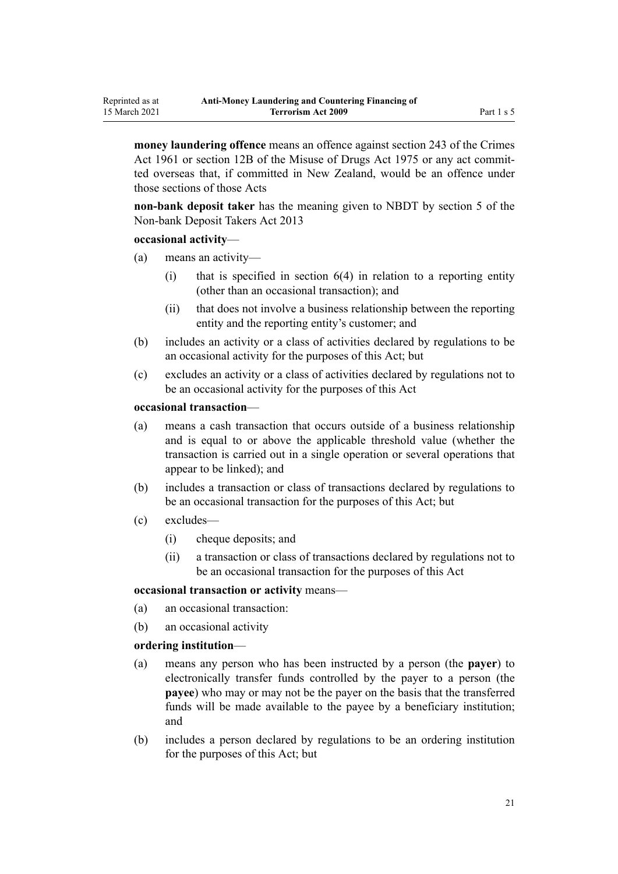**money laundering offence** means an offence against [section 243](http://legislation.govt.nz/pdflink.aspx?id=DLM330289) of the Crimes Act 1961 or [section 12B](http://legislation.govt.nz/pdflink.aspx?id=DLM436285) of the Misuse of Drugs Act 1975 or any act committed overseas that, if committed in New Zealand, would be an offence under those sections of those Acts

**non-bank deposit taker** has the meaning given to NBDT by [section 5](http://legislation.govt.nz/pdflink.aspx?id=DLM3918989) of the Non-bank Deposit Takers Act 2013

#### **occasional activity**—

- (a) means an activity—
	- $(i)$  that is specified in section  $6(4)$  in relation to a reporting entity (other than an occasional transaction); and
	- (ii) that does not involve a business relationship between the reporting entity and the reporting entity's customer; and
- (b) includes an activity or a class of activities declared by regulations to be an occasional activity for the purposes of this Act; but
- (c) excludes an activity or a class of activities declared by regulations not to be an occasional activity for the purposes of this Act

### **occasional transaction**—

- (a) means a cash transaction that occurs outside of a business relationship and is equal to or above the applicable threshold value (whether the transaction is carried out in a single operation or several operations that appear to be linked); and
- (b) includes a transaction or class of transactions declared by regulations to be an occasional transaction for the purposes of this Act; but
- (c) excludes—
	- (i) cheque deposits; and
	- (ii) a transaction or class of transactions declared by regulations not to be an occasional transaction for the purposes of this Act

#### **occasional transaction or activity** means—

- (a) an occasional transaction:
- (b) an occasional activity

### **ordering institution**—

- (a) means any person who has been instructed by a person (the **payer**) to electronically transfer funds controlled by the payer to a person (the **payee**) who may or may not be the payer on the basis that the transferred funds will be made available to the payee by a beneficiary institution; and
- (b) includes a person declared by regulations to be an ordering institution for the purposes of this Act; but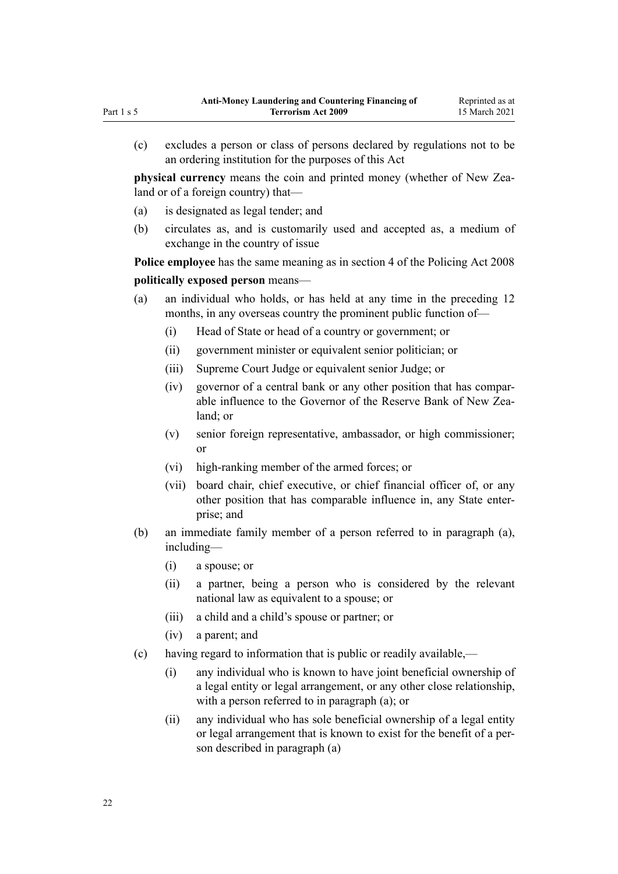(c) excludes a person or class of persons declared by regulations not to be an ordering institution for the purposes of this Act

**physical currency** means the coin and printed money (whether of New Zealand or of a foreign country) that—

- (a) is designated as legal tender; and
- (b) circulates as, and is customarily used and accepted as, a medium of exchange in the country of issue

**Police employee** has the same meaning as in [section 4](http://legislation.govt.nz/pdflink.aspx?id=DLM1102132) of the Policing Act 2008

# **politically exposed person** means—

- (a) an individual who holds, or has held at any time in the preceding 12 months, in any overseas country the prominent public function of—
	- (i) Head of State or head of a country or government; or
	- (ii) government minister or equivalent senior politician; or
	- (iii) Supreme Court Judge or equivalent senior Judge; or
	- (iv) governor of a central bank or any other position that has comparable influence to the Governor of the Reserve Bank of New Zealand; or
	- (v) senior foreign representative, ambassador, or high commissioner; or
	- (vi) high-ranking member of the armed forces; or
	- (vii) board chair, chief executive, or chief financial officer of, or any other position that has comparable influence in, any State enterprise; and
- (b) an immediate family member of a person referred to in paragraph (a), including—
	- (i) a spouse; or
	- (ii) a partner, being a person who is considered by the relevant national law as equivalent to a spouse; or
	- (iii) a child and a child's spouse or partner; or
	- (iv) a parent; and
- (c) having regard to information that is public or readily available,—
	- (i) any individual who is known to have joint beneficial ownership of a legal entity or legal arrangement, or any other close relationship, with a person referred to in paragraph (a); or
	- (ii) any individual who has sole beneficial ownership of a legal entity or legal arrangement that is known to exist for the benefit of a person described in paragraph (a)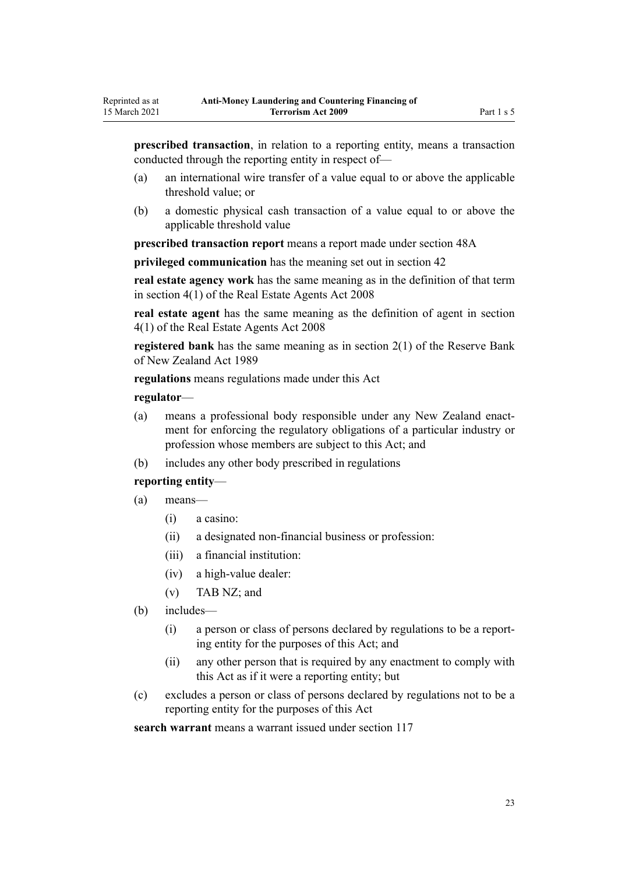**prescribed transaction**, in relation to a reporting entity, means a transaction conducted through the reporting entity in respect of—

- (a) an international wire transfer of a value equal to or above the applicable threshold value; or
- (b) a domestic physical cash transaction of a value equal to or above the applicable threshold value

**prescribed transaction report** means a report made under [section 48A](#page-56-0)

**privileged communication** has the meaning set out in [section 42](#page-51-0)

**real estate agency work** has the same meaning as in the definition of that term in [section 4\(1\)](http://legislation.govt.nz/pdflink.aspx?id=DLM1151928) of the Real Estate Agents Act 2008

**real estate agent** has the same meaning as the definition of agent in [section](http://legislation.govt.nz/pdflink.aspx?id=DLM1151928) [4\(1\)](http://legislation.govt.nz/pdflink.aspx?id=DLM1151928) of the Real Estate Agents Act 2008

**registered bank** has the same meaning as in [section 2\(1\)](http://legislation.govt.nz/pdflink.aspx?id=DLM199370) of the Reserve Bank of New Zealand Act 1989

**regulations** means regulations made under this Act

# **regulator**—

- (a) means a professional body responsible under any New Zealand enactment for enforcing the regulatory obligations of a particular industry or profession whose members are subject to this Act; and
- (b) includes any other body prescribed in regulations

# **reporting entity**—

- (a) means—
	- (i) a casino:
	- (ii) a designated non-financial business or profession:
	- (iii) a financial institution:
	- (iv) a high-value dealer:
	- (v) TAB NZ; and
- (b) includes—
	- (i) a person or class of persons declared by regulations to be a reporting entity for the purposes of this Act; and
	- (ii) any other person that is required by any enactment to comply with this Act as if it were a reporting entity; but
- (c) excludes a person or class of persons declared by regulations not to be a reporting entity for the purposes of this Act

**search warrant** means a warrant issued under [section 117](#page-87-0)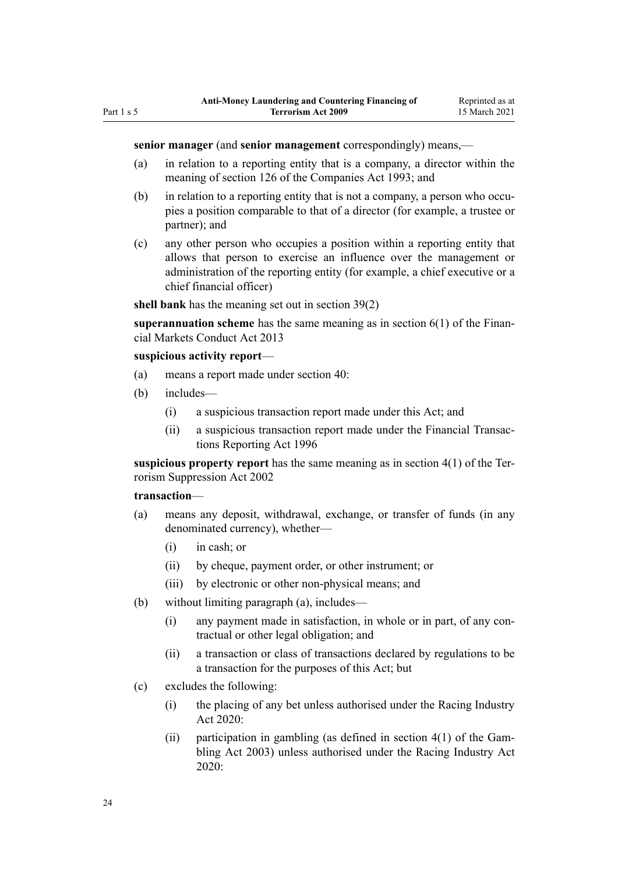### **senior manager** (and **senior management** correspondingly) means,—

- (a) in relation to a reporting entity that is a company, a director within the meaning of [section 126](http://legislation.govt.nz/pdflink.aspx?id=DLM320630) of the Companies Act 1993; and
- (b) in relation to a reporting entity that is not a company, a person who occupies a position comparable to that of a director (for example, a trustee or partner); and
- (c) any other person who occupies a position within a reporting entity that allows that person to exercise an influence over the management or administration of the reporting entity (for example, a chief executive or a chief financial officer)

**shell bank** has the meaning set out in [section 39\(2\)](#page-49-0)

**superannuation scheme** has the same meaning as in [section 6\(1\)](http://legislation.govt.nz/pdflink.aspx?id=DLM4090590) of the Financial Markets Conduct Act 2013

#### **suspicious activity report**—

- (a) means a report made under [section 40:](#page-50-0)
- (b) includes—
	- (i) a suspicious transaction report made under this Act; and
	- (ii) a suspicious transaction report made under the [Financial Transac](http://legislation.govt.nz/pdflink.aspx?id=DLM373803)[tions Reporting Act 1996](http://legislation.govt.nz/pdflink.aspx?id=DLM373803)

**suspicious property report** has the same meaning as in [section 4\(1\)](http://legislation.govt.nz/pdflink.aspx?id=DLM152400) of the Terrorism Suppression Act 2002

### **transaction**—

- (a) means any deposit, withdrawal, exchange, or transfer of funds (in any denominated currency), whether—
	- (i) in cash; or
	- (ii) by cheque, payment order, or other instrument; or
	- (iii) by electronic or other non-physical means; and
- (b) without limiting paragraph (a), includes—
	- (i) any payment made in satisfaction, in whole or in part, of any contractual or other legal obligation; and
	- (ii) a transaction or class of transactions declared by regulations to be a transaction for the purposes of this Act; but
- (c) excludes the following:
	- (i) the placing of any bet unless authorised under the [Racing Industry](http://legislation.govt.nz/pdflink.aspx?id=LMS291909) [Act 2020:](http://legislation.govt.nz/pdflink.aspx?id=LMS291909)
	- (ii) participation in gambling (as defined in section  $4(1)$  of the Gambling Act 2003) unless authorised under the [Racing Industry Act](http://legislation.govt.nz/pdflink.aspx?id=LMS291909) [2020](http://legislation.govt.nz/pdflink.aspx?id=LMS291909):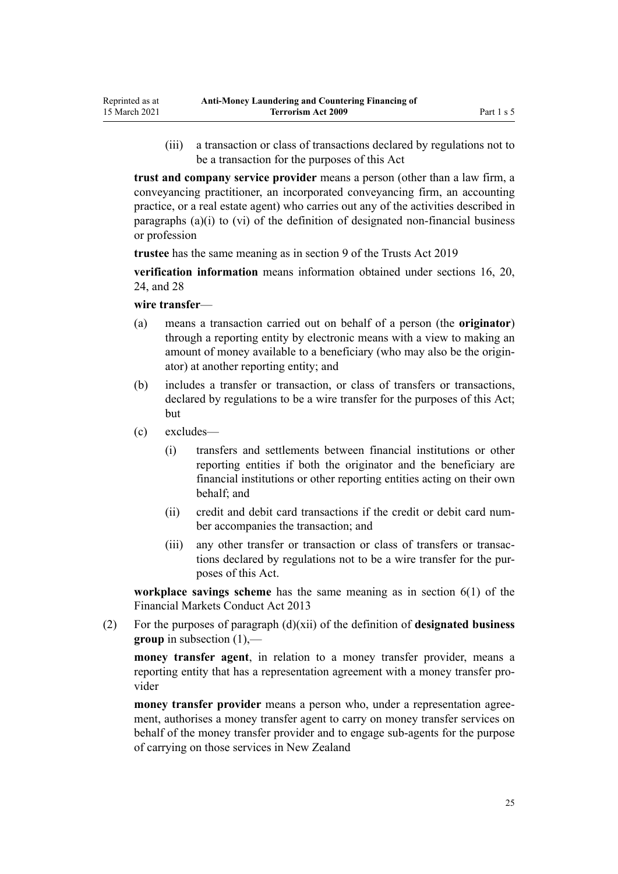(iii) a transaction or class of transactions declared by regulations not to be a transaction for the purposes of this Act

**trust and company service provider** means a person (other than a law firm, a conveyancing practitioner, an incorporated conveyancing firm, an accounting practice, or a real estate agent) who carries out any of the activities described in paragraphs (a)(i) to (vi) of the definition of designated non-financial business or profession

**trustee** has the same meaning as in [section 9](http://legislation.govt.nz/pdflink.aspx?id=DLM7382827) of the Trusts Act 2019

**verification information** means information obtained under [sections 16](#page-33-0), [20](#page-36-0), [24,](#page-39-0) and [28](#page-42-0)

#### **wire transfer**—

- (a) means a transaction carried out on behalf of a person (the **originator**) through a reporting entity by electronic means with a view to making an amount of money available to a beneficiary (who may also be the originator) at another reporting entity; and
- (b) includes a transfer or transaction, or class of transfers or transactions, declared by regulations to be a wire transfer for the purposes of this Act; but
- (c) excludes—
	- (i) transfers and settlements between financial institutions or other reporting entities if both the originator and the beneficiary are financial institutions or other reporting entities acting on their own behalf; and
	- (ii) credit and debit card transactions if the credit or debit card number accompanies the transaction; and
	- (iii) any other transfer or transaction or class of transfers or transactions declared by regulations not to be a wire transfer for the purposes of this Act.

**workplace savings scheme** has the same meaning as in [section 6\(1\)](http://legislation.govt.nz/pdflink.aspx?id=DLM4090590) of the Financial Markets Conduct Act 2013

(2) For the purposes of paragraph (d)(xii) of the definition of **designated business group** in subsection (1),—

**money transfer agent**, in relation to a money transfer provider, means a reporting entity that has a representation agreement with a money transfer provider

**money transfer provider** means a person who, under a representation agreement, authorises a money transfer agent to carry on money transfer services on behalf of the money transfer provider and to engage sub-agents for the purpose of carrying on those services in New Zealand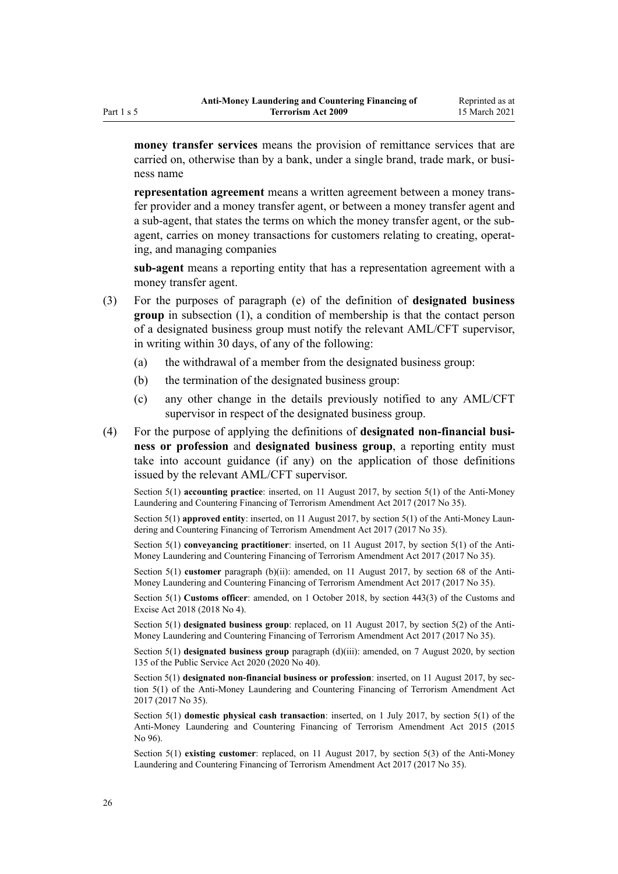**money transfer services** means the provision of remittance services that are carried on, otherwise than by a bank, under a single brand, trade mark, or business name

**representation agreement** means a written agreement between a money transfer provider and a money transfer agent, or between a money transfer agent and a sub-agent, that states the terms on which the money transfer agent, or the subagent, carries on money transactions for customers relating to creating, operating, and managing companies

**sub-agent** means a reporting entity that has a representation agreement with a money transfer agent.

- (3) For the purposes of paragraph (e) of the definition of **designated business group** in subsection (1), a condition of membership is that the contact person of a designated business group must notify the relevant AML/CFT supervisor, in writing within 30 days, of any of the following:
	- (a) the withdrawal of a member from the designated business group:
	- (b) the termination of the designated business group:
	- (c) any other change in the details previously notified to any AML/CFT supervisor in respect of the designated business group.
- (4) For the purpose of applying the definitions of **designated non-financial business or profession** and **designated business group**, a reporting entity must take into account guidance (if any) on the application of those definitions issued by the relevant AML/CFT supervisor.

Section 5(1) **accounting practice**: inserted, on 11 August 2017, by [section 5\(1\)](http://legislation.govt.nz/pdflink.aspx?id=DLM7161216) of the Anti-Money Laundering and Countering Financing of Terrorism Amendment Act 2017 (2017 No 35).

Section 5(1) **approved entity**: inserted, on 11 August 2017, by [section 5\(1\)](http://legislation.govt.nz/pdflink.aspx?id=DLM7161216) of the Anti-Money Laundering and Countering Financing of Terrorism Amendment Act 2017 (2017 No 35).

Section 5(1) **conveyancing practitioner**: inserted, on 11 August 2017, by [section 5\(1\)](http://legislation.govt.nz/pdflink.aspx?id=DLM7161216) of the Anti-Money Laundering and Countering Financing of Terrorism Amendment Act 2017 (2017 No 35).

Section 5(1) **customer** paragraph (b)(ii): amended, on 11 August 2017, by [section 68](http://legislation.govt.nz/pdflink.aspx?id=DLM7340644) of the Anti-Money Laundering and Countering Financing of Terrorism Amendment Act 2017 (2017 No 35).

Section 5(1) **Customs officer**: amended, on 1 October 2018, by [section 443\(3\)](http://legislation.govt.nz/pdflink.aspx?id=DLM7039957) of the Customs and Excise Act 2018 (2018 No 4).

Section 5(1) **designated business group**: replaced, on 11 August 2017, by [section 5\(2\)](http://legislation.govt.nz/pdflink.aspx?id=DLM7161216) of the Anti-Money Laundering and Countering Financing of Terrorism Amendment Act 2017 (2017 No 35).

Section 5(1) **designated business group** paragraph (d)(iii): amended, on 7 August 2020, by [section](http://legislation.govt.nz/pdflink.aspx?id=LMS176959) [135](http://legislation.govt.nz/pdflink.aspx?id=LMS176959) of the Public Service Act 2020 (2020 No 40).

Section 5(1) **designated non-financial business or profession**: inserted, on 11 August 2017, by [sec](http://legislation.govt.nz/pdflink.aspx?id=DLM7161216)[tion 5\(1\)](http://legislation.govt.nz/pdflink.aspx?id=DLM7161216) of the Anti-Money Laundering and Countering Financing of Terrorism Amendment Act 2017 (2017 No 35).

Section 5(1) **domestic physical cash transaction**: inserted, on 1 July 2017, by [section 5\(1\)](http://legislation.govt.nz/pdflink.aspx?id=DLM6602209) of the Anti-Money Laundering and Countering Financing of Terrorism Amendment Act 2015 (2015 No 96).

Section 5(1) **existing customer**: replaced, on 11 August 2017, by [section 5\(3\)](http://legislation.govt.nz/pdflink.aspx?id=DLM7161216) of the Anti-Money Laundering and Countering Financing of Terrorism Amendment Act 2017 (2017 No 35).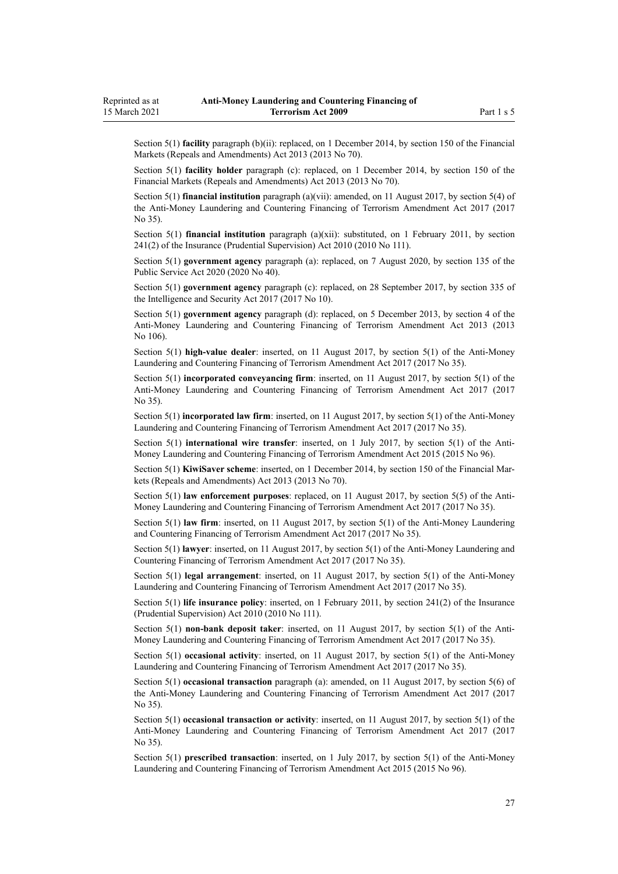Section 5(1) **facility** paragraph (b)(ii): replaced, on 1 December 2014, by [section 150](http://legislation.govt.nz/pdflink.aspx?id=DLM5561603) of the Financial Markets (Repeals and Amendments) Act 2013 (2013 No 70).

Section 5(1) **facility holder** paragraph (c): replaced, on 1 December 2014, by [section 150](http://legislation.govt.nz/pdflink.aspx?id=DLM5561603) of the Financial Markets (Repeals and Amendments) Act 2013 (2013 No 70).

Section 5(1) **financial institution** paragraph (a)(vii): amended, on 11 August 2017, by [section 5\(4\)](http://legislation.govt.nz/pdflink.aspx?id=DLM7161216) of the Anti-Money Laundering and Countering Financing of Terrorism Amendment Act 2017 (2017 No 35).

Section 5(1) **financial institution** paragraph (a)(xii): substituted, on 1 February 2011, by [section](http://legislation.govt.nz/pdflink.aspx?id=DLM2478612) [241\(2\)](http://legislation.govt.nz/pdflink.aspx?id=DLM2478612) of the Insurance (Prudential Supervision) Act 2010 (2010 No 111).

Section 5(1) **government agency** paragraph (a): replaced, on 7 August 2020, by [section 135](http://legislation.govt.nz/pdflink.aspx?id=LMS176959) of the Public Service Act 2020 (2020 No 40).

Section 5(1) **government agency** paragraph (c): replaced, on 28 September 2017, by [section 335](http://legislation.govt.nz/pdflink.aspx?id=DLM6921475) of the Intelligence and Security Act 2017 (2017 No 10).

Section 5(1) **government agency** paragraph (d): replaced, on 5 December 2013, by [section 4](http://legislation.govt.nz/pdflink.aspx?id=DLM5621507) of the Anti-Money Laundering and Countering Financing of Terrorism Amendment Act 2013 (2013 No 106).

Section 5(1) **high-value dealer**: inserted, on 11 August 2017, by [section 5\(1\)](http://legislation.govt.nz/pdflink.aspx?id=DLM7161216) of the Anti-Money Laundering and Countering Financing of Terrorism Amendment Act 2017 (2017 No 35).

Section 5(1) **incorporated conveyancing firm**: inserted, on 11 August 2017, by [section 5\(1\)](http://legislation.govt.nz/pdflink.aspx?id=DLM7161216) of the Anti-Money Laundering and Countering Financing of Terrorism Amendment Act 2017 (2017 No 35).

Section 5(1) **incorporated law firm**: inserted, on 11 August 2017, by [section 5\(1\)](http://legislation.govt.nz/pdflink.aspx?id=DLM7161216) of the Anti-Money Laundering and Countering Financing of Terrorism Amendment Act 2017 (2017 No 35).

Section 5(1) **international wire transfer**: inserted, on 1 July 2017, by [section 5\(1\)](http://legislation.govt.nz/pdflink.aspx?id=DLM6602209) of the Anti-Money Laundering and Countering Financing of Terrorism Amendment Act 2015 (2015 No 96).

Section 5(1) **KiwiSaver scheme**: inserted, on 1 December 2014, by [section 150](http://legislation.govt.nz/pdflink.aspx?id=DLM5561603) of the Financial Markets (Repeals and Amendments) Act 2013 (2013 No 70).

Section 5(1) **law enforcement purposes**: replaced, on 11 August 2017, by [section 5\(5\)](http://legislation.govt.nz/pdflink.aspx?id=DLM7161216) of the Anti-Money Laundering and Countering Financing of Terrorism Amendment Act 2017 (2017 No 35).

Section 5(1) **law firm**: inserted, on 11 August 2017, by [section 5\(1\)](http://legislation.govt.nz/pdflink.aspx?id=DLM7161216) of the Anti-Money Laundering and Countering Financing of Terrorism Amendment Act 2017 (2017 No 35).

Section 5(1) **lawyer**: inserted, on 11 August 2017, by [section 5\(1\)](http://legislation.govt.nz/pdflink.aspx?id=DLM7161216) of the Anti-Money Laundering and Countering Financing of Terrorism Amendment Act 2017 (2017 No 35).

Section 5(1) **legal arrangement**: inserted, on 11 August 2017, by [section 5\(1\)](http://legislation.govt.nz/pdflink.aspx?id=DLM7161216) of the Anti-Money Laundering and Countering Financing of Terrorism Amendment Act 2017 (2017 No 35).

Section 5(1) **life insurance policy**: inserted, on 1 February 2011, by [section 241\(2\)](http://legislation.govt.nz/pdflink.aspx?id=DLM2478612) of the Insurance (Prudential Supervision) Act 2010 (2010 No 111).

Section 5(1) **non-bank deposit taker**: inserted, on 11 August 2017, by [section 5\(1\)](http://legislation.govt.nz/pdflink.aspx?id=DLM7161216) of the Anti-Money Laundering and Countering Financing of Terrorism Amendment Act 2017 (2017 No 35).

Section 5(1) **occasional activity**: inserted, on 11 August 2017, by [section 5\(1\)](http://legislation.govt.nz/pdflink.aspx?id=DLM7161216) of the Anti-Money Laundering and Countering Financing of Terrorism Amendment Act 2017 (2017 No 35).

Section 5(1) **occasional transaction** paragraph (a): amended, on 11 August 2017, by [section 5\(6\)](http://legislation.govt.nz/pdflink.aspx?id=DLM7161216) of the Anti-Money Laundering and Countering Financing of Terrorism Amendment Act 2017 (2017 No 35).

Section 5(1) **occasional transaction or activity**: inserted, on 11 August 2017, by [section 5\(1\)](http://legislation.govt.nz/pdflink.aspx?id=DLM7161216) of the Anti-Money Laundering and Countering Financing of Terrorism Amendment Act 2017 (2017 No 35).

Section 5(1) **prescribed transaction**: inserted, on 1 July 2017, by [section 5\(1\)](http://legislation.govt.nz/pdflink.aspx?id=DLM6602209) of the Anti-Money Laundering and Countering Financing of Terrorism Amendment Act 2015 (2015 No 96).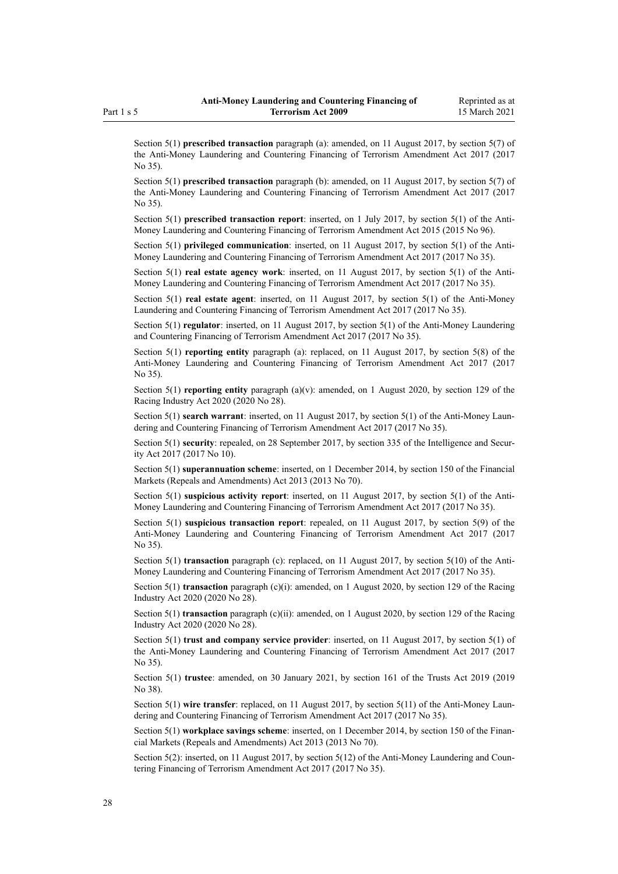Section 5(1) **prescribed transaction** paragraph (a): amended, on 11 August 2017, by [section 5\(7\)](http://legislation.govt.nz/pdflink.aspx?id=DLM7161216) of the Anti-Money Laundering and Countering Financing of Terrorism Amendment Act 2017 (2017 No 35).

Section 5(1) **prescribed transaction** paragraph (b): amended, on 11 August 2017, by [section 5\(7\)](http://legislation.govt.nz/pdflink.aspx?id=DLM7161216) of the Anti-Money Laundering and Countering Financing of Terrorism Amendment Act 2017 (2017 No 35).

Section 5(1) **prescribed transaction report**: inserted, on 1 July 2017, by [section 5\(1\)](http://legislation.govt.nz/pdflink.aspx?id=DLM6602209) of the Anti-Money Laundering and Countering Financing of Terrorism Amendment Act 2015 (2015 No 96).

Section 5(1) **privileged communication**: inserted, on 11 August 2017, by [section 5\(1\)](http://legislation.govt.nz/pdflink.aspx?id=DLM7161216) of the Anti-Money Laundering and Countering Financing of Terrorism Amendment Act 2017 (2017 No 35).

Section 5(1) **real estate agency work**: inserted, on 11 August 2017, by [section 5\(1\)](http://legislation.govt.nz/pdflink.aspx?id=DLM7161216) of the Anti-Money Laundering and Countering Financing of Terrorism Amendment Act 2017 (2017 No 35).

Section 5(1) **real estate agent**: inserted, on 11 August 2017, by [section 5\(1\)](http://legislation.govt.nz/pdflink.aspx?id=DLM7161216) of the Anti-Money Laundering and Countering Financing of Terrorism Amendment Act 2017 (2017 No 35).

Section 5(1) **regulator**: inserted, on 11 August 2017, by [section 5\(1\)](http://legislation.govt.nz/pdflink.aspx?id=DLM7161216) of the Anti-Money Laundering and Countering Financing of Terrorism Amendment Act 2017 (2017 No 35).

Section 5(1) **reporting entity** paragraph (a): replaced, on 11 August 2017, by [section 5\(8\)](http://legislation.govt.nz/pdflink.aspx?id=DLM7161216) of the Anti-Money Laundering and Countering Financing of Terrorism Amendment Act 2017 (2017 No 35).

Section 5(1) **reporting entity** paragraph (a)(v): amended, on 1 August 2020, by [section 129](http://legislation.govt.nz/pdflink.aspx?id=LMS292230) of the Racing Industry Act 2020 (2020 No 28).

Section 5(1) **search warrant**: inserted, on 11 August 2017, by [section 5\(1\)](http://legislation.govt.nz/pdflink.aspx?id=DLM7161216) of the Anti-Money Laundering and Countering Financing of Terrorism Amendment Act 2017 (2017 No 35).

Section 5(1) **security**: repealed, on 28 September 2017, by [section 335](http://legislation.govt.nz/pdflink.aspx?id=DLM6921475) of the Intelligence and Security Act 2017 (2017 No 10).

Section 5(1) **superannuation scheme**: inserted, on 1 December 2014, by [section 150](http://legislation.govt.nz/pdflink.aspx?id=DLM5561603) of the Financial Markets (Repeals and Amendments) Act 2013 (2013 No 70).

Section 5(1) **suspicious activity report**: inserted, on 11 August 2017, by [section 5\(1\)](http://legislation.govt.nz/pdflink.aspx?id=DLM7161216) of the Anti-Money Laundering and Countering Financing of Terrorism Amendment Act 2017 (2017 No 35).

Section 5(1) **suspicious transaction report**: repealed, on 11 August 2017, by [section 5\(9\)](http://legislation.govt.nz/pdflink.aspx?id=DLM7161216) of the Anti-Money Laundering and Countering Financing of Terrorism Amendment Act 2017 (2017 No 35).

Section 5(1) **transaction** paragraph (c): replaced, on 11 August 2017, by [section 5\(10\)](http://legislation.govt.nz/pdflink.aspx?id=DLM7161216) of the Anti-Money Laundering and Countering Financing of Terrorism Amendment Act 2017 (2017 No 35).

Section 5(1) **transaction** paragraph (c)(i): amended, on 1 August 2020, by [section 129](http://legislation.govt.nz/pdflink.aspx?id=LMS292230) of the Racing Industry Act 2020 (2020 No 28).

Section 5(1) **transaction** paragraph (c)(ii): amended, on 1 August 2020, by [section 129](http://legislation.govt.nz/pdflink.aspx?id=LMS292230) of the Racing Industry Act 2020 (2020 No 28).

Section 5(1) **trust and company service provider**: inserted, on 11 August 2017, by [section 5\(1\)](http://legislation.govt.nz/pdflink.aspx?id=DLM7161216) of the Anti-Money Laundering and Countering Financing of Terrorism Amendment Act 2017 (2017 No 35).

Section 5(1) **trustee**: amended, on 30 January 2021, by [section 161](http://legislation.govt.nz/pdflink.aspx?id=DLM7383110) of the Trusts Act 2019 (2019 No 38).

Section 5(1) **wire transfer**: replaced, on 11 August 2017, by [section 5\(11\)](http://legislation.govt.nz/pdflink.aspx?id=DLM7161216) of the Anti-Money Laundering and Countering Financing of Terrorism Amendment Act 2017 (2017 No 35).

Section 5(1) **workplace savings scheme**: inserted, on 1 December 2014, by [section 150](http://legislation.govt.nz/pdflink.aspx?id=DLM5561603) of the Financial Markets (Repeals and Amendments) Act 2013 (2013 No 70).

Section 5(2): inserted, on 11 August 2017, by [section 5\(12\)](http://legislation.govt.nz/pdflink.aspx?id=DLM7161216) of the Anti-Money Laundering and Countering Financing of Terrorism Amendment Act 2017 (2017 No 35).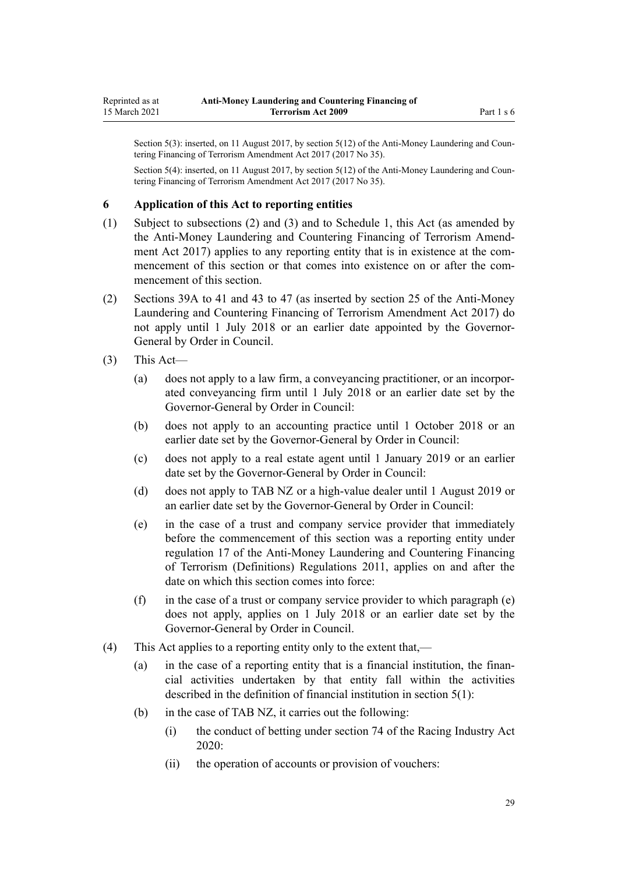<span id="page-28-0"></span>Section 5(3): inserted, on 11 August 2017, by [section 5\(12\)](http://legislation.govt.nz/pdflink.aspx?id=DLM7161216) of the Anti-Money Laundering and Countering Financing of Terrorism Amendment Act 2017 (2017 No 35).

Section 5(4): inserted, on 11 August 2017, by [section 5\(12\)](http://legislation.govt.nz/pdflink.aspx?id=DLM7161216) of the Anti-Money Laundering and Countering Financing of Terrorism Amendment Act 2017 (2017 No 35).

### **6 Application of this Act to reporting entities**

- (1) Subject to subsections (2) and (3) and to [Schedule 1](#page-115-0), this Act (as amended by the [Anti-Money Laundering and Countering Financing of Terrorism Amend](http://legislation.govt.nz/pdflink.aspx?id=DLM7161200)[ment Act 2017](http://legislation.govt.nz/pdflink.aspx?id=DLM7161200)) applies to any reporting entity that is in existence at the commencement of this section or that comes into existence on or after the commencement of this section.
- (2) [Sections 39A to 41](#page-50-0) and [43 to 47](#page-52-0) (as inserted by [section 25](http://legislation.govt.nz/pdflink.aspx?id=DLM7161289) of the Anti-Money Laundering and Countering Financing of Terrorism Amendment Act 2017) do not apply until 1 July 2018 or an earlier date appointed by the Governor-General by Order in Council.
- (3) This Act—
	- (a) does not apply to a law firm, a conveyancing practitioner, or an incorporated conveyancing firm until 1 July 2018 or an earlier date set by the Governor-General by Order in Council:
	- (b) does not apply to an accounting practice until 1 October 2018 or an earlier date set by the Governor-General by Order in Council:
	- (c) does not apply to a real estate agent until 1 January 2019 or an earlier date set by the Governor-General by Order in Council:
	- (d) does not apply to TAB NZ or a high-value dealer until 1 August 2019 or an earlier date set by the Governor-General by Order in Council:
	- (e) in the case of a trust and company service provider that immediately before the commencement of this section was a reporting entity under [regulation 17](http://legislation.govt.nz/pdflink.aspx?id=DLM3845869) of the Anti-Money Laundering and Countering Financing of Terrorism (Definitions) Regulations 2011, applies on and after the date on which this section comes into force:
	- (f) in the case of a trust or company service provider to which paragraph  $(e)$ does not apply, applies on 1 July 2018 or an earlier date set by the Governor-General by Order in Council.
- (4) This Act applies to a reporting entity only to the extent that,—
	- (a) in the case of a reporting entity that is a financial institution, the financial activities undertaken by that entity fall within the activities described in the definition of financial institution in [section 5\(1\):](#page-9-0)
	- (b) in the case of TAB NZ, it carries out the following:
		- (i) the conduct of betting under [section 74](http://legislation.govt.nz/pdflink.aspx?id=LMS292132) of the Racing Industry Act 2020:
		- (ii) the operation of accounts or provision of vouchers: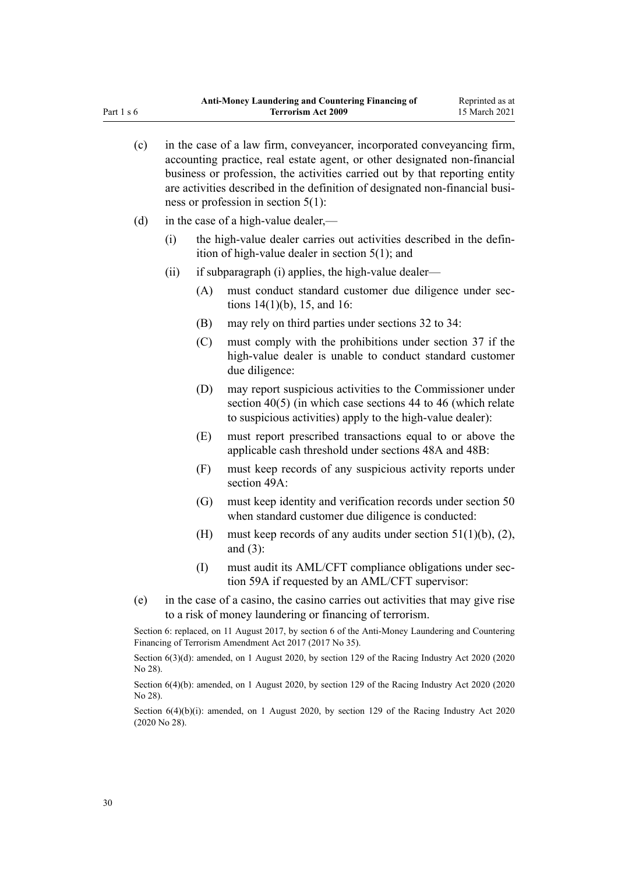| (c) |      |     | in the case of a law firm, conveyancer, incorporated conveyancing firm,<br>accounting practice, real estate agent, or other designated non-financial<br>business or profession, the activities carried out by that reporting entity<br>are activities described in the definition of designated non-financial busi-<br>ness or profession in section $5(1)$ : |
|-----|------|-----|---------------------------------------------------------------------------------------------------------------------------------------------------------------------------------------------------------------------------------------------------------------------------------------------------------------------------------------------------------------|
| (d) |      |     | in the case of a high-value dealer,—                                                                                                                                                                                                                                                                                                                          |
|     | (i)  |     | the high-value dealer carries out activities described in the defin-<br>ition of high-value dealer in section $5(1)$ ; and                                                                                                                                                                                                                                    |
|     | (ii) |     | if subparagraph (i) applies, the high-value dealer—                                                                                                                                                                                                                                                                                                           |
|     |      | (A) | must conduct standard customer due diligence under sec-<br>tions $14(1)(b)$ , 15, and 16:                                                                                                                                                                                                                                                                     |
|     |      | (B) | may rely on third parties under sections 32 to 34:                                                                                                                                                                                                                                                                                                            |
|     |      | (C) | must comply with the prohibitions under section 37 if the<br>high-value dealer is unable to conduct standard customer<br>due diligence:                                                                                                                                                                                                                       |
|     |      | (D) | may report suspicious activities to the Commissioner under<br>section $40(5)$ (in which case sections 44 to 46 (which relate<br>to suspicious activities) apply to the high-value dealer):                                                                                                                                                                    |
|     |      | (E) | must report prescribed transactions equal to or above the<br>applicable cash threshold under sections 48A and 48B:                                                                                                                                                                                                                                            |
|     |      | (F) | must keep records of any suspicious activity reports under<br>section 49A:                                                                                                                                                                                                                                                                                    |
|     |      | (G) | must keep identity and verification records under section 50<br>when standard customer due diligence is conducted:                                                                                                                                                                                                                                            |
|     |      | (H) | must keep records of any audits under section $51(1)(b)$ , (2),<br>and $(3)$ :                                                                                                                                                                                                                                                                                |
|     |      | (1) | must audit its AML/CFT compliance obligations under sec-<br>tion 59A if requested by an AML/CFT supervisor:                                                                                                                                                                                                                                                   |
| (e) |      |     | in the case of a casino, the casino carries out activities that may give rise                                                                                                                                                                                                                                                                                 |
|     |      |     | to a risk of money laundering or financing of terrorism.                                                                                                                                                                                                                                                                                                      |
|     |      |     | Section 6: replaced, on 11 August 2017, by section 6 of the Anti-Money Laundering and Countering<br>Financing of Terrorism Amendment Act 2017 (2017 No 35).                                                                                                                                                                                                   |
|     |      |     | $G_{\text{extion}}$ ((2)(4), anomial and America 2020, by existing 120 of the Desire Industry Ast 2020 (2020)                                                                                                                                                                                                                                                 |

Section 6(3)(d): amended, on 1 August 2020, by [section 129](http://legislation.govt.nz/pdflink.aspx?id=LMS292230) of the Racing Industry Act 2020 (2020 No 28).

Section 6(4)(b): amended, on 1 August 2020, by [section 129](http://legislation.govt.nz/pdflink.aspx?id=LMS292230) of the Racing Industry Act 2020 (2020 No 28).

Section 6(4)(b)(i): amended, on 1 August 2020, by [section 129](http://legislation.govt.nz/pdflink.aspx?id=LMS292230) of the Racing Industry Act 2020 (2020 No 28).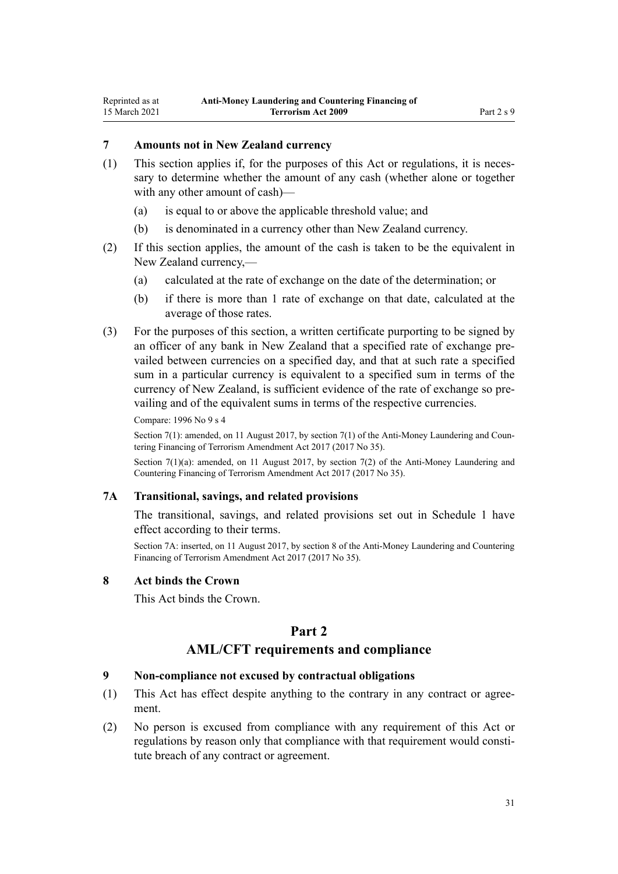# <span id="page-30-0"></span>**7 Amounts not in New Zealand currency**

- (1) This section applies if, for the purposes of this Act or regulations, it is necessary to determine whether the amount of any cash (whether alone or together with any other amount of cash)—
	- (a) is equal to or above the applicable threshold value; and
	- (b) is denominated in a currency other than New Zealand currency.
- (2) If this section applies, the amount of the cash is taken to be the equivalent in New Zealand currency,—
	- (a) calculated at the rate of exchange on the date of the determination; or
	- (b) if there is more than 1 rate of exchange on that date, calculated at the average of those rates.
- (3) For the purposes of this section, a written certificate purporting to be signed by an officer of any bank in New Zealand that a specified rate of exchange prevailed between currencies on a specified day, and that at such rate a specified sum in a particular currency is equivalent to a specified sum in terms of the currency of New Zealand, is sufficient evidence of the rate of exchange so prevailing and of the equivalent sums in terms of the respective currencies.

Compare: 1996 No 9 [s 4](http://legislation.govt.nz/pdflink.aspx?id=DLM373879)

Section 7(1): amended, on 11 August 2017, by [section 7\(1\)](http://legislation.govt.nz/pdflink.aspx?id=DLM7161278) of the Anti-Money Laundering and Countering Financing of Terrorism Amendment Act 2017 (2017 No 35).

Section 7(1)(a): amended, on 11 August 2017, by [section 7\(2\)](http://legislation.govt.nz/pdflink.aspx?id=DLM7161278) of the Anti-Money Laundering and Countering Financing of Terrorism Amendment Act 2017 (2017 No 35).

# **7A Transitional, savings, and related provisions**

The transitional, savings, and related provisions set out in [Schedule 1](#page-115-0) have effect according to their terms.

Section 7A: inserted, on 11 August 2017, by [section 8](http://legislation.govt.nz/pdflink.aspx?id=DLM7340617) of the Anti-Money Laundering and Countering Financing of Terrorism Amendment Act 2017 (2017 No 35).

#### **8 Act binds the Crown**

This Act binds the Crown.

# **Part 2**

# **AML/CFT requirements and compliance**

#### **9 Non-compliance not excused by contractual obligations**

- (1) This Act has effect despite anything to the contrary in any contract or agreement.
- (2) No person is excused from compliance with any requirement of this Act or regulations by reason only that compliance with that requirement would constitute breach of any contract or agreement.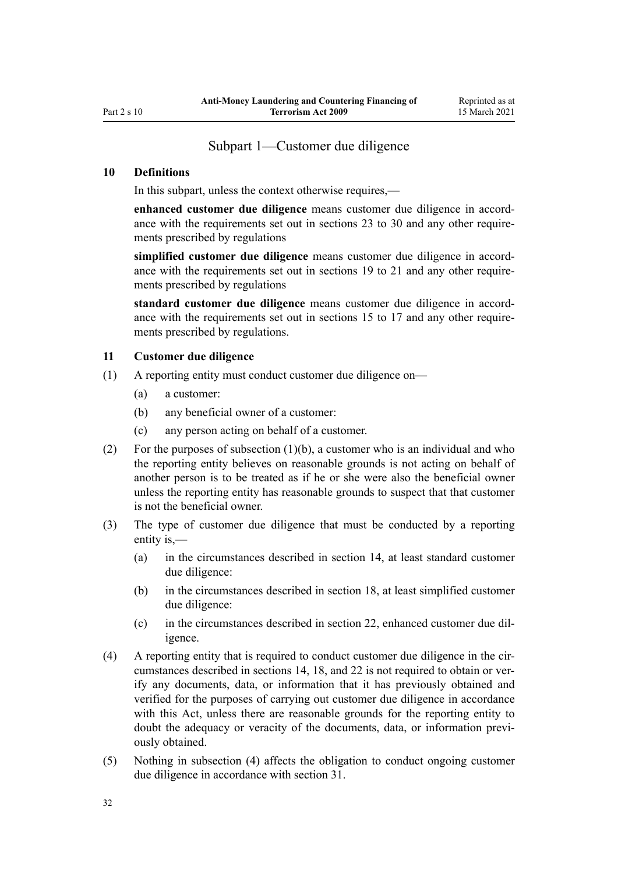# Subpart 1—Customer due diligence

### <span id="page-31-0"></span>**10 Definitions**

In this subpart, unless the context otherwise requires,—

**enhanced customer due diligence** means customer due diligence in accordance with the requirements set out in [sections 23 to 30](#page-39-0) and any other requirements prescribed by regulations

**simplified customer due diligence** means customer due diligence in accordance with the requirements set out in [sections 19 to 21](#page-36-0) and any other requirements prescribed by regulations

**standard customer due diligence** means customer due diligence in accordance with the requirements set out in [sections 15 to 17](#page-33-0) and any other requirements prescribed by regulations.

### **11 Customer due diligence**

- (1) A reporting entity must conduct customer due diligence on—
	- (a) a customer:
	- (b) any beneficial owner of a customer:
	- (c) any person acting on behalf of a customer.
- (2) For the purposes of subsection (1)(b), a customer who is an individual and who the reporting entity believes on reasonable grounds is not acting on behalf of another person is to be treated as if he or she were also the beneficial owner unless the reporting entity has reasonable grounds to suspect that that customer is not the beneficial owner.
- (3) The type of customer due diligence that must be conducted by a reporting entity is,—
	- (a) in the circumstances described in [section 14](#page-32-0), at least standard customer due diligence:
	- (b) in the circumstances described in [section 18,](#page-34-0) at least simplified customer due diligence:
	- (c) in the circumstances described in [section 22,](#page-37-0) enhanced customer due diligence.
- (4) A reporting entity that is required to conduct customer due diligence in the circumstances described in [sections 14](#page-32-0), [18,](#page-34-0) and [22](#page-37-0) is not required to obtain or verify any documents, data, or information that it has previously obtained and verified for the purposes of carrying out customer due diligence in accordance with this Act, unless there are reasonable grounds for the reporting entity to doubt the adequacy or veracity of the documents, data, or information previously obtained.
- (5) Nothing in subsection (4) affects the obligation to conduct ongoing customer due diligence in accordance with [section 31](#page-43-0).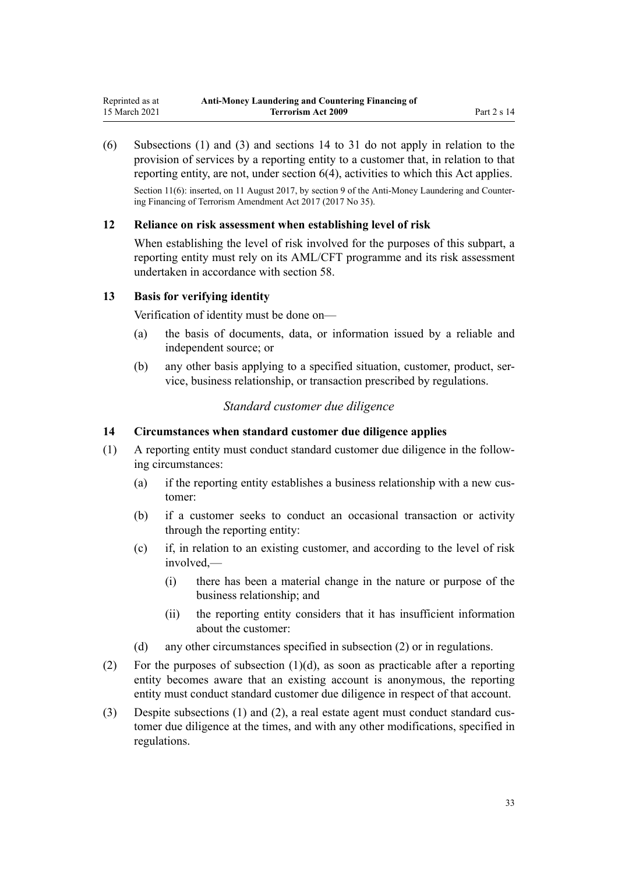<span id="page-32-0"></span>(6) Subsections (1) and (3) and sections 14 to 31 do not apply in relation to the provision of services by a reporting entity to a customer that, in relation to that reporting entity, are not, under [section 6\(4\)](#page-28-0), activities to which this Act applies.

Section 11(6): inserted, on 11 August 2017, by [section 9](http://legislation.govt.nz/pdflink.aspx?id=DLM7340619) of the Anti-Money Laundering and Countering Financing of Terrorism Amendment Act 2017 (2017 No 35).

### **12 Reliance on risk assessment when establishing level of risk**

When establishing the level of risk involved for the purposes of this subpart, a reporting entity must rely on its AML/CFT programme and its risk assessment undertaken in accordance with [section 58.](#page-63-0)

### **13 Basis for verifying identity**

Verification of identity must be done on—

- (a) the basis of documents, data, or information issued by a reliable and independent source; or
- (b) any other basis applying to a specified situation, customer, product, service, business relationship, or transaction prescribed by regulations.

# *Standard customer due diligence*

### **14 Circumstances when standard customer due diligence applies**

- (1) A reporting entity must conduct standard customer due diligence in the following circumstances:
	- (a) if the reporting entity establishes a business relationship with a new customer:
	- (b) if a customer seeks to conduct an occasional transaction or activity through the reporting entity:
	- (c) if, in relation to an existing customer, and according to the level of risk involved,—
		- (i) there has been a material change in the nature or purpose of the business relationship; and
		- (ii) the reporting entity considers that it has insufficient information about the customer:
	- (d) any other circumstances specified in subsection (2) or in regulations.
- (2) For the purposes of subsection  $(1)(d)$ , as soon as practicable after a reporting entity becomes aware that an existing account is anonymous, the reporting entity must conduct standard customer due diligence in respect of that account.
- (3) Despite subsections (1) and (2), a real estate agent must conduct standard customer due diligence at the times, and with any other modifications, specified in regulations.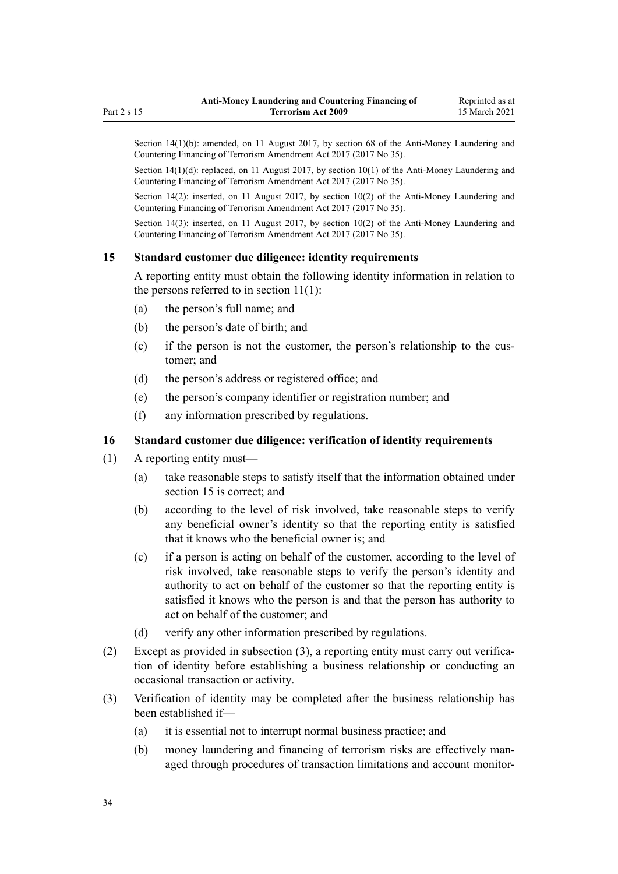<span id="page-33-0"></span>Section 14(1)(b): amended, on 11 August 2017, by [section 68](http://legislation.govt.nz/pdflink.aspx?id=DLM7340644) of the Anti-Money Laundering and Countering Financing of Terrorism Amendment Act 2017 (2017 No 35).

Section  $14(1)(d)$ : replaced, on 11 August 2017, by section  $10(1)$  of the Anti-Money Laundering and Countering Financing of Terrorism Amendment Act 2017 (2017 No 35).

Section 14(2): inserted, on 11 August 2017, by [section 10\(2\)](http://legislation.govt.nz/pdflink.aspx?id=DLM7161279) of the Anti-Money Laundering and Countering Financing of Terrorism Amendment Act 2017 (2017 No 35).

Section 14(3): inserted, on 11 August 2017, by [section 10\(2\)](http://legislation.govt.nz/pdflink.aspx?id=DLM7161279) of the Anti-Money Laundering and Countering Financing of Terrorism Amendment Act 2017 (2017 No 35).

### **15 Standard customer due diligence: identity requirements**

A reporting entity must obtain the following identity information in relation to the persons referred to in [section 11\(1\):](#page-31-0)

- (a) the person's full name; and
- (b) the person's date of birth; and
- (c) if the person is not the customer, the person's relationship to the customer; and
- (d) the person's address or registered office; and
- (e) the person's company identifier or registration number; and
- (f) any information prescribed by regulations.

### **16 Standard customer due diligence: verification of identity requirements**

- (1) A reporting entity must—
	- (a) take reasonable steps to satisfy itself that the information obtained under section 15 is correct; and
	- (b) according to the level of risk involved, take reasonable steps to verify any beneficial owner's identity so that the reporting entity is satisfied that it knows who the beneficial owner is; and
	- (c) if a person is acting on behalf of the customer, according to the level of risk involved, take reasonable steps to verify the person's identity and authority to act on behalf of the customer so that the reporting entity is satisfied it knows who the person is and that the person has authority to act on behalf of the customer; and
	- (d) verify any other information prescribed by regulations.
- (2) Except as provided in subsection (3), a reporting entity must carry out verification of identity before establishing a business relationship or conducting an occasional transaction or activity.
- (3) Verification of identity may be completed after the business relationship has been established if—
	- (a) it is essential not to interrupt normal business practice; and
	- (b) money laundering and financing of terrorism risks are effectively managed through procedures of transaction limitations and account monitor-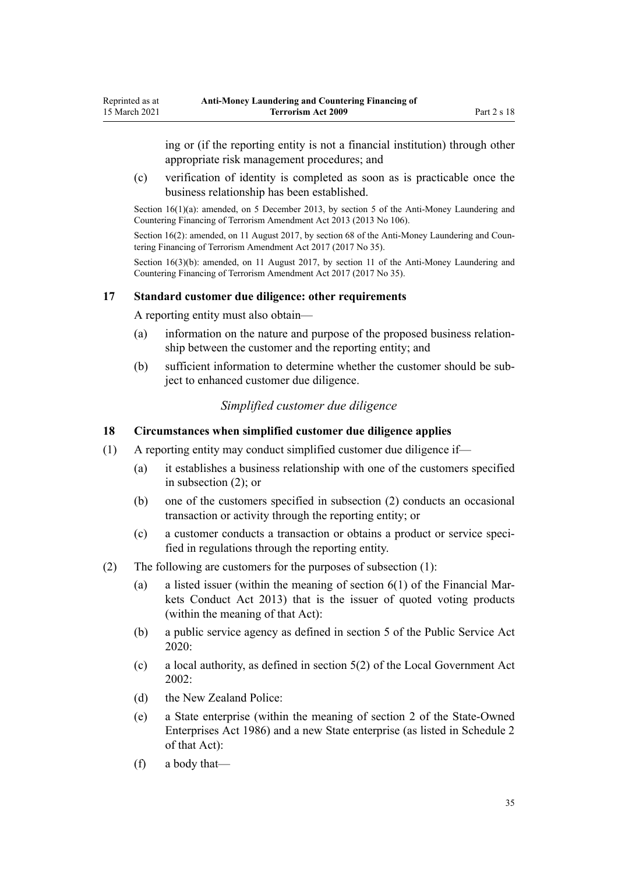<span id="page-34-0"></span>ing or (if the reporting entity is not a financial institution) through other appropriate risk management procedures; and

(c) verification of identity is completed as soon as is practicable once the business relationship has been established.

Section 16(1)(a): amended, on 5 December 2013, by [section 5](http://legislation.govt.nz/pdflink.aspx?id=DLM5621509) of the Anti-Money Laundering and Countering Financing of Terrorism Amendment Act 2013 (2013 No 106).

Section 16(2): amended, on 11 August 2017, by [section 68](http://legislation.govt.nz/pdflink.aspx?id=DLM7340644) of the Anti-Money Laundering and Countering Financing of Terrorism Amendment Act 2017 (2017 No 35).

Section 16(3)(b): amended, on 11 August 2017, by [section 11](http://legislation.govt.nz/pdflink.aspx?id=DLM7340620) of the Anti-Money Laundering and Countering Financing of Terrorism Amendment Act 2017 (2017 No 35).

### **17 Standard customer due diligence: other requirements**

A reporting entity must also obtain—

- (a) information on the nature and purpose of the proposed business relationship between the customer and the reporting entity; and
- (b) sufficient information to determine whether the customer should be subject to enhanced customer due diligence.

# *Simplified customer due diligence*

### **18 Circumstances when simplified customer due diligence applies**

- (1) A reporting entity may conduct simplified customer due diligence if—
	- (a) it establishes a business relationship with one of the customers specified in subsection (2); or
	- (b) one of the customers specified in subsection (2) conducts an occasional transaction or activity through the reporting entity; or
	- (c) a customer conducts a transaction or obtains a product or service specified in regulations through the reporting entity.
- (2) The following are customers for the purposes of subsection (1):
	- (a) a listed issuer (within the meaning of [section 6\(1\)](http://legislation.govt.nz/pdflink.aspx?id=DLM4090590) of the Financial Markets Conduct Act 2013) that is the issuer of quoted voting products (within the meaning of that Act):
	- (b) a public service agency as defined in [section 5](http://legislation.govt.nz/pdflink.aspx?id=LMS356868) of the Public Service Act 2020:
	- (c) a local authority, as defined in [section 5\(2\)](http://legislation.govt.nz/pdflink.aspx?id=DLM170881) of the Local Government Act 2002:
	- (d) the New Zealand Police:
	- (e) a State enterprise (within the meaning of [section 2](http://legislation.govt.nz/pdflink.aspx?id=DLM97382) of the State-Owned Enterprises Act 1986) and a new State enterprise (as listed in [Schedule 2](http://legislation.govt.nz/pdflink.aspx?id=DLM98602) of that Act):
	- (f) a body that—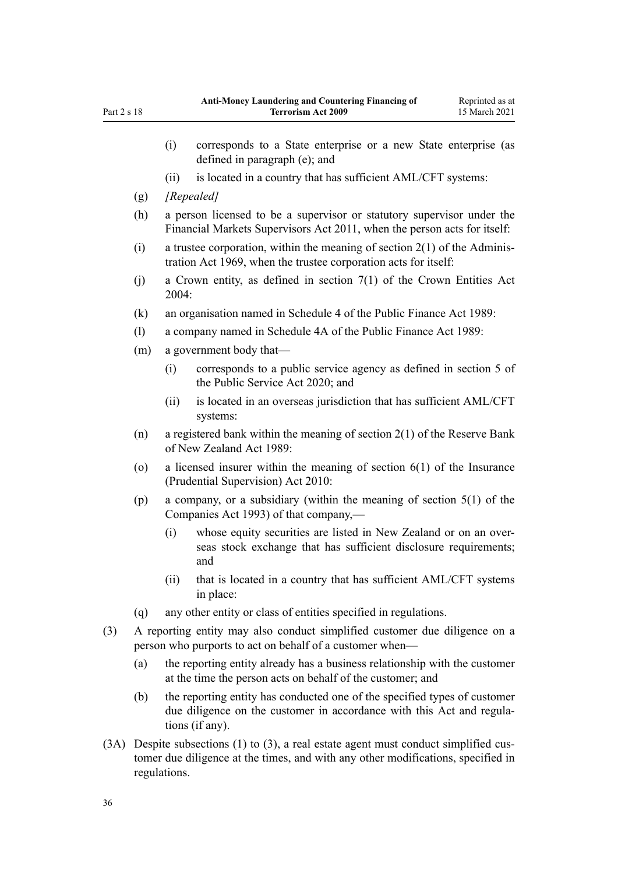|     |                                                                                                                                                 | (i)                                                                                                                                                                   | corresponds to a State enterprise or a new State enterprise (as<br>defined in paragraph (e); and                                            |  |
|-----|-------------------------------------------------------------------------------------------------------------------------------------------------|-----------------------------------------------------------------------------------------------------------------------------------------------------------------------|---------------------------------------------------------------------------------------------------------------------------------------------|--|
|     |                                                                                                                                                 | (ii)                                                                                                                                                                  | is located in a country that has sufficient AML/CFT systems:                                                                                |  |
|     | (g)                                                                                                                                             | [Repealed]                                                                                                                                                            |                                                                                                                                             |  |
|     | (h)                                                                                                                                             | a person licensed to be a supervisor or statutory supervisor under the<br>Financial Markets Supervisors Act 2011, when the person acts for itself:                    |                                                                                                                                             |  |
|     | (i)                                                                                                                                             | a trustee corporation, within the meaning of section $2(1)$ of the Adminis-<br>tration Act 1969, when the trustee corporation acts for itself:                        |                                                                                                                                             |  |
|     | (j)                                                                                                                                             | a Crown entity, as defined in section $7(1)$ of the Crown Entities Act<br>2004:                                                                                       |                                                                                                                                             |  |
|     | (k)                                                                                                                                             | an organisation named in Schedule 4 of the Public Finance Act 1989:                                                                                                   |                                                                                                                                             |  |
|     | (1)                                                                                                                                             | a company named in Schedule 4A of the Public Finance Act 1989:                                                                                                        |                                                                                                                                             |  |
|     | a government body that-<br>(m)                                                                                                                  |                                                                                                                                                                       |                                                                                                                                             |  |
|     |                                                                                                                                                 | (i)                                                                                                                                                                   | corresponds to a public service agency as defined in section 5 of<br>the Public Service Act 2020; and                                       |  |
|     |                                                                                                                                                 | (ii)                                                                                                                                                                  | is located in an overseas jurisdiction that has sufficient AML/CFT<br>systems:                                                              |  |
|     | (n)                                                                                                                                             | a registered bank within the meaning of section $2(1)$ of the Reserve Bank<br>of New Zealand Act 1989:                                                                |                                                                                                                                             |  |
|     | (0)                                                                                                                                             | a licensed insurer within the meaning of section $6(1)$ of the Insurance<br>(Prudential Supervision) Act 2010:                                                        |                                                                                                                                             |  |
|     | (p)<br>Companies Act 1993) of that company,—                                                                                                    |                                                                                                                                                                       | a company, or a subsidiary (within the meaning of section $5(1)$ of the                                                                     |  |
|     |                                                                                                                                                 | (i)                                                                                                                                                                   | whose equity securities are listed in New Zealand or on an over-<br>seas stock exchange that has sufficient disclosure requirements;<br>and |  |
|     |                                                                                                                                                 | (ii)                                                                                                                                                                  | that is located in a country that has sufficient AML/CFT systems<br>in place:                                                               |  |
|     | (q)                                                                                                                                             |                                                                                                                                                                       | any other entity or class of entities specified in regulations.                                                                             |  |
| (3) | A reporting entity may also conduct simplified customer due diligence on a<br>person who purports to act on behalf of a customer when—          |                                                                                                                                                                       |                                                                                                                                             |  |
|     | the reporting entity already has a business relationship with the customer<br>(a)<br>at the time the person acts on behalf of the customer; and |                                                                                                                                                                       |                                                                                                                                             |  |
|     | (b)                                                                                                                                             | the reporting entity has conducted one of the specified types of customer<br>due diligence on the customer in accordance with this Act and regula-<br>tions (if any). |                                                                                                                                             |  |
|     | $(3A)$ Despite subsections $(1)$ to $(3)$ a real estate agent must conduct simplified cus-                                                      |                                                                                                                                                                       |                                                                                                                                             |  |

(3A) Despite subsections (1) to (3), a real estate agent must conduct simplified customer due diligence at the times, and with any other modifications, specified in regulations.

Part 2 s 18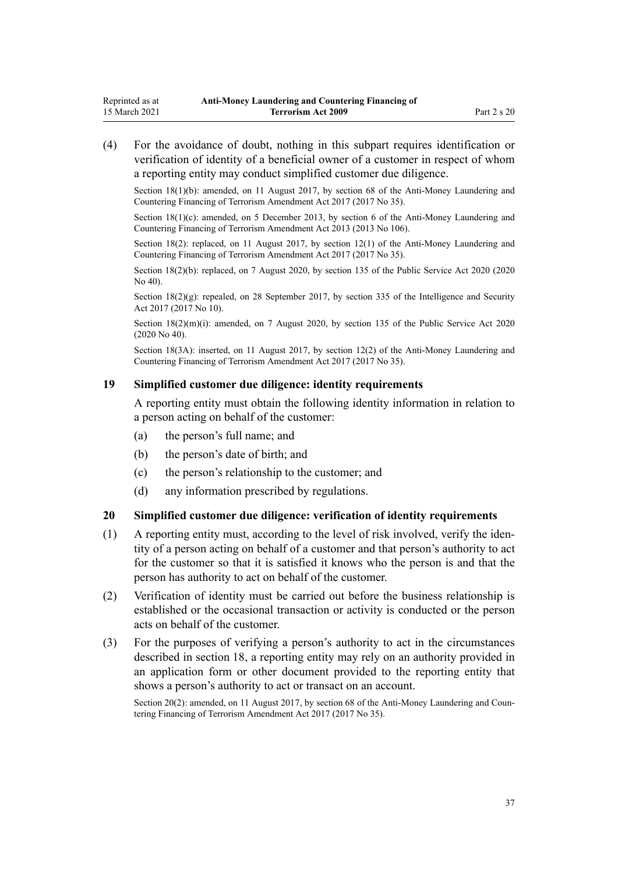<span id="page-36-0"></span>(4) For the avoidance of doubt, nothing in this subpart requires identification or verification of identity of a beneficial owner of a customer in respect of whom a reporting entity may conduct simplified customer due diligence.

Section 18(1)(b): amended, on 11 August 2017, by [section 68](http://legislation.govt.nz/pdflink.aspx?id=DLM7340644) of the Anti-Money Laundering and Countering Financing of Terrorism Amendment Act 2017 (2017 No 35).

Section 18(1)(c): amended, on 5 December 2013, by [section 6](http://legislation.govt.nz/pdflink.aspx?id=DLM5621510) of the Anti-Money Laundering and Countering Financing of Terrorism Amendment Act 2013 (2013 No 106).

Section 18(2): replaced, on 11 August 2017, by [section 12\(1\)](http://legislation.govt.nz/pdflink.aspx?id=DLM7161280) of the Anti-Money Laundering and Countering Financing of Terrorism Amendment Act 2017 (2017 No 35).

Section 18(2)(b): replaced, on 7 August 2020, by [section 135](http://legislation.govt.nz/pdflink.aspx?id=LMS176959) of the Public Service Act 2020 (2020) No 40).

Section  $18(2)(g)$ : repealed, on 28 September 2017, by [section 335](http://legislation.govt.nz/pdflink.aspx?id=DLM6921475) of the Intelligence and Security Act 2017 (2017 No 10).

Section 18(2)(m)(i): amended, on 7 August 2020, by [section 135](http://legislation.govt.nz/pdflink.aspx?id=LMS176959) of the Public Service Act 2020 (2020 No 40).

Section 18(3A): inserted, on 11 August 2017, by [section 12\(2\)](http://legislation.govt.nz/pdflink.aspx?id=DLM7161280) of the Anti-Money Laundering and Countering Financing of Terrorism Amendment Act 2017 (2017 No 35).

#### **19 Simplified customer due diligence: identity requirements**

A reporting entity must obtain the following identity information in relation to a person acting on behalf of the customer:

- (a) the person's full name; and
- (b) the person's date of birth; and
- (c) the person's relationship to the customer; and
- (d) any information prescribed by regulations.

#### **20 Simplified customer due diligence: verification of identity requirements**

- (1) A reporting entity must, according to the level of risk involved, verify the identity of a person acting on behalf of a customer and that person's authority to act for the customer so that it is satisfied it knows who the person is and that the person has authority to act on behalf of the customer.
- (2) Verification of identity must be carried out before the business relationship is established or the occasional transaction or activity is conducted or the person acts on behalf of the customer.
- (3) For the purposes of verifying a person's authority to act in the circumstances described in [section 18](#page-34-0), a reporting entity may rely on an authority provided in an application form or other document provided to the reporting entity that shows a person's authority to act or transact on an account.

Section 20(2): amended, on 11 August 2017, by [section 68](http://legislation.govt.nz/pdflink.aspx?id=DLM7340644) of the Anti-Money Laundering and Countering Financing of Terrorism Amendment Act 2017 (2017 No 35).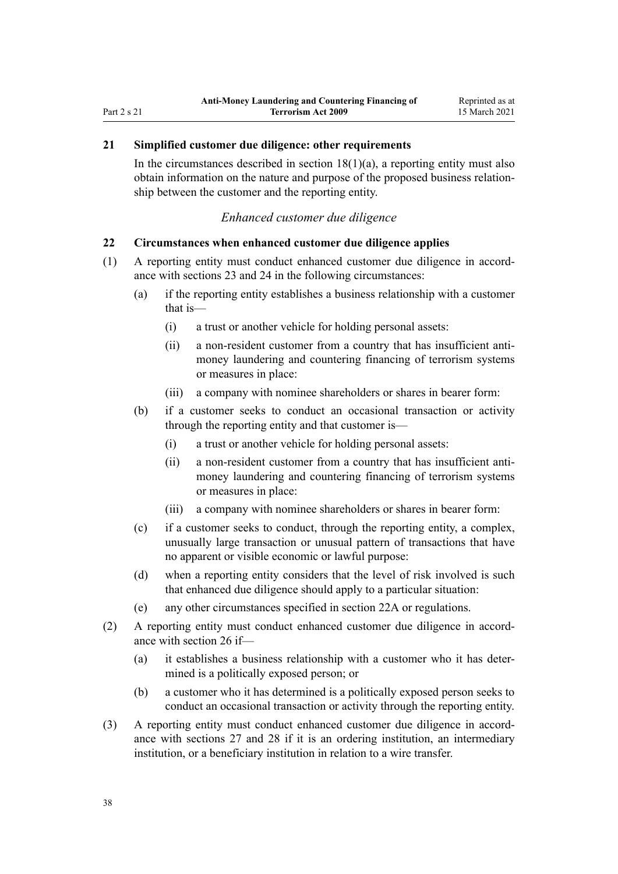# <span id="page-37-0"></span>**21 Simplified customer due diligence: other requirements**

In the circumstances described in section  $18(1)(a)$ , a reporting entity must also obtain information on the nature and purpose of the proposed business relationship between the customer and the reporting entity.

#### *Enhanced customer due diligence*

#### **22 Circumstances when enhanced customer due diligence applies**

- (1) A reporting entity must conduct enhanced customer due diligence in accordance with [sections 23](#page-39-0) and [24](#page-39-0) in the following circumstances:
	- (a) if the reporting entity establishes a business relationship with a customer that is—
		- (i) a trust or another vehicle for holding personal assets:
		- (ii) a non-resident customer from a country that has insufficient antimoney laundering and countering financing of terrorism systems or measures in place:
		- (iii) a company with nominee shareholders or shares in bearer form:
	- (b) if a customer seeks to conduct an occasional transaction or activity through the reporting entity and that customer is—
		- (i) a trust or another vehicle for holding personal assets:
		- (ii) a non-resident customer from a country that has insufficient antimoney laundering and countering financing of terrorism systems or measures in place:
		- (iii) a company with nominee shareholders or shares in bearer form:
	- (c) if a customer seeks to conduct, through the reporting entity, a complex, unusually large transaction or unusual pattern of transactions that have no apparent or visible economic or lawful purpose:
	- (d) when a reporting entity considers that the level of risk involved is such that enhanced due diligence should apply to a particular situation:
	- (e) any other circumstances specified in [section 22A](#page-38-0) or regulations.
- (2) A reporting entity must conduct enhanced customer due diligence in accordance with [section 26](#page-40-0) if—
	- (a) it establishes a business relationship with a customer who it has determined is a politically exposed person; or
	- (b) a customer who it has determined is a politically exposed person seeks to conduct an occasional transaction or activity through the reporting entity.
- (3) A reporting entity must conduct enhanced customer due diligence in accordance with [sections 27](#page-40-0) and [28](#page-42-0) if it is an ordering institution, an intermediary institution, or a beneficiary institution in relation to a wire transfer.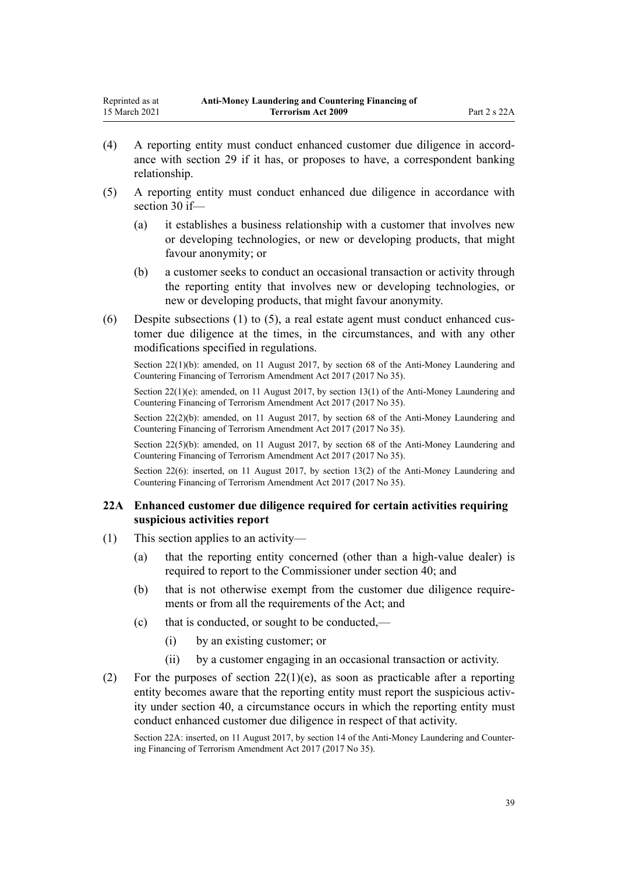- <span id="page-38-0"></span>(4) A reporting entity must conduct enhanced customer due diligence in accordance with [section 29](#page-42-0) if it has, or proposes to have, a correspondent banking relationship.
- (5) A reporting entity must conduct enhanced due diligence in accordance with [section 30](#page-43-0) if—
	- (a) it establishes a business relationship with a customer that involves new or developing technologies, or new or developing products, that might favour anonymity; or
	- (b) a customer seeks to conduct an occasional transaction or activity through the reporting entity that involves new or developing technologies, or new or developing products, that might favour anonymity.
- (6) Despite subsections (1) to (5), a real estate agent must conduct enhanced customer due diligence at the times, in the circumstances, and with any other modifications specified in regulations.

Section 22(1)(b): amended, on 11 August 2017, by [section 68](http://legislation.govt.nz/pdflink.aspx?id=DLM7340644) of the Anti-Money Laundering and Countering Financing of Terrorism Amendment Act 2017 (2017 No 35).

Section 22(1)(e): amended, on 11 August 2017, by [section 13\(1\)](http://legislation.govt.nz/pdflink.aspx?id=DLM7161281) of the Anti-Money Laundering and Countering Financing of Terrorism Amendment Act 2017 (2017 No 35).

Section 22(2)(b): amended, on 11 August 2017, by [section 68](http://legislation.govt.nz/pdflink.aspx?id=DLM7340644) of the Anti-Money Laundering and Countering Financing of Terrorism Amendment Act 2017 (2017 No 35).

Section 22(5)(b): amended, on 11 August 2017, by [section 68](http://legislation.govt.nz/pdflink.aspx?id=DLM7340644) of the Anti-Money Laundering and Countering Financing of Terrorism Amendment Act 2017 (2017 No 35).

Section 22(6): inserted, on 11 August 2017, by [section 13\(2\)](http://legislation.govt.nz/pdflink.aspx?id=DLM7161281) of the Anti-Money Laundering and Countering Financing of Terrorism Amendment Act 2017 (2017 No 35).

### **22A Enhanced customer due diligence required for certain activities requiring suspicious activities report**

- (1) This section applies to an activity—
	- (a) that the reporting entity concerned (other than a high-value dealer) is required to report to the Commissioner under [section 40](#page-50-0); and
	- (b) that is not otherwise exempt from the customer due diligence requirements or from all the requirements of the Act; and
	- (c) that is conducted, or sought to be conducted,—
		- (i) by an existing customer; or
		- (ii) by a customer engaging in an occasional transaction or activity.
- (2) For the purposes of section  $22(1)(e)$ , as soon as practicable after a reporting entity becomes aware that the reporting entity must report the suspicious activity under [section 40,](#page-50-0) a circumstance occurs in which the reporting entity must conduct enhanced customer due diligence in respect of that activity.

Section 22A: inserted, on 11 August 2017, by [section 14](http://legislation.govt.nz/pdflink.aspx?id=DLM7340621) of the Anti-Money Laundering and Countering Financing of Terrorism Amendment Act 2017 (2017 No 35).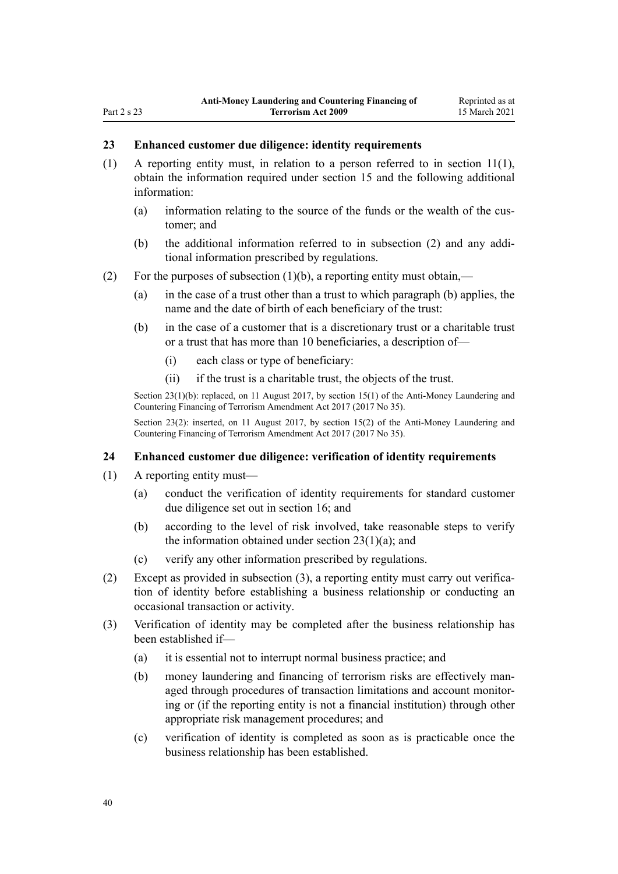#### <span id="page-39-0"></span>**23 Enhanced customer due diligence: identity requirements**

- (1) A reporting entity must, in relation to a person referred to in [section 11\(1\)](#page-31-0), obtain the information required under [section 15](#page-33-0) and the following additional information:
	- (a) information relating to the source of the funds or the wealth of the customer; and
	- (b) the additional information referred to in subsection (2) and any additional information prescribed by regulations.
- (2) For the purposes of subsection  $(1)(b)$ , a reporting entity must obtain,—
	- (a) in the case of a trust other than a trust to which paragraph (b) applies, the name and the date of birth of each beneficiary of the trust:
	- (b) in the case of a customer that is a discretionary trust or a charitable trust or a trust that has more than 10 beneficiaries, a description of—
		- (i) each class or type of beneficiary:
		- (ii) if the trust is a charitable trust, the objects of the trust.

Section 23(1)(b): replaced, on 11 August 2017, by [section 15\(1\)](http://legislation.govt.nz/pdflink.aspx?id=DLM7161282) of the Anti-Money Laundering and Countering Financing of Terrorism Amendment Act 2017 (2017 No 35).

Section 23(2): inserted, on 11 August 2017, by [section 15\(2\)](http://legislation.govt.nz/pdflink.aspx?id=DLM7161282) of the Anti-Money Laundering and Countering Financing of Terrorism Amendment Act 2017 (2017 No 35).

#### **24 Enhanced customer due diligence: verification of identity requirements**

- (1) A reporting entity must—
	- (a) conduct the verification of identity requirements for standard customer due diligence set out in [section 16;](#page-33-0) and
	- (b) according to the level of risk involved, take reasonable steps to verify the information obtained under section  $23(1)(a)$ ; and
	- (c) verify any other information prescribed by regulations.
- (2) Except as provided in subsection (3), a reporting entity must carry out verification of identity before establishing a business relationship or conducting an occasional transaction or activity.
- (3) Verification of identity may be completed after the business relationship has been established if—
	- (a) it is essential not to interrupt normal business practice; and
	- (b) money laundering and financing of terrorism risks are effectively managed through procedures of transaction limitations and account monitoring or (if the reporting entity is not a financial institution) through other appropriate risk management procedures; and
	- (c) verification of identity is completed as soon as is practicable once the business relationship has been established.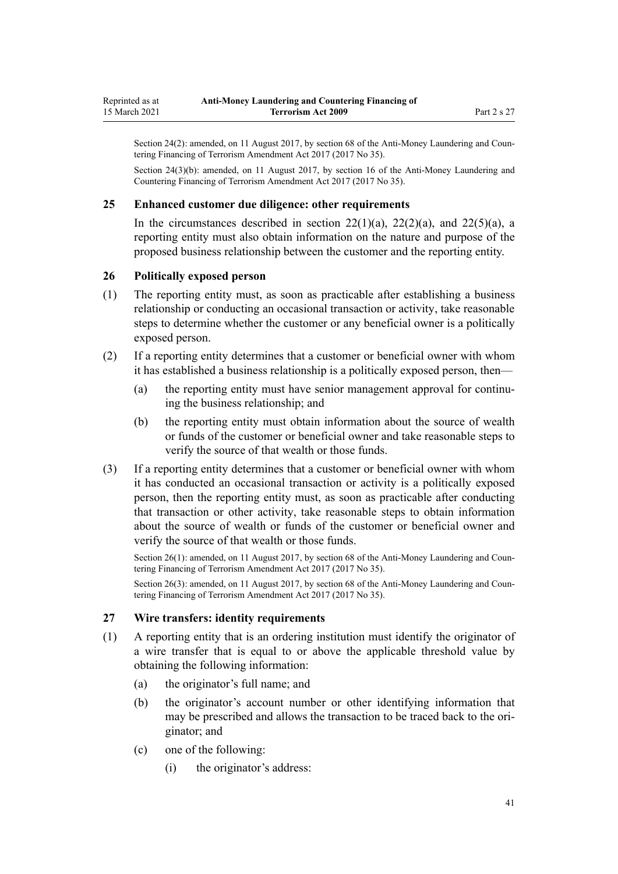<span id="page-40-0"></span>Section 24(2): amended, on 11 August 2017, by [section 68](http://legislation.govt.nz/pdflink.aspx?id=DLM7340644) of the Anti-Money Laundering and Countering Financing of Terrorism Amendment Act 2017 (2017 No 35).

Section 24(3)(b): amended, on 11 August 2017, by [section 16](http://legislation.govt.nz/pdflink.aspx?id=DLM7340623) of the Anti-Money Laundering and Countering Financing of Terrorism Amendment Act 2017 (2017 No 35).

#### **25 Enhanced customer due diligence: other requirements**

In the circumstances described in section  $22(1)(a)$ ,  $22(2)(a)$ , and  $22(5)(a)$ , a reporting entity must also obtain information on the nature and purpose of the proposed business relationship between the customer and the reporting entity.

#### **26 Politically exposed person**

- (1) The reporting entity must, as soon as practicable after establishing a business relationship or conducting an occasional transaction or activity, take reasonable steps to determine whether the customer or any beneficial owner is a politically exposed person.
- (2) If a reporting entity determines that a customer or beneficial owner with whom it has established a business relationship is a politically exposed person, then—
	- (a) the reporting entity must have senior management approval for continuing the business relationship; and
	- (b) the reporting entity must obtain information about the source of wealth or funds of the customer or beneficial owner and take reasonable steps to verify the source of that wealth or those funds.
- (3) If a reporting entity determines that a customer or beneficial owner with whom it has conducted an occasional transaction or activity is a politically exposed person, then the reporting entity must, as soon as practicable after conducting that transaction or other activity, take reasonable steps to obtain information about the source of wealth or funds of the customer or beneficial owner and verify the source of that wealth or those funds.

Section 26(1): amended, on 11 August 2017, by [section 68](http://legislation.govt.nz/pdflink.aspx?id=DLM7340644) of the Anti-Money Laundering and Countering Financing of Terrorism Amendment Act 2017 (2017 No 35).

Section 26(3): amended, on 11 August 2017, by [section 68](http://legislation.govt.nz/pdflink.aspx?id=DLM7340644) of the Anti-Money Laundering and Countering Financing of Terrorism Amendment Act 2017 (2017 No 35).

#### **27 Wire transfers: identity requirements**

- (1) A reporting entity that is an ordering institution must identify the originator of a wire transfer that is equal to or above the applicable threshold value by obtaining the following information:
	- (a) the originator's full name; and
	- (b) the originator's account number or other identifying information that may be prescribed and allows the transaction to be traced back to the originator; and
	- (c) one of the following:
		- (i) the originator's address: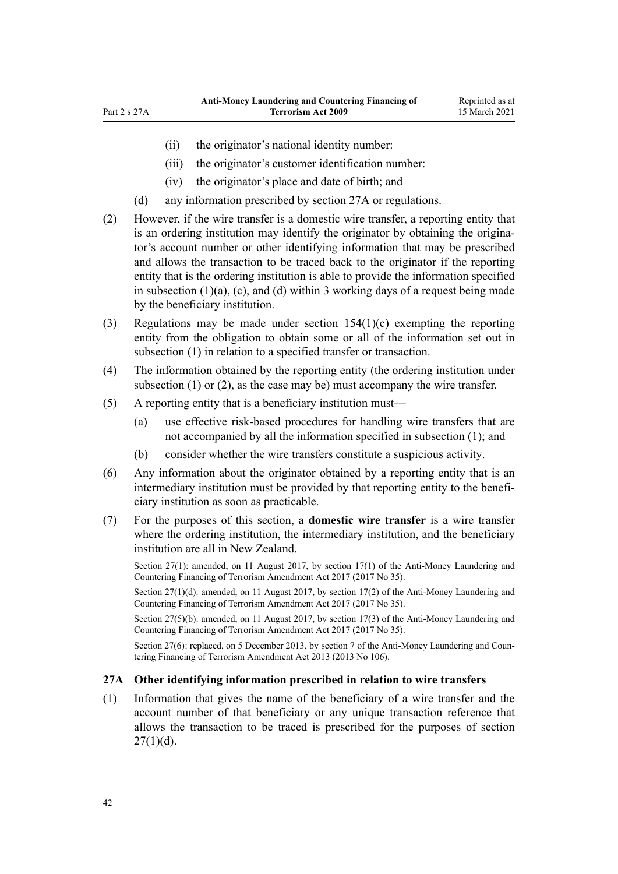- (ii) the originator's national identity number:
- (iii) the originator's customer identification number:
- (iv) the originator's place and date of birth; and
- (d) any information prescribed by section 27A or regulations.
- (2) However, if the wire transfer is a domestic wire transfer, a reporting entity that is an ordering institution may identify the originator by obtaining the originator's account number or other identifying information that may be prescribed and allows the transaction to be traced back to the originator if the reporting entity that is the ordering institution is able to provide the information specified in subsection  $(1)(a)$ ,  $(c)$ , and  $(d)$  within 3 working days of a request being made by the beneficiary institution.
- (3) Regulations may be made under [section 154\(1\)\(c\)](#page-107-0) exempting the reporting entity from the obligation to obtain some or all of the information set out in subsection (1) in relation to a specified transfer or transaction.
- (4) The information obtained by the reporting entity (the ordering institution under subsection (1) or (2), as the case may be) must accompany the wire transfer.
- (5) A reporting entity that is a beneficiary institution must—
	- (a) use effective risk-based procedures for handling wire transfers that are not accompanied by all the information specified in subsection (1); and
	- (b) consider whether the wire transfers constitute a suspicious activity.
- (6) Any information about the originator obtained by a reporting entity that is an intermediary institution must be provided by that reporting entity to the beneficiary institution as soon as practicable.
- (7) For the purposes of this section, a **domestic wire transfer** is a wire transfer where the ordering institution, the intermediary institution, and the beneficiary institution are all in New Zealand.

Section 27(1): amended, on 11 August 2017, by [section 17\(1\)](http://legislation.govt.nz/pdflink.aspx?id=DLM7161283) of the Anti-Money Laundering and Countering Financing of Terrorism Amendment Act 2017 (2017 No 35).

Section 27(1)(d): amended, on 11 August 2017, by [section 17\(2\)](http://legislation.govt.nz/pdflink.aspx?id=DLM7161283) of the Anti-Money Laundering and Countering Financing of Terrorism Amendment Act 2017 (2017 No 35).

Section 27(5)(b): amended, on 11 August 2017, by [section 17\(3\)](http://legislation.govt.nz/pdflink.aspx?id=DLM7161283) of the Anti-Money Laundering and Countering Financing of Terrorism Amendment Act 2017 (2017 No 35).

Section 27(6): replaced, on 5 December 2013, by [section 7](http://legislation.govt.nz/pdflink.aspx?id=DLM5621511) of the Anti-Money Laundering and Countering Financing of Terrorism Amendment Act 2013 (2013 No 106).

### **27A Other identifying information prescribed in relation to wire transfers**

(1) Information that gives the name of the beneficiary of a wire transfer and the account number of that beneficiary or any unique transaction reference that allows the transaction to be traced is prescribed for the purposes of [section](#page-40-0)  $27(1)(d)$ .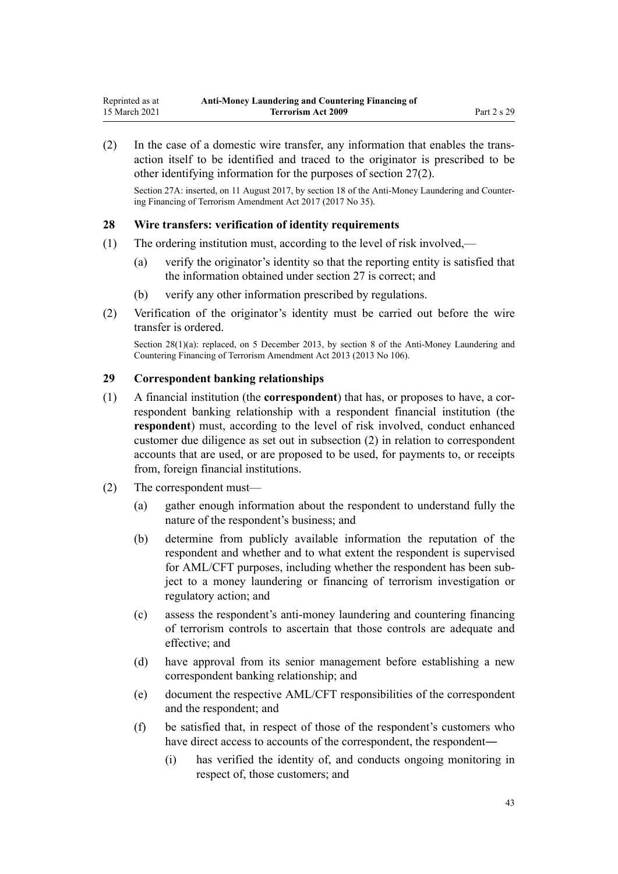<span id="page-42-0"></span>(2) In the case of a domestic wire transfer, any information that enables the transaction itself to be identified and traced to the originator is prescribed to be other identifying information for the purposes of [section 27\(2\)](#page-40-0).

Section 27A: inserted, on 11 August 2017, by [section 18](http://legislation.govt.nz/pdflink.aspx?id=DLM7340624) of the Anti-Money Laundering and Countering Financing of Terrorism Amendment Act 2017 (2017 No 35).

#### **28 Wire transfers: verification of identity requirements**

- (1) The ordering institution must, according to the level of risk involved,—
	- (a) verify the originator's identity so that the reporting entity is satisfied that the information obtained under [section 27](#page-40-0) is correct; and
	- (b) verify any other information prescribed by regulations.
- (2) Verification of the originator's identity must be carried out before the wire transfer is ordered.

Section 28(1)(a): replaced, on 5 December 2013, by [section 8](http://legislation.govt.nz/pdflink.aspx?id=DLM5621512) of the Anti-Money Laundering and Countering Financing of Terrorism Amendment Act 2013 (2013 No 106).

#### **29 Correspondent banking relationships**

- (1) A financial institution (the **correspondent**) that has, or proposes to have, a correspondent banking relationship with a respondent financial institution (the **respondent**) must, according to the level of risk involved, conduct enhanced customer due diligence as set out in subsection (2) in relation to correspondent accounts that are used, or are proposed to be used, for payments to, or receipts from, foreign financial institutions.
- (2) The correspondent must—
	- (a) gather enough information about the respondent to understand fully the nature of the respondent's business; and
	- (b) determine from publicly available information the reputation of the respondent and whether and to what extent the respondent is supervised for AML/CFT purposes, including whether the respondent has been subject to a money laundering or financing of terrorism investigation or regulatory action; and
	- (c) assess the respondent's anti-money laundering and countering financing of terrorism controls to ascertain that those controls are adequate and effective; and
	- (d) have approval from its senior management before establishing a new correspondent banking relationship; and
	- (e) document the respective AML/CFT responsibilities of the correspondent and the respondent; and
	- (f) be satisfied that, in respect of those of the respondent's customers who have direct access to accounts of the correspondent, the respondent—
		- (i) has verified the identity of, and conducts ongoing monitoring in respect of, those customers; and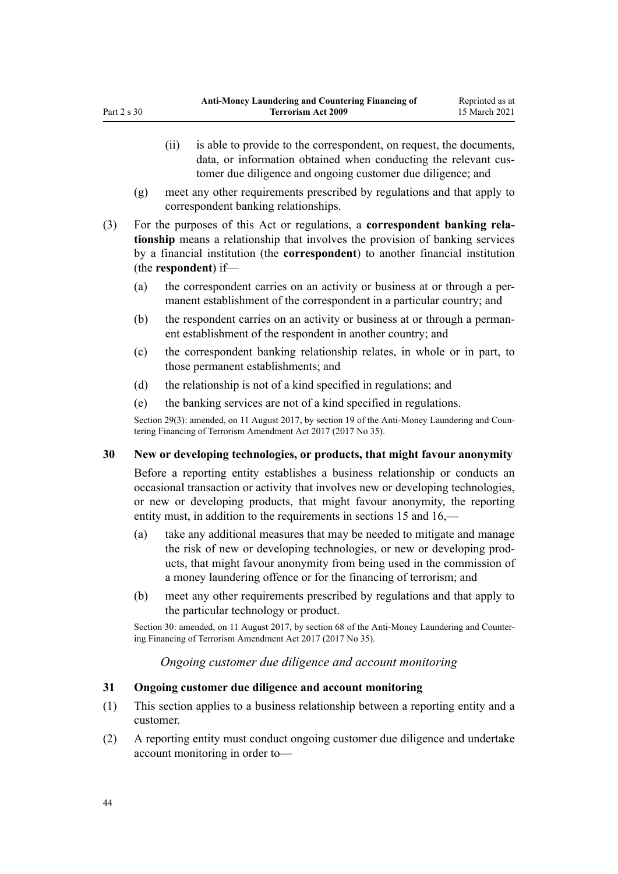- (ii) is able to provide to the correspondent, on request, the documents, data, or information obtained when conducting the relevant customer due diligence and ongoing customer due diligence; and
- (g) meet any other requirements prescribed by regulations and that apply to correspondent banking relationships.
- (3) For the purposes of this Act or regulations, a **correspondent banking relationship** means a relationship that involves the provision of banking services by a financial institution (the **correspondent**) to another financial institution (the **respondent**) if—
	- (a) the correspondent carries on an activity or business at or through a permanent establishment of the correspondent in a particular country; and
	- (b) the respondent carries on an activity or business at or through a permanent establishment of the respondent in another country; and
	- (c) the correspondent banking relationship relates, in whole or in part, to those permanent establishments; and
	- (d) the relationship is not of a kind specified in regulations; and
	- (e) the banking services are not of a kind specified in regulations.

Section 29(3): amended, on 11 August 2017, by [section 19](http://legislation.govt.nz/pdflink.aspx?id=DLM7340626) of the Anti-Money Laundering and Countering Financing of Terrorism Amendment Act 2017 (2017 No 35).

# **30 New or developing technologies, or products, that might favour anonymity**

Before a reporting entity establishes a business relationship or conducts an occasional transaction or activity that involves new or developing technologies, or new or developing products, that might favour anonymity, the reporting entity must, in addition to the requirements in [sections 15](#page-33-0) and [16,](#page-33-0)—

- (a) take any additional measures that may be needed to mitigate and manage the risk of new or developing technologies, or new or developing products, that might favour anonymity from being used in the commission of a money laundering offence or for the financing of terrorism; and
- (b) meet any other requirements prescribed by regulations and that apply to the particular technology or product.

Section 30: amended, on 11 August 2017, by [section 68](http://legislation.govt.nz/pdflink.aspx?id=DLM7340644) of the Anti-Money Laundering and Countering Financing of Terrorism Amendment Act 2017 (2017 No 35).

# *Ongoing customer due diligence and account monitoring*

# **31 Ongoing customer due diligence and account monitoring**

- (1) This section applies to a business relationship between a reporting entity and a customer.
- (2) A reporting entity must conduct ongoing customer due diligence and undertake account monitoring in order to—

<span id="page-43-0"></span>Part 2 s 30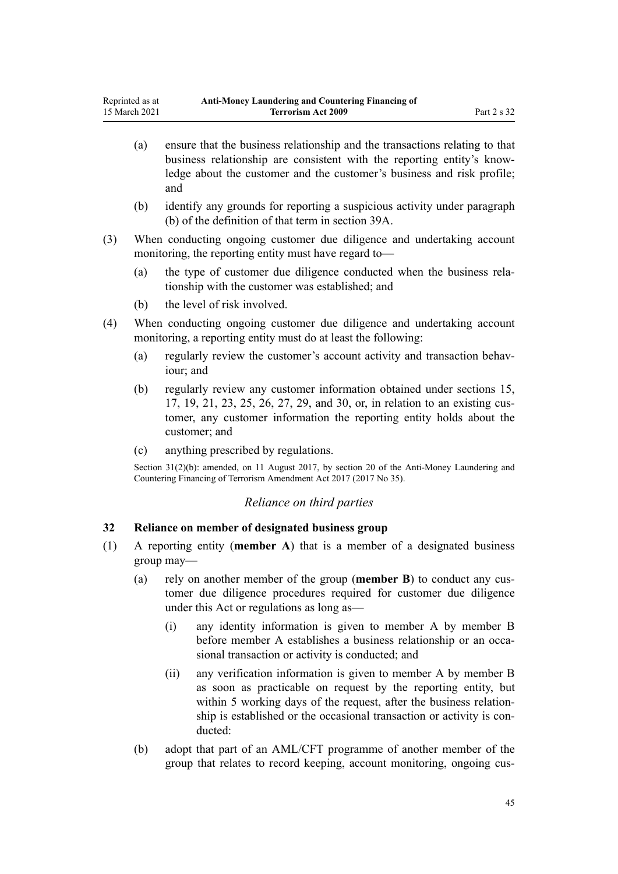- <span id="page-44-0"></span>(a) ensure that the business relationship and the transactions relating to that business relationship are consistent with the reporting entity's knowledge about the customer and the customer's business and risk profile; and
- (b) identify any grounds for reporting a suspicious activity under paragraph (b) of the definition of that term in [section 39A](#page-50-0).
- (3) When conducting ongoing customer due diligence and undertaking account monitoring, the reporting entity must have regard to—
	- (a) the type of customer due diligence conducted when the business relationship with the customer was established; and
	- (b) the level of risk involved.
- (4) When conducting ongoing customer due diligence and undertaking account monitoring, a reporting entity must do at least the following:
	- (a) regularly review the customer's account activity and transaction behaviour; and
	- (b) regularly review any customer information obtained under [sections 15](#page-33-0), [17,](#page-34-0) [19,](#page-36-0) [21,](#page-37-0) [23,](#page-39-0) [25](#page-40-0), [26](#page-40-0), [27](#page-40-0), [29](#page-42-0), and [30,](#page-43-0) or, in relation to an existing customer, any customer information the reporting entity holds about the customer; and
	- (c) anything prescribed by regulations.

Section 31(2)(b): amended, on 11 August 2017, by [section 20](http://legislation.govt.nz/pdflink.aspx?id=DLM7386133) of the Anti-Money Laundering and Countering Financing of Terrorism Amendment Act 2017 (2017 No 35).

#### *Reliance on third parties*

### **32 Reliance on member of designated business group**

- (1) A reporting entity (**member A**) that is a member of a designated business group may—
	- (a) rely on another member of the group (**member B**) to conduct any customer due diligence procedures required for customer due diligence under this Act or regulations as long as—
		- (i) any identity information is given to member A by member B before member A establishes a business relationship or an occasional transaction or activity is conducted; and
		- (ii) any verification information is given to member A by member B as soon as practicable on request by the reporting entity, but within 5 working days of the request, after the business relationship is established or the occasional transaction or activity is conducted:
	- (b) adopt that part of an AML/CFT programme of another member of the group that relates to record keeping, account monitoring, ongoing cus-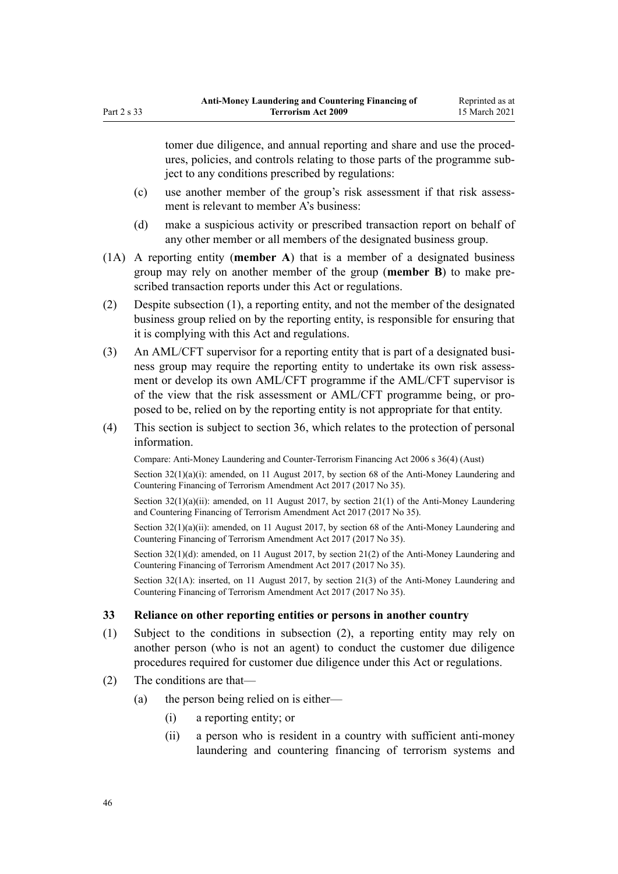tomer due diligence, and annual reporting and share and use the procedures, policies, and controls relating to those parts of the programme subject to any conditions prescribed by regulations:

- (c) use another member of the group's risk assessment if that risk assessment is relevant to member A's business:
- (d) make a suspicious activity or prescribed transaction report on behalf of any other member or all members of the designated business group.
- (1A) A reporting entity (**member A**) that is a member of a designated business group may rely on another member of the group (**member B**) to make prescribed transaction reports under this Act or regulations.
- (2) Despite subsection (1), a reporting entity, and not the member of the designated business group relied on by the reporting entity, is responsible for ensuring that it is complying with this Act and regulations.
- (3) An AML/CFT supervisor for a reporting entity that is part of a designated business group may require the reporting entity to undertake its own risk assessment or develop its own AML/CFT programme if the AML/CFT supervisor is of the view that the risk assessment or AML/CFT programme being, or proposed to be, relied on by the reporting entity is not appropriate for that entity.
- (4) This section is subject to [section 36,](#page-47-0) which relates to the protection of personal information.

Compare: Anti-Money Laundering and Counter-Terrorism Financing Act 2006 s 36(4) (Aust)

Section  $32(1)(a)(i)$ : amended, on 11 August 2017, by [section 68](http://legislation.govt.nz/pdflink.aspx?id=DLM7340644) of the Anti-Money Laundering and Countering Financing of Terrorism Amendment Act 2017 (2017 No 35).

Section  $32(1)(a)(ii)$ : amended, on 11 August 2017, by section  $21(1)$  of the Anti-Money Laundering and Countering Financing of Terrorism Amendment Act 2017 (2017 No 35).

Section 32(1)(a)(ii): amended, on 11 August 2017, by [section 68](http://legislation.govt.nz/pdflink.aspx?id=DLM7340644) of the Anti-Money Laundering and Countering Financing of Terrorism Amendment Act 2017 (2017 No 35).

Section 32(1)(d): amended, on 11 August 2017, by [section 21\(2\)](http://legislation.govt.nz/pdflink.aspx?id=DLM7161285) of the Anti-Money Laundering and Countering Financing of Terrorism Amendment Act 2017 (2017 No 35).

Section 32(1A): inserted, on 11 August 2017, by [section 21\(3\)](http://legislation.govt.nz/pdflink.aspx?id=DLM7161285) of the Anti-Money Laundering and Countering Financing of Terrorism Amendment Act 2017 (2017 No 35).

#### **33 Reliance on other reporting entities or persons in another country**

- (1) Subject to the conditions in subsection (2), a reporting entity may rely on another person (who is not an agent) to conduct the customer due diligence procedures required for customer due diligence under this Act or regulations.
- (2) The conditions are that—
	- (a) the person being relied on is either—
		- (i) a reporting entity; or
		- (ii) a person who is resident in a country with sufficient anti-money laundering and countering financing of terrorism systems and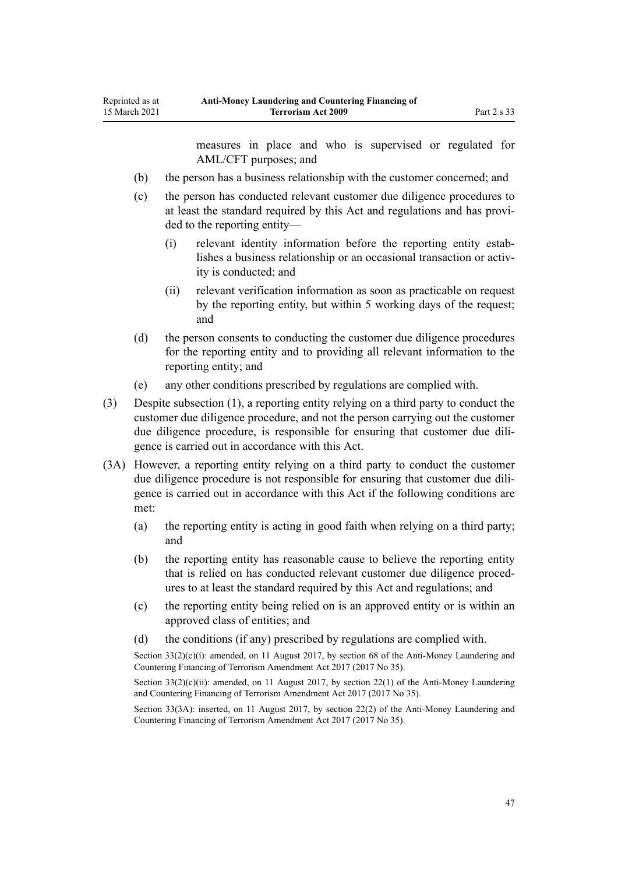Reprinted as at 15 March 2021

measures in place and who is supervised or regulated for AML/CFT purposes; and

- (b) the person has a business relationship with the customer concerned; and
- (c) the person has conducted relevant customer due diligence procedures to at least the standard required by this Act and regulations and has provided to the reporting entity—
	- (i) relevant identity information before the reporting entity establishes a business relationship or an occasional transaction or activity is conducted; and
	- (ii) relevant verification information as soon as practicable on request by the reporting entity, but within 5 working days of the request; and
- (d) the person consents to conducting the customer due diligence procedures for the reporting entity and to providing all relevant information to the reporting entity; and
- (e) any other conditions prescribed by regulations are complied with.
- (3) Despite subsection (1), a reporting entity relying on a third party to conduct the customer due diligence procedure, and not the person carrying out the customer due diligence procedure, is responsible for ensuring that customer due diligence is carried out in accordance with this Act.
- (3A) However, a reporting entity relying on a third party to conduct the customer due diligence procedure is not responsible for ensuring that customer due diligence is carried out in accordance with this Act if the following conditions are met:
	- (a) the reporting entity is acting in good faith when relying on a third party; and
	- (b) the reporting entity has reasonable cause to believe the reporting entity that is relied on has conducted relevant customer due diligence procedures to at least the standard required by this Act and regulations; and
	- (c) the reporting entity being relied on is an approved entity or is within an approved class of entities; and
	- (d) the conditions (if any) prescribed by regulations are complied with.

Section  $33(2)(c)(i)$ : amended, on 11 August 2017, by [section 68](http://legislation.govt.nz/pdflink.aspx?id=DLM7340644) of the Anti-Money Laundering and Countering Financing of Terrorism Amendment Act 2017 (2017 No 35).

Section  $33(2)(c)(ii)$ : amended, on 11 August 2017, by [section 22\(1\)](http://legislation.govt.nz/pdflink.aspx?id=DLM7161286) of the Anti-Money Laundering and Countering Financing of Terrorism Amendment Act 2017 (2017 No 35).

Section 33(3A): inserted, on 11 August 2017, by [section 22\(2\)](http://legislation.govt.nz/pdflink.aspx?id=DLM7161286) of the Anti-Money Laundering and Countering Financing of Terrorism Amendment Act 2017 (2017 No 35).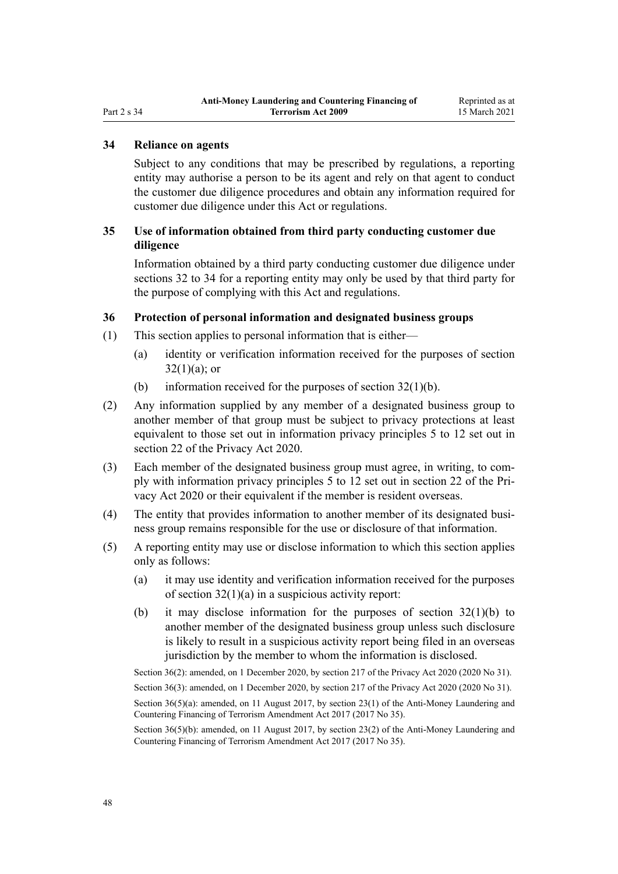# <span id="page-47-0"></span>Part 2 s 34

### **34 Reliance on agents**

Subject to any conditions that may be prescribed by regulations, a reporting entity may authorise a person to be its agent and rely on that agent to conduct the customer due diligence procedures and obtain any information required for customer due diligence under this Act or regulations.

# **35 Use of information obtained from third party conducting customer due diligence**

Information obtained by a third party conducting customer due diligence under [sections 32 to 34](#page-44-0) for a reporting entity may only be used by that third party for the purpose of complying with this Act and regulations.

#### **36 Protection of personal information and designated business groups**

- (1) This section applies to personal information that is either—
	- (a) identity or verification information received for the purposes of [section](#page-44-0)  $32(1)(a)$ ; or
	- (b) information received for the purposes of section  $32(1)(b)$ .
- (2) Any information supplied by any member of a designated business group to another member of that group must be subject to privacy protections at least equivalent to those set out in information privacy principles 5 to 12 set out in [section 22](http://legislation.govt.nz/pdflink.aspx?id=LMS23342) of the Privacy Act 2020.
- (3) Each member of the designated business group must agree, in writing, to comply with information privacy principles 5 to 12 set out in [section 22](http://legislation.govt.nz/pdflink.aspx?id=LMS23342) of the Privacy Act 2020 or their equivalent if the member is resident overseas.
- (4) The entity that provides information to another member of its designated business group remains responsible for the use or disclosure of that information.
- (5) A reporting entity may use or disclose information to which this section applies only as follows:
	- (a) it may use identity and verification information received for the purposes of [section 32\(1\)\(a\)](#page-44-0) in a suspicious activity report:
	- (b) it may disclose information for the purposes of [section 32\(1\)\(b\)](#page-44-0) to another member of the designated business group unless such disclosure is likely to result in a suspicious activity report being filed in an overseas jurisdiction by the member to whom the information is disclosed.

Section 36(2): amended, on 1 December 2020, by [section 217](http://legislation.govt.nz/pdflink.aspx?id=LMS23706) of the Privacy Act 2020 (2020 No 31).

Section 36(3): amended, on 1 December 2020, by [section 217](http://legislation.govt.nz/pdflink.aspx?id=LMS23706) of the Privacy Act 2020 (2020 No 31).

Section 36(5)(a): amended, on 11 August 2017, by [section 23\(1\)](http://legislation.govt.nz/pdflink.aspx?id=DLM7161287) of the Anti-Money Laundering and Countering Financing of Terrorism Amendment Act 2017 (2017 No 35).

Section 36(5)(b): amended, on 11 August 2017, by [section 23\(2\)](http://legislation.govt.nz/pdflink.aspx?id=DLM7161287) of the Anti-Money Laundering and Countering Financing of Terrorism Amendment Act 2017 (2017 No 35).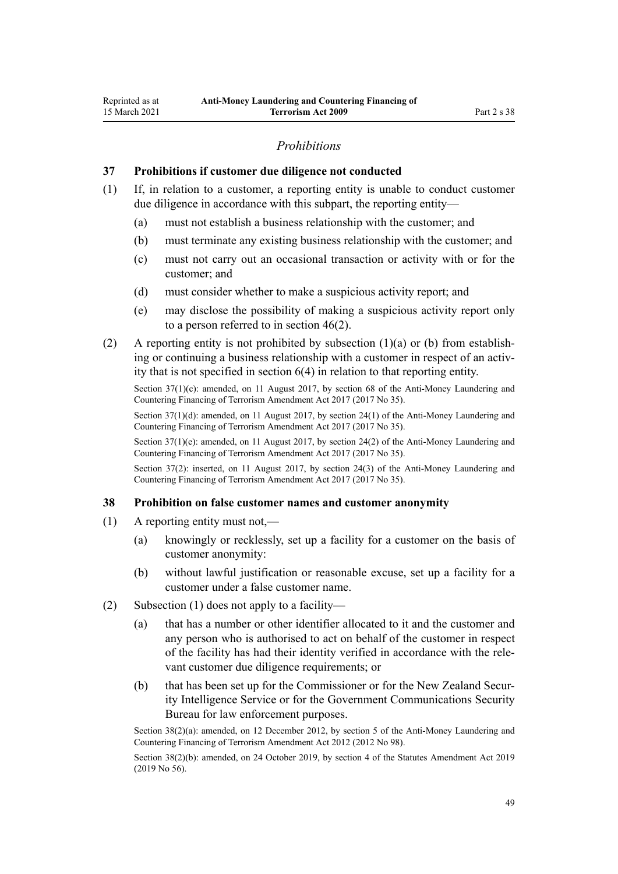### *Prohibitions*

#### **37 Prohibitions if customer due diligence not conducted**

- (1) If, in relation to a customer, a reporting entity is unable to conduct customer due diligence in accordance with this subpart, the reporting entity—
	- (a) must not establish a business relationship with the customer; and
	- (b) must terminate any existing business relationship with the customer; and
	- (c) must not carry out an occasional transaction or activity with or for the customer; and
	- (d) must consider whether to make a suspicious activity report; and
	- (e) may disclose the possibility of making a suspicious activity report only to a person referred to in [section 46\(2\).](#page-54-0)
- (2) A reporting entity is not prohibited by subsection  $(1)(a)$  or (b) from establishing or continuing a business relationship with a customer in respect of an activity that is not specified in [section 6\(4\)](#page-28-0) in relation to that reporting entity.

Section 37(1)(c): amended, on 11 August 2017, by [section 68](http://legislation.govt.nz/pdflink.aspx?id=DLM7340644) of the Anti-Money Laundering and Countering Financing of Terrorism Amendment Act 2017 (2017 No 35).

Section 37(1)(d): amended, on 11 August 2017, by [section 24\(1\)](http://legislation.govt.nz/pdflink.aspx?id=DLM7161288) of the Anti-Money Laundering and Countering Financing of Terrorism Amendment Act 2017 (2017 No 35).

Section 37(1)(e): amended, on 11 August 2017, by [section 24\(2\)](http://legislation.govt.nz/pdflink.aspx?id=DLM7161288) of the Anti-Money Laundering and Countering Financing of Terrorism Amendment Act 2017 (2017 No 35).

Section 37(2): inserted, on 11 August 2017, by [section 24\(3\)](http://legislation.govt.nz/pdflink.aspx?id=DLM7161288) of the Anti-Money Laundering and Countering Financing of Terrorism Amendment Act 2017 (2017 No 35).

#### **38 Prohibition on false customer names and customer anonymity**

- (1) A reporting entity must not,—
	- (a) knowingly or recklessly, set up a facility for a customer on the basis of customer anonymity:
	- (b) without lawful justification or reasonable excuse, set up a facility for a customer under a false customer name.
- (2) Subsection (1) does not apply to a facility—
	- (a) that has a number or other identifier allocated to it and the customer and any person who is authorised to act on behalf of the customer in respect of the facility has had their identity verified in accordance with the relevant customer due diligence requirements; or
	- (b) that has been set up for the Commissioner or for the New Zealand Security Intelligence Service or for the Government Communications Security Bureau for law enforcement purposes.

Section 38(2)(a): amended, on 12 December 2012, by [section 5](http://legislation.govt.nz/pdflink.aspx?id=DLM4989303) of the Anti-Money Laundering and Countering Financing of Terrorism Amendment Act 2012 (2012 No 98).

Section 38(2)(b): amended, on 24 October 2019, by [section 4](http://legislation.govt.nz/pdflink.aspx?id=LMS58872) of the Statutes Amendment Act 2019 (2019 No 56).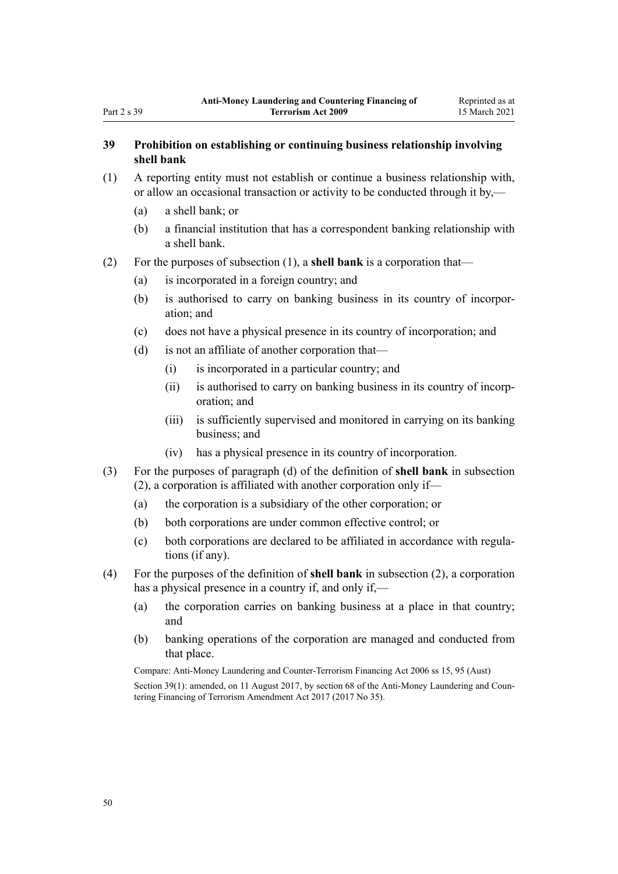# **39 Prohibition on establishing or continuing business relationship involving shell bank**

- (1) A reporting entity must not establish or continue a business relationship with, or allow an occasional transaction or activity to be conducted through it by,—
	- (a) a shell bank; or
	- (b) a financial institution that has a correspondent banking relationship with a shell bank.
- (2) For the purposes of subsection (1), a **shell bank** is a corporation that—
	- (a) is incorporated in a foreign country; and
	- (b) is authorised to carry on banking business in its country of incorporation; and
	- (c) does not have a physical presence in its country of incorporation; and
	- (d) is not an affiliate of another corporation that—
		- (i) is incorporated in a particular country; and
		- (ii) is authorised to carry on banking business in its country of incorporation; and
		- (iii) is sufficiently supervised and monitored in carrying on its banking business; and
		- (iv) has a physical presence in its country of incorporation.
- (3) For the purposes of paragraph (d) of the definition of **shell bank** in subsection (2), a corporation is affiliated with another corporation only if—
	- (a) the corporation is a subsidiary of the other corporation; or
	- (b) both corporations are under common effective control; or
	- (c) both corporations are declared to be affiliated in accordance with regulations (if any).
- (4) For the purposes of the definition of **shell bank** in subsection (2), a corporation has a physical presence in a country if, and only if,—
	- (a) the corporation carries on banking business at a place in that country; and
	- (b) banking operations of the corporation are managed and conducted from that place.

Compare: Anti-Money Laundering and Counter-Terrorism Financing Act 2006 ss 15, 95 (Aust) Section 39(1): amended, on 11 August 2017, by [section 68](http://legislation.govt.nz/pdflink.aspx?id=DLM7340644) of the Anti-Money Laundering and Countering Financing of Terrorism Amendment Act 2017 (2017 No 35).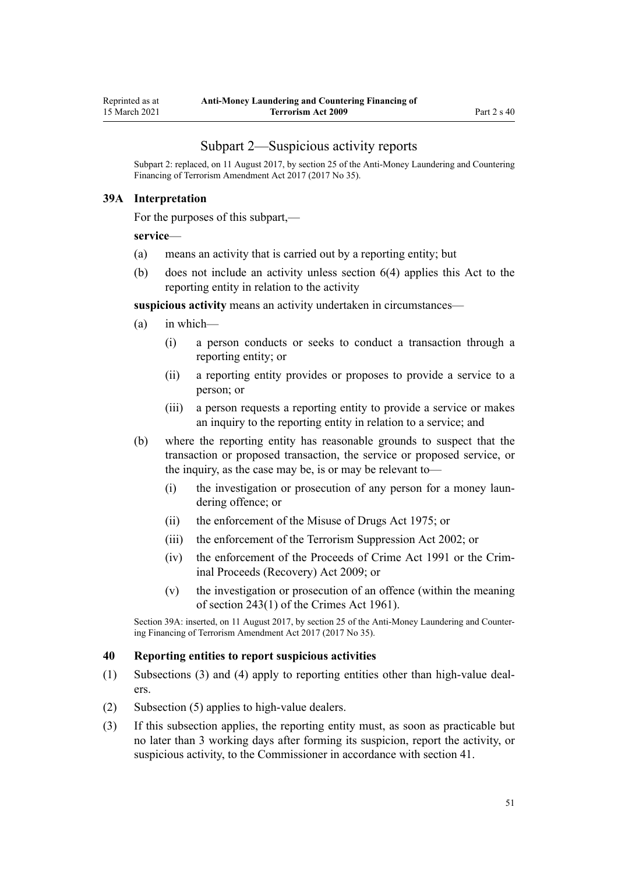## Subpart 2—Suspicious activity reports

<span id="page-50-0"></span>Subpart 2: replaced, on 11 August 2017, by [section 25](http://legislation.govt.nz/pdflink.aspx?id=DLM7161289) of the Anti-Money Laundering and Countering Financing of Terrorism Amendment Act 2017 (2017 No 35).

#### **39A Interpretation**

For the purposes of this subpart,—

#### **service**—

- (a) means an activity that is carried out by a reporting entity; but
- (b) does not include an activity unless [section 6\(4\)](#page-28-0) applies this Act to the reporting entity in relation to the activity

**suspicious activity** means an activity undertaken in circumstances—

- (a) in which—
	- (i) a person conducts or seeks to conduct a transaction through a reporting entity; or
	- (ii) a reporting entity provides or proposes to provide a service to a person; or
	- (iii) a person requests a reporting entity to provide a service or makes an inquiry to the reporting entity in relation to a service; and
- (b) where the reporting entity has reasonable grounds to suspect that the transaction or proposed transaction, the service or proposed service, or the inquiry, as the case may be, is or may be relevant to—
	- (i) the investigation or prosecution of any person for a money laundering offence; or
	- (ii) the enforcement of the [Misuse of Drugs Act 1975;](http://legislation.govt.nz/pdflink.aspx?id=DLM436100) or
	- (iii) the enforcement of the [Terrorism Suppression Act 2002](http://legislation.govt.nz/pdflink.aspx?id=DLM151490); or
	- (iv) the enforcement of the [Proceeds of Crime Act 1991](http://legislation.govt.nz/pdflink.aspx?id=DLM250668) or the [Crim](http://legislation.govt.nz/pdflink.aspx?id=BILL-SCDRAFT-7242)[inal Proceeds \(Recovery\) Act 2009;](http://legislation.govt.nz/pdflink.aspx?id=BILL-SCDRAFT-7242) or
	- (v) the investigation or prosecution of an offence (within the meaning of [section 243\(1\)](http://legislation.govt.nz/pdflink.aspx?id=DLM330289) of the Crimes Act 1961).

Section 39A: inserted, on 11 August 2017, by [section 25](http://legislation.govt.nz/pdflink.aspx?id=DLM7161289) of the Anti-Money Laundering and Countering Financing of Terrorism Amendment Act 2017 (2017 No 35).

#### **40 Reporting entities to report suspicious activities**

- (1) Subsections (3) and (4) apply to reporting entities other than high-value dealers.
- (2) Subsection (5) applies to high-value dealers.
- (3) If this subsection applies, the reporting entity must, as soon as practicable but no later than 3 working days after forming its suspicion, report the activity, or suspicious activity, to the Commissioner in accordance with [section 41.](#page-51-0)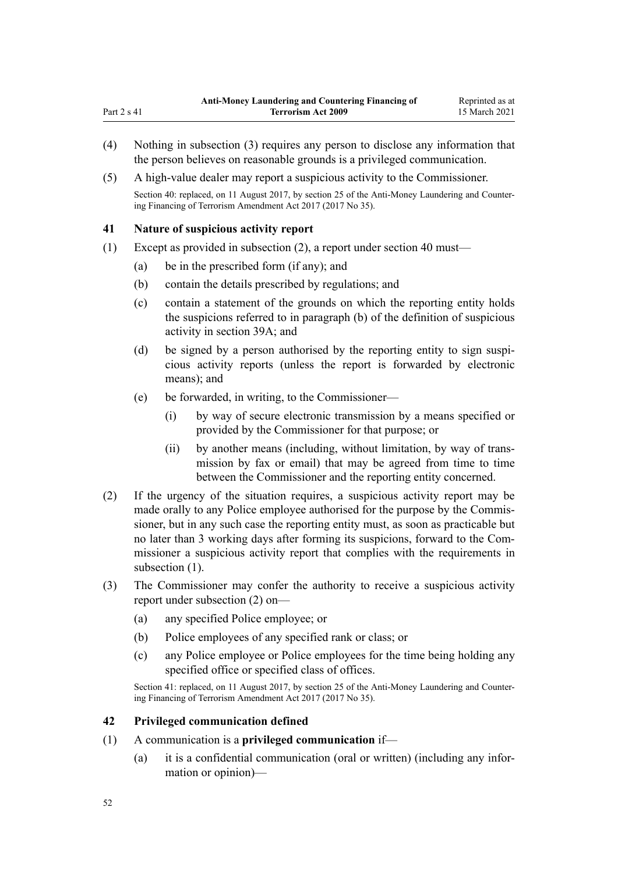- (4) Nothing in subsection (3) requires any person to disclose any information that the person believes on reasonable grounds is a privileged communication.
- (5) A high-value dealer may report a suspicious activity to the Commissioner.

Section 40: replaced, on 11 August 2017, by [section 25](http://legislation.govt.nz/pdflink.aspx?id=DLM7161289) of the Anti-Money Laundering and Countering Financing of Terrorism Amendment Act 2017 (2017 No 35).

## **41 Nature of suspicious activity report**

<span id="page-51-0"></span>Part 2 s 41

- (1) Except as provided in subsection (2), a report under [section 40](#page-50-0) must—
	- (a) be in the prescribed form (if any); and
	- (b) contain the details prescribed by regulations; and
	- (c) contain a statement of the grounds on which the reporting entity holds the suspicions referred to in paragraph (b) of the definition of suspicious activity in [section 39A;](#page-50-0) and
	- (d) be signed by a person authorised by the reporting entity to sign suspicious activity reports (unless the report is forwarded by electronic means); and
	- (e) be forwarded, in writing, to the Commissioner—
		- (i) by way of secure electronic transmission by a means specified or provided by the Commissioner for that purpose; or
		- (ii) by another means (including, without limitation, by way of transmission by fax or email) that may be agreed from time to time between the Commissioner and the reporting entity concerned.
- (2) If the urgency of the situation requires, a suspicious activity report may be made orally to any Police employee authorised for the purpose by the Commissioner, but in any such case the reporting entity must, as soon as practicable but no later than 3 working days after forming its suspicions, forward to the Commissioner a suspicious activity report that complies with the requirements in subsection  $(1)$ .
- (3) The Commissioner may confer the authority to receive a suspicious activity report under subsection (2) on—
	- (a) any specified Police employee; or
	- (b) Police employees of any specified rank or class; or
	- (c) any Police employee or Police employees for the time being holding any specified office or specified class of offices.

Section 41: replaced, on 11 August 2017, by [section 25](http://legislation.govt.nz/pdflink.aspx?id=DLM7161289) of the Anti-Money Laundering and Countering Financing of Terrorism Amendment Act 2017 (2017 No 35).

#### **42 Privileged communication defined**

- (1) A communication is a **privileged communication** if—
	- (a) it is a confidential communication (oral or written) (including any information or opinion)—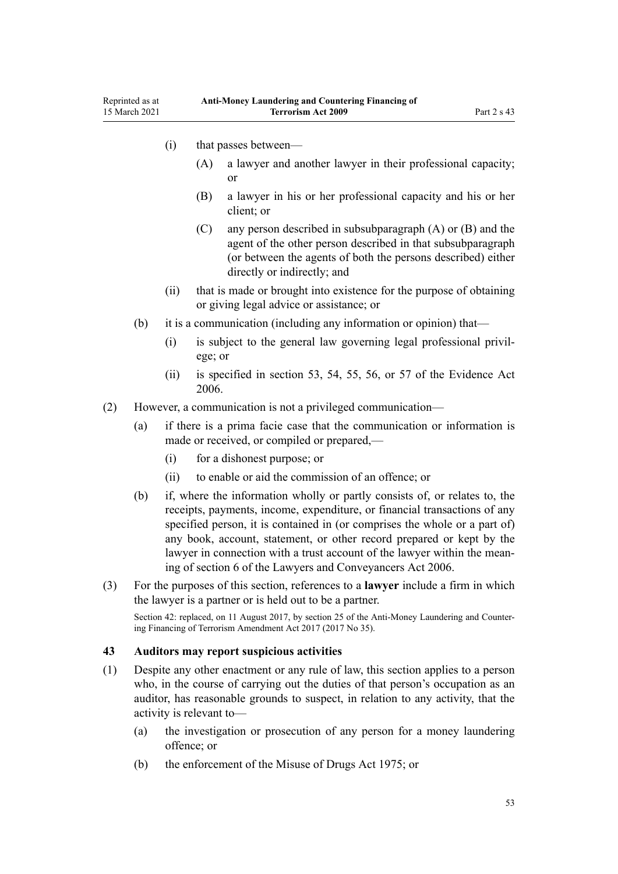- <span id="page-52-0"></span>(i) that passes between—
	- (A) a lawyer and another lawyer in their professional capacity; or
	- (B) a lawyer in his or her professional capacity and his or her client; or
	- (C) any person described in subsubparagraph (A) or (B) and the agent of the other person described in that subsubparagraph (or between the agents of both the persons described) either directly or indirectly; and
- (ii) that is made or brought into existence for the purpose of obtaining or giving legal advice or assistance; or
- (b) it is a communication (including any information or opinion) that—
	- (i) is subject to the general law governing legal professional privilege; or
	- (ii) is specified in [section 53](http://legislation.govt.nz/pdflink.aspx?id=DLM393658), [54,](http://legislation.govt.nz/pdflink.aspx?id=DLM393659) [55](http://legislation.govt.nz/pdflink.aspx?id=DLM393662), [56,](http://legislation.govt.nz/pdflink.aspx?id=DLM393663) or [57](http://legislation.govt.nz/pdflink.aspx?id=DLM393664) of the Evidence Act 2006.
- (2) However, a communication is not a privileged communication—
	- (a) if there is a prima facie case that the communication or information is made or received, or compiled or prepared,—
		- (i) for a dishonest purpose; or
		- (ii) to enable or aid the commission of an offence; or
	- (b) if, where the information wholly or partly consists of, or relates to, the receipts, payments, income, expenditure, or financial transactions of any specified person, it is contained in (or comprises the whole or a part of) any book, account, statement, or other record prepared or kept by the lawyer in connection with a trust account of the lawyer within the meaning of [section 6](http://legislation.govt.nz/pdflink.aspx?id=DLM364948) of the Lawyers and Conveyancers Act 2006.
- (3) For the purposes of this section, references to a **lawyer** include a firm in which the lawyer is a partner or is held out to be a partner.

Section 42: replaced, on 11 August 2017, by [section 25](http://legislation.govt.nz/pdflink.aspx?id=DLM7161289) of the Anti-Money Laundering and Countering Financing of Terrorism Amendment Act 2017 (2017 No 35).

#### **43 Auditors may report suspicious activities**

- (1) Despite any other enactment or any rule of law, this section applies to a person who, in the course of carrying out the duties of that person's occupation as an auditor, has reasonable grounds to suspect, in relation to any activity, that the activity is relevant to—
	- (a) the investigation or prosecution of any person for a money laundering offence; or
	- (b) the enforcement of the [Misuse of Drugs Act 1975;](http://legislation.govt.nz/pdflink.aspx?id=DLM436100) or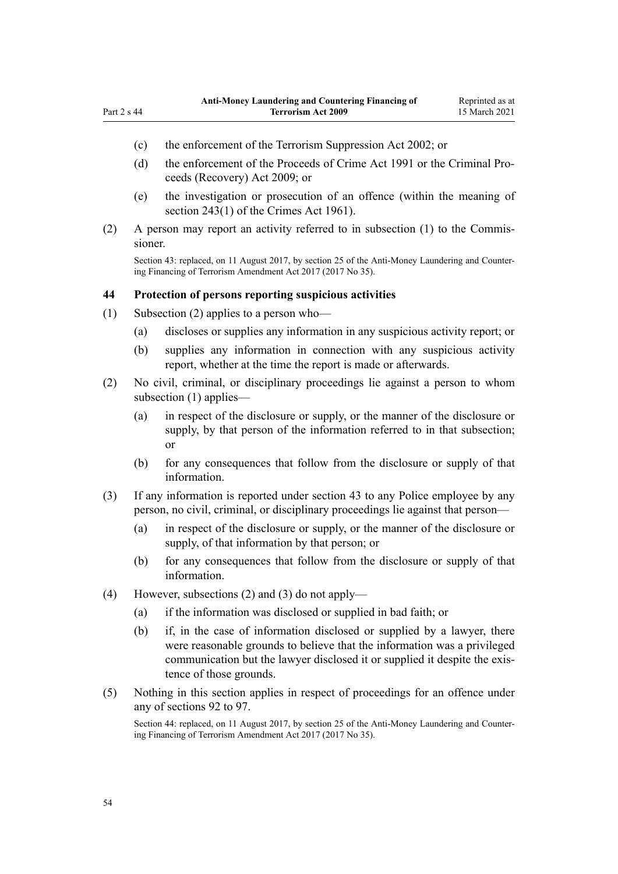<span id="page-53-0"></span>Part 2 s 44

- (c) the enforcement of the [Terrorism Suppression Act 2002](http://legislation.govt.nz/pdflink.aspx?id=DLM151490); or
- (d) the enforcement of the [Proceeds of Crime Act 1991](http://legislation.govt.nz/pdflink.aspx?id=DLM250668) or the [Criminal Pro](http://legislation.govt.nz/pdflink.aspx?id=BILL-SCDRAFT-7242)[ceeds \(Recovery\) Act 2009;](http://legislation.govt.nz/pdflink.aspx?id=BILL-SCDRAFT-7242) or
- (e) the investigation or prosecution of an offence (within the meaning of [section 243\(1\)](http://legislation.govt.nz/pdflink.aspx?id=DLM330289) of the Crimes Act 1961).
- (2) A person may report an activity referred to in subsection (1) to the Commissioner.

Section 43: replaced, on 11 August 2017, by [section 25](http://legislation.govt.nz/pdflink.aspx?id=DLM7161289) of the Anti-Money Laundering and Countering Financing of Terrorism Amendment Act 2017 (2017 No 35).

#### **44 Protection of persons reporting suspicious activities**

- (1) Subsection (2) applies to a person who—
	- (a) discloses or supplies any information in any suspicious activity report; or
	- (b) supplies any information in connection with any suspicious activity report, whether at the time the report is made or afterwards.
- (2) No civil, criminal, or disciplinary proceedings lie against a person to whom subsection (1) applies—
	- (a) in respect of the disclosure or supply, or the manner of the disclosure or supply, by that person of the information referred to in that subsection; or
	- (b) for any consequences that follow from the disclosure or supply of that information.
- (3) If any information is reported under [section 43](#page-52-0) to any Police employee by any person, no civil, criminal, or disciplinary proceedings lie against that person—
	- (a) in respect of the disclosure or supply, or the manner of the disclosure or supply, of that information by that person; or
	- (b) for any consequences that follow from the disclosure or supply of that information.
- (4) However, subsections (2) and (3) do not apply—
	- (a) if the information was disclosed or supplied in bad faith; or
	- (b) if, in the case of information disclosed or supplied by a lawyer, there were reasonable grounds to believe that the information was a privileged communication but the lawyer disclosed it or supplied it despite the existence of those grounds.
- (5) Nothing in this section applies in respect of proceedings for an offence under any of [sections 92 to 97.](#page-76-0)

Section 44: replaced, on 11 August 2017, by [section 25](http://legislation.govt.nz/pdflink.aspx?id=DLM7161289) of the Anti-Money Laundering and Countering Financing of Terrorism Amendment Act 2017 (2017 No 35).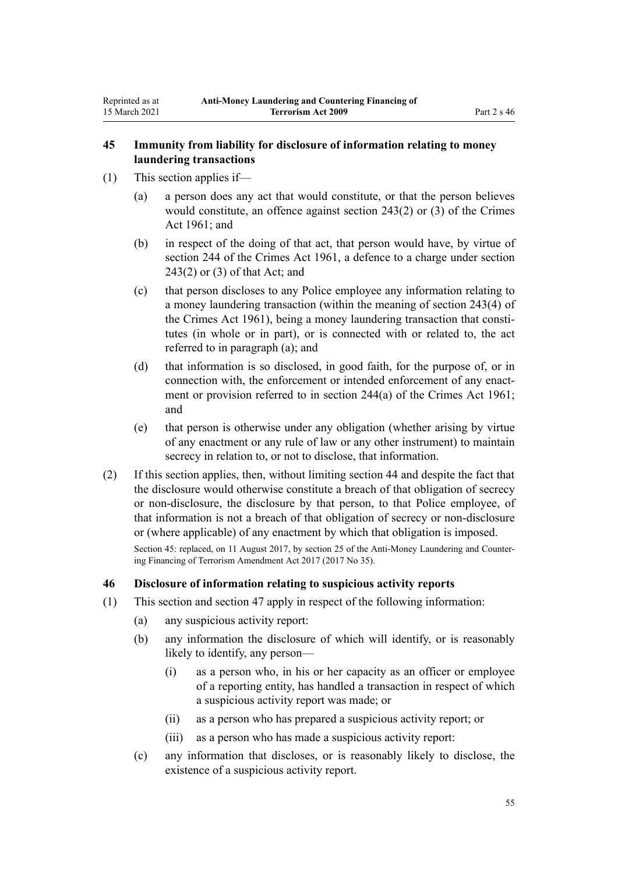# <span id="page-54-0"></span>**45 Immunity from liability for disclosure of information relating to money laundering transactions**

- (1) This section applies if—
	- (a) a person does any act that would constitute, or that the person believes would constitute, an offence against [section 243\(2\) or \(3\)](http://legislation.govt.nz/pdflink.aspx?id=DLM330289) of the Crimes Act 1961; and
	- (b) in respect of the doing of that act, that person would have, by virtue of [section 244](http://legislation.govt.nz/pdflink.aspx?id=DLM330403) of the Crimes Act 1961, a defence to a charge under [section](http://legislation.govt.nz/pdflink.aspx?id=DLM330289) [243\(2\) or \(3\)](http://legislation.govt.nz/pdflink.aspx?id=DLM330289) of that Act; and
	- (c) that person discloses to any Police employee any information relating to a money laundering transaction (within the meaning of [section 243\(4\)](http://legislation.govt.nz/pdflink.aspx?id=DLM330289) of the Crimes Act 1961), being a money laundering transaction that constitutes (in whole or in part), or is connected with or related to, the act referred to in paragraph (a); and
	- (d) that information is so disclosed, in good faith, for the purpose of, or in connection with, the enforcement or intended enforcement of any enactment or provision referred to in [section 244\(a\)](http://legislation.govt.nz/pdflink.aspx?id=DLM330403) of the Crimes Act 1961; and
	- (e) that person is otherwise under any obligation (whether arising by virtue of any enactment or any rule of law or any other instrument) to maintain secrecy in relation to, or not to disclose, that information.
- (2) If this section applies, then, without limiting [section 44](#page-53-0) and despite the fact that the disclosure would otherwise constitute a breach of that obligation of secrecy or non-disclosure, the disclosure by that person, to that Police employee, of that information is not a breach of that obligation of secrecy or non-disclosure or (where applicable) of any enactment by which that obligation is imposed.

Section 45: replaced, on 11 August 2017, by [section 25](http://legislation.govt.nz/pdflink.aspx?id=DLM7161289) of the Anti-Money Laundering and Countering Financing of Terrorism Amendment Act 2017 (2017 No 35).

# **46 Disclosure of information relating to suspicious activity reports**

- (1) This section and [section 47](#page-55-0) apply in respect of the following information:
	- (a) any suspicious activity report:
	- (b) any information the disclosure of which will identify, or is reasonably likely to identify, any person—
		- (i) as a person who, in his or her capacity as an officer or employee of a reporting entity, has handled a transaction in respect of which a suspicious activity report was made; or
		- (ii) as a person who has prepared a suspicious activity report; or
		- (iii) as a person who has made a suspicious activity report:
	- (c) any information that discloses, or is reasonably likely to disclose, the existence of a suspicious activity report.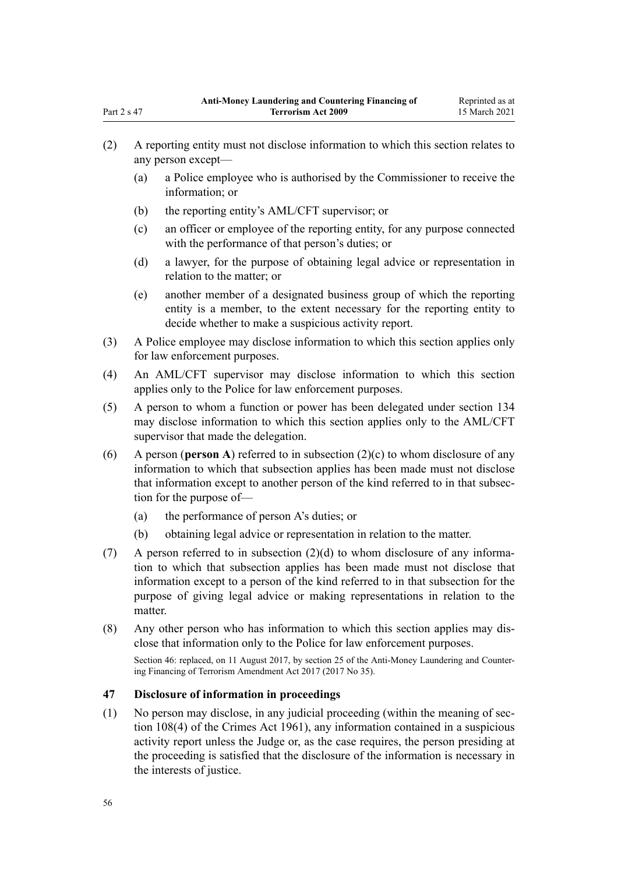- (2) A reporting entity must not disclose information to which this section relates to any person except—
	- (a) a Police employee who is authorised by the Commissioner to receive the information; or
	- (b) the reporting entity's AML/CFT supervisor; or
	- (c) an officer or employee of the reporting entity, for any purpose connected with the performance of that person's duties; or
	- (d) a lawyer, for the purpose of obtaining legal advice or representation in relation to the matter; or
	- (e) another member of a designated business group of which the reporting entity is a member, to the extent necessary for the reporting entity to decide whether to make a suspicious activity report.
- (3) A Police employee may disclose information to which this section applies only for law enforcement purposes.
- (4) An AML/CFT supervisor may disclose information to which this section applies only to the Police for law enforcement purposes.
- (5) A person to whom a function or power has been delegated under [section 134](#page-93-0) may disclose information to which this section applies only to the AML/CFT supervisor that made the delegation.
- (6) A person (**person A**) referred to in subsection (2)(c) to whom disclosure of any information to which that subsection applies has been made must not disclose that information except to another person of the kind referred to in that subsection for the purpose of—
	- (a) the performance of person A's duties; or
	- (b) obtaining legal advice or representation in relation to the matter.
- (7) A person referred to in subsection (2)(d) to whom disclosure of any information to which that subsection applies has been made must not disclose that information except to a person of the kind referred to in that subsection for the purpose of giving legal advice or making representations in relation to the matter.
- (8) Any other person who has information to which this section applies may disclose that information only to the Police for law enforcement purposes.

Section 46: replaced, on 11 August 2017, by [section 25](http://legislation.govt.nz/pdflink.aspx?id=DLM7161289) of the Anti-Money Laundering and Countering Financing of Terrorism Amendment Act 2017 (2017 No 35).

# **47 Disclosure of information in proceedings**

(1) No person may disclose, in any judicial proceeding (within the meaning of [sec](http://legislation.govt.nz/pdflink.aspx?id=DLM328793)[tion 108\(4\)](http://legislation.govt.nz/pdflink.aspx?id=DLM328793) of the Crimes Act 1961), any information contained in a suspicious activity report unless the Judge or, as the case requires, the person presiding at the proceeding is satisfied that the disclosure of the information is necessary in the interests of justice.

<span id="page-55-0"></span>Part 2 s 47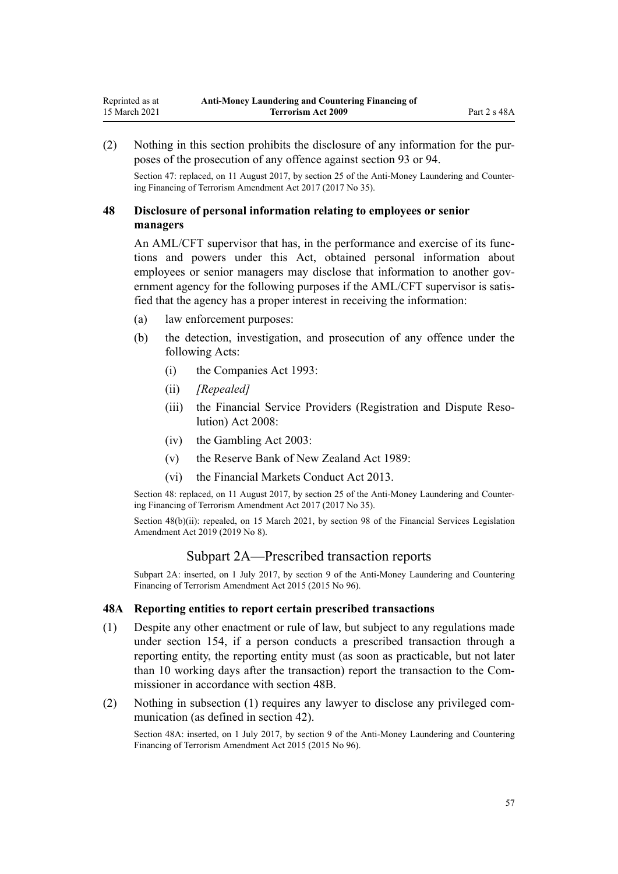<span id="page-56-0"></span>(2) Nothing in this section prohibits the disclosure of any information for the purposes of the prosecution of any offence against [section 93](#page-77-0) or [94.](#page-78-0)

Section 47: replaced, on 11 August 2017, by [section 25](http://legislation.govt.nz/pdflink.aspx?id=DLM7161289) of the Anti-Money Laundering and Countering Financing of Terrorism Amendment Act 2017 (2017 No 35).

# **48 Disclosure of personal information relating to employees or senior managers**

An AML/CFT supervisor that has, in the performance and exercise of its functions and powers under this Act, obtained personal information about employees or senior managers may disclose that information to another government agency for the following purposes if the AML/CFT supervisor is satisfied that the agency has a proper interest in receiving the information:

- (a) law enforcement purposes:
- (b) the detection, investigation, and prosecution of any offence under the following Acts:
	- (i) the [Companies Act 1993](http://legislation.govt.nz/pdflink.aspx?id=DLM319569):
	- (ii) *[Repealed]*
	- (iii) the [Financial Service Providers \(Registration and Dispute Reso](http://legislation.govt.nz/pdflink.aspx?id=DLM1109400)[lution\) Act 2008](http://legislation.govt.nz/pdflink.aspx?id=DLM1109400):
	- (iv) the [Gambling Act 2003](http://legislation.govt.nz/pdflink.aspx?id=DLM207496):
	- (v) the [Reserve Bank of New Zealand Act 1989:](http://legislation.govt.nz/pdflink.aspx?id=DLM199363)
	- (vi) the [Financial Markets Conduct Act 2013.](http://legislation.govt.nz/pdflink.aspx?id=DLM4090503)

Section 48: replaced, on 11 August 2017, by [section 25](http://legislation.govt.nz/pdflink.aspx?id=DLM7161289) of the Anti-Money Laundering and Countering Financing of Terrorism Amendment Act 2017 (2017 No 35).

Section 48(b)(ii): repealed, on 15 March 2021, by [section 98](http://legislation.govt.nz/pdflink.aspx?id=DLM7386624) of the Financial Services Legislation Amendment Act 2019 (2019 No 8).

# Subpart 2A—Prescribed transaction reports

Subpart 2A: inserted, on 1 July 2017, by [section 9](http://legislation.govt.nz/pdflink.aspx?id=DLM6602222) of the Anti-Money Laundering and Countering Financing of Terrorism Amendment Act 2015 (2015 No 96).

#### **48A Reporting entities to report certain prescribed transactions**

- (1) Despite any other enactment or rule of law, but subject to any regulations made under [section 154](#page-107-0), if a person conducts a prescribed transaction through a reporting entity, the reporting entity must (as soon as practicable, but not later than 10 working days after the transaction) report the transaction to the Commissioner in accordance with [section 48B](#page-57-0).
- (2) Nothing in subsection (1) requires any lawyer to disclose any privileged communication (as defined in [section 42](#page-51-0)).

Section 48A: inserted, on 1 July 2017, by [section 9](http://legislation.govt.nz/pdflink.aspx?id=DLM6602222) of the Anti-Money Laundering and Countering Financing of Terrorism Amendment Act 2015 (2015 No 96).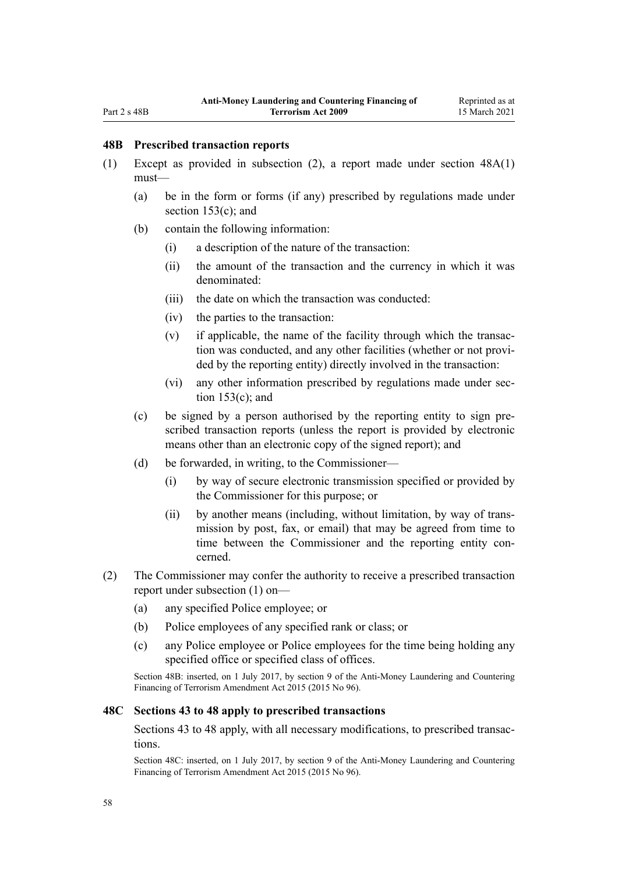### <span id="page-57-0"></span>**48B Prescribed transaction reports**

- (1) Except as provided in subsection (2), a report made under [section 48A\(1\)](#page-56-0) must—
	- (a) be in the form or forms (if any) prescribed by regulations made under [section 153\(c\);](#page-106-0) and
	- (b) contain the following information:
		- (i) a description of the nature of the transaction:
		- (ii) the amount of the transaction and the currency in which it was denominated:
		- (iii) the date on which the transaction was conducted:
		- (iv) the parties to the transaction:
		- (v) if applicable, the name of the facility through which the transaction was conducted, and any other facilities (whether or not provided by the reporting entity) directly involved in the transaction:
		- (vi) any other information prescribed by regulations made under [sec](#page-106-0)[tion 153\(c\);](#page-106-0) and
	- (c) be signed by a person authorised by the reporting entity to sign prescribed transaction reports (unless the report is provided by electronic means other than an electronic copy of the signed report); and
	- (d) be forwarded, in writing, to the Commissioner—
		- (i) by way of secure electronic transmission specified or provided by the Commissioner for this purpose; or
		- (ii) by another means (including, without limitation, by way of transmission by post, fax, or email) that may be agreed from time to time between the Commissioner and the reporting entity concerned.
- (2) The Commissioner may confer the authority to receive a prescribed transaction report under subsection (1) on—
	- (a) any specified Police employee; or
	- (b) Police employees of any specified rank or class; or
	- (c) any Police employee or Police employees for the time being holding any specified office or specified class of offices.

Section 48B: inserted, on 1 July 2017, by [section 9](http://legislation.govt.nz/pdflink.aspx?id=DLM6602222) of the Anti-Money Laundering and Countering Financing of Terrorism Amendment Act 2015 (2015 No 96).

#### **48C Sections 43 to 48 apply to prescribed transactions**

[Sections 43 to 48](#page-52-0) apply, with all necessary modifications, to prescribed transactions.

Section 48C: inserted, on 1 July 2017, by [section 9](http://legislation.govt.nz/pdflink.aspx?id=DLM6602222) of the Anti-Money Laundering and Countering Financing of Terrorism Amendment Act 2015 (2015 No 96).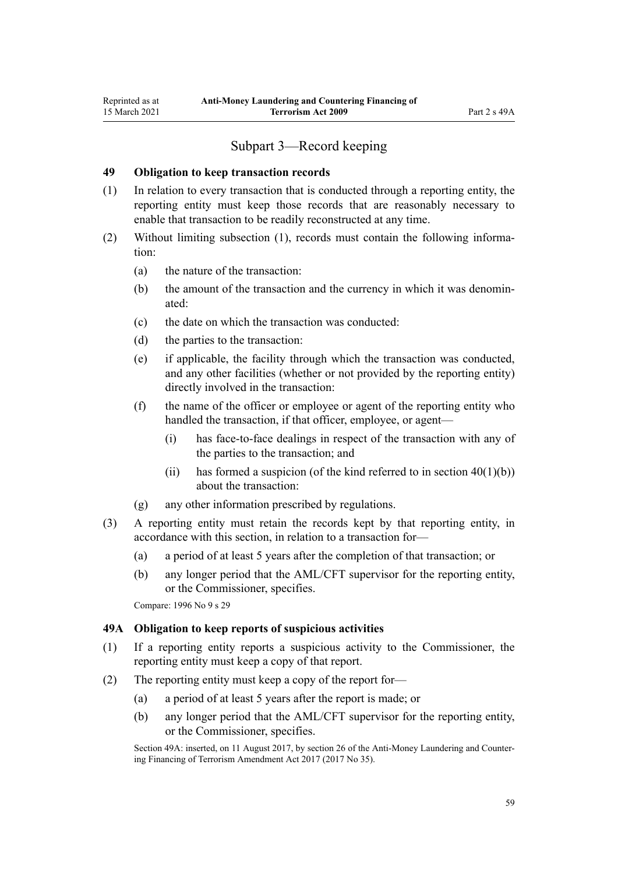# Subpart 3—Record keeping

#### <span id="page-58-0"></span>**49 Obligation to keep transaction records**

- (1) In relation to every transaction that is conducted through a reporting entity, the reporting entity must keep those records that are reasonably necessary to enable that transaction to be readily reconstructed at any time.
- (2) Without limiting subsection (1), records must contain the following information:
	- (a) the nature of the transaction:
	- (b) the amount of the transaction and the currency in which it was denominated:
	- (c) the date on which the transaction was conducted:
	- (d) the parties to the transaction:
	- (e) if applicable, the facility through which the transaction was conducted, and any other facilities (whether or not provided by the reporting entity) directly involved in the transaction:
	- (f) the name of the officer or employee or agent of the reporting entity who handled the transaction, if that officer, employee, or agent—
		- (i) has face-to-face dealings in respect of the transaction with any of the parties to the transaction; and
		- (ii) has formed a suspicion (of the kind referred to in section  $40(1)(b)$ ) about the transaction:
	- (g) any other information prescribed by regulations.
- (3) A reporting entity must retain the records kept by that reporting entity, in accordance with this section, in relation to a transaction for—
	- (a) a period of at least 5 years after the completion of that transaction; or
	- (b) any longer period that the AML/CFT supervisor for the reporting entity, or the Commissioner, specifies.

Compare: 1996 No 9 [s 29](http://legislation.govt.nz/pdflink.aspx?id=DLM374132)

#### **49A Obligation to keep reports of suspicious activities**

- (1) If a reporting entity reports a suspicious activity to the Commissioner, the reporting entity must keep a copy of that report.
- (2) The reporting entity must keep a copy of the report for—
	- (a) a period of at least 5 years after the report is made; or
	- (b) any longer period that the AML/CFT supervisor for the reporting entity, or the Commissioner, specifies.

Section 49A: inserted, on 11 August 2017, by [section 26](http://legislation.govt.nz/pdflink.aspx?id=DLM7161306) of the Anti-Money Laundering and Countering Financing of Terrorism Amendment Act 2017 (2017 No 35).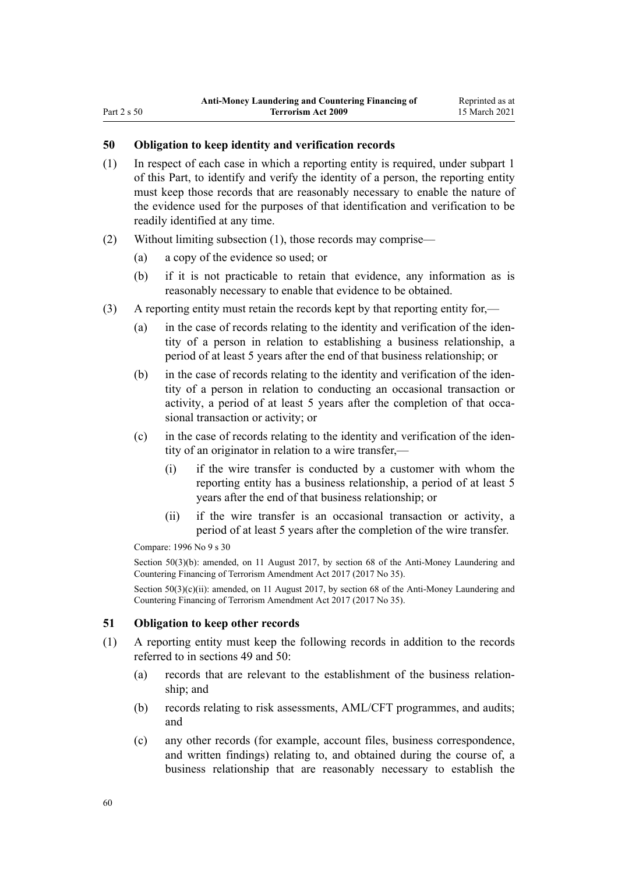# <span id="page-59-0"></span>**50 Obligation to keep identity and verification records**

- (1) In respect of each case in which a reporting entity is required, under [subpart 1](#page-31-0) of this Part, to identify and verify the identity of a person, the reporting entity must keep those records that are reasonably necessary to enable the nature of the evidence used for the purposes of that identification and verification to be readily identified at any time.
- (2) Without limiting subsection (1), those records may comprise—
	- (a) a copy of the evidence so used; or
	- (b) if it is not practicable to retain that evidence, any information as is reasonably necessary to enable that evidence to be obtained.
- (3) A reporting entity must retain the records kept by that reporting entity for,—
	- (a) in the case of records relating to the identity and verification of the identity of a person in relation to establishing a business relationship, a period of at least 5 years after the end of that business relationship; or
	- (b) in the case of records relating to the identity and verification of the identity of a person in relation to conducting an occasional transaction or activity, a period of at least 5 years after the completion of that occasional transaction or activity; or
	- (c) in the case of records relating to the identity and verification of the identity of an originator in relation to a wire transfer,—
		- (i) if the wire transfer is conducted by a customer with whom the reporting entity has a business relationship, a period of at least 5 years after the end of that business relationship; or
		- (ii) if the wire transfer is an occasional transaction or activity, a period of at least 5 years after the completion of the wire transfer.

Compare: 1996 No 9 [s 30](http://legislation.govt.nz/pdflink.aspx?id=DLM374134)

Section 50(3)(b): amended, on 11 August 2017, by [section 68](http://legislation.govt.nz/pdflink.aspx?id=DLM7340644) of the Anti-Money Laundering and Countering Financing of Terrorism Amendment Act 2017 (2017 No 35).

Section 50(3)(c)(ii): amended, on 11 August 2017, by [section 68](http://legislation.govt.nz/pdflink.aspx?id=DLM7340644) of the Anti-Money Laundering and Countering Financing of Terrorism Amendment Act 2017 (2017 No 35).

#### **51 Obligation to keep other records**

- (1) A reporting entity must keep the following records in addition to the records referred to in [sections 49](#page-58-0) and 50:
	- (a) records that are relevant to the establishment of the business relationship; and
	- (b) records relating to risk assessments, AML/CFT programmes, and audits; and
	- (c) any other records (for example, account files, business correspondence, and written findings) relating to, and obtained during the course of, a business relationship that are reasonably necessary to establish the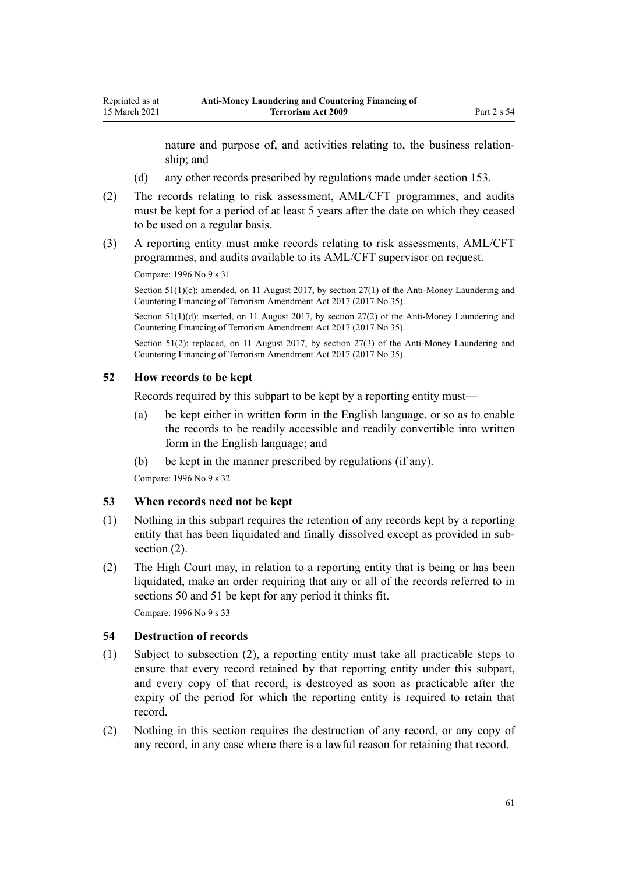nature and purpose of, and activities relating to, the business relationship; and

- (d) any other records prescribed by regulations made under [section 153.](#page-106-0)
- (2) The records relating to risk assessment, AML/CFT programmes, and audits must be kept for a period of at least 5 years after the date on which they ceased to be used on a regular basis.
- (3) A reporting entity must make records relating to risk assessments, AML/CFT programmes, and audits available to its AML/CFT supervisor on request.

Compare: 1996 No 9 [s 31](http://legislation.govt.nz/pdflink.aspx?id=DLM374136)

Section 51(1)(c): amended, on 11 August 2017, by [section 27\(1\)](http://legislation.govt.nz/pdflink.aspx?id=DLM7161308) of the Anti-Money Laundering and Countering Financing of Terrorism Amendment Act 2017 (2017 No 35).

Section 51(1)(d): inserted, on 11 August 2017, by [section 27\(2\)](http://legislation.govt.nz/pdflink.aspx?id=DLM7161308) of the Anti-Money Laundering and Countering Financing of Terrorism Amendment Act 2017 (2017 No 35).

Section 51(2): replaced, on 11 August 2017, by [section 27\(3\)](http://legislation.govt.nz/pdflink.aspx?id=DLM7161308) of the Anti-Money Laundering and Countering Financing of Terrorism Amendment Act 2017 (2017 No 35).

#### **52 How records to be kept**

Records required by this subpart to be kept by a reporting entity must—

- (a) be kept either in written form in the English language, or so as to enable the records to be readily accessible and readily convertible into written form in the English language; and
- (b) be kept in the manner prescribed by regulations (if any).

Compare: 1996 No 9 [s 32](http://legislation.govt.nz/pdflink.aspx?id=DLM374137)

#### **53 When records need not be kept**

- (1) Nothing in this subpart requires the retention of any records kept by a reporting entity that has been liquidated and finally dissolved except as provided in subsection  $(2)$ .
- (2) The High Court may, in relation to a reporting entity that is being or has been liquidated, make an order requiring that any or all of the records referred to in [sections 50](#page-59-0) and [51](#page-59-0) be kept for any period it thinks fit.

Compare: 1996 No 9 [s 33](http://legislation.govt.nz/pdflink.aspx?id=DLM374138)

### **54 Destruction of records**

- (1) Subject to subsection (2), a reporting entity must take all practicable steps to ensure that every record retained by that reporting entity under this subpart, and every copy of that record, is destroyed as soon as practicable after the expiry of the period for which the reporting entity is required to retain that record.
- (2) Nothing in this section requires the destruction of any record, or any copy of any record, in any case where there is a lawful reason for retaining that record.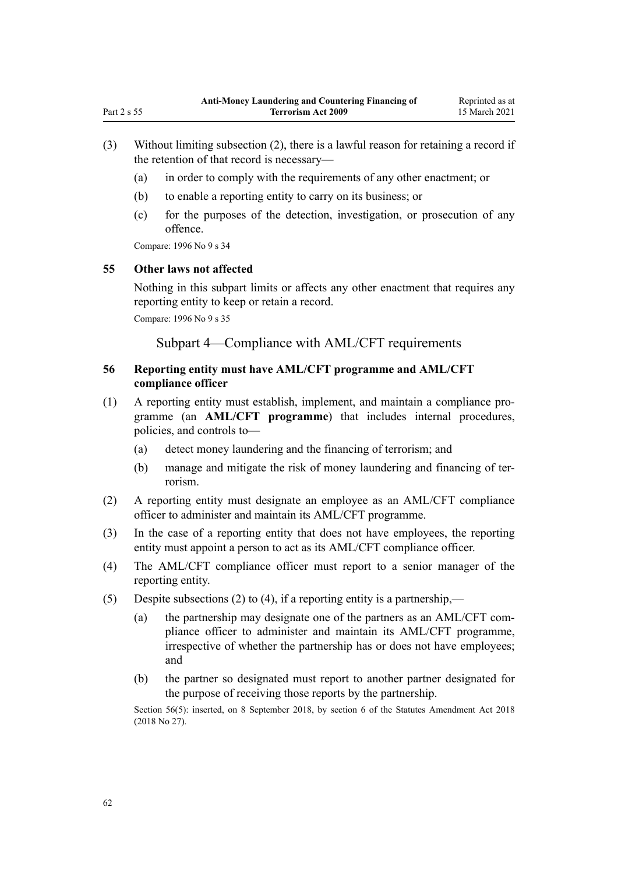- (3) Without limiting subsection (2), there is a lawful reason for retaining a record if the retention of that record is necessary—
	- (a) in order to comply with the requirements of any other enactment; or
	- (b) to enable a reporting entity to carry on its business; or
	- (c) for the purposes of the detection, investigation, or prosecution of any offence.

Compare: 1996 No 9 [s 34](http://legislation.govt.nz/pdflink.aspx?id=DLM374139)

#### **55 Other laws not affected**

Nothing in this subpart limits or affects any other enactment that requires any reporting entity to keep or retain a record.

Compare: 1996 No 9 [s 35](http://legislation.govt.nz/pdflink.aspx?id=DLM374140)

Subpart 4—Compliance with AML/CFT requirements

# **56 Reporting entity must have AML/CFT programme and AML/CFT compliance officer**

- (1) A reporting entity must establish, implement, and maintain a compliance programme (an **AML/CFT programme**) that includes internal procedures, policies, and controls to—
	- (a) detect money laundering and the financing of terrorism; and
	- (b) manage and mitigate the risk of money laundering and financing of terrorism.
- (2) A reporting entity must designate an employee as an AML/CFT compliance officer to administer and maintain its AML/CFT programme.
- (3) In the case of a reporting entity that does not have employees, the reporting entity must appoint a person to act as its AML/CFT compliance officer.
- (4) The AML/CFT compliance officer must report to a senior manager of the reporting entity.
- (5) Despite subsections (2) to (4), if a reporting entity is a partnership,—
	- (a) the partnership may designate one of the partners as an AML/CFT compliance officer to administer and maintain its AML/CFT programme, irrespective of whether the partnership has or does not have employees; and
	- (b) the partner so designated must report to another partner designated for the purpose of receiving those reports by the partnership.

Section 56(5): inserted, on 8 September 2018, by [section 6](http://legislation.govt.nz/pdflink.aspx?id=LMS15910) of the Statutes Amendment Act 2018 (2018 No 27).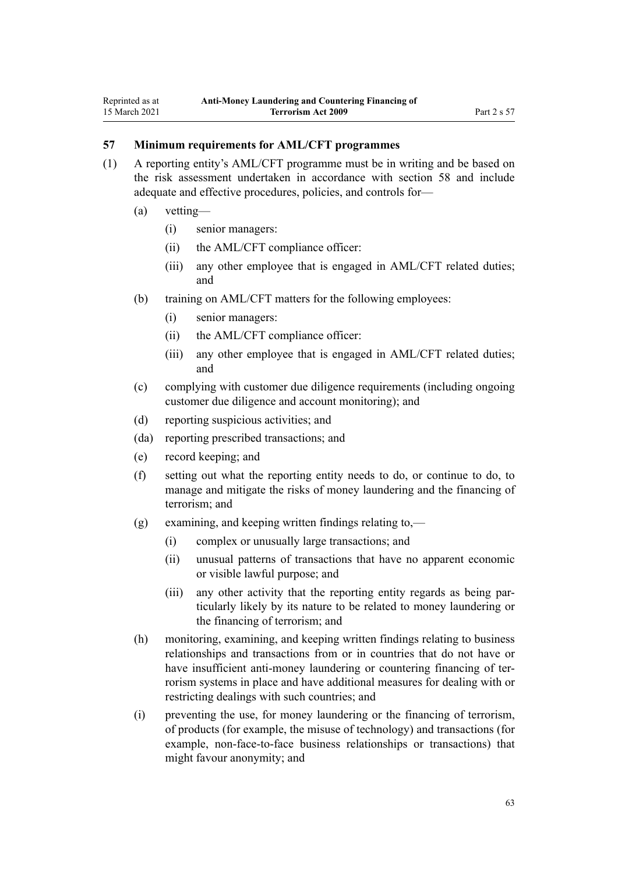# **57 Minimum requirements for AML/CFT programmes**

- (1) A reporting entity's AML/CFT programme must be in writing and be based on the risk assessment undertaken in accordance with [section 58](#page-63-0) and include adequate and effective procedures, policies, and controls for—
	- (a) vetting—
		- (i) senior managers:
		- (ii) the AML/CFT compliance officer:
		- (iii) any other employee that is engaged in AML/CFT related duties; and
	- (b) training on AML/CFT matters for the following employees:
		- (i) senior managers:
		- (ii) the AML/CFT compliance officer:
		- (iii) any other employee that is engaged in AML/CFT related duties; and
	- (c) complying with customer due diligence requirements (including ongoing customer due diligence and account monitoring); and
	- (d) reporting suspicious activities; and
	- (da) reporting prescribed transactions; and
	- (e) record keeping; and
	- (f) setting out what the reporting entity needs to do, or continue to do, to manage and mitigate the risks of money laundering and the financing of terrorism; and
	- (g) examining, and keeping written findings relating to,—
		- (i) complex or unusually large transactions; and
		- (ii) unusual patterns of transactions that have no apparent economic or visible lawful purpose; and
		- (iii) any other activity that the reporting entity regards as being particularly likely by its nature to be related to money laundering or the financing of terrorism; and
	- (h) monitoring, examining, and keeping written findings relating to business relationships and transactions from or in countries that do not have or have insufficient anti-money laundering or countering financing of terrorism systems in place and have additional measures for dealing with or restricting dealings with such countries; and
	- (i) preventing the use, for money laundering or the financing of terrorism, of products (for example, the misuse of technology) and transactions (for example, non-face-to-face business relationships or transactions) that might favour anonymity; and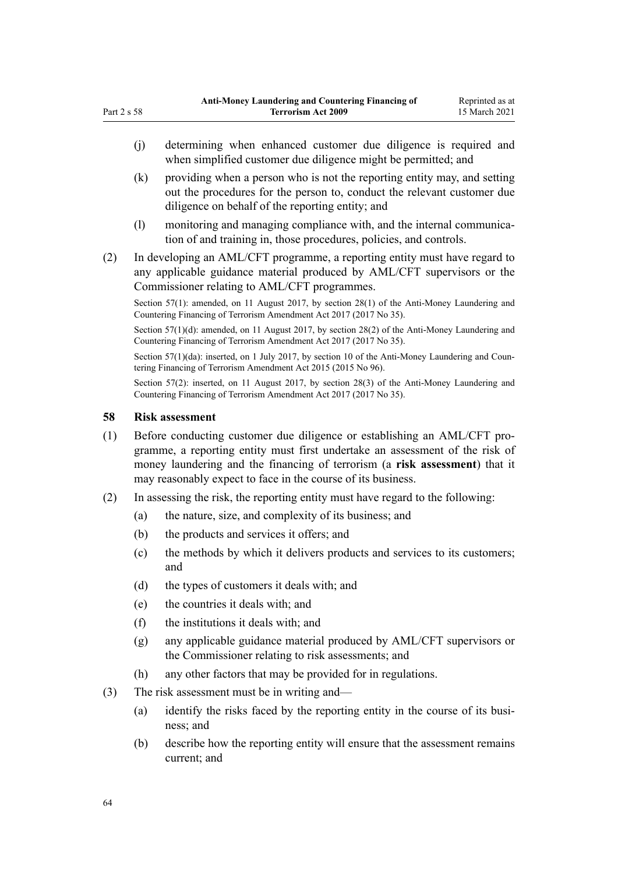- (j) determining when enhanced customer due diligence is required and when simplified customer due diligence might be permitted; and
- (k) providing when a person who is not the reporting entity may, and setting out the procedures for the person to, conduct the relevant customer due diligence on behalf of the reporting entity; and
- (l) monitoring and managing compliance with, and the internal communication of and training in, those procedures, policies, and controls.
- (2) In developing an AML/CFT programme, a reporting entity must have regard to any applicable guidance material produced by AML/CFT supervisors or the Commissioner relating to AML/CFT programmes.

Section 57(1): amended, on 11 August 2017, by [section 28\(1\)](http://legislation.govt.nz/pdflink.aspx?id=DLM7161309) of the Anti-Money Laundering and Countering Financing of Terrorism Amendment Act 2017 (2017 No 35).

Section 57(1)(d): amended, on 11 August 2017, by [section 28\(2\)](http://legislation.govt.nz/pdflink.aspx?id=DLM7161309) of the Anti-Money Laundering and Countering Financing of Terrorism Amendment Act 2017 (2017 No 35).

Section 57(1)(da): inserted, on 1 July 2017, by [section 10](http://legislation.govt.nz/pdflink.aspx?id=DLM6602227) of the Anti-Money Laundering and Countering Financing of Terrorism Amendment Act 2015 (2015 No 96).

Section 57(2): inserted, on 11 August 2017, by [section 28\(3\)](http://legislation.govt.nz/pdflink.aspx?id=DLM7161309) of the Anti-Money Laundering and Countering Financing of Terrorism Amendment Act 2017 (2017 No 35).

#### **58 Risk assessment**

<span id="page-63-0"></span>Part 2 s 58

- (1) Before conducting customer due diligence or establishing an AML/CFT programme, a reporting entity must first undertake an assessment of the risk of money laundering and the financing of terrorism (a **risk assessment**) that it may reasonably expect to face in the course of its business.
- (2) In assessing the risk, the reporting entity must have regard to the following:
	- (a) the nature, size, and complexity of its business; and
	- (b) the products and services it offers; and
	- (c) the methods by which it delivers products and services to its customers; and
	- (d) the types of customers it deals with; and
	- (e) the countries it deals with; and
	- (f) the institutions it deals with; and
	- (g) any applicable guidance material produced by AML/CFT supervisors or the Commissioner relating to risk assessments; and
	- (h) any other factors that may be provided for in regulations.
- (3) The risk assessment must be in writing and—
	- (a) identify the risks faced by the reporting entity in the course of its business; and
	- (b) describe how the reporting entity will ensure that the assessment remains current; and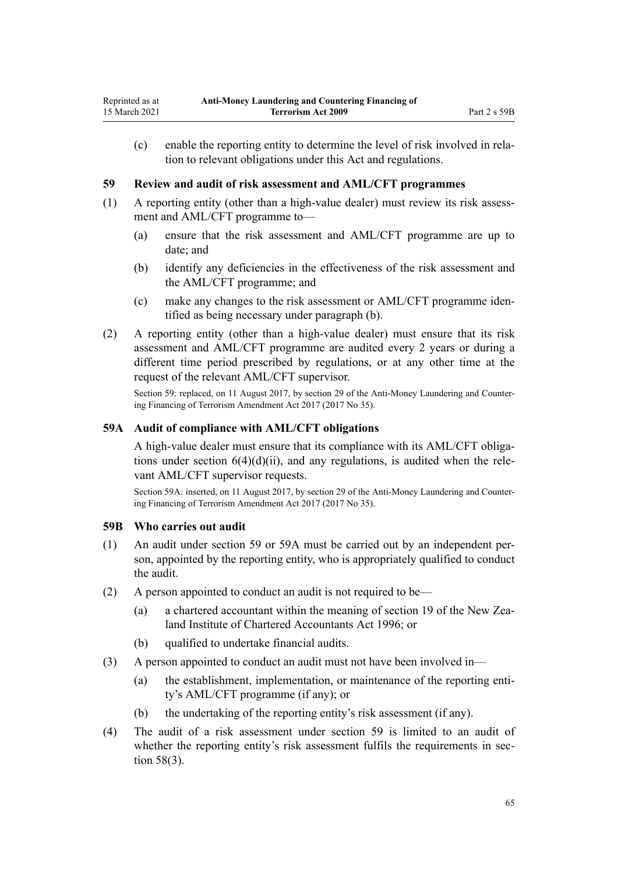<span id="page-64-0"></span>(c) enable the reporting entity to determine the level of risk involved in relation to relevant obligations under this Act and regulations.

### **59 Review and audit of risk assessment and AML/CFT programmes**

- (1) A reporting entity (other than a high-value dealer) must review its risk assessment and AML/CFT programme to—
	- (a) ensure that the risk assessment and AML/CFT programme are up to date; and
	- (b) identify any deficiencies in the effectiveness of the risk assessment and the AML/CFT programme; and
	- (c) make any changes to the risk assessment or AML/CFT programme identified as being necessary under paragraph (b).
- (2) A reporting entity (other than a high-value dealer) must ensure that its risk assessment and AML/CFT programme are audited every 2 years or during a different time period prescribed by regulations, or at any other time at the request of the relevant AML/CFT supervisor.

Section 59: replaced, on 11 August 2017, by [section 29](http://legislation.govt.nz/pdflink.aspx?id=DLM7161310) of the Anti-Money Laundering and Countering Financing of Terrorism Amendment Act 2017 (2017 No 35).

## **59A Audit of compliance with AML/CFT obligations**

A high-value dealer must ensure that its compliance with its AML/CFT obligations under section  $6(4)(d)(ii)$ , and any regulations, is audited when the relevant AML/CFT supervisor requests.

Section 59A: inserted, on 11 August 2017, by [section 29](http://legislation.govt.nz/pdflink.aspx?id=DLM7161310) of the Anti-Money Laundering and Countering Financing of Terrorism Amendment Act 2017 (2017 No 35).

#### **59B Who carries out audit**

- (1) An audit under section 59 or 59A must be carried out by an independent person, appointed by the reporting entity, who is appropriately qualified to conduct the audit.
- (2) A person appointed to conduct an audit is not required to be—
	- (a) a chartered accountant within the meaning of [section 19](http://legislation.govt.nz/pdflink.aspx?id=DLM391422) of the New Zealand Institute of Chartered Accountants Act 1996; or
	- (b) qualified to undertake financial audits.
- (3) A person appointed to conduct an audit must not have been involved in—
	- (a) the establishment, implementation, or maintenance of the reporting entity's AML/CFT programme (if any); or
	- (b) the undertaking of the reporting entity's risk assessment (if any).
- (4) The audit of a risk assessment under section 59 is limited to an audit of whether the reporting entity's risk assessment fulfils the requirements in [sec](#page-63-0)[tion 58\(3\).](#page-63-0)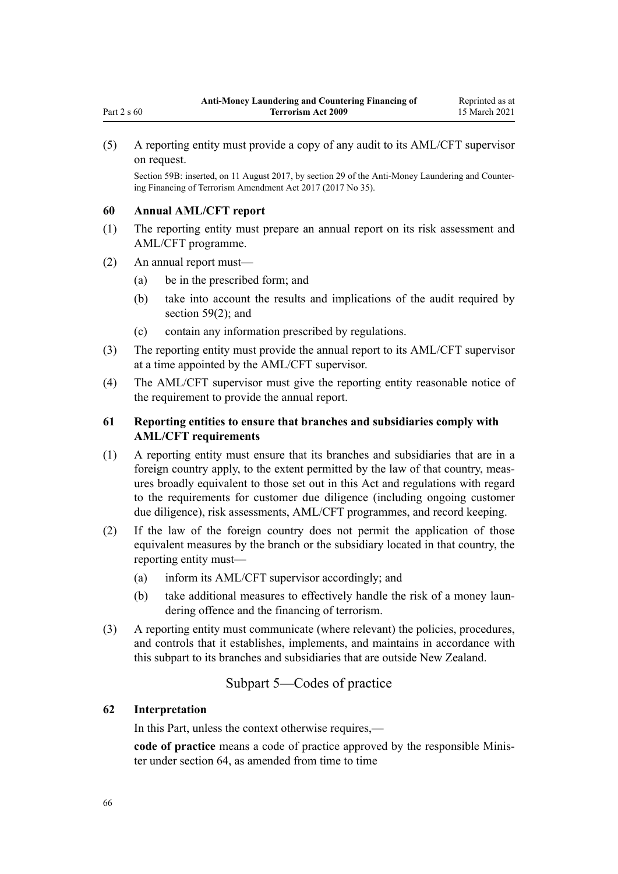(5) A reporting entity must provide a copy of any audit to its AML/CFT supervisor on request.

Section 59B: inserted, on 11 August 2017, by [section 29](http://legislation.govt.nz/pdflink.aspx?id=DLM7161310) of the Anti-Money Laundering and Countering Financing of Terrorism Amendment Act 2017 (2017 No 35).

#### **60 Annual AML/CFT report**

Part 2 s 60

- (1) The reporting entity must prepare an annual report on its risk assessment and AML/CFT programme.
- (2) An annual report must—
	- (a) be in the prescribed form; and
	- (b) take into account the results and implications of the audit required by [section 59\(2\);](#page-64-0) and
	- (c) contain any information prescribed by regulations.
- (3) The reporting entity must provide the annual report to its AML/CFT supervisor at a time appointed by the AML/CFT supervisor.
- (4) The AML/CFT supervisor must give the reporting entity reasonable notice of the requirement to provide the annual report.

# **61 Reporting entities to ensure that branches and subsidiaries comply with AML/CFT requirements**

- (1) A reporting entity must ensure that its branches and subsidiaries that are in a foreign country apply, to the extent permitted by the law of that country, measures broadly equivalent to those set out in this Act and regulations with regard to the requirements for customer due diligence (including ongoing customer due diligence), risk assessments, AML/CFT programmes, and record keeping.
- (2) If the law of the foreign country does not permit the application of those equivalent measures by the branch or the subsidiary located in that country, the reporting entity must—
	- (a) inform its AML/CFT supervisor accordingly; and
	- (b) take additional measures to effectively handle the risk of a money laundering offence and the financing of terrorism.
- (3) A reporting entity must communicate (where relevant) the policies, procedures, and controls that it establishes, implements, and maintains in accordance with this subpart to its branches and subsidiaries that are outside New Zealand.

# Subpart 5—Codes of practice

#### **62 Interpretation**

In this Part, unless the context otherwise requires,—

**code of practice** means a code of practice approved by the responsible Minister under [section 64](#page-66-0), as amended from time to time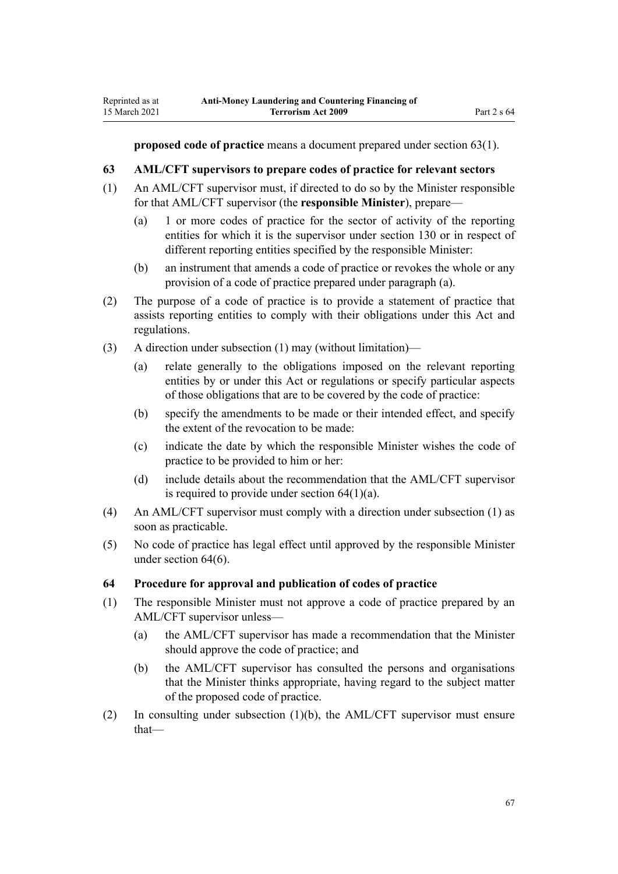<span id="page-66-0"></span>**proposed code of practice** means a document prepared under section 63(1).

## **63 AML/CFT supervisors to prepare codes of practice for relevant sectors**

- (1) An AML/CFT supervisor must, if directed to do so by the Minister responsible for that AML/CFT supervisor (the **responsible Minister**), prepare—
	- (a) 1 or more codes of practice for the sector of activity of the reporting entities for which it is the supervisor under [section 130](#page-90-0) or in respect of different reporting entities specified by the responsible Minister:
	- (b) an instrument that amends a code of practice or revokes the whole or any provision of a code of practice prepared under paragraph (a).
- (2) The purpose of a code of practice is to provide a statement of practice that assists reporting entities to comply with their obligations under this Act and regulations.
- (3) A direction under subsection (1) may (without limitation)—
	- (a) relate generally to the obligations imposed on the relevant reporting entities by or under this Act or regulations or specify particular aspects of those obligations that are to be covered by the code of practice:
	- (b) specify the amendments to be made or their intended effect, and specify the extent of the revocation to be made:
	- (c) indicate the date by which the responsible Minister wishes the code of practice to be provided to him or her:
	- (d) include details about the recommendation that the AML/CFT supervisor is required to provide under section  $64(1)(a)$ .
- (4) An AML/CFT supervisor must comply with a direction under subsection (1) as soon as practicable.
- (5) No code of practice has legal effect until approved by the responsible Minister under section 64(6).

#### **64 Procedure for approval and publication of codes of practice**

- (1) The responsible Minister must not approve a code of practice prepared by an AML/CFT supervisor unless—
	- (a) the AML/CFT supervisor has made a recommendation that the Minister should approve the code of practice; and
	- (b) the AML/CFT supervisor has consulted the persons and organisations that the Minister thinks appropriate, having regard to the subject matter of the proposed code of practice.
- (2) In consulting under subsection (1)(b), the AML/CFT supervisor must ensure that—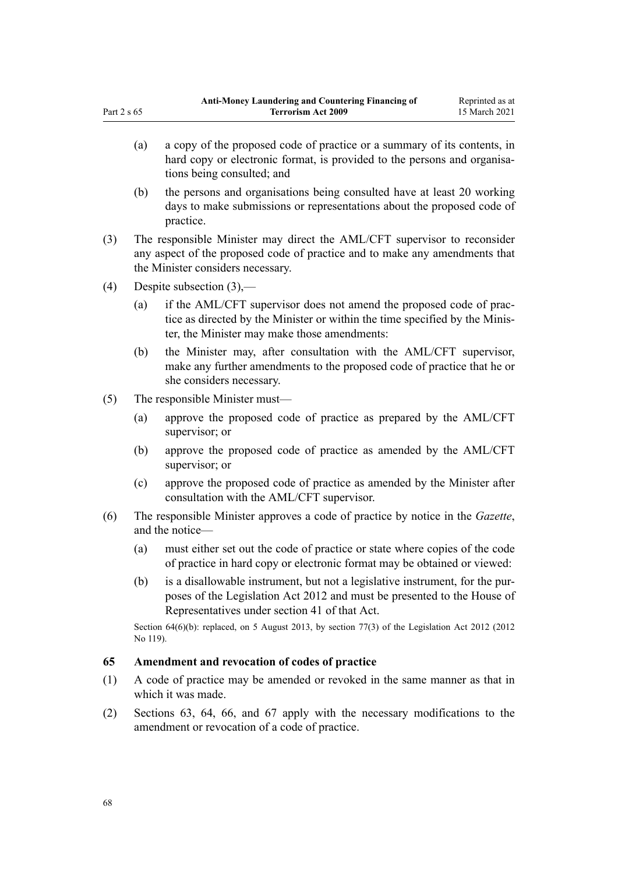- (a) a copy of the proposed code of practice or a summary of its contents, in hard copy or electronic format, is provided to the persons and organisations being consulted; and
- (b) the persons and organisations being consulted have at least 20 working days to make submissions or representations about the proposed code of practice.
- (3) The responsible Minister may direct the AML/CFT supervisor to reconsider any aspect of the proposed code of practice and to make any amendments that the Minister considers necessary.
- (4) Despite subsection (3),—

<span id="page-67-0"></span>Part 2 s 65

- (a) if the AML/CFT supervisor does not amend the proposed code of practice as directed by the Minister or within the time specified by the Minister, the Minister may make those amendments:
- (b) the Minister may, after consultation with the AML/CFT supervisor, make any further amendments to the proposed code of practice that he or she considers necessary.
- (5) The responsible Minister must—
	- (a) approve the proposed code of practice as prepared by the AML/CFT supervisor; or
	- (b) approve the proposed code of practice as amended by the AML/CFT supervisor; or
	- (c) approve the proposed code of practice as amended by the Minister after consultation with the AML/CFT supervisor.
- (6) The responsible Minister approves a code of practice by notice in the *Gazette*, and the notice—
	- (a) must either set out the code of practice or state where copies of the code of practice in hard copy or electronic format may be obtained or viewed:
	- (b) is a disallowable instrument, but not a legislative instrument, for the purposes of the [Legislation Act 2012](http://legislation.govt.nz/pdflink.aspx?id=DLM2997643) and must be presented to the House of Representatives under [section 41](http://legislation.govt.nz/pdflink.aspx?id=DLM2998573) of that Act.

Section 64(6)(b): replaced, on 5 August 2013, by [section 77\(3\)](http://legislation.govt.nz/pdflink.aspx?id=DLM2998633) of the Legislation Act 2012 (2012 No 119).

#### **65 Amendment and revocation of codes of practice**

- (1) A code of practice may be amended or revoked in the same manner as that in which it was made.
- (2) [Sections 63](#page-66-0), [64,](#page-66-0) [66,](#page-68-0) and [67](#page-68-0) apply with the necessary modifications to the amendment or revocation of a code of practice.

68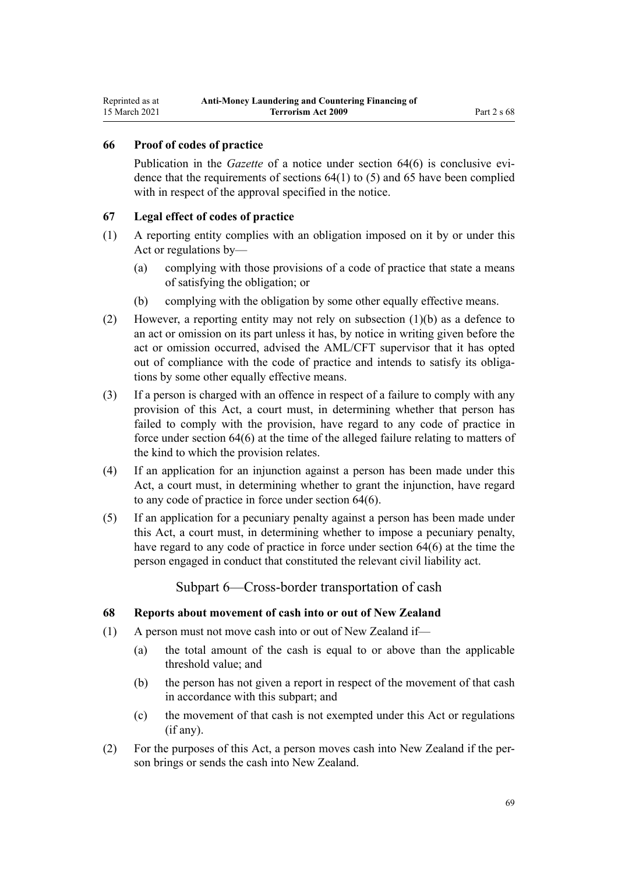### <span id="page-68-0"></span>**66 Proof of codes of practice**

Publication in the *Gazette* of a notice under [section 64\(6\)](#page-66-0) is conclusive evidence that the requirements of sections  $64(1)$  to (5) and [65](#page-67-0) have been complied with in respect of the approval specified in the notice.

### **67 Legal effect of codes of practice**

- (1) A reporting entity complies with an obligation imposed on it by or under this Act or regulations by—
	- (a) complying with those provisions of a code of practice that state a means of satisfying the obligation; or
	- (b) complying with the obligation by some other equally effective means.
- (2) However, a reporting entity may not rely on subsection (1)(b) as a defence to an act or omission on its part unless it has, by notice in writing given before the act or omission occurred, advised the AML/CFT supervisor that it has opted out of compliance with the code of practice and intends to satisfy its obligations by some other equally effective means.
- (3) If a person is charged with an offence in respect of a failure to comply with any provision of this Act, a court must, in determining whether that person has failed to comply with the provision, have regard to any code of practice in force under [section 64\(6\)](#page-66-0) at the time of the alleged failure relating to matters of the kind to which the provision relates.
- (4) If an application for an injunction against a person has been made under this Act, a court must, in determining whether to grant the injunction, have regard to any code of practice in force under [section 64\(6\).](#page-66-0)
- (5) If an application for a pecuniary penalty against a person has been made under this Act, a court must, in determining whether to impose a pecuniary penalty, have regard to any code of practice in force under [section 64\(6\)](#page-66-0) at the time the person engaged in conduct that constituted the relevant civil liability act.

Subpart 6—Cross-border transportation of cash

### **68 Reports about movement of cash into or out of New Zealand**

- (1) A person must not move cash into or out of New Zealand if—
	- (a) the total amount of the cash is equal to or above than the applicable threshold value; and
	- (b) the person has not given a report in respect of the movement of that cash in accordance with this subpart; and
	- (c) the movement of that cash is not exempted under this Act or regulations (if any).
- (2) For the purposes of this Act, a person moves cash into New Zealand if the person brings or sends the cash into New Zealand.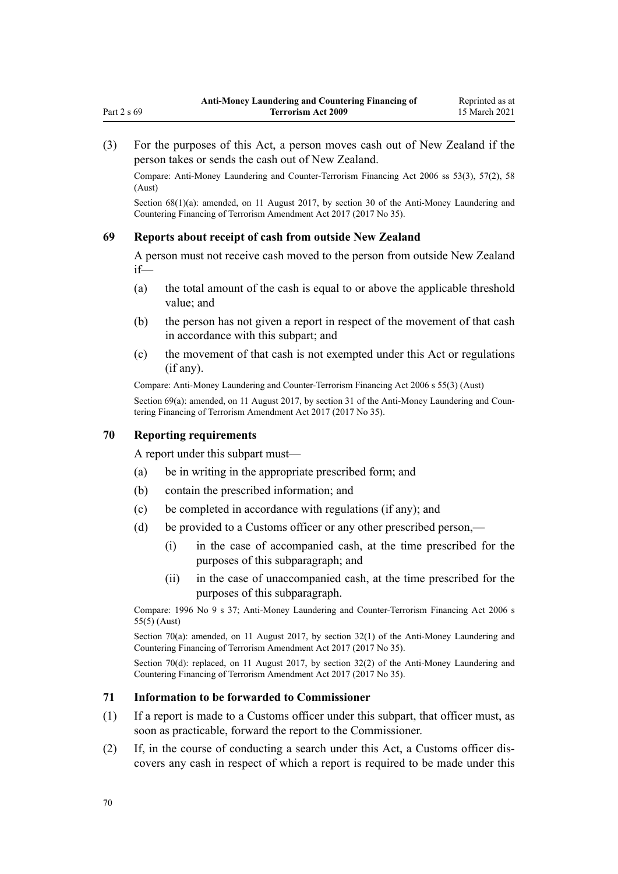(3) For the purposes of this Act, a person moves cash out of New Zealand if the person takes or sends the cash out of New Zealand.

Compare: Anti-Money Laundering and Counter-Terrorism Financing Act 2006 ss 53(3), 57(2), 58 (Aust)

Section 68(1)(a): amended, on 11 August 2017, by [section 30](http://legislation.govt.nz/pdflink.aspx?id=DLM7161314) of the Anti-Money Laundering and Countering Financing of Terrorism Amendment Act 2017 (2017 No 35).

#### **69 Reports about receipt of cash from outside New Zealand**

A person must not receive cash moved to the person from outside New Zealand if—

- (a) the total amount of the cash is equal to or above the applicable threshold value; and
- (b) the person has not given a report in respect of the movement of that cash in accordance with this subpart; and
- (c) the movement of that cash is not exempted under this Act or regulations (if any).

Compare: Anti-Money Laundering and Counter-Terrorism Financing Act 2006 s 55(3) (Aust)

Section 69(a): amended, on 11 August 2017, by [section 31](http://legislation.govt.nz/pdflink.aspx?id=DLM7161315) of the Anti-Money Laundering and Countering Financing of Terrorism Amendment Act 2017 (2017 No 35).

#### **70 Reporting requirements**

A report under this subpart must—

- (a) be in writing in the appropriate prescribed form; and
- (b) contain the prescribed information; and
- (c) be completed in accordance with regulations (if any); and
- (d) be provided to a Customs officer or any other prescribed person,—
	- (i) in the case of accompanied cash, at the time prescribed for the purposes of this subparagraph; and
	- (ii) in the case of unaccompanied cash, at the time prescribed for the purposes of this subparagraph.

Compare: 1996 No 9 [s 37](http://legislation.govt.nz/pdflink.aspx?id=DLM374143); Anti-Money Laundering and Counter-Terrorism Financing Act 2006 s 55(5) (Aust)

Section 70(a): amended, on 11 August 2017, by [section 32\(1\)](http://legislation.govt.nz/pdflink.aspx?id=DLM7161316) of the Anti-Money Laundering and Countering Financing of Terrorism Amendment Act 2017 (2017 No 35).

Section 70(d): replaced, on 11 August 2017, by [section 32\(2\)](http://legislation.govt.nz/pdflink.aspx?id=DLM7161316) of the Anti-Money Laundering and Countering Financing of Terrorism Amendment Act 2017 (2017 No 35).

#### **71 Information to be forwarded to Commissioner**

- (1) If a report is made to a Customs officer under this subpart, that officer must, as soon as practicable, forward the report to the Commissioner.
- (2) If, in the course of conducting a search under this Act, a Customs officer discovers any cash in respect of which a report is required to be made under this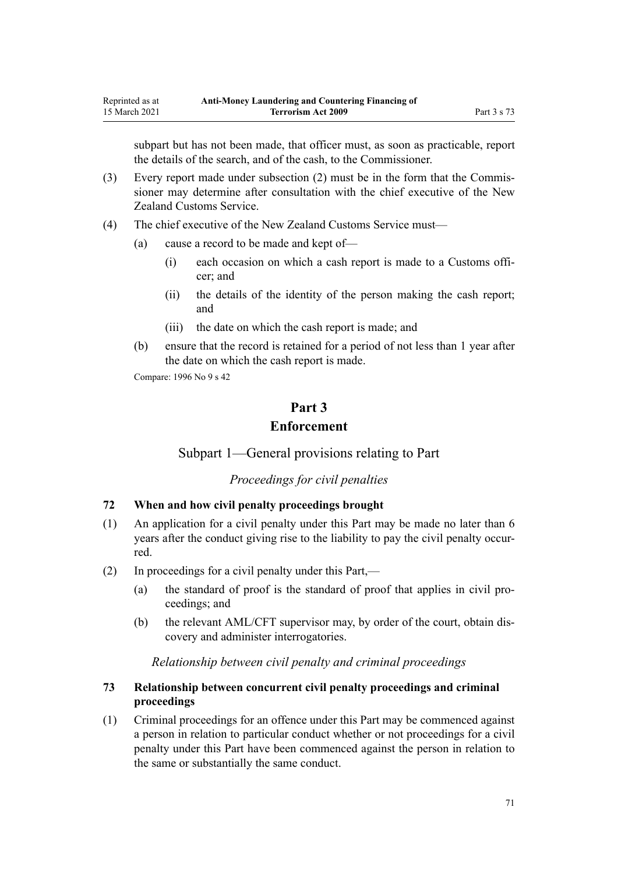subpart but has not been made, that officer must, as soon as practicable, report the details of the search, and of the cash, to the Commissioner.

- (3) Every report made under subsection (2) must be in the form that the Commissioner may determine after consultation with the chief executive of the New Zealand Customs Service.
- (4) The chief executive of the New Zealand Customs Service must—
	- (a) cause a record to be made and kept of—
		- (i) each occasion on which a cash report is made to a Customs officer; and
		- (ii) the details of the identity of the person making the cash report; and
		- (iii) the date on which the cash report is made; and
	- (b) ensure that the record is retained for a period of not less than 1 year after the date on which the cash report is made.

Compare: 1996 No 9 [s 42](http://legislation.govt.nz/pdflink.aspx?id=DLM374162)

# **Part 3 Enforcement**

Subpart 1—General provisions relating to Part

*Proceedings for civil penalties*

# **72 When and how civil penalty proceedings brought**

- (1) An application for a civil penalty under this Part may be made no later than 6 years after the conduct giving rise to the liability to pay the civil penalty occurred.
- (2) In proceedings for a civil penalty under this Part,—
	- (a) the standard of proof is the standard of proof that applies in civil proceedings; and
	- (b) the relevant AML/CFT supervisor may, by order of the court, obtain discovery and administer interrogatories.

#### *Relationship between civil penalty and criminal proceedings*

# **73 Relationship between concurrent civil penalty proceedings and criminal proceedings**

(1) Criminal proceedings for an offence under this Part may be commenced against a person in relation to particular conduct whether or not proceedings for a civil penalty under this Part have been commenced against the person in relation to the same or substantially the same conduct.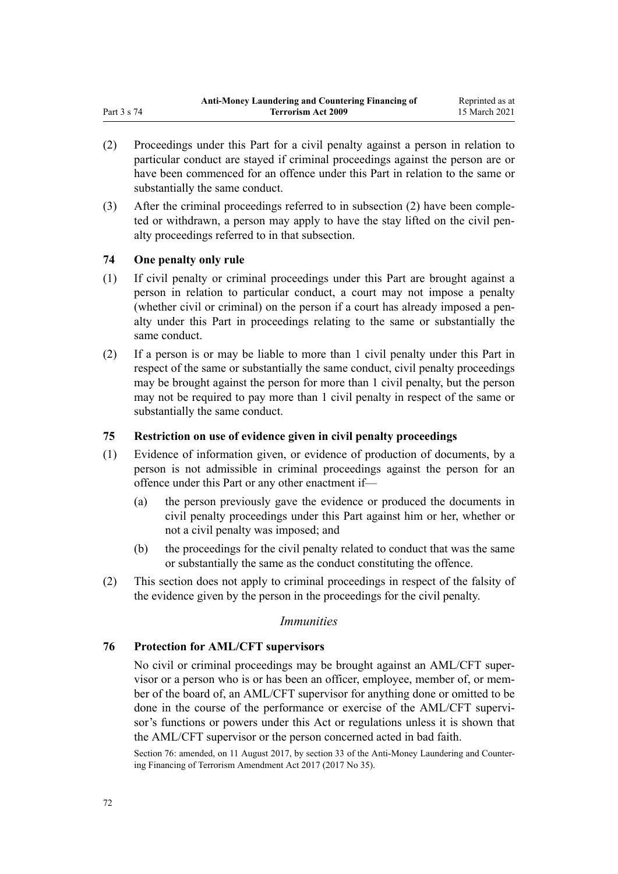- (2) Proceedings under this Part for a civil penalty against a person in relation to particular conduct are stayed if criminal proceedings against the person are or have been commenced for an offence under this Part in relation to the same or substantially the same conduct.
- (3) After the criminal proceedings referred to in subsection (2) have been completed or withdrawn, a person may apply to have the stay lifted on the civil penalty proceedings referred to in that subsection.

## **74 One penalty only rule**

- (1) If civil penalty or criminal proceedings under this Part are brought against a person in relation to particular conduct, a court may not impose a penalty (whether civil or criminal) on the person if a court has already imposed a penalty under this Part in proceedings relating to the same or substantially the same conduct.
- (2) If a person is or may be liable to more than 1 civil penalty under this Part in respect of the same or substantially the same conduct, civil penalty proceedings may be brought against the person for more than 1 civil penalty, but the person may not be required to pay more than 1 civil penalty in respect of the same or substantially the same conduct.

### **75 Restriction on use of evidence given in civil penalty proceedings**

- (1) Evidence of information given, or evidence of production of documents, by a person is not admissible in criminal proceedings against the person for an offence under this Part or any other enactment if—
	- (a) the person previously gave the evidence or produced the documents in civil penalty proceedings under this Part against him or her, whether or not a civil penalty was imposed; and
	- (b) the proceedings for the civil penalty related to conduct that was the same or substantially the same as the conduct constituting the offence.
- (2) This section does not apply to criminal proceedings in respect of the falsity of the evidence given by the person in the proceedings for the civil penalty.

### *Immunities*

## **76 Protection for AML/CFT supervisors**

No civil or criminal proceedings may be brought against an AML/CFT supervisor or a person who is or has been an officer, employee, member of, or member of the board of, an AML/CFT supervisor for anything done or omitted to be done in the course of the performance or exercise of the AML/CFT supervisor's functions or powers under this Act or regulations unless it is shown that the AML/CFT supervisor or the person concerned acted in bad faith.

Section 76: amended, on 11 August 2017, by [section 33](http://legislation.govt.nz/pdflink.aspx?id=DLM7340630) of the Anti-Money Laundering and Countering Financing of Terrorism Amendment Act 2017 (2017 No 35).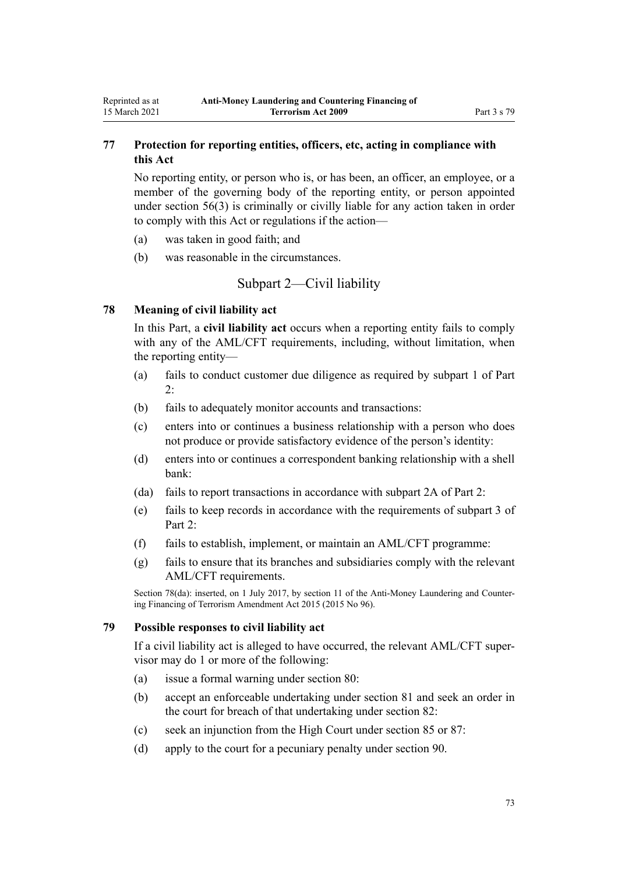# **77 Protection for reporting entities, officers, etc, acting in compliance with this Act**

No reporting entity, or person who is, or has been, an officer, an employee, or a member of the governing body of the reporting entity, or person appointed under [section 56\(3\)](#page-61-0) is criminally or civilly liable for any action taken in order to comply with this Act or regulations if the action—

- (a) was taken in good faith; and
- (b) was reasonable in the circumstances.

# Subpart 2—Civil liability

## **78 Meaning of civil liability act**

<span id="page-72-0"></span>Reprinted as at 15 March 2021

> In this Part, a **civil liability act** occurs when a reporting entity fails to comply with any of the AML/CFT requirements, including, without limitation, when the reporting entity—

- (a) fails to conduct customer due diligence as required by [subpart 1](#page-31-0) of Part 2:
- (b) fails to adequately monitor accounts and transactions:
- (c) enters into or continues a business relationship with a person who does not produce or provide satisfactory evidence of the person's identity:
- (d) enters into or continues a correspondent banking relationship with a shell bank:
- (da) fails to report transactions in accordance with [subpart 2A](#page-56-0) of Part 2:
- (e) fails to keep records in accordance with the requirements of [subpart 3](#page-58-0) of Part 2.
- (f) fails to establish, implement, or maintain an AML/CFT programme:
- (g) fails to ensure that its branches and subsidiaries comply with the relevant AML/CFT requirements.

Section 78(da): inserted, on 1 July 2017, by [section 11](http://legislation.govt.nz/pdflink.aspx?id=DLM6602228) of the Anti-Money Laundering and Countering Financing of Terrorism Amendment Act 2015 (2015 No 96).

## **79 Possible responses to civil liability act**

If a civil liability act is alleged to have occurred, the relevant AML/CFT supervisor may do 1 or more of the following:

- (a) issue a formal warning under [section 80](#page-73-0):
- (b) accept an enforceable undertaking under [section 81](#page-73-0) and seek an order in the court for breach of that undertaking under [section 82:](#page-73-0)
- (c) seek an injunction from the High Court under [section 85](#page-74-0) or [87:](#page-75-0)
- (d) apply to the court for a pecuniary penalty under [section 90](#page-75-0).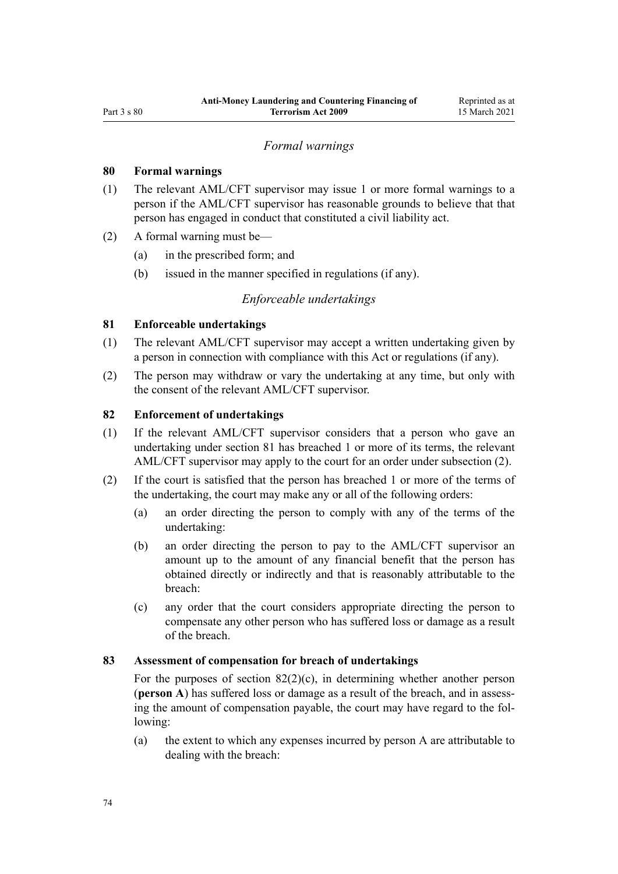# *Formal warnings*

### <span id="page-73-0"></span>**80 Formal warnings**

- (1) The relevant AML/CFT supervisor may issue 1 or more formal warnings to a person if the AML/CFT supervisor has reasonable grounds to believe that that person has engaged in conduct that constituted a civil liability act.
- (2) A formal warning must be—
	- (a) in the prescribed form; and
	- (b) issued in the manner specified in regulations (if any).

### *Enforceable undertakings*

## **81 Enforceable undertakings**

- (1) The relevant AML/CFT supervisor may accept a written undertaking given by a person in connection with compliance with this Act or regulations (if any).
- (2) The person may withdraw or vary the undertaking at any time, but only with the consent of the relevant AML/CFT supervisor.

# **82 Enforcement of undertakings**

- (1) If the relevant AML/CFT supervisor considers that a person who gave an undertaking under section 81 has breached 1 or more of its terms, the relevant AML/CFT supervisor may apply to the court for an order under subsection (2).
- (2) If the court is satisfied that the person has breached 1 or more of the terms of the undertaking, the court may make any or all of the following orders:
	- (a) an order directing the person to comply with any of the terms of the undertaking:
	- (b) an order directing the person to pay to the AML/CFT supervisor an amount up to the amount of any financial benefit that the person has obtained directly or indirectly and that is reasonably attributable to the breach:
	- (c) any order that the court considers appropriate directing the person to compensate any other person who has suffered loss or damage as a result of the breach.

### **83 Assessment of compensation for breach of undertakings**

For the purposes of section  $82(2)(c)$ , in determining whether another person (**person A**) has suffered loss or damage as a result of the breach, and in assessing the amount of compensation payable, the court may have regard to the following:

(a) the extent to which any expenses incurred by person A are attributable to dealing with the breach: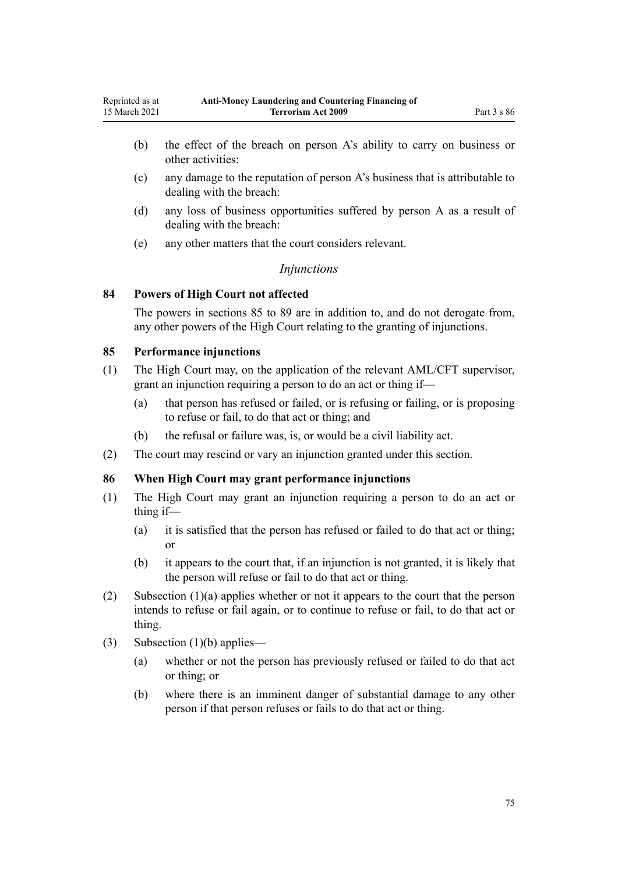- <span id="page-74-0"></span>(b) the effect of the breach on person A's ability to carry on business or other activities:
- (c) any damage to the reputation of person A's business that is attributable to dealing with the breach:
- (d) any loss of business opportunities suffered by person A as a result of dealing with the breach:
- (e) any other matters that the court considers relevant.

## *Injunctions*

### **84 Powers of High Court not affected**

The powers in sections 85 to [89](#page-75-0) are in addition to, and do not derogate from, any other powers of the High Court relating to the granting of injunctions.

## **85 Performance injunctions**

- (1) The High Court may, on the application of the relevant AML/CFT supervisor, grant an injunction requiring a person to do an act or thing if—
	- (a) that person has refused or failed, or is refusing or failing, or is proposing to refuse or fail, to do that act or thing; and
	- (b) the refusal or failure was, is, or would be a civil liability act.
- (2) The court may rescind or vary an injunction granted under this section.

### **86 When High Court may grant performance injunctions**

- (1) The High Court may grant an injunction requiring a person to do an act or thing if—
	- (a) it is satisfied that the person has refused or failed to do that act or thing; or
	- (b) it appears to the court that, if an injunction is not granted, it is likely that the person will refuse or fail to do that act or thing.
- (2) Subsection (1)(a) applies whether or not it appears to the court that the person intends to refuse or fail again, or to continue to refuse or fail, to do that act or thing.
- (3) Subsection (1)(b) applies—
	- (a) whether or not the person has previously refused or failed to do that act or thing; or
	- (b) where there is an imminent danger of substantial damage to any other person if that person refuses or fails to do that act or thing.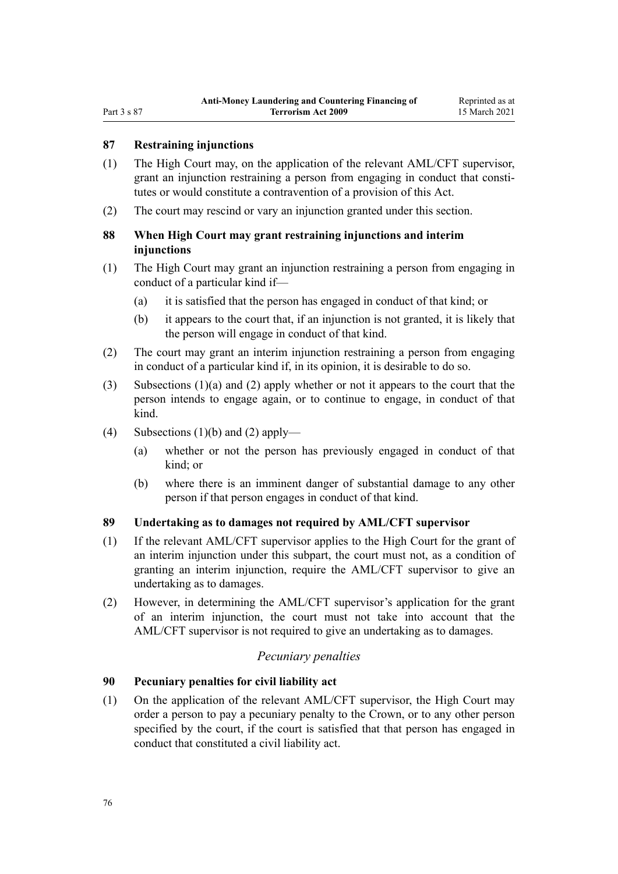### <span id="page-75-0"></span>**87 Restraining injunctions**

- (1) The High Court may, on the application of the relevant AML/CFT supervisor, grant an injunction restraining a person from engaging in conduct that constitutes or would constitute a contravention of a provision of this Act.
- (2) The court may rescind or vary an injunction granted under this section.

# **88 When High Court may grant restraining injunctions and interim injunctions**

- (1) The High Court may grant an injunction restraining a person from engaging in conduct of a particular kind if—
	- (a) it is satisfied that the person has engaged in conduct of that kind; or
	- (b) it appears to the court that, if an injunction is not granted, it is likely that the person will engage in conduct of that kind.
- (2) The court may grant an interim injunction restraining a person from engaging in conduct of a particular kind if, in its opinion, it is desirable to do so.
- (3) Subsections (1)(a) and (2) apply whether or not it appears to the court that the person intends to engage again, or to continue to engage, in conduct of that kind.
- (4) Subsections  $(1)(b)$  and  $(2)$  apply—
	- (a) whether or not the person has previously engaged in conduct of that kind; or
	- (b) where there is an imminent danger of substantial damage to any other person if that person engages in conduct of that kind.

### **89 Undertaking as to damages not required by AML/CFT supervisor**

- (1) If the relevant AML/CFT supervisor applies to the High Court for the grant of an interim injunction under this subpart, the court must not, as a condition of granting an interim injunction, require the AML/CFT supervisor to give an undertaking as to damages.
- (2) However, in determining the AML/CFT supervisor's application for the grant of an interim injunction, the court must not take into account that the AML/CFT supervisor is not required to give an undertaking as to damages.

## *Pecuniary penalties*

### **90 Pecuniary penalties for civil liability act**

(1) On the application of the relevant AML/CFT supervisor, the High Court may order a person to pay a pecuniary penalty to the Crown, or to any other person specified by the court, if the court is satisfied that that person has engaged in conduct that constituted a civil liability act.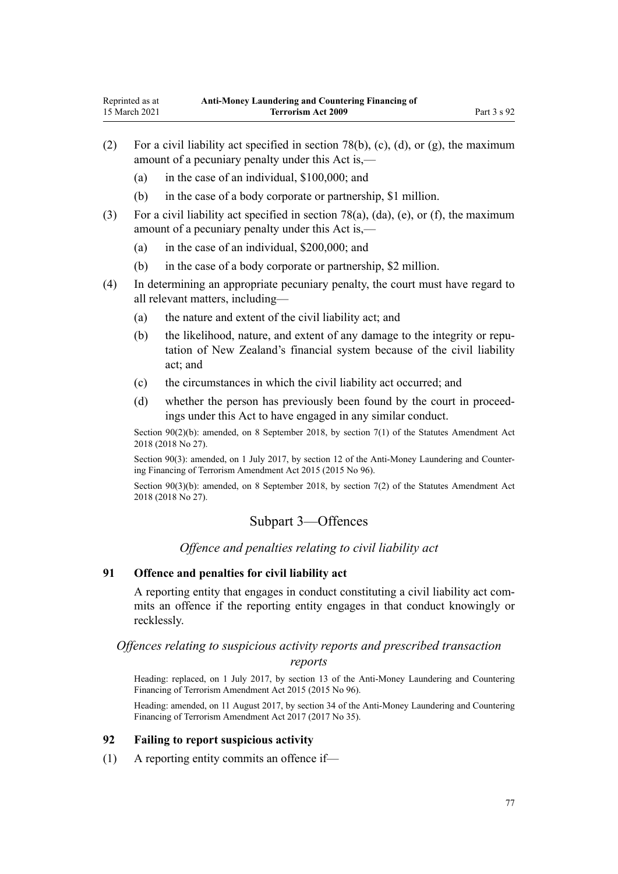- <span id="page-76-0"></span>(2) For a civil liability act specified in [section 78\(b\), \(c\), \(d\), or \(g\),](#page-72-0) the maximum amount of a pecuniary penalty under this Act is,—
	- (a) in the case of an individual, \$100,000; and
	- (b) in the case of a body corporate or partnership, \$1 million.
- (3) For a civil liability act specified in [section 78\(a\), \(da\), \(e\), or \(f\)](#page-72-0), the maximum amount of a pecuniary penalty under this Act is,—
	- (a) in the case of an individual, \$200,000; and
	- (b) in the case of a body corporate or partnership, \$2 million.
- (4) In determining an appropriate pecuniary penalty, the court must have regard to all relevant matters, including—
	- (a) the nature and extent of the civil liability act; and
	- (b) the likelihood, nature, and extent of any damage to the integrity or reputation of New Zealand's financial system because of the civil liability act; and
	- (c) the circumstances in which the civil liability act occurred; and
	- (d) whether the person has previously been found by the court in proceedings under this Act to have engaged in any similar conduct.

Section 90(2)(b): amended, on 8 September 2018, by [section 7\(1\)](http://legislation.govt.nz/pdflink.aspx?id=LMS15913) of the Statutes Amendment Act 2018 (2018 No 27).

Section 90(3): amended, on 1 July 2017, by [section 12](http://legislation.govt.nz/pdflink.aspx?id=DLM6602229) of the Anti-Money Laundering and Countering Financing of Terrorism Amendment Act 2015 (2015 No 96).

Section 90(3)(b): amended, on 8 September 2018, by [section 7\(2\)](http://legislation.govt.nz/pdflink.aspx?id=LMS15913) of the Statutes Amendment Act 2018 (2018 No 27).

# Subpart 3—Offences

*Offence and penalties relating to civil liability act*

# **91 Offence and penalties for civil liability act**

A reporting entity that engages in conduct constituting a civil liability act commits an offence if the reporting entity engages in that conduct knowingly or recklessly.

# *Offences relating to suspicious activity reports and prescribed transaction*

#### *reports*

Heading: replaced, on 1 July 2017, by [section 13](http://legislation.govt.nz/pdflink.aspx?id=DLM6602230) of the Anti-Money Laundering and Countering Financing of Terrorism Amendment Act 2015 (2015 No 96).

Heading: amended, on 11 August 2017, by [section 34](http://legislation.govt.nz/pdflink.aspx?id=DLM7161317) of the Anti-Money Laundering and Countering Financing of Terrorism Amendment Act 2017 (2017 No 35).

### **92 Failing to report suspicious activity**

(1) A reporting entity commits an offence if—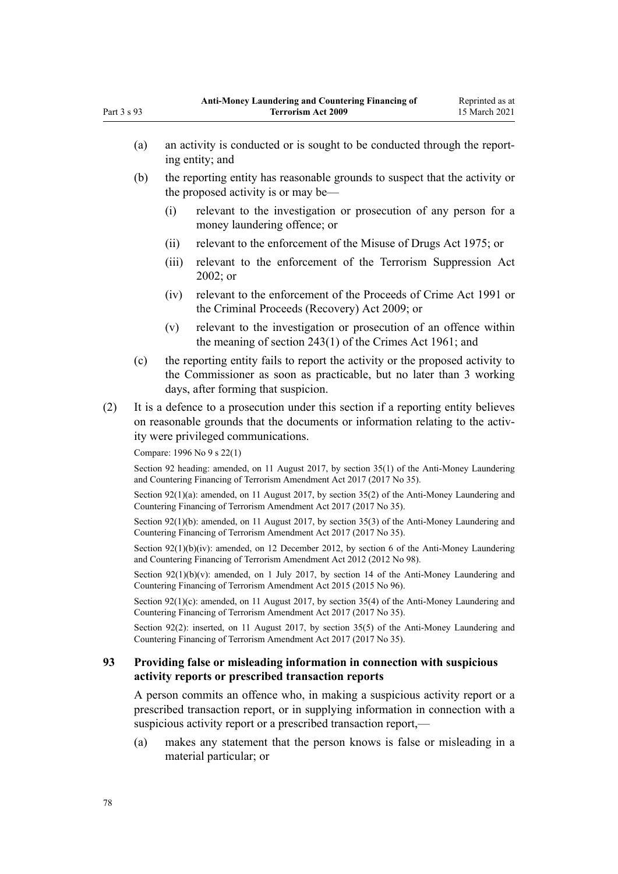(a) an activity is conducted or is sought to be conducted through the reporting entity; and (b) the reporting entity has reasonable grounds to suspect that the activity or the proposed activity is or may be— (i) relevant to the investigation or prosecution of any person for a money laundering offence; or (ii) relevant to the enforcement of the [Misuse of Drugs Act 1975;](http://legislation.govt.nz/pdflink.aspx?id=DLM436100) or (iii) relevant to the enforcement of the [Terrorism Suppression Act](http://legislation.govt.nz/pdflink.aspx?id=DLM151490) [2002](http://legislation.govt.nz/pdflink.aspx?id=DLM151490); or (iv) relevant to the enforcement of the [Proceeds of Crime Act 1991](http://legislation.govt.nz/pdflink.aspx?id=DLM250668) or the [Criminal Proceeds \(Recovery\) Act 2009](http://legislation.govt.nz/pdflink.aspx?id=BILL-SCDRAFT-7242); or (v) relevant to the investigation or prosecution of an offence within the meaning of [section 243\(1\)](http://legislation.govt.nz/pdflink.aspx?id=DLM330289) of the Crimes Act 1961; and (c) the reporting entity fails to report the activity or the proposed activity to the Commissioner as soon as practicable, but no later than 3 working days, after forming that suspicion. (2) It is a defence to a prosecution under this section if a reporting entity believes on reasonable grounds that the documents or information relating to the activity were privileged communications. Compare: 1996 No 9 [s 22\(1\)](http://legislation.govt.nz/pdflink.aspx?id=DLM374118) Section 92 heading: amended, on 11 August 2017, by [section 35\(1\)](http://legislation.govt.nz/pdflink.aspx?id=DLM7161318) of the Anti-Money Laundering and Countering Financing of Terrorism Amendment Act 2017 (2017 No 35). Section 92(1)(a): amended, on 11 August 2017, by [section 35\(2\)](http://legislation.govt.nz/pdflink.aspx?id=DLM7161318) of the Anti-Money Laundering and Countering Financing of Terrorism Amendment Act 2017 (2017 No 35). Section 92(1)(b): amended, on 11 August 2017, by [section 35\(3\)](http://legislation.govt.nz/pdflink.aspx?id=DLM7161318) of the Anti-Money Laundering and Countering Financing of Terrorism Amendment Act 2017 (2017 No 35). Section  $92(1)(b)(iv)$ : amended, on 12 December 2012, by [section 6](http://legislation.govt.nz/pdflink.aspx?id=DLM4989304) of the Anti-Money Laundering and Countering Financing of Terrorism Amendment Act 2012 (2012 No 98). Section 92(1)(b)(y): amended, on 1 July 2017, by [section 14](http://legislation.govt.nz/pdflink.aspx?id=DLM6602232) of the Anti-Money Laundering and Countering Financing of Terrorism Amendment Act 2015 (2015 No 96). Section 92(1)(c): amended, on 11 August 2017, by [section 35\(4\)](http://legislation.govt.nz/pdflink.aspx?id=DLM7161318) of the Anti-Money Laundering and Countering Financing of Terrorism Amendment Act 2017 (2017 No 35). Section 92(2): inserted, on 11 August 2017, by [section 35\(5\)](http://legislation.govt.nz/pdflink.aspx?id=DLM7161318) of the Anti-Money Laundering and Countering Financing of Terrorism Amendment Act 2017 (2017 No 35).

# **93 Providing false or misleading information in connection with suspicious activity reports or prescribed transaction reports**

A person commits an offence who, in making a suspicious activity report or a prescribed transaction report, or in supplying information in connection with a suspicious activity report or a prescribed transaction report,—

(a) makes any statement that the person knows is false or misleading in a material particular; or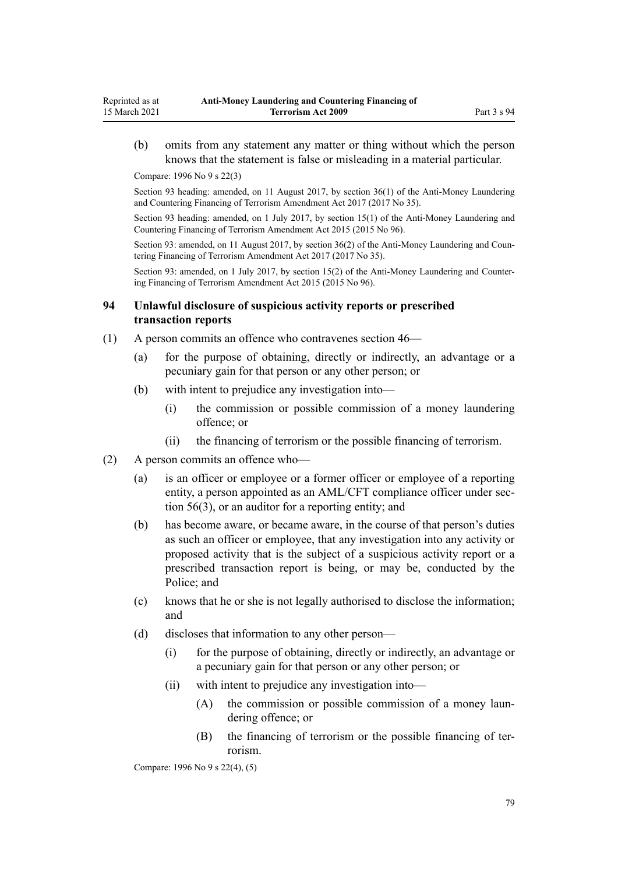(b) omits from any statement any matter or thing without which the person knows that the statement is false or misleading in a material particular.

Compare: 1996 No 9 [s 22\(3\)](http://legislation.govt.nz/pdflink.aspx?id=DLM374118)

Reprinted as at 15 March 2021

> Section 93 heading: amended, on 11 August 2017, by [section 36\(1\)](http://legislation.govt.nz/pdflink.aspx?id=DLM7161319) of the Anti-Money Laundering and Countering Financing of Terrorism Amendment Act 2017 (2017 No 35).

> Section 93 heading: amended, on 1 July 2017, by [section 15\(1\)](http://legislation.govt.nz/pdflink.aspx?id=DLM6602233) of the Anti-Money Laundering and Countering Financing of Terrorism Amendment Act 2015 (2015 No 96).

> Section 93: amended, on 11 August 2017, by [section 36\(2\)](http://legislation.govt.nz/pdflink.aspx?id=DLM7161319) of the Anti-Money Laundering and Countering Financing of Terrorism Amendment Act 2017 (2017 No 35).

> Section 93: amended, on 1 July 2017, by [section 15\(2\)](http://legislation.govt.nz/pdflink.aspx?id=DLM6602233) of the Anti-Money Laundering and Countering Financing of Terrorism Amendment Act 2015 (2015 No 96).

### **94 Unlawful disclosure of suspicious activity reports or prescribed transaction reports**

- (1) A person commits an offence who contravenes [section 46—](#page-54-0)
	- (a) for the purpose of obtaining, directly or indirectly, an advantage or a pecuniary gain for that person or any other person; or
	- (b) with intent to prejudice any investigation into—
		- (i) the commission or possible commission of a money laundering offence; or
		- (ii) the financing of terrorism or the possible financing of terrorism.
- (2) A person commits an offence who—
	- (a) is an officer or employee or a former officer or employee of a reporting entity, a person appointed as an AML/CFT compliance officer under [sec](#page-61-0)[tion 56\(3\),](#page-61-0) or an auditor for a reporting entity; and
	- (b) has become aware, or became aware, in the course of that person's duties as such an officer or employee, that any investigation into any activity or proposed activity that is the subject of a suspicious activity report or a prescribed transaction report is being, or may be, conducted by the Police; and
	- (c) knows that he or she is not legally authorised to disclose the information; and
	- (d) discloses that information to any other person—
		- (i) for the purpose of obtaining, directly or indirectly, an advantage or a pecuniary gain for that person or any other person; or
		- (ii) with intent to prejudice any investigation into—
			- (A) the commission or possible commission of a money laundering offence; or
			- (B) the financing of terrorism or the possible financing of terrorism.

Compare: 1996 No 9 [s 22\(4\), \(5\)](http://legislation.govt.nz/pdflink.aspx?id=DLM374118)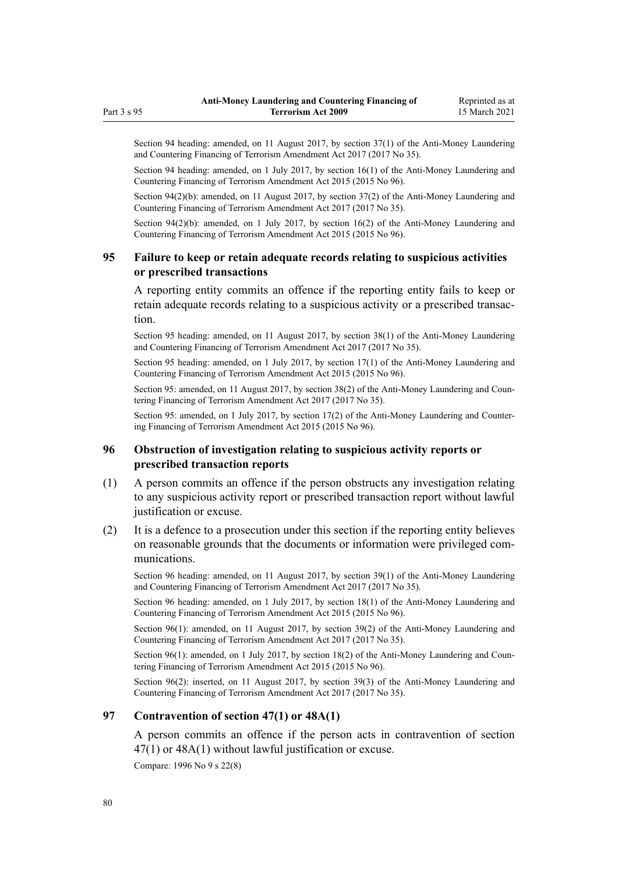Section 94 heading: amended, on 11 August 2017, by [section 37\(1\)](http://legislation.govt.nz/pdflink.aspx?id=DLM7161320) of the Anti-Money Laundering and Countering Financing of Terrorism Amendment Act 2017 (2017 No 35).

Section 94 heading: amended, on 1 July 2017, by [section 16\(1\)](http://legislation.govt.nz/pdflink.aspx?id=DLM6602234) of the Anti-Money Laundering and Countering Financing of Terrorism Amendment Act 2015 (2015 No 96).

Section 94(2)(b): amended, on 11 August 2017, by [section 37\(2\)](http://legislation.govt.nz/pdflink.aspx?id=DLM7161320) of the Anti-Money Laundering and Countering Financing of Terrorism Amendment Act 2017 (2017 No 35).

Section 94(2)(b): amended, on 1 July 2017, by [section 16\(2\)](http://legislation.govt.nz/pdflink.aspx?id=DLM6602234) of the Anti-Money Laundering and Countering Financing of Terrorism Amendment Act 2015 (2015 No 96).

### **95 Failure to keep or retain adequate records relating to suspicious activities or prescribed transactions**

A reporting entity commits an offence if the reporting entity fails to keep or retain adequate records relating to a suspicious activity or a prescribed transaction.

Section 95 heading: amended, on 11 August 2017, by [section 38\(1\)](http://legislation.govt.nz/pdflink.aspx?id=DLM7161321) of the Anti-Money Laundering and Countering Financing of Terrorism Amendment Act 2017 (2017 No 35).

Section 95 heading: amended, on 1 July 2017, by [section 17\(1\)](http://legislation.govt.nz/pdflink.aspx?id=DLM6602235) of the Anti-Money Laundering and Countering Financing of Terrorism Amendment Act 2015 (2015 No 96).

Section 95: amended, on 11 August 2017, by [section 38\(2\)](http://legislation.govt.nz/pdflink.aspx?id=DLM7161321) of the Anti-Money Laundering and Countering Financing of Terrorism Amendment Act 2017 (2017 No 35).

Section 95: amended, on 1 July 2017, by [section 17\(2\)](http://legislation.govt.nz/pdflink.aspx?id=DLM6602235) of the Anti-Money Laundering and Countering Financing of Terrorism Amendment Act 2015 (2015 No 96).

## **96 Obstruction of investigation relating to suspicious activity reports or prescribed transaction reports**

- (1) A person commits an offence if the person obstructs any investigation relating to any suspicious activity report or prescribed transaction report without lawful justification or excuse.
- (2) It is a defence to a prosecution under this section if the reporting entity believes on reasonable grounds that the documents or information were privileged communications.

Section 96 heading: amended, on 11 August 2017, by [section 39\(1\)](http://legislation.govt.nz/pdflink.aspx?id=DLM7161322) of the Anti-Money Laundering and Countering Financing of Terrorism Amendment Act 2017 (2017 No 35).

Section 96 heading: amended, on 1 July 2017, by [section 18\(1\)](http://legislation.govt.nz/pdflink.aspx?id=DLM6602236) of the Anti-Money Laundering and Countering Financing of Terrorism Amendment Act 2015 (2015 No 96).

Section 96(1): amended, on 11 August 2017, by [section 39\(2\)](http://legislation.govt.nz/pdflink.aspx?id=DLM7161322) of the Anti-Money Laundering and Countering Financing of Terrorism Amendment Act 2017 (2017 No 35).

Section 96(1): amended, on 1 July 2017, by [section 18\(2\)](http://legislation.govt.nz/pdflink.aspx?id=DLM6602236) of the Anti-Money Laundering and Countering Financing of Terrorism Amendment Act 2015 (2015 No 96).

Section 96(2): inserted, on 11 August 2017, by [section 39\(3\)](http://legislation.govt.nz/pdflink.aspx?id=DLM7161322) of the Anti-Money Laundering and Countering Financing of Terrorism Amendment Act 2017 (2017 No 35).

## **97 Contravention of section 47(1) or 48A(1)**

A person commits an offence if the person acts in contravention of [section](#page-55-0) [47\(1\)](#page-55-0) or [48A\(1\)](#page-56-0) without lawful justification or excuse.

Compare: 1996 No 9 [s 22\(8\)](http://legislation.govt.nz/pdflink.aspx?id=DLM374118)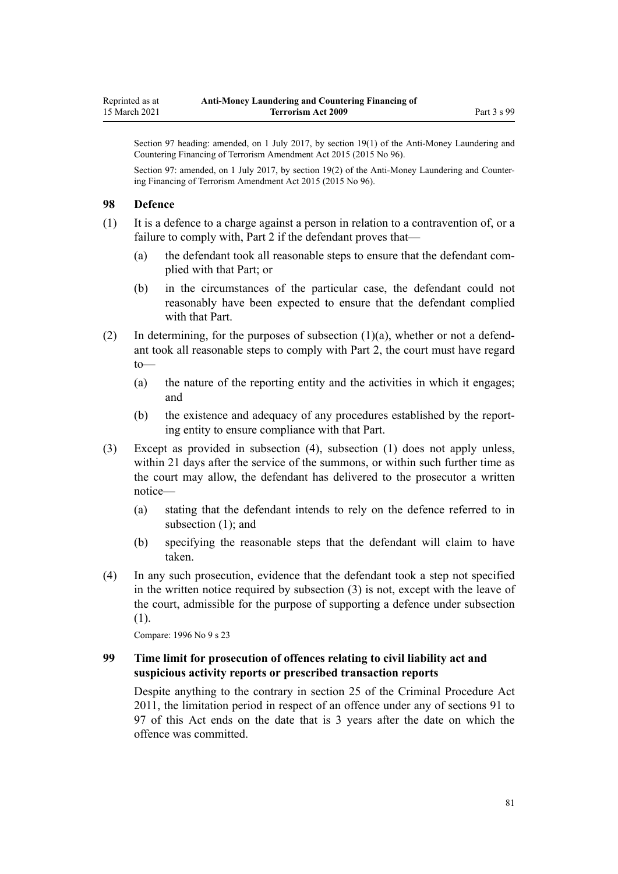Section 97 heading: amended, on 1 July 2017, by [section 19\(1\)](http://legislation.govt.nz/pdflink.aspx?id=DLM6602237) of the Anti-Money Laundering and Countering Financing of Terrorism Amendment Act 2015 (2015 No 96).

Section 97: amended, on 1 July 2017, by [section 19\(2\)](http://legislation.govt.nz/pdflink.aspx?id=DLM6602237) of the Anti-Money Laundering and Countering Financing of Terrorism Amendment Act 2015 (2015 No 96).

### **98 Defence**

(1) It is a defence to a charge against a person in relation to a contravention of, or a failure to comply with, [Part 2](#page-30-0) if the defendant proves that—

- (a) the defendant took all reasonable steps to ensure that the defendant complied with that Part; or
- (b) in the circumstances of the particular case, the defendant could not reasonably have been expected to ensure that the defendant complied with that Part.
- (2) In determining, for the purposes of subsection (1)(a), whether or not a defendant took all reasonable steps to comply with [Part 2](#page-30-0), the court must have regard to—
	- (a) the nature of the reporting entity and the activities in which it engages; and
	- (b) the existence and adequacy of any procedures established by the reporting entity to ensure compliance with that Part.
- (3) Except as provided in subsection (4), subsection (1) does not apply unless, within 21 days after the service of the summons, or within such further time as the court may allow, the defendant has delivered to the prosecutor a written notice—
	- (a) stating that the defendant intends to rely on the defence referred to in subsection (1); and
	- (b) specifying the reasonable steps that the defendant will claim to have taken.
- (4) In any such prosecution, evidence that the defendant took a step not specified in the written notice required by subsection (3) is not, except with the leave of the court, admissible for the purpose of supporting a defence under subsection (1).

Compare: 1996 No 9 [s 23](http://legislation.govt.nz/pdflink.aspx?id=DLM374121)

## **99 Time limit for prosecution of offences relating to civil liability act and suspicious activity reports or prescribed transaction reports**

Despite anything to the contrary in [section 25](http://legislation.govt.nz/pdflink.aspx?id=DLM3360067) of the Criminal Procedure Act 2011, the limitation period in respect of an offence under any of [sections 91 to](#page-76-0) [97](#page-76-0) of this Act ends on the date that is 3 years after the date on which the offence was committed.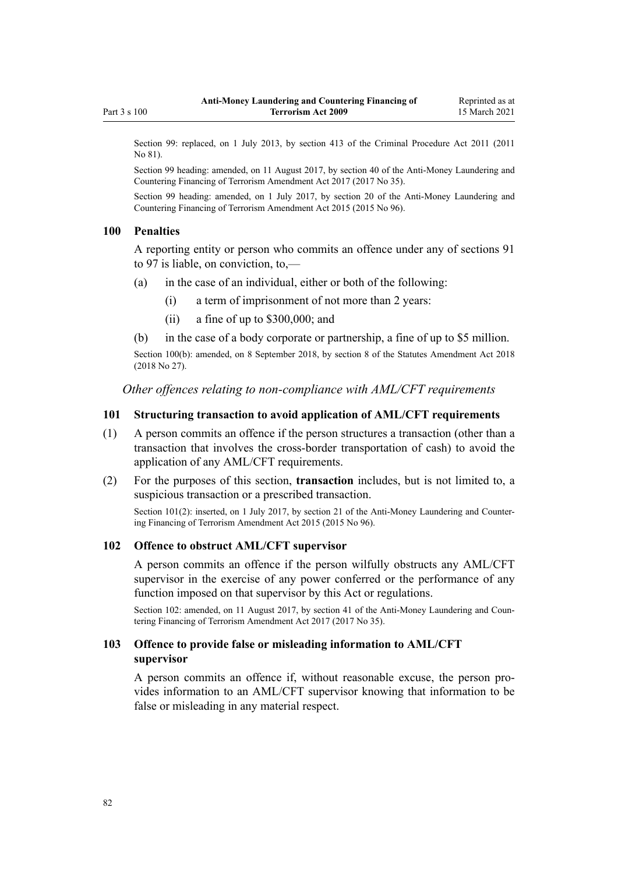<span id="page-81-0"></span>Section 99: replaced, on 1 July 2013, by [section 413](http://legislation.govt.nz/pdflink.aspx?id=DLM3360714) of the Criminal Procedure Act 2011 (2011) No 81).

Section 99 heading: amended, on 11 August 2017, by [section 40](http://legislation.govt.nz/pdflink.aspx?id=DLM7161323) of the Anti-Money Laundering and Countering Financing of Terrorism Amendment Act 2017 (2017 No 35).

Section 99 heading: amended, on 1 July 2017, by [section 20](http://legislation.govt.nz/pdflink.aspx?id=DLM6602238) of the Anti-Money Laundering and Countering Financing of Terrorism Amendment Act 2015 (2015 No 96).

#### **100 Penalties**

A reporting entity or person who commits an offence under any of [sections 91](#page-76-0) [to 97](#page-76-0) is liable, on conviction, to,—

- (a) in the case of an individual, either or both of the following:
	- (i) a term of imprisonment of not more than 2 years:
	- (ii) a fine of up to \$300,000; and
- (b) in the case of a body corporate or partnership, a fine of up to \$5 million.

Section 100(b): amended, on 8 September 2018, by [section 8](http://legislation.govt.nz/pdflink.aspx?id=LMS15920) of the Statutes Amendment Act 2018 (2018 No 27).

*Other offences relating to non-compliance with AML/CFT requirements*

### **101 Structuring transaction to avoid application of AML/CFT requirements**

- (1) A person commits an offence if the person structures a transaction (other than a transaction that involves the cross-border transportation of cash) to avoid the application of any AML/CFT requirements.
- (2) For the purposes of this section, **transaction** includes, but is not limited to, a suspicious transaction or a prescribed transaction.

Section 101(2): inserted, on 1 July 2017, by [section 21](http://legislation.govt.nz/pdflink.aspx?id=DLM6602239) of the Anti-Money Laundering and Countering Financing of Terrorism Amendment Act 2015 (2015 No 96).

#### **102 Offence to obstruct AML/CFT supervisor**

A person commits an offence if the person wilfully obstructs any AML/CFT supervisor in the exercise of any power conferred or the performance of any function imposed on that supervisor by this Act or regulations.

Section 102: amended, on 11 August 2017, by [section 41](http://legislation.govt.nz/pdflink.aspx?id=DLM7340631) of the Anti-Money Laundering and Countering Financing of Terrorism Amendment Act 2017 (2017 No 35).

### **103 Offence to provide false or misleading information to AML/CFT supervisor**

A person commits an offence if, without reasonable excuse, the person provides information to an AML/CFT supervisor knowing that information to be false or misleading in any material respect.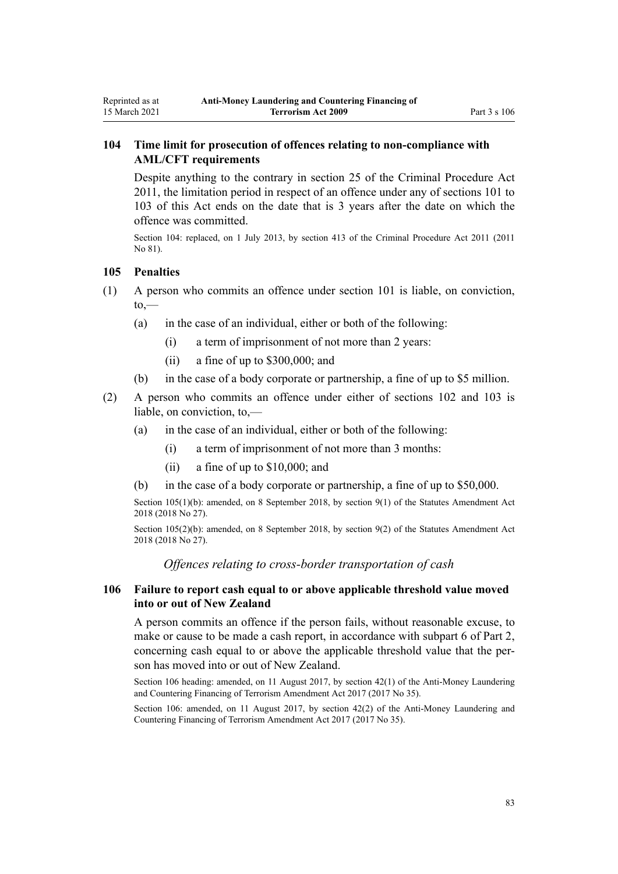# **104 Time limit for prosecution of offences relating to non-compliance with AML/CFT requirements**

Despite anything to the contrary in [section 25](http://legislation.govt.nz/pdflink.aspx?id=DLM3360067) of the Criminal Procedure Act 2011, the limitation period in respect of an offence under any of [sections 101 to](#page-81-0) [103](#page-81-0) of this Act ends on the date that is 3 years after the date on which the offence was committed.

Section 104: replaced, on 1 July 2013, by [section 413](http://legislation.govt.nz/pdflink.aspx?id=DLM3360714) of the Criminal Procedure Act 2011 (2011 No 81).

### **105 Penalties**

<span id="page-82-0"></span>Reprinted as at 15 March 2021

- (1) A person who commits an offence under [section 101](#page-81-0) is liable, on conviction,  $to,$ 
	- (a) in the case of an individual, either or both of the following:
		- (i) a term of imprisonment of not more than 2 years:
		- (ii) a fine of up to \$300,000; and
	- (b) in the case of a body corporate or partnership, a fine of up to \$5 million.
- (2) A person who commits an offence under either of [sections 102](#page-81-0) and [103](#page-81-0) is liable, on conviction, to,—
	- (a) in the case of an individual, either or both of the following:
		- (i) a term of imprisonment of not more than 3 months:
		- (ii) a fine of up to \$10,000; and
	- (b) in the case of a body corporate or partnership, a fine of up to \$50,000.

Section 105(1)(b): amended, on 8 September 2018, by [section 9\(1\)](http://legislation.govt.nz/pdflink.aspx?id=LMS15921) of the Statutes Amendment Act 2018 (2018 No 27).

Section 105(2)(b): amended, on 8 September 2018, by [section 9\(2\)](http://legislation.govt.nz/pdflink.aspx?id=LMS15921) of the Statutes Amendment Act 2018 (2018 No 27).

*Offences relating to cross-border transportation of cash*

### **106 Failure to report cash equal to or above applicable threshold value moved into or out of New Zealand**

A person commits an offence if the person fails, without reasonable excuse, to make or cause to be made a cash report, in accordance with [subpart 6](#page-68-0) of Part 2, concerning cash equal to or above the applicable threshold value that the person has moved into or out of New Zealand.

Section 106 heading: amended, on 11 August 2017, by [section 42\(1\)](http://legislation.govt.nz/pdflink.aspx?id=DLM7161324) of the Anti-Money Laundering and Countering Financing of Terrorism Amendment Act 2017 (2017 No 35).

Section 106: amended, on 11 August 2017, by [section 42\(2\)](http://legislation.govt.nz/pdflink.aspx?id=DLM7161324) of the Anti-Money Laundering and Countering Financing of Terrorism Amendment Act 2017 (2017 No 35).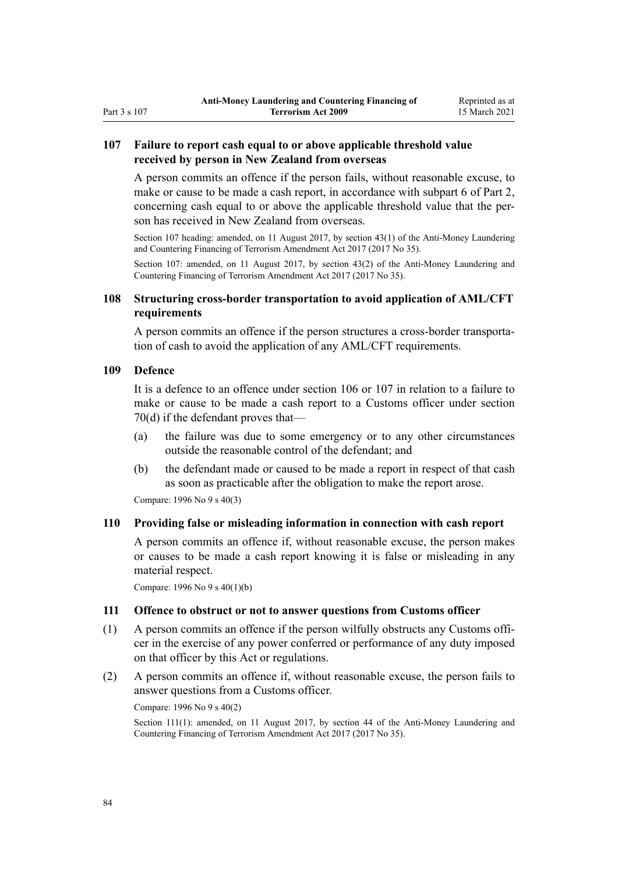# <span id="page-83-0"></span>**107 Failure to report cash equal to or above applicable threshold value received by person in New Zealand from overseas**

A person commits an offence if the person fails, without reasonable excuse, to make or cause to be made a cash report, in accordance with [subpart 6](#page-68-0) of Part 2, concerning cash equal to or above the applicable threshold value that the person has received in New Zealand from overseas.

Section 107 heading: amended, on 11 August 2017, by [section 43\(1\)](http://legislation.govt.nz/pdflink.aspx?id=DLM7161325) of the Anti-Money Laundering and Countering Financing of Terrorism Amendment Act 2017 (2017 No 35).

Section 107: amended, on 11 August 2017, by [section 43\(2\)](http://legislation.govt.nz/pdflink.aspx?id=DLM7161325) of the Anti-Money Laundering and Countering Financing of Terrorism Amendment Act 2017 (2017 No 35).

### **108 Structuring cross-border transportation to avoid application of AML/CFT requirements**

A person commits an offence if the person structures a cross-border transportation of cash to avoid the application of any AML/CFT requirements.

### **109 Defence**

It is a defence to an offence under [section 106](#page-82-0) or 107 in relation to a failure to make or cause to be made a cash report to a Customs officer under [section](#page-69-0) [70\(d\)](#page-69-0) if the defendant proves that—

- (a) the failure was due to some emergency or to any other circumstances outside the reasonable control of the defendant; and
- (b) the defendant made or caused to be made a report in respect of that cash as soon as practicable after the obligation to make the report arose.

Compare: 1996 No 9 [s 40\(3\)](http://legislation.govt.nz/pdflink.aspx?id=DLM374157)

### **110 Providing false or misleading information in connection with cash report**

A person commits an offence if, without reasonable excuse, the person makes or causes to be made a cash report knowing it is false or misleading in any material respect.

Compare: 1996 No 9 [s 40\(1\)\(b\)](http://legislation.govt.nz/pdflink.aspx?id=DLM374157)

### **111 Offence to obstruct or not to answer questions from Customs officer**

- (1) A person commits an offence if the person wilfully obstructs any Customs officer in the exercise of any power conferred or performance of any duty imposed on that officer by this Act or regulations.
- (2) A person commits an offence if, without reasonable excuse, the person fails to answer questions from a Customs officer.

Compare: 1996 No 9 [s 40\(2\)](http://legislation.govt.nz/pdflink.aspx?id=DLM374157)

Section 111(1): amended, on 11 August 2017, by [section 44](http://legislation.govt.nz/pdflink.aspx?id=DLM7340632) of the Anti-Money Laundering and Countering Financing of Terrorism Amendment Act 2017 (2017 No 35).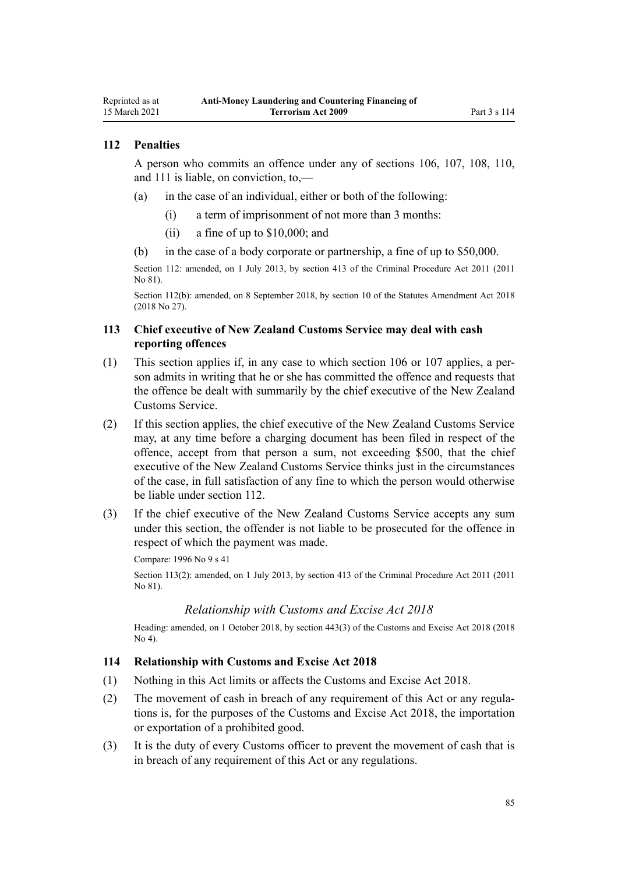## **112 Penalties**

<span id="page-84-0"></span>Reprinted as at 15 March 2021

> A person who commits an offence under any of [sections 106,](#page-82-0) [107](#page-83-0), [108](#page-83-0), [110](#page-83-0), and [111](#page-83-0) is liable, on conviction, to,—

- (a) in the case of an individual, either or both of the following:
	- (i) a term of imprisonment of not more than 3 months:
	- (ii) a fine of up to \$10,000; and
- (b) in the case of a body corporate or partnership, a fine of up to \$50,000.

Section 112: amended, on 1 July 2013, by [section 413](http://legislation.govt.nz/pdflink.aspx?id=DLM3360714) of the Criminal Procedure Act 2011 (2011 No 81).

Section 112(b): amended, on 8 September 2018, by [section 10](http://legislation.govt.nz/pdflink.aspx?id=LMS15922) of the Statutes Amendment Act 2018 (2018 No 27).

## **113 Chief executive of New Zealand Customs Service may deal with cash reporting offences**

- (1) This section applies if, in any case to which [section 106](#page-82-0) or [107](#page-83-0) applies, a person admits in writing that he or she has committed the offence and requests that the offence be dealt with summarily by the chief executive of the New Zealand Customs Service.
- (2) If this section applies, the chief executive of the New Zealand Customs Service may, at any time before a charging document has been filed in respect of the offence, accept from that person a sum, not exceeding \$500, that the chief executive of the New Zealand Customs Service thinks just in the circumstances of the case, in full satisfaction of any fine to which the person would otherwise be liable under section 112.
- (3) If the chief executive of the New Zealand Customs Service accepts any sum under this section, the offender is not liable to be prosecuted for the offence in respect of which the payment was made.

Compare: 1996 No 9 [s 41](http://legislation.govt.nz/pdflink.aspx?id=DLM374160)

Section 113(2): amended, on 1 July 2013, by [section 413](http://legislation.govt.nz/pdflink.aspx?id=DLM3360714) of the Criminal Procedure Act 2011 (2011 No 81).

### *Relationship with Customs and Excise Act 2018*

Heading: amended, on 1 October 2018, by [section 443\(3\)](http://legislation.govt.nz/pdflink.aspx?id=DLM7039957) of the Customs and Excise Act 2018 (2018 No 4).

#### **114 Relationship with Customs and Excise Act 2018**

- (1) Nothing in this Act limits or affects the [Customs and Excise Act 2018.](http://legislation.govt.nz/pdflink.aspx?id=DLM7038920)
- (2) The movement of cash in breach of any requirement of this Act or any regulations is, for the purposes of the [Customs and Excise Act 2018,](http://legislation.govt.nz/pdflink.aspx?id=DLM7038920) the importation or exportation of a prohibited good.
- (3) It is the duty of every Customs officer to prevent the movement of cash that is in breach of any requirement of this Act or any regulations.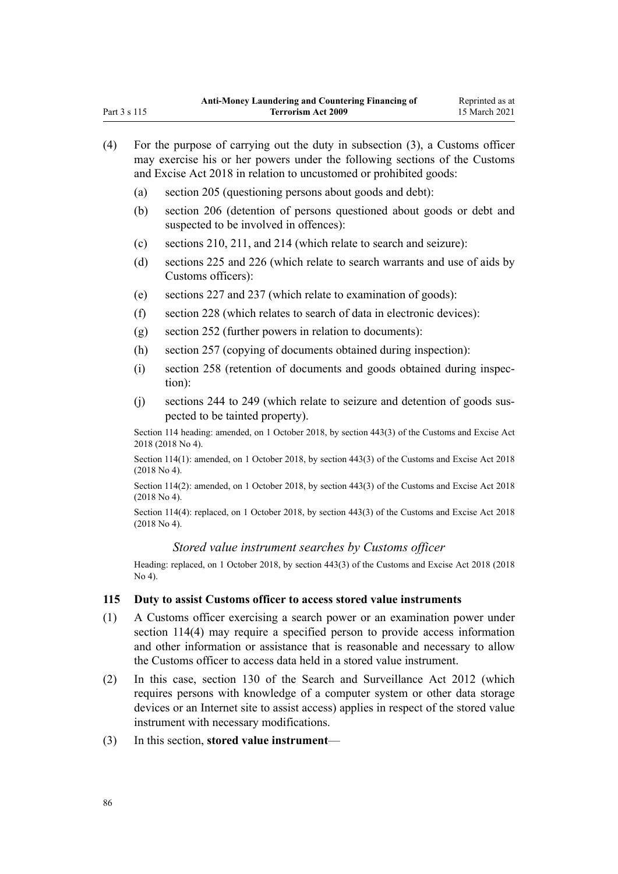| (4) | For the purpose of carrying out the duty in subsection $(3)$ , a Customs officer<br>may exercise his or her powers under the following sections of the Customs<br>and Excise Act 2018 in relation to uncustomed or prohibited goods: |                                                                                                                                                                                                                                                                                                                   |  |
|-----|--------------------------------------------------------------------------------------------------------------------------------------------------------------------------------------------------------------------------------------|-------------------------------------------------------------------------------------------------------------------------------------------------------------------------------------------------------------------------------------------------------------------------------------------------------------------|--|
|     | (a)                                                                                                                                                                                                                                  | section 205 (questioning persons about goods and debt):                                                                                                                                                                                                                                                           |  |
|     | (b)                                                                                                                                                                                                                                  | section 206 (detention of persons questioned about goods or debt and<br>suspected to be involved in offences):                                                                                                                                                                                                    |  |
|     | (c)                                                                                                                                                                                                                                  | sections 210, 211, and 214 (which relate to search and seizure):                                                                                                                                                                                                                                                  |  |
|     | (d)                                                                                                                                                                                                                                  | sections 225 and 226 (which relate to search warrants and use of aids by<br>Customs officers):                                                                                                                                                                                                                    |  |
|     | (e)                                                                                                                                                                                                                                  | sections 227 and 237 (which relate to examination of goods):                                                                                                                                                                                                                                                      |  |
|     | (f)                                                                                                                                                                                                                                  | section 228 (which relates to search of data in electronic devices):                                                                                                                                                                                                                                              |  |
|     | (g)                                                                                                                                                                                                                                  | section 252 (further powers in relation to documents):                                                                                                                                                                                                                                                            |  |
|     | (h)                                                                                                                                                                                                                                  | section 257 (copying of documents obtained during inspection):                                                                                                                                                                                                                                                    |  |
|     | (i)                                                                                                                                                                                                                                  | section 258 (retention of documents and goods obtained during inspec-<br>tion):                                                                                                                                                                                                                                   |  |
|     | (i)                                                                                                                                                                                                                                  | sections 244 to 249 (which relate to seizure and detention of goods sus-<br>pected to be tainted property).                                                                                                                                                                                                       |  |
|     | Section 114 heading: amended, on 1 October 2018, by section 443(3) of the Customs and Excise Act<br>2018 (2018 No 4).                                                                                                                |                                                                                                                                                                                                                                                                                                                   |  |
|     |                                                                                                                                                                                                                                      | Section 114(1): amended, on 1 October 2018, by section 443(3) of the Customs and Excise Act 2018<br>$(2018$ No 4).                                                                                                                                                                                                |  |
|     |                                                                                                                                                                                                                                      | Section 114(2): amended, on 1 October 2018, by section 443(3) of the Customs and Excise Act 2018<br>$(2018$ No 4).                                                                                                                                                                                                |  |
|     | Section 114(4): replaced, on 1 October 2018, by section 443(3) of the Customs and Excise Act 2018<br>$(2018$ No 4).                                                                                                                  |                                                                                                                                                                                                                                                                                                                   |  |
|     |                                                                                                                                                                                                                                      | Stored value instrument searches by Customs officer                                                                                                                                                                                                                                                               |  |
|     | Heading: replaced, on 1 October 2018, by section 443(3) of the Customs and Excise Act 2018 (2018<br>No 4).                                                                                                                           |                                                                                                                                                                                                                                                                                                                   |  |
| 115 |                                                                                                                                                                                                                                      | Duty to assist Customs officer to access stored value instruments                                                                                                                                                                                                                                                 |  |
| (1) |                                                                                                                                                                                                                                      | $\mathcal{A}$ and $\mathcal{A}$ and $\mathcal{A}$ and $\mathcal{A}$ and $\mathcal{A}$ and $\mathcal{A}$ and $\mathcal{A}$ and $\mathcal{A}$ and $\mathcal{A}$ and $\mathcal{A}$ and $\mathcal{A}$ and $\mathcal{A}$ and $\mathcal{A}$ and $\mathcal{A}$ and $\mathcal{A}$ and $\mathcal{A}$ and $\mathcal{A}$ and |  |

- (1) A Customs officer exercising a search power or an examination power under [section 114\(4\)](#page-84-0) may require a specified person to provide access information and other information or assistance that is reasonable and necessary to allow the Customs officer to access data held in a stored value instrument.
- (2) In this case, [section 130](http://legislation.govt.nz/pdflink.aspx?id=DLM4355803) of the Search and Surveillance Act 2012 (which requires persons with knowledge of a computer system or other data storage devices or an Internet site to assist access) applies in respect of the stored value instrument with necessary modifications.
- (3) In this section, **stored value instrument**—

Part 3 s 115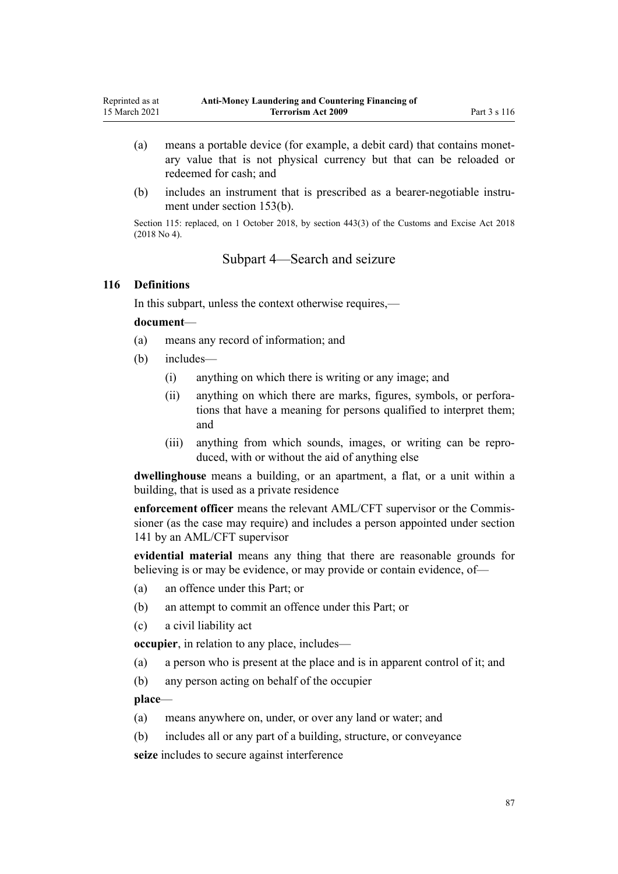- (a) means a portable device (for example, a debit card) that contains monetary value that is not physical currency but that can be reloaded or redeemed for cash; and
- (b) includes an instrument that is prescribed as a bearer-negotiable instrument under [section 153\(b\)](#page-106-0).

Section 115: replaced, on 1 October 2018, by [section 443\(3\)](http://legislation.govt.nz/pdflink.aspx?id=DLM7039957) of the Customs and Excise Act 2018 (2018 No 4).

# Subpart 4—Search and seizure

#### **116 Definitions**

In this subpart, unless the context otherwise requires,—

#### **document**—

- (a) means any record of information; and
- (b) includes—
	- (i) anything on which there is writing or any image; and
	- (ii) anything on which there are marks, figures, symbols, or perforations that have a meaning for persons qualified to interpret them; and
	- (iii) anything from which sounds, images, or writing can be reproduced, with or without the aid of anything else

**dwellinghouse** means a building, or an apartment, a flat, or a unit within a building, that is used as a private residence

**enforcement officer** means the relevant AML/CFT supervisor or the Commissioner (as the case may require) and includes a person appointed under [section](#page-99-0) [141](#page-99-0) by an AML/CFT supervisor

**evidential material** means any thing that there are reasonable grounds for believing is or may be evidence, or may provide or contain evidence, of—

- (a) an offence under this Part; or
- (b) an attempt to commit an offence under this Part; or
- (c) a civil liability act

**occupier**, in relation to any place, includes—

- (a) a person who is present at the place and is in apparent control of it; and
- (b) any person acting on behalf of the occupier

**place**—

- (a) means anywhere on, under, or over any land or water; and
- (b) includes all or any part of a building, structure, or conveyance

**seize** includes to secure against interference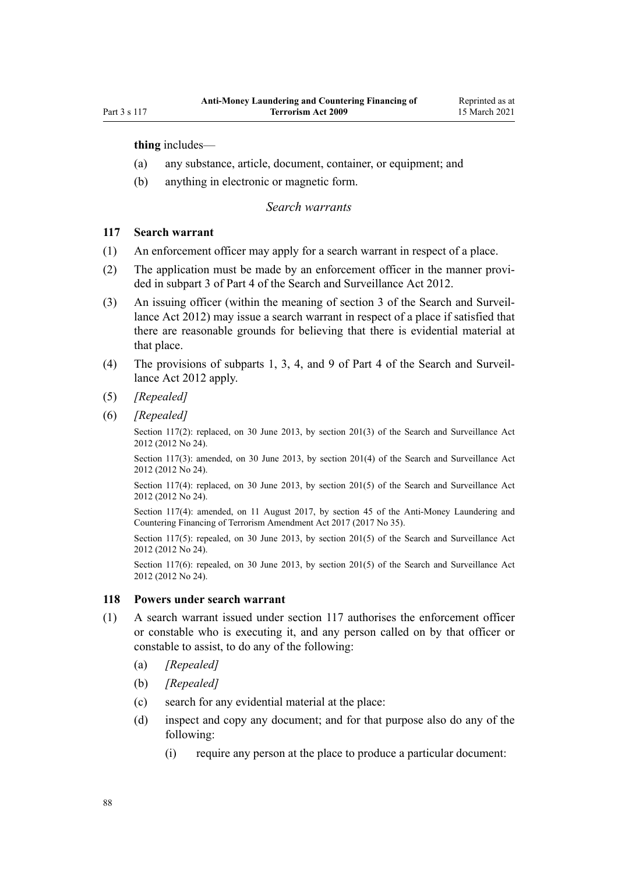**thing** includes—

- (a) any substance, article, document, container, or equipment; and
- (b) anything in electronic or magnetic form.

### *Search warrants*

### **117 Search warrant**

- (1) An enforcement officer may apply for a search warrant in respect of a place.
- (2) The application must be made by an enforcement officer in the manner provided in [subpart 3](http://legislation.govt.nz/pdflink.aspx?id=DLM2136781) of Part 4 of the Search and Surveillance Act 2012.
- (3) An issuing officer (within the meaning of [section 3](http://legislation.govt.nz/pdflink.aspx?id=DLM2136542) of the Search and Surveillance Act 2012) may issue a search warrant in respect of a place if satisfied that there are reasonable grounds for believing that there is evidential material at that place.
- (4) The provisions of [subparts 1](http://legislation.govt.nz/pdflink.aspx?id=DLM2136771), [3,](http://legislation.govt.nz/pdflink.aspx?id=DLM2136781) [4](http://legislation.govt.nz/pdflink.aspx?id=DLM2136801), and [9](http://legislation.govt.nz/pdflink.aspx?id=DLM2136888) of Part 4 of the Search and Surveillance Act 2012 apply.
- (5) *[Repealed]*
- (6) *[Repealed]*

Section 117(2): replaced, on 30 June 2013, by [section 201\(3\)](http://legislation.govt.nz/pdflink.aspx?id=DLM4355905) of the Search and Surveillance Act 2012 (2012 No 24).

Section 117(3): amended, on 30 June 2013, by [section 201\(4\)](http://legislation.govt.nz/pdflink.aspx?id=DLM4355905) of the Search and Surveillance Act 2012 (2012 No 24).

Section 117(4): replaced, on 30 June 2013, by [section 201\(5\)](http://legislation.govt.nz/pdflink.aspx?id=DLM4355905) of the Search and Surveillance Act 2012 (2012 No 24).

Section 117(4): amended, on 11 August 2017, by [section 45](http://legislation.govt.nz/pdflink.aspx?id=DLM7161326) of the Anti-Money Laundering and Countering Financing of Terrorism Amendment Act 2017 (2017 No 35).

Section 117(5): repealed, on 30 June 2013, by [section 201\(5\)](http://legislation.govt.nz/pdflink.aspx?id=DLM4355905) of the Search and Surveillance Act 2012 (2012 No 24).

Section 117(6): repealed, on 30 June 2013, by [section 201\(5\)](http://legislation.govt.nz/pdflink.aspx?id=DLM4355905) of the Search and Surveillance Act 2012 (2012 No 24).

### **118 Powers under search warrant**

- (1) A search warrant issued under section 117 authorises the enforcement officer or constable who is executing it, and any person called on by that officer or constable to assist, to do any of the following:
	- (a) *[Repealed]*
	- (b) *[Repealed]*
	- (c) search for any evidential material at the place:
	- (d) inspect and copy any document; and for that purpose also do any of the following:
		- (i) require any person at the place to produce a particular document: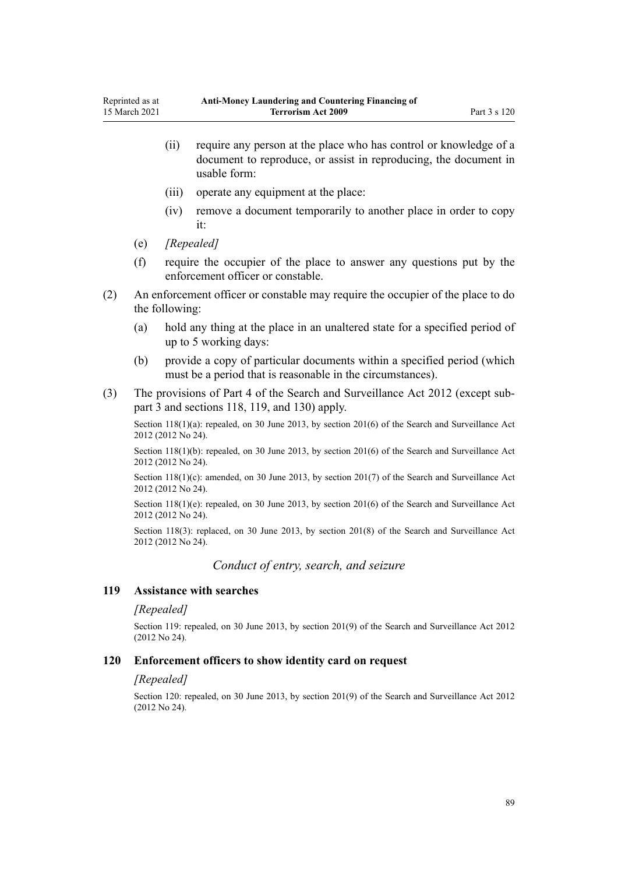- (ii) require any person at the place who has control or knowledge of a document to reproduce, or assist in reproducing, the document in usable form:
- (iii) operate any equipment at the place:
- (iv) remove a document temporarily to another place in order to copy it:
- (e) *[Repealed]*
- (f) require the occupier of the place to answer any questions put by the enforcement officer or constable.
- (2) An enforcement officer or constable may require the occupier of the place to do the following:
	- (a) hold any thing at the place in an unaltered state for a specified period of up to 5 working days:
	- (b) provide a copy of particular documents within a specified period (which must be a period that is reasonable in the circumstances).
- (3) The provisions of [Part 4](http://legislation.govt.nz/pdflink.aspx?id=DLM2136770) of the Search and Surveillance Act 2012 (except [sub](http://legislation.govt.nz/pdflink.aspx?id=DLM2136781)[part 3](http://legislation.govt.nz/pdflink.aspx?id=DLM2136781) and [sections 118,](http://legislation.govt.nz/pdflink.aspx?id=DLM2136813) [119](http://legislation.govt.nz/pdflink.aspx?id=DLM2136815), and [130\)](http://legislation.govt.nz/pdflink.aspx?id=DLM4355803) apply.

Section 118(1)(a): repealed, on 30 June 2013, by [section 201\(6\)](http://legislation.govt.nz/pdflink.aspx?id=DLM4355905) of the Search and Surveillance Act 2012 (2012 No 24).

Section 118(1)(b): repealed, on 30 June 2013, by [section 201\(6\)](http://legislation.govt.nz/pdflink.aspx?id=DLM4355905) of the Search and Surveillance Act 2012 (2012 No 24).

Section 118(1)(c): amended, on 30 June 2013, by [section 201\(7\)](http://legislation.govt.nz/pdflink.aspx?id=DLM4355905) of the Search and Surveillance Act 2012 (2012 No 24).

Section 118(1)(e): repealed, on 30 June 2013, by [section 201\(6\)](http://legislation.govt.nz/pdflink.aspx?id=DLM4355905) of the Search and Surveillance Act 2012 (2012 No 24).

Section 118(3): replaced, on 30 June 2013, by [section 201\(8\)](http://legislation.govt.nz/pdflink.aspx?id=DLM4355905) of the Search and Surveillance Act 2012 (2012 No 24).

*Conduct of entry, search, and seizure*

#### **119 Assistance with searches**

#### *[Repealed]*

Section 119: repealed, on 30 June 2013, by [section 201\(9\)](http://legislation.govt.nz/pdflink.aspx?id=DLM4355905) of the Search and Surveillance Act 2012 (2012 No 24).

#### **120 Enforcement officers to show identity card on request**

#### *[Repealed]*

Section 120: repealed, on 30 June 2013, by [section 201\(9\)](http://legislation.govt.nz/pdflink.aspx?id=DLM4355905) of the Search and Surveillance Act 2012 (2012 No 24).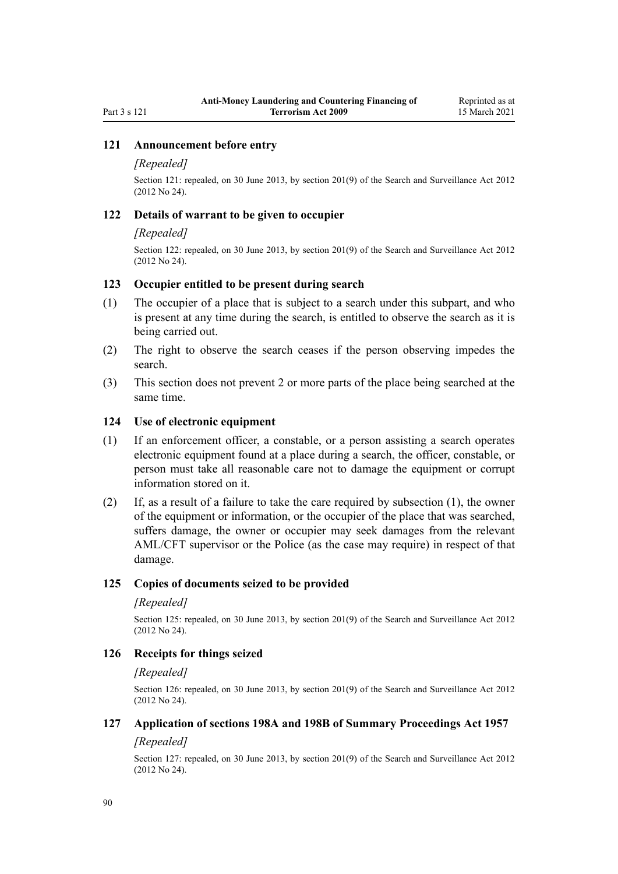### **121 Announcement before entry**

#### *[Repealed]*

Section 121: repealed, on 30 June 2013, by [section 201\(9\)](http://legislation.govt.nz/pdflink.aspx?id=DLM4355905) of the Search and Surveillance Act 2012 (2012 No 24).

#### **122 Details of warrant to be given to occupier**

#### *[Repealed]*

Section 122: repealed, on 30 June 2013, by [section 201\(9\)](http://legislation.govt.nz/pdflink.aspx?id=DLM4355905) of the Search and Surveillance Act 2012 (2012 No 24).

### **123 Occupier entitled to be present during search**

- (1) The occupier of a place that is subject to a search under this subpart, and who is present at any time during the search, is entitled to observe the search as it is being carried out.
- (2) The right to observe the search ceases if the person observing impedes the search.
- (3) This section does not prevent 2 or more parts of the place being searched at the same time.

#### **124 Use of electronic equipment**

- (1) If an enforcement officer, a constable, or a person assisting a search operates electronic equipment found at a place during a search, the officer, constable, or person must take all reasonable care not to damage the equipment or corrupt information stored on it.
- (2) If, as a result of a failure to take the care required by subsection (1), the owner of the equipment or information, or the occupier of the place that was searched, suffers damage, the owner or occupier may seek damages from the relevant AML/CFT supervisor or the Police (as the case may require) in respect of that damage.

### **125 Copies of documents seized to be provided**

#### *[Repealed]*

Section 125: repealed, on 30 June 2013, by [section 201\(9\)](http://legislation.govt.nz/pdflink.aspx?id=DLM4355905) of the Search and Surveillance Act 2012 (2012 No 24).

## **126 Receipts for things seized**

#### *[Repealed]*

Section 126: repealed, on 30 June 2013, by [section 201\(9\)](http://legislation.govt.nz/pdflink.aspx?id=DLM4355905) of the Search and Surveillance Act 2012 (2012 No 24).

### **127 Application of sections 198A and 198B of Summary Proceedings Act 1957**

### *[Repealed]*

Section 127: repealed, on 30 June 2013, by [section 201\(9\)](http://legislation.govt.nz/pdflink.aspx?id=DLM4355905) of the Search and Surveillance Act 2012 (2012 No 24).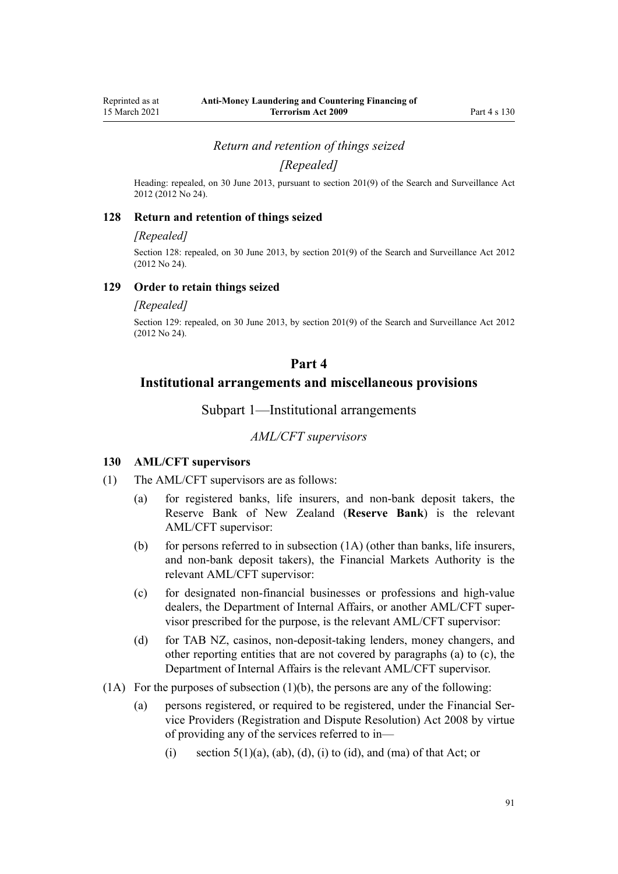*Return and retention of things seized*

*[Repealed]*

Heading: repealed, on 30 June 2013, pursuant to [section 201\(9\)](http://legislation.govt.nz/pdflink.aspx?id=DLM4355905) of the Search and Surveillance Act 2012 (2012 No 24).

#### **128 Return and retention of things seized**

#### *[Repealed]*

Section 128: repealed, on 30 June 2013, by [section 201\(9\)](http://legislation.govt.nz/pdflink.aspx?id=DLM4355905) of the Search and Surveillance Act 2012 (2012 No 24).

### **129 Order to retain things seized**

#### *[Repealed]*

Section 129: repealed, on 30 June 2013, by [section 201\(9\)](http://legislation.govt.nz/pdflink.aspx?id=DLM4355905) of the Search and Surveillance Act 2012 (2012 No 24).

### **Part 4**

## **Institutional arrangements and miscellaneous provisions**

Subpart 1—Institutional arrangements

### *AML/CFT supervisors*

### **130 AML/CFT supervisors**

- (1) The AML/CFT supervisors are as follows:
	- (a) for registered banks, life insurers, and non-bank deposit takers, the Reserve Bank of New Zealand (**Reserve Bank**) is the relevant AML/CFT supervisor:
	- (b) for persons referred to in subsection  $(1A)$  (other than banks, life insurers, and non-bank deposit takers), the Financial Markets Authority is the relevant AML/CFT supervisor:
	- (c) for designated non-financial businesses or professions and high-value dealers, the Department of Internal Affairs, or another AML/CFT supervisor prescribed for the purpose, is the relevant AML/CFT supervisor:
	- (d) for TAB NZ, casinos, non-deposit-taking lenders, money changers, and other reporting entities that are not covered by paragraphs (a) to (c), the Department of Internal Affairs is the relevant AML/CFT supervisor.
- $(1)$  For the purposes of subsection  $(1)$ (b), the persons are any of the following:
	- (a) persons registered, or required to be registered, under the [Financial Ser](http://legislation.govt.nz/pdflink.aspx?id=DLM1109400)[vice Providers \(Registration and Dispute Resolution\) Act 2008](http://legislation.govt.nz/pdflink.aspx?id=DLM1109400) by virtue of providing any of the services referred to in—
		- (i) section  $5(1)(a)$ ,  $(ab)$ ,  $(d)$ ,  $(i)$  to  $(id)$ , and  $(ma)$  of that Act; or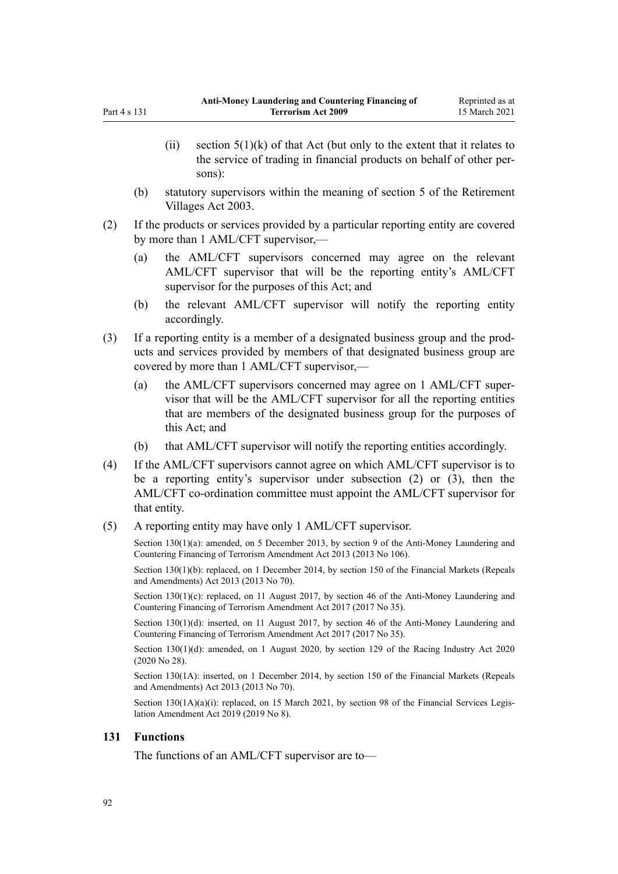- (ii) section  $5(1)(k)$  of that Act (but only to the extent that it relates to the service of trading in financial products on behalf of other persons):
- (b) statutory supervisors within the meaning of [section 5](http://legislation.govt.nz/pdflink.aspx?id=DLM220373) of the Retirement Villages Act 2003.
- (2) If the products or services provided by a particular reporting entity are covered by more than 1 AML/CFT supervisor,—
	- (a) the AML/CFT supervisors concerned may agree on the relevant AML/CFT supervisor that will be the reporting entity's AML/CFT supervisor for the purposes of this Act; and
	- (b) the relevant AML/CFT supervisor will notify the reporting entity accordingly.
- (3) If a reporting entity is a member of a designated business group and the products and services provided by members of that designated business group are covered by more than 1 AML/CFT supervisor,—
	- (a) the AML/CFT supervisors concerned may agree on 1 AML/CFT supervisor that will be the AML/CFT supervisor for all the reporting entities that are members of the designated business group for the purposes of this Act; and
	- (b) that AML/CFT supervisor will notify the reporting entities accordingly.
- (4) If the AML/CFT supervisors cannot agree on which AML/CFT supervisor is to be a reporting entity's supervisor under subsection (2) or (3), then the AML/CFT co-ordination committee must appoint the AML/CFT supervisor for that entity.
- (5) A reporting entity may have only 1 AML/CFT supervisor.

Section 130(1)(a): amended, on 5 December 2013, by [section 9](http://legislation.govt.nz/pdflink.aspx?id=DLM5621513) of the Anti-Money Laundering and Countering Financing of Terrorism Amendment Act 2013 (2013 No 106).

Section 130(1)(b): replaced, on 1 December 2014, by [section 150](http://legislation.govt.nz/pdflink.aspx?id=DLM5561603) of the Financial Markets (Repeals and Amendments) Act 2013 (2013 No 70).

Section 130(1)(c): replaced, on 11 August 2017, by [section 46](http://legislation.govt.nz/pdflink.aspx?id=DLM7161327) of the Anti-Money Laundering and Countering Financing of Terrorism Amendment Act 2017 (2017 No 35).

Section 130(1)(d): inserted, on 11 August 2017, by [section 46](http://legislation.govt.nz/pdflink.aspx?id=DLM7161327) of the Anti-Money Laundering and Countering Financing of Terrorism Amendment Act 2017 (2017 No 35).

Section 130(1)(d): amended, on 1 August 2020, by [section 129](http://legislation.govt.nz/pdflink.aspx?id=LMS292230) of the Racing Industry Act 2020 (2020 No 28).

Section 130(1A): inserted, on 1 December 2014, by [section 150](http://legislation.govt.nz/pdflink.aspx?id=DLM5561603) of the Financial Markets (Repeals and Amendments) Act 2013 (2013 No 70).

Section 130(1A)(a)(i): replaced, on 15 March 2021, by [section 98](http://legislation.govt.nz/pdflink.aspx?id=DLM7386624) of the Financial Services Legislation Amendment Act 2019 (2019 No 8).

### **131 Functions**

<span id="page-91-0"></span>Part  $4 \times 131$ 

The functions of an AML/CFT supervisor are to—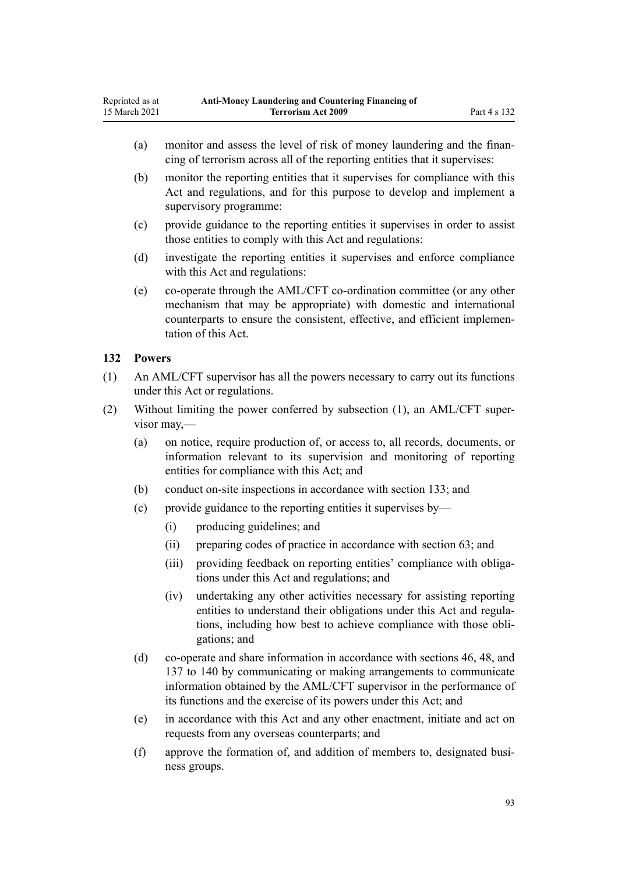- <span id="page-92-0"></span>(a) monitor and assess the level of risk of money laundering and the financing of terrorism across all of the reporting entities that it supervises:
- (b) monitor the reporting entities that it supervises for compliance with this Act and regulations, and for this purpose to develop and implement a supervisory programme:
- (c) provide guidance to the reporting entities it supervises in order to assist those entities to comply with this Act and regulations:
- (d) investigate the reporting entities it supervises and enforce compliance with this Act and regulations:
- (e) co-operate through the AML/CFT co-ordination committee (or any other mechanism that may be appropriate) with domestic and international counterparts to ensure the consistent, effective, and efficient implementation of this Act.

## **132 Powers**

- (1) An AML/CFT supervisor has all the powers necessary to carry out its functions under this Act or regulations.
- (2) Without limiting the power conferred by subsection (1), an AML/CFT supervisor may,—
	- (a) on notice, require production of, or access to, all records, documents, or information relevant to its supervision and monitoring of reporting entities for compliance with this Act; and
	- (b) conduct on-site inspections in accordance with [section 133;](#page-93-0) and
	- (c) provide guidance to the reporting entities it supervises by—
		- (i) producing guidelines; and
		- (ii) preparing codes of practice in accordance with [section 63;](#page-66-0) and
		- (iii) providing feedback on reporting entities' compliance with obligations under this Act and regulations; and
		- (iv) undertaking any other activities necessary for assisting reporting entities to understand their obligations under this Act and regulations, including how best to achieve compliance with those obligations; and
	- (d) co-operate and share information in accordance with [sections 46](#page-54-0), [48,](#page-56-0) and [137 to 140](#page-95-0) by communicating or making arrangements to communicate information obtained by the AML/CFT supervisor in the performance of its functions and the exercise of its powers under this Act; and
	- (e) in accordance with this Act and any other enactment, initiate and act on requests from any overseas counterparts; and
	- (f) approve the formation of, and addition of members to, designated business groups.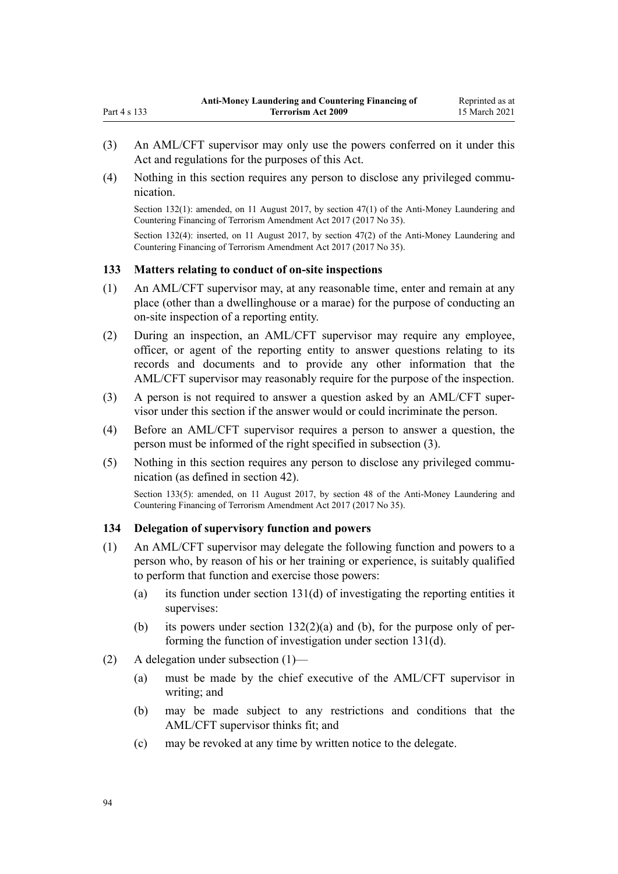- (3) An AML/CFT supervisor may only use the powers conferred on it under this Act and regulations for the purposes of this Act.
- (4) Nothing in this section requires any person to disclose any privileged communication.

Section 132(1): amended, on 11 August 2017, by [section 47\(1\)](http://legislation.govt.nz/pdflink.aspx?id=DLM7340633) of the Anti-Money Laundering and Countering Financing of Terrorism Amendment Act 2017 (2017 No 35).

Section 132(4): inserted, on 11 August 2017, by [section 47\(2\)](http://legislation.govt.nz/pdflink.aspx?id=DLM7340633) of the Anti-Money Laundering and Countering Financing of Terrorism Amendment Act 2017 (2017 No 35).

### **133 Matters relating to conduct of on-site inspections**

<span id="page-93-0"></span>Part 4 s 133

- (1) An AML/CFT supervisor may, at any reasonable time, enter and remain at any place (other than a dwellinghouse or a marae) for the purpose of conducting an on-site inspection of a reporting entity.
- (2) During an inspection, an AML/CFT supervisor may require any employee, officer, or agent of the reporting entity to answer questions relating to its records and documents and to provide any other information that the AML/CFT supervisor may reasonably require for the purpose of the inspection.
- (3) A person is not required to answer a question asked by an AML/CFT supervisor under this section if the answer would or could incriminate the person.
- (4) Before an AML/CFT supervisor requires a person to answer a question, the person must be informed of the right specified in subsection (3).
- (5) Nothing in this section requires any person to disclose any privileged communication (as defined in [section 42\)](#page-51-0).

Section 133(5): amended, on 11 August 2017, by [section 48](http://legislation.govt.nz/pdflink.aspx?id=DLM7340634) of the Anti-Money Laundering and Countering Financing of Terrorism Amendment Act 2017 (2017 No 35).

### **134 Delegation of supervisory function and powers**

- (1) An AML/CFT supervisor may delegate the following function and powers to a person who, by reason of his or her training or experience, is suitably qualified to perform that function and exercise those powers:
	- (a) its function under [section 131\(d\)](#page-91-0) of investigating the reporting entities it supervises:
	- (b) its powers under section  $132(2)(a)$  and (b), for the purpose only of performing the function of investigation under [section 131\(d\)](#page-91-0).
- (2) A delegation under subsection (1)—
	- (a) must be made by the chief executive of the AML/CFT supervisor in writing; and
	- (b) may be made subject to any restrictions and conditions that the AML/CFT supervisor thinks fit; and
	- (c) may be revoked at any time by written notice to the delegate.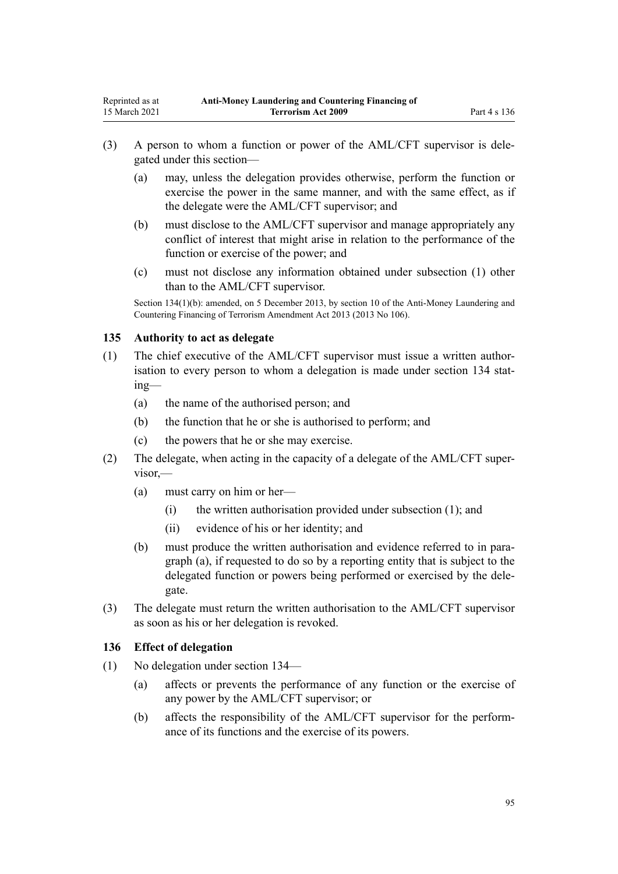- (3) A person to whom a function or power of the AML/CFT supervisor is delegated under this section—
	- (a) may, unless the delegation provides otherwise, perform the function or exercise the power in the same manner, and with the same effect, as if the delegate were the AML/CFT supervisor; and
	- (b) must disclose to the AML/CFT supervisor and manage appropriately any conflict of interest that might arise in relation to the performance of the function or exercise of the power; and
	- (c) must not disclose any information obtained under subsection (1) other than to the AML/CFT supervisor.

Section 134(1)(b): amended, on 5 December 2013, by [section 10](http://legislation.govt.nz/pdflink.aspx?id=DLM5621514) of the Anti-Money Laundering and Countering Financing of Terrorism Amendment Act 2013 (2013 No 106).

### **135 Authority to act as delegate**

- (1) The chief executive of the AML/CFT supervisor must issue a written authorisation to every person to whom a delegation is made under [section 134](#page-93-0) stating—
	- (a) the name of the authorised person; and
	- (b) the function that he or she is authorised to perform; and
	- (c) the powers that he or she may exercise.
- (2) The delegate, when acting in the capacity of a delegate of the AML/CFT supervisor,—
	- (a) must carry on him or her—
		- (i) the written authorisation provided under subsection (1); and
		- (ii) evidence of his or her identity; and
	- (b) must produce the written authorisation and evidence referred to in paragraph (a), if requested to do so by a reporting entity that is subject to the delegated function or powers being performed or exercised by the delegate.
- (3) The delegate must return the written authorisation to the AML/CFT supervisor as soon as his or her delegation is revoked.

### **136 Effect of delegation**

- (1) No delegation under [section 134—](#page-93-0)
	- (a) affects or prevents the performance of any function or the exercise of any power by the AML/CFT supervisor; or
	- (b) affects the responsibility of the AML/CFT supervisor for the performance of its functions and the exercise of its powers.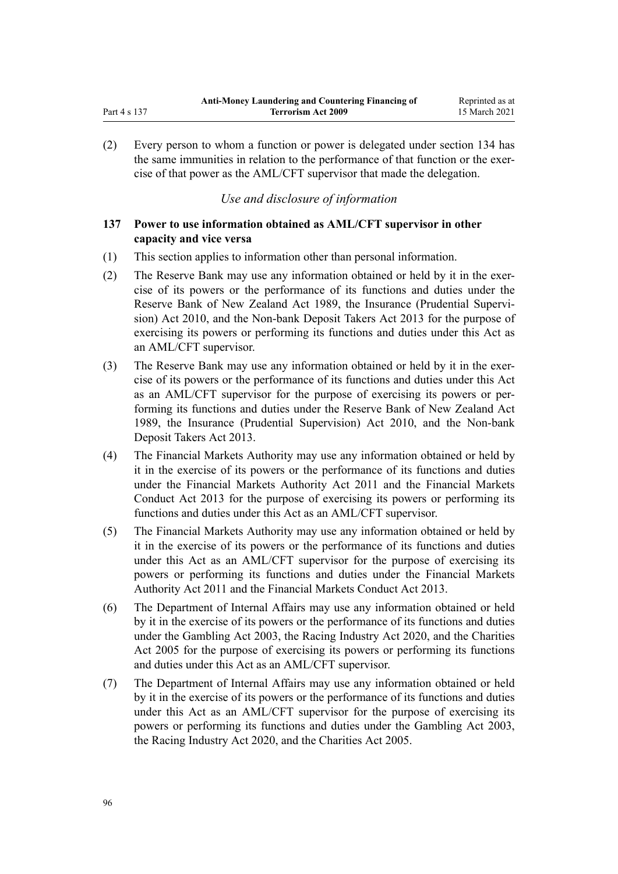(2) Every person to whom a function or power is delegated under [section 134](#page-93-0) has the same immunities in relation to the performance of that function or the exercise of that power as the AML/CFT supervisor that made the delegation.

# *Use and disclosure of information*

# **137 Power to use information obtained as AML/CFT supervisor in other capacity and vice versa**

- (1) This section applies to information other than personal information.
- (2) The Reserve Bank may use any information obtained or held by it in the exercise of its powers or the performance of its functions and duties under the [Reserve Bank of New Zealand Act 1989,](http://legislation.govt.nz/pdflink.aspx?id=DLM199363) the [Insurance \(Prudential Supervi](http://legislation.govt.nz/pdflink.aspx?id=DLM2478100)[sion\) Act 2010,](http://legislation.govt.nz/pdflink.aspx?id=DLM2478100) and the [Non-bank Deposit Takers Act 2013](http://legislation.govt.nz/pdflink.aspx?id=DLM3918902) for the purpose of exercising its powers or performing its functions and duties under this Act as an AML/CFT supervisor.
- (3) The Reserve Bank may use any information obtained or held by it in the exercise of its powers or the performance of its functions and duties under this Act as an AML/CFT supervisor for the purpose of exercising its powers or performing its functions and duties under the [Reserve Bank of New Zealand Act](http://legislation.govt.nz/pdflink.aspx?id=DLM199363) [1989](http://legislation.govt.nz/pdflink.aspx?id=DLM199363), the [Insurance \(Prudential Supervision\) Act 2010,](http://legislation.govt.nz/pdflink.aspx?id=DLM2478100) and the [Non-bank](http://legislation.govt.nz/pdflink.aspx?id=DLM3918902) [Deposit Takers Act 2013.](http://legislation.govt.nz/pdflink.aspx?id=DLM3918902)
- (4) The Financial Markets Authority may use any information obtained or held by it in the exercise of its powers or the performance of its functions and duties under the [Financial Markets Authority Act 2011](http://legislation.govt.nz/pdflink.aspx?id=DLM3231004) and the [Financial Markets](http://legislation.govt.nz/pdflink.aspx?id=DLM4090503) [Conduct Act 2013](http://legislation.govt.nz/pdflink.aspx?id=DLM4090503) for the purpose of exercising its powers or performing its functions and duties under this Act as an AML/CFT supervisor.
- (5) The Financial Markets Authority may use any information obtained or held by it in the exercise of its powers or the performance of its functions and duties under this Act as an AML/CFT supervisor for the purpose of exercising its powers or performing its functions and duties under the [Financial Markets](http://legislation.govt.nz/pdflink.aspx?id=DLM3231004) [Authority Act 2011](http://legislation.govt.nz/pdflink.aspx?id=DLM3231004) and the [Financial Markets Conduct Act 2013.](http://legislation.govt.nz/pdflink.aspx?id=DLM4090503)
- (6) The Department of Internal Affairs may use any information obtained or held by it in the exercise of its powers or the performance of its functions and duties under the [Gambling Act 2003,](http://legislation.govt.nz/pdflink.aspx?id=DLM207496) the [Racing Industry Act 2020](http://legislation.govt.nz/pdflink.aspx?id=LMS291909), and the [Charities](http://legislation.govt.nz/pdflink.aspx?id=DLM344367) [Act 2005](http://legislation.govt.nz/pdflink.aspx?id=DLM344367) for the purpose of exercising its powers or performing its functions and duties under this Act as an AML/CFT supervisor.
- (7) The Department of Internal Affairs may use any information obtained or held by it in the exercise of its powers or the performance of its functions and duties under this Act as an AML/CFT supervisor for the purpose of exercising its powers or performing its functions and duties under the [Gambling Act 2003](http://legislation.govt.nz/pdflink.aspx?id=DLM207496), the [Racing Industry Act 2020](http://legislation.govt.nz/pdflink.aspx?id=LMS291909), and the [Charities Act 2005](http://legislation.govt.nz/pdflink.aspx?id=DLM344367).

<span id="page-95-0"></span>Part 4 s 137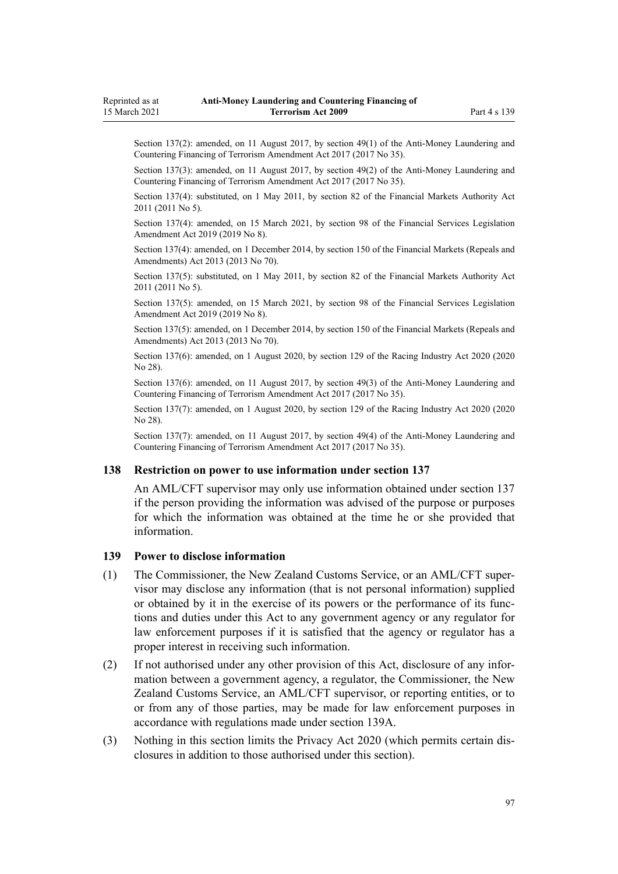<span id="page-96-0"></span>Section 137(2): amended, on 11 August 2017, by [section 49\(1\)](http://legislation.govt.nz/pdflink.aspx?id=DLM7161328) of the Anti-Money Laundering and Countering Financing of Terrorism Amendment Act 2017 (2017 No 35).

Section 137(3): amended, on 11 August 2017, by [section 49\(2\)](http://legislation.govt.nz/pdflink.aspx?id=DLM7161328) of the Anti-Money Laundering and Countering Financing of Terrorism Amendment Act 2017 (2017 No 35).

Section 137(4): substituted, on 1 May 2011, by [section 82](http://legislation.govt.nz/pdflink.aspx?id=DLM3231793) of the Financial Markets Authority Act 2011 (2011 No 5).

Section 137(4): amended, on 15 March 2021, by [section 98](http://legislation.govt.nz/pdflink.aspx?id=DLM7386624) of the Financial Services Legislation Amendment Act 2019 (2019 No 8).

Section 137(4): amended, on 1 December 2014, by [section 150](http://legislation.govt.nz/pdflink.aspx?id=DLM5561603) of the Financial Markets (Repeals and Amendments) Act 2013 (2013 No 70).

Section 137(5): substituted, on 1 May 2011, by [section 82](http://legislation.govt.nz/pdflink.aspx?id=DLM3231793) of the Financial Markets Authority Act 2011 (2011 No 5).

Section 137(5): amended, on 15 March 2021, by [section 98](http://legislation.govt.nz/pdflink.aspx?id=DLM7386624) of the Financial Services Legislation Amendment Act 2019 (2019 No 8).

Section 137(5): amended, on 1 December 2014, by [section 150](http://legislation.govt.nz/pdflink.aspx?id=DLM5561603) of the Financial Markets (Repeals and Amendments) Act 2013 (2013 No 70).

Section 137(6): amended, on 1 August 2020, by [section 129](http://legislation.govt.nz/pdflink.aspx?id=LMS292230) of the Racing Industry Act 2020 (2020 No 28).

Section 137(6): amended, on 11 August 2017, by [section 49\(3\)](http://legislation.govt.nz/pdflink.aspx?id=DLM7161328) of the Anti-Money Laundering and Countering Financing of Terrorism Amendment Act 2017 (2017 No 35).

Section 137(7): amended, on 1 August 2020, by [section 129](http://legislation.govt.nz/pdflink.aspx?id=LMS292230) of the Racing Industry Act 2020 (2020 No 28).

Section 137(7): amended, on 11 August 2017, by [section 49\(4\)](http://legislation.govt.nz/pdflink.aspx?id=DLM7161328) of the Anti-Money Laundering and Countering Financing of Terrorism Amendment Act 2017 (2017 No 35).

### **138 Restriction on power to use information under section 137**

An AML/CFT supervisor may only use information obtained under [section 137](#page-95-0) if the person providing the information was advised of the purpose or purposes for which the information was obtained at the time he or she provided that information.

#### **139 Power to disclose information**

- (1) The Commissioner, the New Zealand Customs Service, or an AML/CFT supervisor may disclose any information (that is not personal information) supplied or obtained by it in the exercise of its powers or the performance of its functions and duties under this Act to any government agency or any regulator for law enforcement purposes if it is satisfied that the agency or regulator has a proper interest in receiving such information.
- (2) If not authorised under any other provision of this Act, disclosure of any information between a government agency, a regulator, the Commissioner, the New Zealand Customs Service, an AML/CFT supervisor, or reporting entities, or to or from any of those parties, may be made for law enforcement purposes in accordance with regulations made under [section 139A.](#page-97-0)
- (3) Nothing in this section limits the [Privacy Act 2020](http://legislation.govt.nz/pdflink.aspx?id=LMS23193) (which permits certain disclosures in addition to those authorised under this section).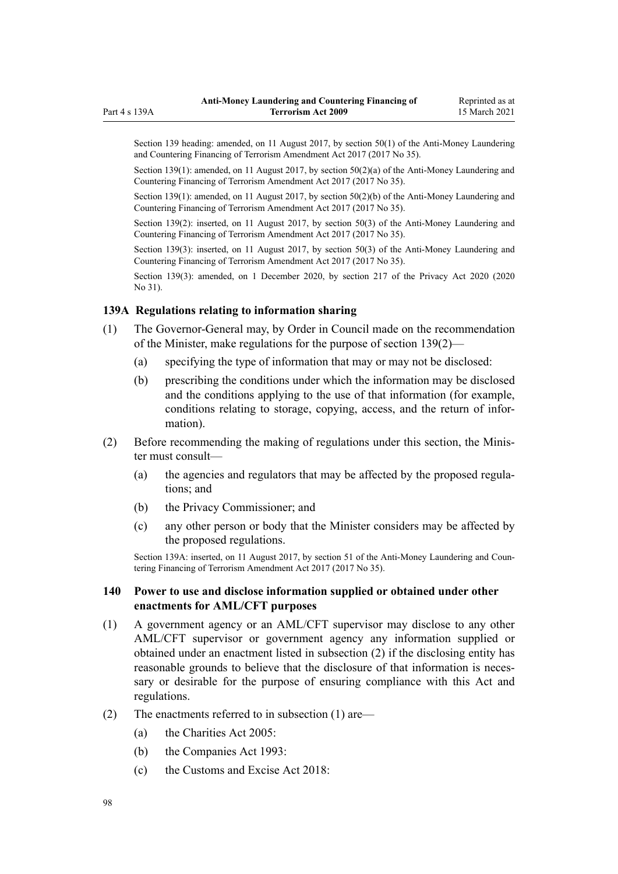<span id="page-97-0"></span>Section 139 heading: amended, on 11 August 2017, by [section 50\(1\)](http://legislation.govt.nz/pdflink.aspx?id=DLM7161329) of the Anti-Money Laundering and Countering Financing of Terrorism Amendment Act 2017 (2017 No 35).

Section 139(1): amended, on 11 August 2017, by [section 50\(2\)\(a\)](http://legislation.govt.nz/pdflink.aspx?id=DLM7161329) of the Anti-Money Laundering and Countering Financing of Terrorism Amendment Act 2017 (2017 No 35).

Section 139(1): amended, on 11 August 2017, by [section 50\(2\)\(b\)](http://legislation.govt.nz/pdflink.aspx?id=DLM7161329) of the Anti-Money Laundering and Countering Financing of Terrorism Amendment Act 2017 (2017 No 35).

Section 139(2): inserted, on 11 August 2017, by [section 50\(3\)](http://legislation.govt.nz/pdflink.aspx?id=DLM7161329) of the Anti-Money Laundering and Countering Financing of Terrorism Amendment Act 2017 (2017 No 35).

Section 139(3): inserted, on 11 August 2017, by [section 50\(3\)](http://legislation.govt.nz/pdflink.aspx?id=DLM7161329) of the Anti-Money Laundering and Countering Financing of Terrorism Amendment Act 2017 (2017 No 35).

Section 139(3): amended, on 1 December 2020, by [section 217](http://legislation.govt.nz/pdflink.aspx?id=LMS23706) of the Privacy Act 2020 (2020 No 31).

### **139A Regulations relating to information sharing**

- (1) The Governor-General may, by Order in Council made on the recommendation of the Minister, make regulations for the purpose of [section 139\(2\)—](#page-96-0)
	- (a) specifying the type of information that may or may not be disclosed:
	- (b) prescribing the conditions under which the information may be disclosed and the conditions applying to the use of that information (for example, conditions relating to storage, copying, access, and the return of information).
- (2) Before recommending the making of regulations under this section, the Minister must consult—
	- (a) the agencies and regulators that may be affected by the proposed regulations; and
	- (b) the Privacy Commissioner; and
	- (c) any other person or body that the Minister considers may be affected by the proposed regulations.

Section 139A: inserted, on 11 August 2017, by [section 51](http://legislation.govt.nz/pdflink.aspx?id=DLM7340635) of the Anti-Money Laundering and Countering Financing of Terrorism Amendment Act 2017 (2017 No 35).

### **140 Power to use and disclose information supplied or obtained under other enactments for AML/CFT purposes**

- (1) A government agency or an AML/CFT supervisor may disclose to any other AML/CFT supervisor or government agency any information supplied or obtained under an enactment listed in subsection (2) if the disclosing entity has reasonable grounds to believe that the disclosure of that information is necessary or desirable for the purpose of ensuring compliance with this Act and regulations.
- (2) The enactments referred to in subsection (1) are—
	- (a) the [Charities Act 2005](http://legislation.govt.nz/pdflink.aspx?id=DLM344367):
	- (b) the [Companies Act 1993](http://legislation.govt.nz/pdflink.aspx?id=DLM319569):
	- (c) the Customs and Excise Act  $2018$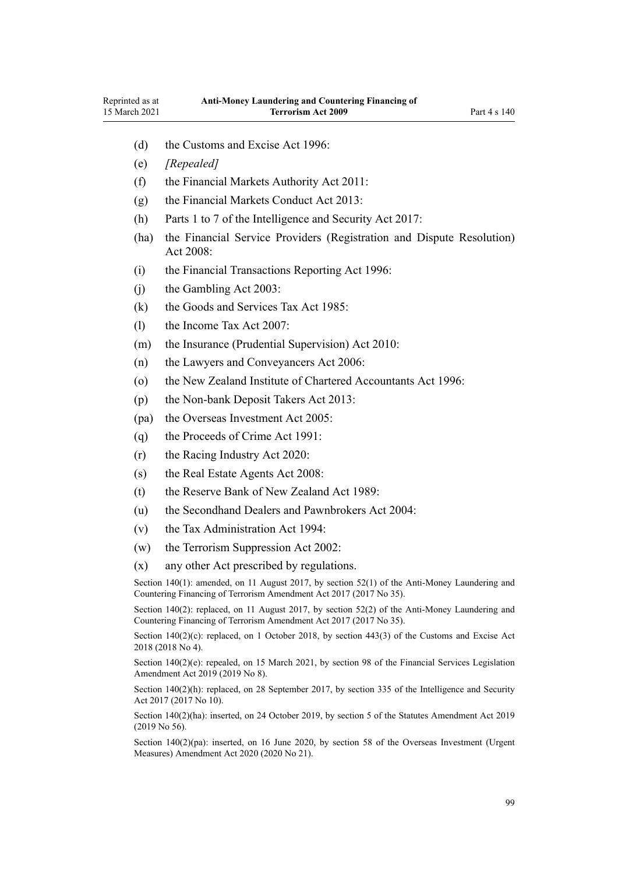- (d) the [Customs and Excise Act 1996:](http://legislation.govt.nz/pdflink.aspx?id=DLM377336)
- (e) *[Repealed]*
- (f) the [Financial Markets Authority Act 2011](http://legislation.govt.nz/pdflink.aspx?id=DLM3231004):
- (g) the [Financial Markets Conduct Act 2013:](http://legislation.govt.nz/pdflink.aspx?id=DLM4090503)
- (h) [Parts 1 to 7](http://legislation.govt.nz/pdflink.aspx?id=DLM6920828) of the Intelligence and Security Act 2017:
- (ha) the [Financial Service Providers \(Registration and Dispute Resolution\)](http://legislation.govt.nz/pdflink.aspx?id=DLM1109400) Act  $2008$
- (i) the [Financial Transactions Reporting Act 1996](http://legislation.govt.nz/pdflink.aspx?id=DLM373803):
- (j) the [Gambling Act 2003](http://legislation.govt.nz/pdflink.aspx?id=DLM207496):
- (k) the [Goods and Services Tax Act 1985:](http://legislation.govt.nz/pdflink.aspx?id=DLM81034)
- (l) the [Income Tax Act 2007:](http://legislation.govt.nz/pdflink.aspx?id=DLM1512300)
- (m) the [Insurance \(Prudential Supervision\) Act 2010:](http://legislation.govt.nz/pdflink.aspx?id=DLM2478100)
- (n) the [Lawyers and Conveyancers Act 2006:](http://legislation.govt.nz/pdflink.aspx?id=DLM364938)
- (o) the [New Zealand Institute of Chartered Accountants Act 1996:](http://legislation.govt.nz/pdflink.aspx?id=DLM391363)
- (p) the [Non-bank Deposit Takers Act 2013](http://legislation.govt.nz/pdflink.aspx?id=DLM3918902):
- (pa) the [Overseas Investment Act 2005:](http://legislation.govt.nz/pdflink.aspx?id=DLM356880)
- (q) the [Proceeds of Crime Act 1991](http://legislation.govt.nz/pdflink.aspx?id=DLM250668):
- (r) the [Racing Industry Act 2020](http://legislation.govt.nz/pdflink.aspx?id=LMS291909):
- (s) the [Real Estate Agents Act 2008:](http://legislation.govt.nz/pdflink.aspx?id=DLM1151900)
- (t) the [Reserve Bank of New Zealand Act 1989:](http://legislation.govt.nz/pdflink.aspx?id=DLM199363)
- (u) the [Secondhand Dealers and Pawnbrokers Act 2004](http://legislation.govt.nz/pdflink.aspx?id=DLM305111):
- (v) the [Tax Administration Act 1994](http://legislation.govt.nz/pdflink.aspx?id=DLM348342):
- (w) the [Terrorism Suppression Act 2002:](http://legislation.govt.nz/pdflink.aspx?id=DLM151490)
- (x) any other Act prescribed by regulations.

Section 140(1): amended, on 11 August 2017, by [section 52\(1\)](http://legislation.govt.nz/pdflink.aspx?id=DLM7161332) of the Anti-Money Laundering and Countering Financing of Terrorism Amendment Act 2017 (2017 No 35).

Section 140(2): replaced, on 11 August 2017, by [section 52\(2\)](http://legislation.govt.nz/pdflink.aspx?id=DLM7161332) of the Anti-Money Laundering and Countering Financing of Terrorism Amendment Act 2017 (2017 No 35).

Section 140(2)(c): replaced, on 1 October 2018, by [section 443\(3\)](http://legislation.govt.nz/pdflink.aspx?id=DLM7039957) of the Customs and Excise Act 2018 (2018 No 4).

Section 140(2)(e): repealed, on 15 March 2021, by [section 98](http://legislation.govt.nz/pdflink.aspx?id=DLM7386624) of the Financial Services Legislation Amendment Act 2019 (2019 No 8).

Section 140(2)(h): replaced, on 28 September 2017, by [section 335](http://legislation.govt.nz/pdflink.aspx?id=DLM6921475) of the Intelligence and Security Act 2017 (2017 No 10).

Section 140(2)(ha): inserted, on 24 October 2019, by [section 5](http://legislation.govt.nz/pdflink.aspx?id=LMS58873) of the Statutes Amendment Act 2019 (2019 No 56).

Section 140(2)(pa): inserted, on 16 June 2020, by [section 58](http://legislation.govt.nz/pdflink.aspx?id=LMS342576) of the Overseas Investment (Urgent Measures) Amendment Act 2020 (2020 No 21).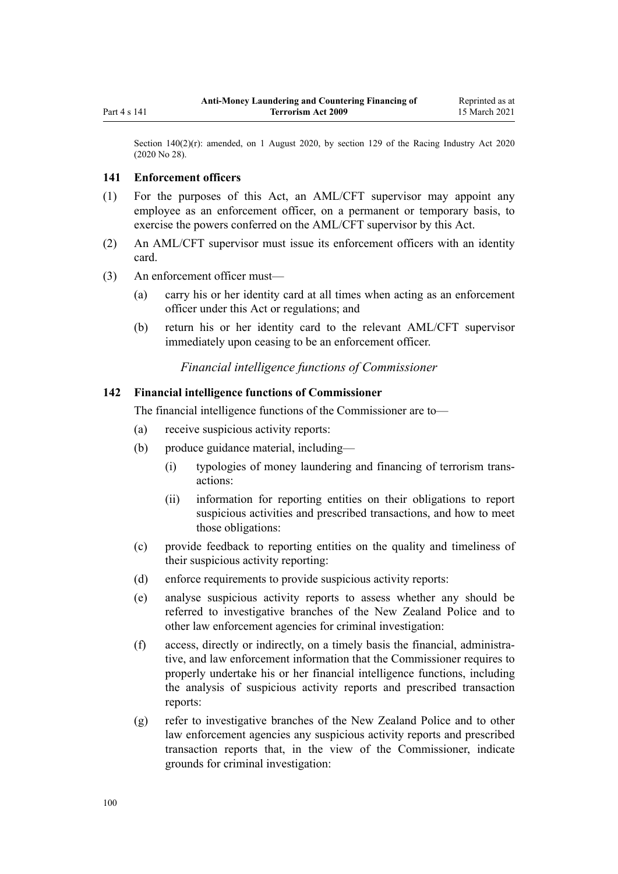<span id="page-99-0"></span>Section 140(2)(r): amended, on 1 August 2020, by [section 129](http://legislation.govt.nz/pdflink.aspx?id=LMS292230) of the Racing Industry Act 2020 (2020 No 28).

### **141 Enforcement officers**

- (1) For the purposes of this Act, an AML/CFT supervisor may appoint any employee as an enforcement officer, on a permanent or temporary basis, to exercise the powers conferred on the AML/CFT supervisor by this Act.
- (2) An AML/CFT supervisor must issue its enforcement officers with an identity card.
- (3) An enforcement officer must—
	- (a) carry his or her identity card at all times when acting as an enforcement officer under this Act or regulations; and
	- (b) return his or her identity card to the relevant AML/CFT supervisor immediately upon ceasing to be an enforcement officer.

*Financial intelligence functions of Commissioner*

## **142 Financial intelligence functions of Commissioner**

The financial intelligence functions of the Commissioner are to—

- (a) receive suspicious activity reports:
- (b) produce guidance material, including—
	- (i) typologies of money laundering and financing of terrorism transactions:
	- (ii) information for reporting entities on their obligations to report suspicious activities and prescribed transactions, and how to meet those obligations:
- (c) provide feedback to reporting entities on the quality and timeliness of their suspicious activity reporting:
- (d) enforce requirements to provide suspicious activity reports:
- (e) analyse suspicious activity reports to assess whether any should be referred to investigative branches of the New Zealand Police and to other law enforcement agencies for criminal investigation:
- (f) access, directly or indirectly, on a timely basis the financial, administrative, and law enforcement information that the Commissioner requires to properly undertake his or her financial intelligence functions, including the analysis of suspicious activity reports and prescribed transaction reports:
- (g) refer to investigative branches of the New Zealand Police and to other law enforcement agencies any suspicious activity reports and prescribed transaction reports that, in the view of the Commissioner, indicate grounds for criminal investigation: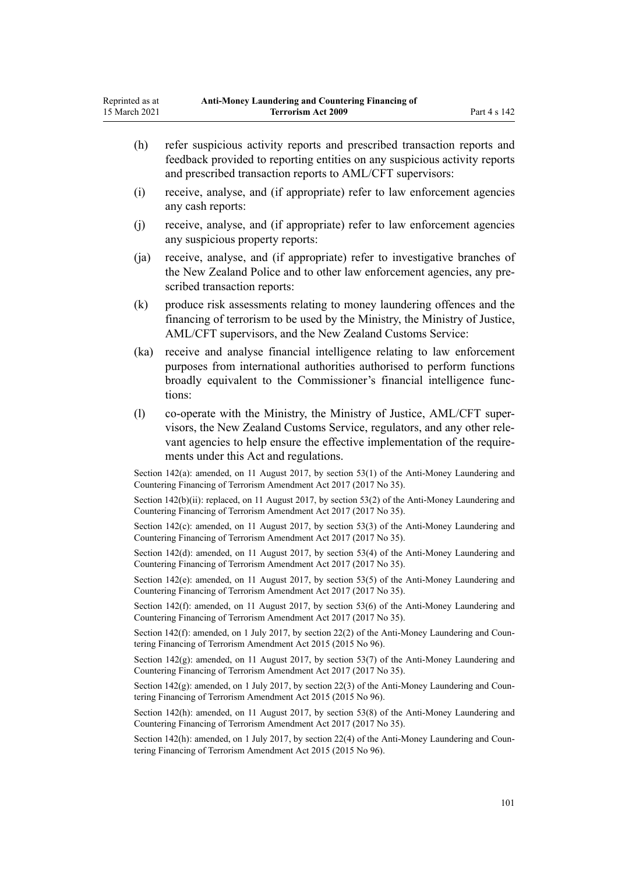|                                                                                                                                                                          | (h)  | refer suspicious activity reports and prescribed transaction reports and<br>feedback provided to reporting entities on any suspicious activity reports<br>and prescribed transaction reports to AML/CFT supervisors:                                                    |
|--------------------------------------------------------------------------------------------------------------------------------------------------------------------------|------|-------------------------------------------------------------------------------------------------------------------------------------------------------------------------------------------------------------------------------------------------------------------------|
|                                                                                                                                                                          | (i)  | receive, analyse, and (if appropriate) refer to law enforcement agencies<br>any cash reports:                                                                                                                                                                           |
|                                                                                                                                                                          | (j)  | receive, analyse, and (if appropriate) refer to law enforcement agencies<br>any suspicious property reports:                                                                                                                                                            |
|                                                                                                                                                                          | (ja) | receive, analyse, and (if appropriate) refer to investigative branches of<br>the New Zealand Police and to other law enforcement agencies, any pre-<br>scribed transaction reports:                                                                                     |
|                                                                                                                                                                          | (k)  | produce risk assessments relating to money laundering offences and the<br>financing of terrorism to be used by the Ministry, the Ministry of Justice,<br>AML/CFT supervisors, and the New Zealand Customs Service:                                                      |
|                                                                                                                                                                          | (ka) | receive and analyse financial intelligence relating to law enforcement<br>purposes from international authorities authorised to perform functions<br>broadly equivalent to the Commissioner's financial intelligence func-<br>tions:                                    |
|                                                                                                                                                                          | (1)  | co-operate with the Ministry, the Ministry of Justice, AML/CFT super-<br>visors, the New Zealand Customs Service, regulators, and any other rele-<br>vant agencies to help ensure the effective implementation of the require-<br>ments under this Act and regulations. |
|                                                                                                                                                                          |      | Section 142(a): amended, on 11 August 2017, by section 53(1) of the Anti-Money Laundering and<br>Countering Financing of Terrorism Amendment Act 2017 (2017 No 35).                                                                                                     |
| Section 142(b)(ii): replaced, on 11 August 2017, by section 53(2) of the Anti-Money Laundering and<br>Countering Financing of Terrorism Amendment Act 2017 (2017 No 35). |      |                                                                                                                                                                                                                                                                         |
|                                                                                                                                                                          |      | Section 142(c): amended, on 11 August 2017, by section 53(3) of the Anti-Money Laundering and<br>Countering Financing of Terrorism Amendment Act 2017 (2017 No 35).                                                                                                     |
| Section 142(d): amended, on 11 August 2017, by section 53(4) of the Anti-Money Laundering and<br>Countering Financing of Terrorism Amendment Act 2017 (2017 No 35).      |      |                                                                                                                                                                                                                                                                         |
|                                                                                                                                                                          |      | Section 142(e): amended, on 11 August 2017, by section 53(5) of the Anti-Money Laundering and<br>Countering Financing of Terrorism Amendment Act 2017 (2017 No 35).                                                                                                     |
|                                                                                                                                                                          |      | Section 142(f): amended, on 11 August 2017, by section 53(6) of the Anti-Money Laundering and<br>Countering Financing of Terrorism Amendment Act 2017 (2017 No 35).                                                                                                     |
| Section 142(f): amended, on 1 July 2017, by section 22(2) of the Anti-Money Laundering and Coun-<br>tering Financing of Terrorism Amendment Act 2015 (2015 No 96).       |      |                                                                                                                                                                                                                                                                         |
|                                                                                                                                                                          |      | Section 142(g): amended, on 11 August 2017, by section 53(7) of the Anti-Money Laundering and<br>Countering Financing of Terrorism Amendment Act 2017 (2017 No 35).                                                                                                     |
|                                                                                                                                                                          |      | Section 142(g): amended, on 1 July 2017, by section 22(3) of the Anti-Money Laundering and Coun-<br>tering Financing of Terrorism Amendment Act 2015 (2015 No 96).                                                                                                      |
|                                                                                                                                                                          |      | Section 142(h): amended, on 11 August 2017, by section 53(8) of the Anti-Money Laundering and<br>Countering Financing of Terrorism Amendment Act 2017 (2017 No 35).                                                                                                     |

Section 142(h): amended, on 1 July 2017, by [section 22\(4\)](http://legislation.govt.nz/pdflink.aspx?id=DLM6602241) of the Anti-Money Laundering and Countering Financing of Terrorism Amendment Act 2015 (2015 No 96).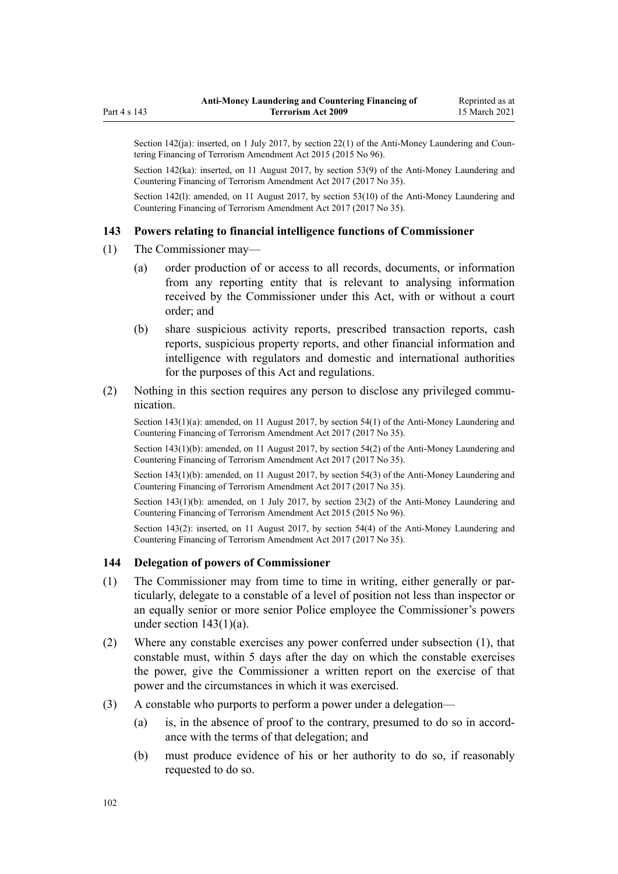Section 142(ja): inserted, on 1 July 2017, by [section 22\(1\)](http://legislation.govt.nz/pdflink.aspx?id=DLM6602241) of the Anti-Money Laundering and Countering Financing of Terrorism Amendment Act 2015 (2015 No 96).

Section 142(ka): inserted, on 11 August 2017, by [section 53\(9\)](http://legislation.govt.nz/pdflink.aspx?id=DLM7161335) of the Anti-Money Laundering and Countering Financing of Terrorism Amendment Act 2017 (2017 No 35).

Section 142(l): amended, on 11 August 2017, by [section 53\(10\)](http://legislation.govt.nz/pdflink.aspx?id=DLM7161335) of the Anti-Money Laundering and Countering Financing of Terrorism Amendment Act 2017 (2017 No 35).

#### **143 Powers relating to financial intelligence functions of Commissioner**

- (1) The Commissioner may—
	- (a) order production of or access to all records, documents, or information from any reporting entity that is relevant to analysing information received by the Commissioner under this Act, with or without a court order; and
	- (b) share suspicious activity reports, prescribed transaction reports, cash reports, suspicious property reports, and other financial information and intelligence with regulators and domestic and international authorities for the purposes of this Act and regulations.
- (2) Nothing in this section requires any person to disclose any privileged communication.

Section 143(1)(a): amended, on 11 August 2017, by [section 54\(1\)](http://legislation.govt.nz/pdflink.aspx?id=DLM7161336) of the Anti-Money Laundering and Countering Financing of Terrorism Amendment Act 2017 (2017 No 35).

Section 143(1)(b): amended, on 11 August 2017, by [section 54\(2\)](http://legislation.govt.nz/pdflink.aspx?id=DLM7161336) of the Anti-Money Laundering and Countering Financing of Terrorism Amendment Act 2017 (2017 No 35).

Section 143(1)(b): amended, on 11 August 2017, by [section 54\(3\)](http://legislation.govt.nz/pdflink.aspx?id=DLM7161336) of the Anti-Money Laundering and Countering Financing of Terrorism Amendment Act 2017 (2017 No 35).

Section 143(1)(b): amended, on 1 July 2017, by [section 23\(2\)](http://legislation.govt.nz/pdflink.aspx?id=DLM6602242) of the Anti-Money Laundering and Countering Financing of Terrorism Amendment Act 2015 (2015 No 96).

Section 143(2): inserted, on 11 August 2017, by [section 54\(4\)](http://legislation.govt.nz/pdflink.aspx?id=DLM7161336) of the Anti-Money Laundering and Countering Financing of Terrorism Amendment Act 2017 (2017 No 35).

### **144 Delegation of powers of Commissioner**

- (1) The Commissioner may from time to time in writing, either generally or particularly, delegate to a constable of a level of position not less than inspector or an equally senior or more senior Police employee the Commissioner's powers under section  $143(1)(a)$ .
- (2) Where any constable exercises any power conferred under subsection (1), that constable must, within 5 days after the day on which the constable exercises the power, give the Commissioner a written report on the exercise of that power and the circumstances in which it was exercised.
- (3) A constable who purports to perform a power under a delegation—
	- (a) is, in the absence of proof to the contrary, presumed to do so in accordance with the terms of that delegation; and
	- (b) must produce evidence of his or her authority to do so, if reasonably requested to do so.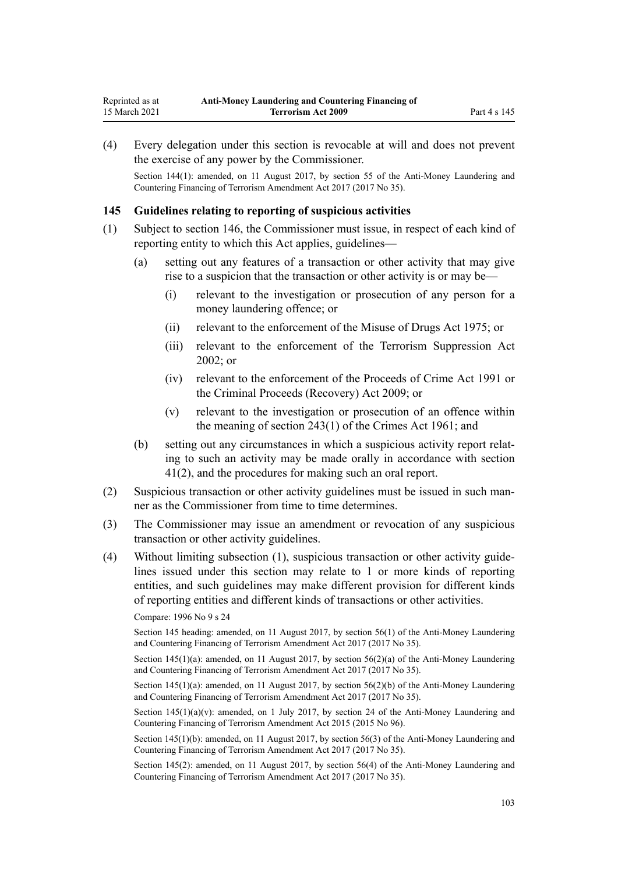<span id="page-102-0"></span>(4) Every delegation under this section is revocable at will and does not prevent the exercise of any power by the Commissioner.

Section 144(1): amended, on 11 August 2017, by [section 55](http://legislation.govt.nz/pdflink.aspx?id=DLM7161338) of the Anti-Money Laundering and Countering Financing of Terrorism Amendment Act 2017 (2017 No 35).

### **145 Guidelines relating to reporting of suspicious activities**

- (1) Subject to [section 146,](#page-103-0) the Commissioner must issue, in respect of each kind of reporting entity to which this Act applies, guidelines—
	- (a) setting out any features of a transaction or other activity that may give rise to a suspicion that the transaction or other activity is or may be—
		- (i) relevant to the investigation or prosecution of any person for a money laundering offence; or
		- (ii) relevant to the enforcement of the [Misuse of Drugs Act 1975;](http://legislation.govt.nz/pdflink.aspx?id=DLM436100) or
		- (iii) relevant to the enforcement of the [Terrorism Suppression Act](http://legislation.govt.nz/pdflink.aspx?id=DLM151490) [2002](http://legislation.govt.nz/pdflink.aspx?id=DLM151490); or
		- (iv) relevant to the enforcement of the [Proceeds of Crime Act 1991](http://legislation.govt.nz/pdflink.aspx?id=DLM250668) or the [Criminal Proceeds \(Recovery\) Act 2009](http://legislation.govt.nz/pdflink.aspx?id=BILL-SCDRAFT-7242); or
		- (v) relevant to the investigation or prosecution of an offence within the meaning of [section 243\(1\)](http://legislation.govt.nz/pdflink.aspx?id=DLM330289) of the Crimes Act 1961; and
	- (b) setting out any circumstances in which a suspicious activity report relating to such an activity may be made orally in accordance with [section](#page-51-0) [41\(2\)](#page-51-0), and the procedures for making such an oral report.
- (2) Suspicious transaction or other activity guidelines must be issued in such manner as the Commissioner from time to time determines.
- (3) The Commissioner may issue an amendment or revocation of any suspicious transaction or other activity guidelines.
- (4) Without limiting subsection (1), suspicious transaction or other activity guidelines issued under this section may relate to 1 or more kinds of reporting entities, and such guidelines may make different provision for different kinds of reporting entities and different kinds of transactions or other activities.

#### Compare: 1996 No 9 [s 24](http://legislation.govt.nz/pdflink.aspx?id=DLM374123)

Section 145 heading: amended, on 11 August 2017, by [section 56\(1\)](http://legislation.govt.nz/pdflink.aspx?id=DLM7161339) of the Anti-Money Laundering and Countering Financing of Terrorism Amendment Act 2017 (2017 No 35).

Section 145(1)(a): amended, on 11 August 2017, by [section 56\(2\)\(a\)](http://legislation.govt.nz/pdflink.aspx?id=DLM7161339) of the Anti-Money Laundering and Countering Financing of Terrorism Amendment Act 2017 (2017 No 35).

Section 145(1)(a): amended, on 11 August 2017, by [section 56\(2\)\(b\)](http://legislation.govt.nz/pdflink.aspx?id=DLM7161339) of the Anti-Money Laundering and Countering Financing of Terrorism Amendment Act 2017 (2017 No 35).

Section  $145(1)(a)(v)$ : amended, on 1 July 2017, by [section 24](http://legislation.govt.nz/pdflink.aspx?id=DLM6602243) of the Anti-Money Laundering and Countering Financing of Terrorism Amendment Act 2015 (2015 No 96).

Section 145(1)(b): amended, on 11 August 2017, by [section 56\(3\)](http://legislation.govt.nz/pdflink.aspx?id=DLM7161339) of the Anti-Money Laundering and Countering Financing of Terrorism Amendment Act 2017 (2017 No 35).

Section 145(2): amended, on 11 August 2017, by [section 56\(4\)](http://legislation.govt.nz/pdflink.aspx?id=DLM7161339) of the Anti-Money Laundering and Countering Financing of Terrorism Amendment Act 2017 (2017 No 35).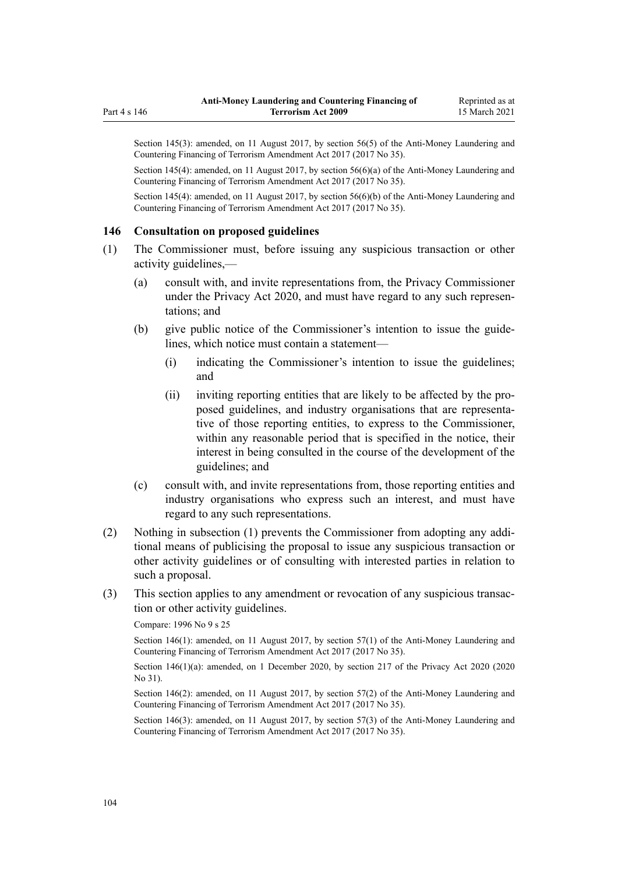<span id="page-103-0"></span>Section 145(3): amended, on 11 August 2017, by [section 56\(5\)](http://legislation.govt.nz/pdflink.aspx?id=DLM7161339) of the Anti-Money Laundering and Countering Financing of Terrorism Amendment Act 2017 (2017 No 35).

Section 145(4): amended, on 11 August 2017, by [section 56\(6\)\(a\)](http://legislation.govt.nz/pdflink.aspx?id=DLM7161339) of the Anti-Money Laundering and Countering Financing of Terrorism Amendment Act 2017 (2017 No 35).

Section 145(4): amended, on 11 August 2017, by [section 56\(6\)\(b\)](http://legislation.govt.nz/pdflink.aspx?id=DLM7161339) of the Anti-Money Laundering and Countering Financing of Terrorism Amendment Act 2017 (2017 No 35).

### **146 Consultation on proposed guidelines**

- (1) The Commissioner must, before issuing any suspicious transaction or other activity guidelines,—
	- (a) consult with, and invite representations from, the Privacy Commissioner under the [Privacy Act 2020](http://legislation.govt.nz/pdflink.aspx?id=LMS23193), and must have regard to any such representations; and
	- (b) give public notice of the Commissioner's intention to issue the guidelines, which notice must contain a statement—
		- (i) indicating the Commissioner's intention to issue the guidelines; and
		- (ii) inviting reporting entities that are likely to be affected by the proposed guidelines, and industry organisations that are representative of those reporting entities, to express to the Commissioner, within any reasonable period that is specified in the notice, their interest in being consulted in the course of the development of the guidelines; and
	- (c) consult with, and invite representations from, those reporting entities and industry organisations who express such an interest, and must have regard to any such representations.
- (2) Nothing in subsection (1) prevents the Commissioner from adopting any additional means of publicising the proposal to issue any suspicious transaction or other activity guidelines or of consulting with interested parties in relation to such a proposal.
- (3) This section applies to any amendment or revocation of any suspicious transaction or other activity guidelines.

#### Compare: 1996 No 9 [s 25](http://legislation.govt.nz/pdflink.aspx?id=DLM374124)

Section 146(1): amended, on 11 August 2017, by [section 57\(1\)](http://legislation.govt.nz/pdflink.aspx?id=DLM7161340) of the Anti-Money Laundering and Countering Financing of Terrorism Amendment Act 2017 (2017 No 35).

Section 146(1)(a): amended, on 1 December 2020, by [section 217](http://legislation.govt.nz/pdflink.aspx?id=LMS23706) of the Privacy Act 2020 (2020) No 31).

Section 146(2): amended, on 11 August 2017, by [section 57\(2\)](http://legislation.govt.nz/pdflink.aspx?id=DLM7161340) of the Anti-Money Laundering and Countering Financing of Terrorism Amendment Act 2017 (2017 No 35).

Section 146(3): amended, on 11 August 2017, by [section 57\(3\)](http://legislation.govt.nz/pdflink.aspx?id=DLM7161340) of the Anti-Money Laundering and Countering Financing of Terrorism Amendment Act 2017 (2017 No 35).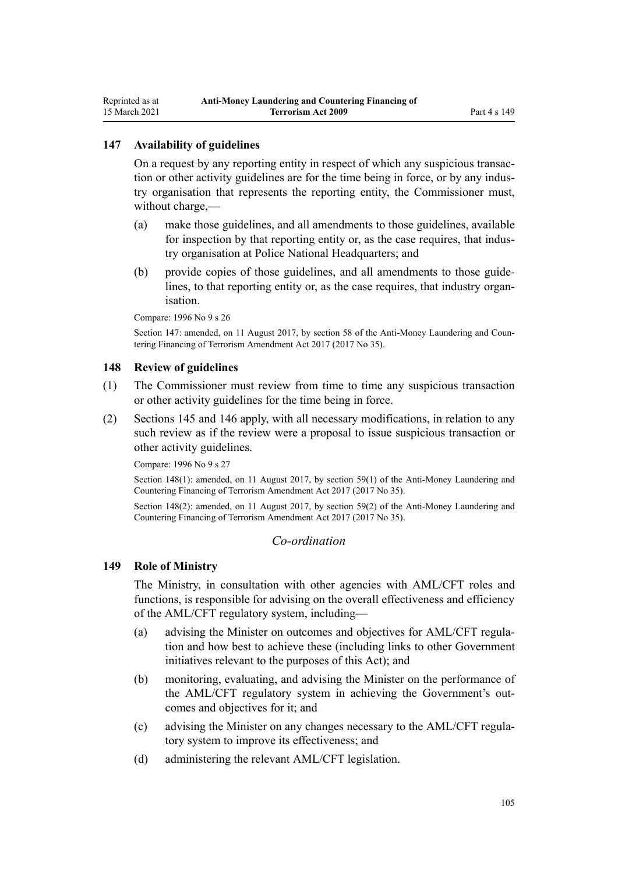### **147 Availability of guidelines**

On a request by any reporting entity in respect of which any suspicious transaction or other activity guidelines are for the time being in force, or by any industry organisation that represents the reporting entity, the Commissioner must, without charge,—

- (a) make those guidelines, and all amendments to those guidelines, available for inspection by that reporting entity or, as the case requires, that industry organisation at Police National Headquarters; and
- (b) provide copies of those guidelines, and all amendments to those guidelines, to that reporting entity or, as the case requires, that industry organisation.

Compare: 1996 No 9 [s 26](http://legislation.govt.nz/pdflink.aspx?id=DLM374125)

Section 147: amended, on 11 August 2017, by [section 58](http://legislation.govt.nz/pdflink.aspx?id=DLM7161341) of the Anti-Money Laundering and Countering Financing of Terrorism Amendment Act 2017 (2017 No 35).

#### **148 Review of guidelines**

- (1) The Commissioner must review from time to time any suspicious transaction or other activity guidelines for the time being in force.
- (2) [Sections 145](#page-102-0) and [146](#page-103-0) apply, with all necessary modifications, in relation to any such review as if the review were a proposal to issue suspicious transaction or other activity guidelines.

Compare: 1996 No 9 [s 27](http://legislation.govt.nz/pdflink.aspx?id=DLM374126)

Section 148(1): amended, on 11 August 2017, by [section 59\(1\)](http://legislation.govt.nz/pdflink.aspx?id=DLM7161342) of the Anti-Money Laundering and Countering Financing of Terrorism Amendment Act 2017 (2017 No 35).

Section 148(2): amended, on 11 August 2017, by [section 59\(2\)](http://legislation.govt.nz/pdflink.aspx?id=DLM7161342) of the Anti-Money Laundering and Countering Financing of Terrorism Amendment Act 2017 (2017 No 35).

### *Co-ordination*

### **149 Role of Ministry**

The Ministry, in consultation with other agencies with AML/CFT roles and functions, is responsible for advising on the overall effectiveness and efficiency of the AML/CFT regulatory system, including—

- (a) advising the Minister on outcomes and objectives for AML/CFT regulation and how best to achieve these (including links to other Government initiatives relevant to the purposes of this Act); and
- (b) monitoring, evaluating, and advising the Minister on the performance of the AML/CFT regulatory system in achieving the Government's outcomes and objectives for it; and
- (c) advising the Minister on any changes necessary to the AML/CFT regulatory system to improve its effectiveness; and
- (d) administering the relevant AML/CFT legislation.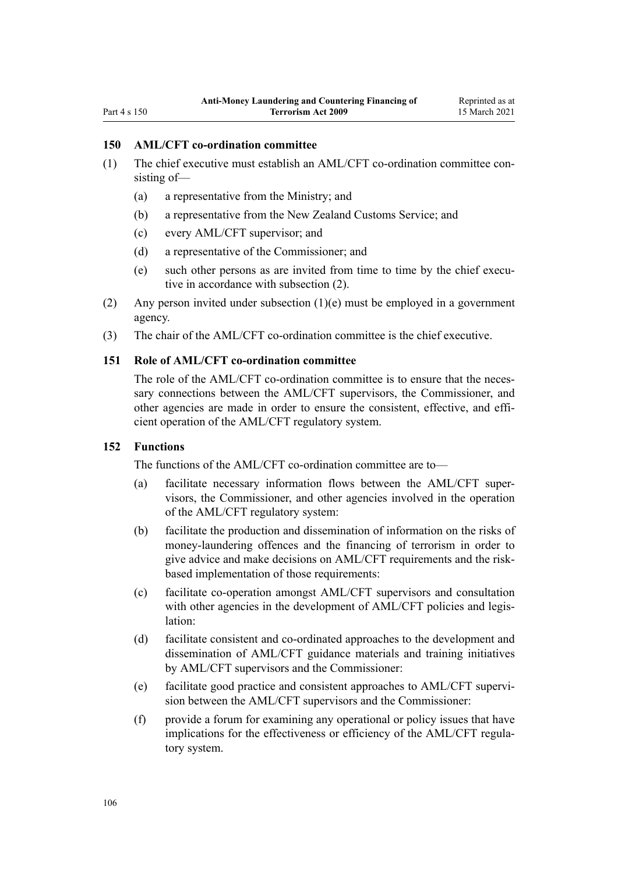### Part 4 s 150

### **150 AML/CFT co-ordination committee**

- (1) The chief executive must establish an AML/CFT co-ordination committee consisting of—
	- (a) a representative from the Ministry; and
	- (b) a representative from the New Zealand Customs Service; and
	- (c) every AML/CFT supervisor; and
	- (d) a representative of the Commissioner; and
	- (e) such other persons as are invited from time to time by the chief executive in accordance with subsection (2).
- (2) Any person invited under subsection (1)(e) must be employed in a government agency.
- (3) The chair of the AML/CFT co-ordination committee is the chief executive.

## **151 Role of AML/CFT co-ordination committee**

The role of the AML/CFT co-ordination committee is to ensure that the necessary connections between the AML/CFT supervisors, the Commissioner, and other agencies are made in order to ensure the consistent, effective, and efficient operation of the AML/CFT regulatory system.

#### **152 Functions**

The functions of the AML/CFT co-ordination committee are to—

- (a) facilitate necessary information flows between the AML/CFT supervisors, the Commissioner, and other agencies involved in the operation of the AML/CFT regulatory system:
- (b) facilitate the production and dissemination of information on the risks of money-laundering offences and the financing of terrorism in order to give advice and make decisions on AML/CFT requirements and the riskbased implementation of those requirements:
- (c) facilitate co-operation amongst AML/CFT supervisors and consultation with other agencies in the development of AML/CFT policies and legislation:
- (d) facilitate consistent and co-ordinated approaches to the development and dissemination of AML/CFT guidance materials and training initiatives by AML/CFT supervisors and the Commissioner:
- (e) facilitate good practice and consistent approaches to AML/CFT supervision between the AML/CFT supervisors and the Commissioner:
- (f) provide a forum for examining any operational or policy issues that have implications for the effectiveness or efficiency of the AML/CFT regulatory system.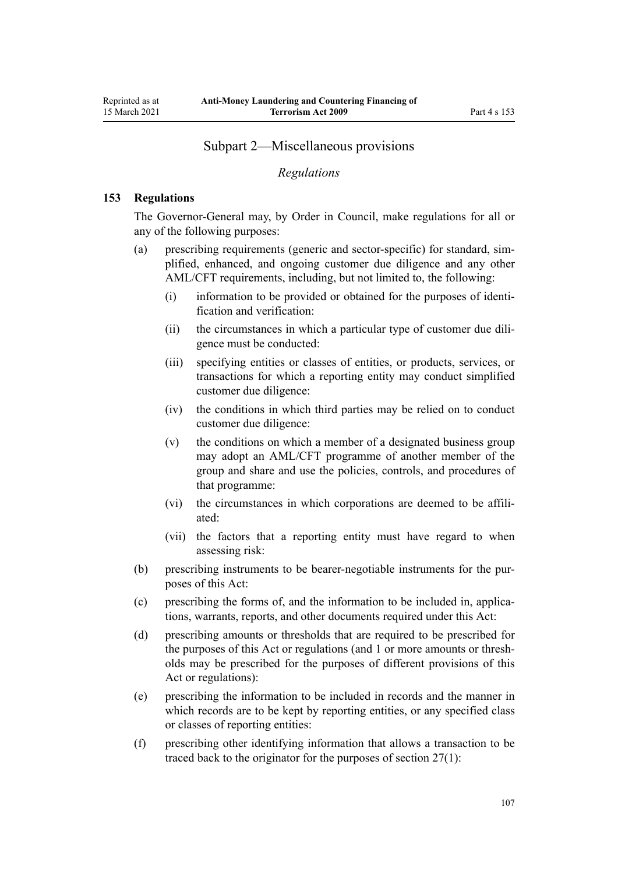# Subpart 2—Miscellaneous provisions

### *Regulations*

### <span id="page-106-0"></span>**153 Regulations**

The Governor-General may, by Order in Council, make regulations for all or any of the following purposes:

- (a) prescribing requirements (generic and sector-specific) for standard, simplified, enhanced, and ongoing customer due diligence and any other AML/CFT requirements, including, but not limited to, the following:
	- (i) information to be provided or obtained for the purposes of identification and verification:
	- (ii) the circumstances in which a particular type of customer due diligence must be conducted:
	- (iii) specifying entities or classes of entities, or products, services, or transactions for which a reporting entity may conduct simplified customer due diligence:
	- (iv) the conditions in which third parties may be relied on to conduct customer due diligence:
	- (v) the conditions on which a member of a designated business group may adopt an AML/CFT programme of another member of the group and share and use the policies, controls, and procedures of that programme:
	- (vi) the circumstances in which corporations are deemed to be affiliated:
	- (vii) the factors that a reporting entity must have regard to when assessing risk:
- (b) prescribing instruments to be bearer-negotiable instruments for the purposes of this Act:
- (c) prescribing the forms of, and the information to be included in, applications, warrants, reports, and other documents required under this Act:
- (d) prescribing amounts or thresholds that are required to be prescribed for the purposes of this Act or regulations (and 1 or more amounts or thresholds may be prescribed for the purposes of different provisions of this Act or regulations):
- (e) prescribing the information to be included in records and the manner in which records are to be kept by reporting entities, or any specified class or classes of reporting entities:
- (f) prescribing other identifying information that allows a transaction to be traced back to the originator for the purposes of [section 27\(1\):](#page-40-0)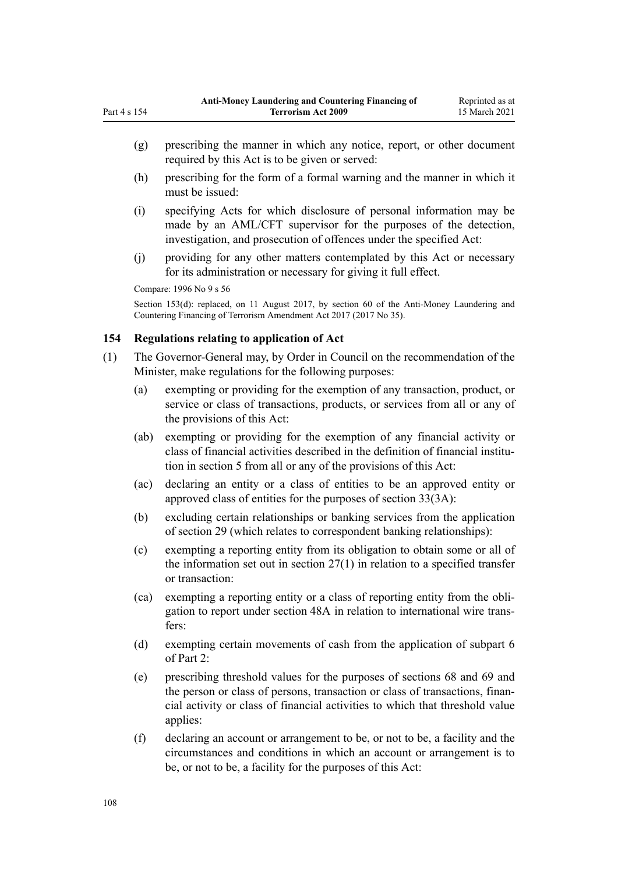- (g) prescribing the manner in which any notice, report, or other document required by this Act is to be given or served:
- (h) prescribing for the form of a formal warning and the manner in which it must be issued:
- (i) specifying Acts for which disclosure of personal information may be made by an AML/CFT supervisor for the purposes of the detection, investigation, and prosecution of offences under the specified Act:
- (j) providing for any other matters contemplated by this Act or necessary for its administration or necessary for giving it full effect.

```
Compare: 1996 No 9 s 56
```
Part 4 s 154

Section 153(d): replaced, on 11 August 2017, by [section 60](http://legislation.govt.nz/pdflink.aspx?id=DLM7161343) of the Anti-Money Laundering and Countering Financing of Terrorism Amendment Act 2017 (2017 No 35).

## **154 Regulations relating to application of Act**

- (1) The Governor-General may, by Order in Council on the recommendation of the Minister, make regulations for the following purposes:
	- (a) exempting or providing for the exemption of any transaction, product, or service or class of transactions, products, or services from all or any of the provisions of this Act:
	- (ab) exempting or providing for the exemption of any financial activity or class of financial activities described in the definition of financial institution in [section 5](#page-9-0) from all or any of the provisions of this Act:
	- (ac) declaring an entity or a class of entities to be an approved entity or approved class of entities for the purposes of [section 33\(3A\):](#page-45-0)
	- (b) excluding certain relationships or banking services from the application of [section 29](#page-42-0) (which relates to correspondent banking relationships):
	- (c) exempting a reporting entity from its obligation to obtain some or all of the information set out in [section 27\(1\)](#page-40-0) in relation to a specified transfer or transaction:
	- (ca) exempting a reporting entity or a class of reporting entity from the obligation to report under [section 48A](#page-56-0) in relation to international wire transfers:
	- (d) exempting certain movements of cash from the application of [subpart 6](#page-68-0) of Part 2:
	- (e) prescribing threshold values for the purposes of [sections 68](#page-68-0) and [69](#page-69-0) and the person or class of persons, transaction or class of transactions, financial activity or class of financial activities to which that threshold value applies:
	- (f) declaring an account or arrangement to be, or not to be, a facility and the circumstances and conditions in which an account or arrangement is to be, or not to be, a facility for the purposes of this Act: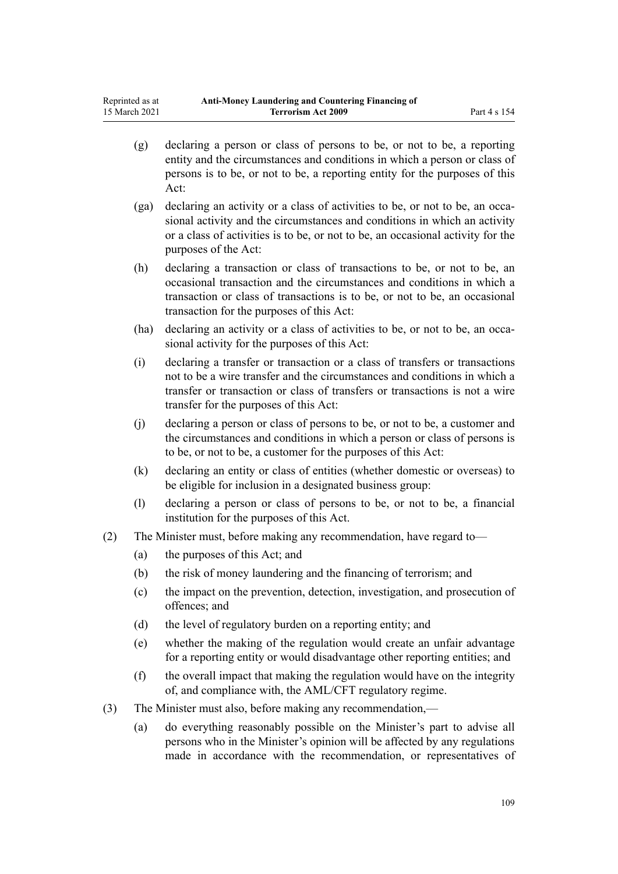- (g) declaring a person or class of persons to be, or not to be, a reporting entity and the circumstances and conditions in which a person or class of persons is to be, or not to be, a reporting entity for the purposes of this Act:
- (ga) declaring an activity or a class of activities to be, or not to be, an occasional activity and the circumstances and conditions in which an activity or a class of activities is to be, or not to be, an occasional activity for the purposes of the Act:
- (h) declaring a transaction or class of transactions to be, or not to be, an occasional transaction and the circumstances and conditions in which a transaction or class of transactions is to be, or not to be, an occasional transaction for the purposes of this Act:
- (ha) declaring an activity or a class of activities to be, or not to be, an occasional activity for the purposes of this Act:
- (i) declaring a transfer or transaction or a class of transfers or transactions not to be a wire transfer and the circumstances and conditions in which a transfer or transaction or class of transfers or transactions is not a wire transfer for the purposes of this Act:
- (j) declaring a person or class of persons to be, or not to be, a customer and the circumstances and conditions in which a person or class of persons is to be, or not to be, a customer for the purposes of this Act:
- (k) declaring an entity or class of entities (whether domestic or overseas) to be eligible for inclusion in a designated business group:
- (l) declaring a person or class of persons to be, or not to be, a financial institution for the purposes of this Act.
- (2) The Minister must, before making any recommendation, have regard to—
	- (a) the purposes of this Act; and
	- (b) the risk of money laundering and the financing of terrorism; and
	- (c) the impact on the prevention, detection, investigation, and prosecution of offences; and
	- (d) the level of regulatory burden on a reporting entity; and
	- (e) whether the making of the regulation would create an unfair advantage for a reporting entity or would disadvantage other reporting entities; and
	- (f) the overall impact that making the regulation would have on the integrity of, and compliance with, the AML/CFT regulatory regime.
- (3) The Minister must also, before making any recommendation,—
	- (a) do everything reasonably possible on the Minister's part to advise all persons who in the Minister's opinion will be affected by any regulations made in accordance with the recommendation, or representatives of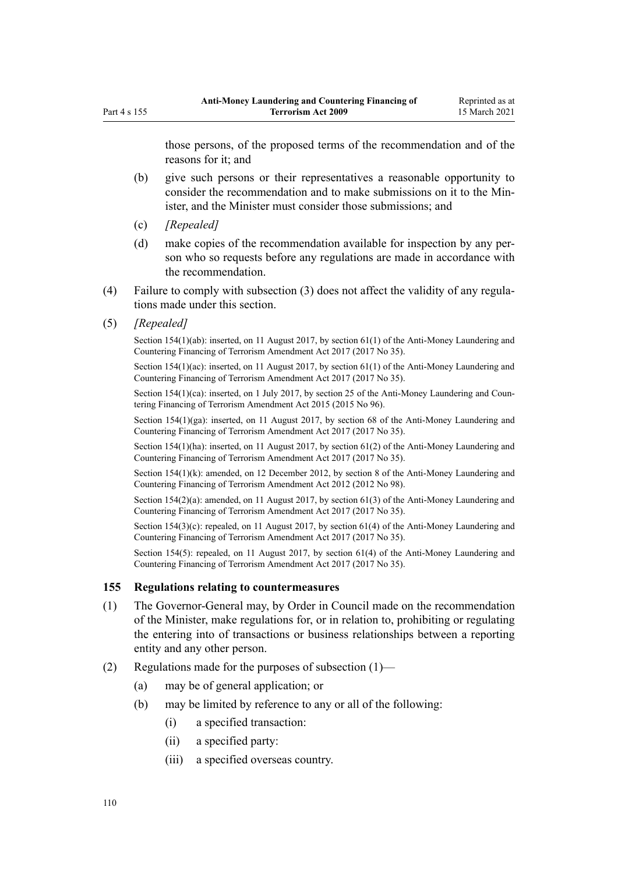those persons, of the proposed terms of the recommendation and of the reasons for it; and

- (b) give such persons or their representatives a reasonable opportunity to consider the recommendation and to make submissions on it to the Minister, and the Minister must consider those submissions; and
- (c) *[Repealed]*
- (d) make copies of the recommendation available for inspection by any person who so requests before any regulations are made in accordance with the recommendation.
- (4) Failure to comply with subsection (3) does not affect the validity of any regulations made under this section.
- (5) *[Repealed]*

Section 154(1)(ab): inserted, on 11 August 2017, by [section 61\(1\)](http://legislation.govt.nz/pdflink.aspx?id=DLM7161344) of the Anti-Money Laundering and Countering Financing of Terrorism Amendment Act 2017 (2017 No 35).

Section 154(1)(ac): inserted, on 11 August 2017, by [section 61\(1\)](http://legislation.govt.nz/pdflink.aspx?id=DLM7161344) of the Anti-Money Laundering and Countering Financing of Terrorism Amendment Act 2017 (2017 No 35).

Section 154(1)(ca): inserted, on 1 July 2017, by [section 25](http://legislation.govt.nz/pdflink.aspx?id=DLM6602244) of the Anti-Money Laundering and Countering Financing of Terrorism Amendment Act 2015 (2015 No 96).

Section 154(1)(ga): inserted, on 11 August 2017, by [section 68](http://legislation.govt.nz/pdflink.aspx?id=DLM7340644) of the Anti-Money Laundering and Countering Financing of Terrorism Amendment Act 2017 (2017 No 35).

Section 154(1)(ha): inserted, on 11 August 2017, by [section 61\(2\)](http://legislation.govt.nz/pdflink.aspx?id=DLM7161344) of the Anti-Money Laundering and Countering Financing of Terrorism Amendment Act 2017 (2017 No 35).

Section 154(1)(k): amended, on 12 December 2012, by [section 8](http://legislation.govt.nz/pdflink.aspx?id=DLM4989306) of the Anti-Money Laundering and Countering Financing of Terrorism Amendment Act 2012 (2012 No 98).

Section 154(2)(a): amended, on 11 August 2017, by [section 61\(3\)](http://legislation.govt.nz/pdflink.aspx?id=DLM7161344) of the Anti-Money Laundering and Countering Financing of Terrorism Amendment Act 2017 (2017 No 35).

Section 154(3)(c): repealed, on 11 August 2017, by [section 61\(4\)](http://legislation.govt.nz/pdflink.aspx?id=DLM7161344) of the Anti-Money Laundering and Countering Financing of Terrorism Amendment Act 2017 (2017 No 35).

Section 154(5): repealed, on 11 August 2017, by [section 61\(4\)](http://legislation.govt.nz/pdflink.aspx?id=DLM7161344) of the Anti-Money Laundering and Countering Financing of Terrorism Amendment Act 2017 (2017 No 35).

## **155 Regulations relating to countermeasures**

- (1) The Governor-General may, by Order in Council made on the recommendation of the Minister, make regulations for, or in relation to, prohibiting or regulating the entering into of transactions or business relationships between a reporting entity and any other person.
- (2) Regulations made for the purposes of subsection (1)—
	- (a) may be of general application; or
	- (b) may be limited by reference to any or all of the following:
		- (i) a specified transaction:
		- (ii) a specified party:
		- (iii) a specified overseas country.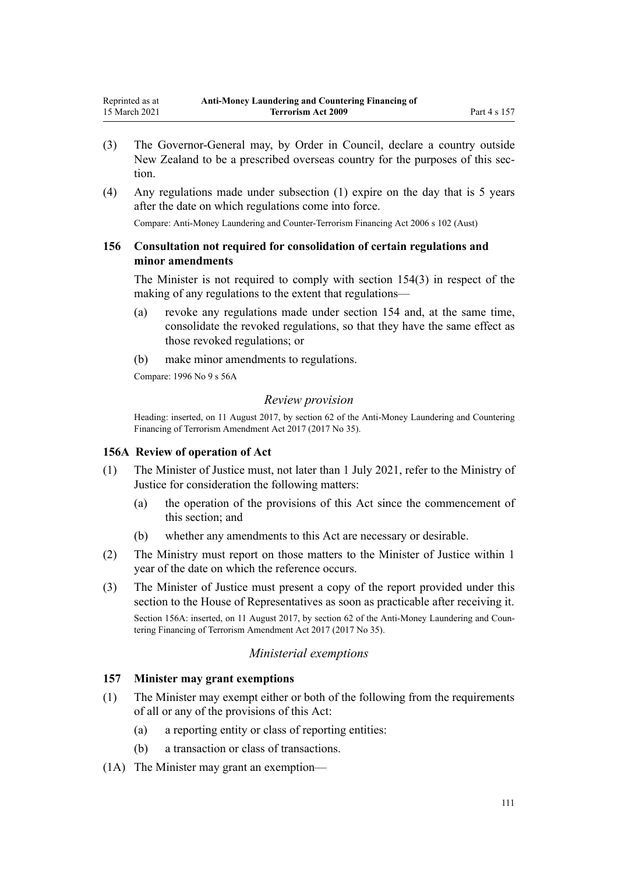- <span id="page-110-0"></span>(3) The Governor-General may, by Order in Council, declare a country outside New Zealand to be a prescribed overseas country for the purposes of this section.
- (4) Any regulations made under subsection (1) expire on the day that is 5 years after the date on which regulations come into force.

Compare: Anti-Money Laundering and Counter-Terrorism Financing Act 2006 s 102 (Aust)

## **156 Consultation not required for consolidation of certain regulations and minor amendments**

The Minister is not required to comply with [section 154\(3\)](#page-107-0) in respect of the making of any regulations to the extent that regulations—

- (a) revoke any regulations made under section 154 and, at the same time, consolidate the revoked regulations, so that they have the same effect as those revoked regulations; or
- (b) make minor amendments to regulations.

Compare: 1996 No 9 [s 56A](http://legislation.govt.nz/pdflink.aspx?id=DLM374192)

#### *Review provision*

Heading: inserted, on 11 August 2017, by [section 62](http://legislation.govt.nz/pdflink.aspx?id=DLM7161345) of the Anti-Money Laundering and Countering Financing of Terrorism Amendment Act 2017 (2017 No 35).

## **156A Review of operation of Act**

- (1) The Minister of Justice must, not later than 1 July 2021, refer to the Ministry of Justice for consideration the following matters:
	- (a) the operation of the provisions of this Act since the commencement of this section; and
	- (b) whether any amendments to this Act are necessary or desirable.
- (2) The Ministry must report on those matters to the Minister of Justice within 1 year of the date on which the reference occurs.
- (3) The Minister of Justice must present a copy of the report provided under this section to the House of Representatives as soon as practicable after receiving it.

Section 156A: inserted, on 11 August 2017, by [section 62](http://legislation.govt.nz/pdflink.aspx?id=DLM7161345) of the Anti-Money Laundering and Countering Financing of Terrorism Amendment Act 2017 (2017 No 35).

## *Ministerial exemptions*

## **157 Minister may grant exemptions**

- (1) The Minister may exempt either or both of the following from the requirements of all or any of the provisions of this Act:
	- (a) a reporting entity or class of reporting entities:
	- (b) a transaction or class of transactions.
- (1A) The Minister may grant an exemption—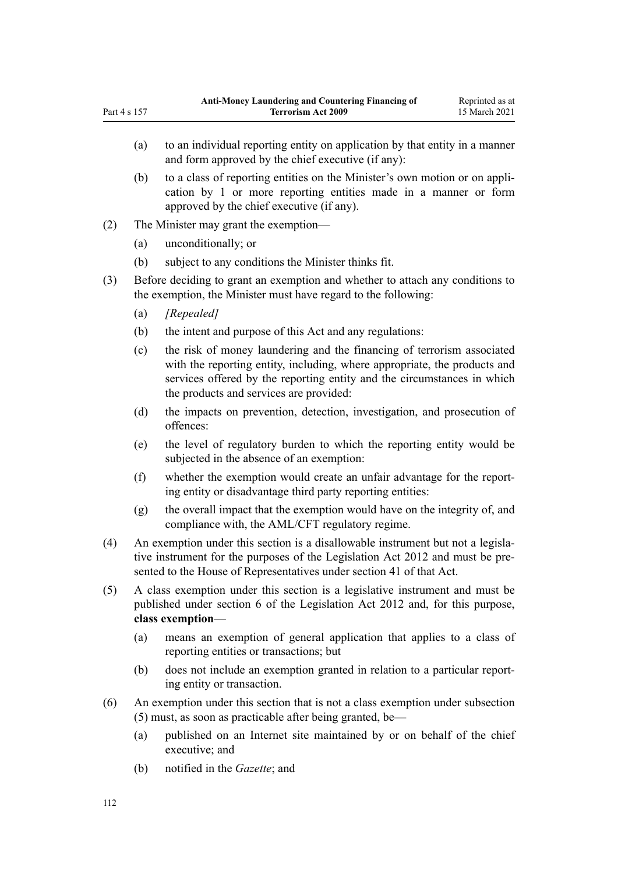- (a) to an individual reporting entity on application by that entity in a manner and form approved by the chief executive (if any): (b) to a class of reporting entities on the Minister's own motion or on application by 1 or more reporting entities made in a manner or form
- approved by the chief executive (if any). (2) The Minister may grant the exemption—
	- (a) unconditionally; or
	- (b) subject to any conditions the Minister thinks fit.
- (3) Before deciding to grant an exemption and whether to attach any conditions to the exemption, the Minister must have regard to the following:
	- (a) *[Repealed]*

Part 4 s 157

- (b) the intent and purpose of this Act and any regulations:
- (c) the risk of money laundering and the financing of terrorism associated with the reporting entity, including, where appropriate, the products and services offered by the reporting entity and the circumstances in which the products and services are provided:
- (d) the impacts on prevention, detection, investigation, and prosecution of offences:
- (e) the level of regulatory burden to which the reporting entity would be subjected in the absence of an exemption:
- (f) whether the exemption would create an unfair advantage for the reporting entity or disadvantage third party reporting entities:
- (g) the overall impact that the exemption would have on the integrity of, and compliance with, the AML/CFT regulatory regime.
- (4) An exemption under this section is a disallowable instrument but not a legislative instrument for the purposes of the [Legislation Act 2012](http://legislation.govt.nz/pdflink.aspx?id=DLM2997643) and must be presented to the House of Representatives under [section 41](http://legislation.govt.nz/pdflink.aspx?id=DLM2998573) of that Act.
- (5) A class exemption under this section is a legislative instrument and must be published under [section 6](http://legislation.govt.nz/pdflink.aspx?id=DLM2997696) of the Legislation Act 2012 and, for this purpose, **class exemption**—
	- (a) means an exemption of general application that applies to a class of reporting entities or transactions; but
	- (b) does not include an exemption granted in relation to a particular reporting entity or transaction.
- (6) An exemption under this section that is not a class exemption under subsection (5) must, as soon as practicable after being granted, be—
	- (a) published on an Internet site maintained by or on behalf of the chief executive; and
	- (b) notified in the *Gazette*; and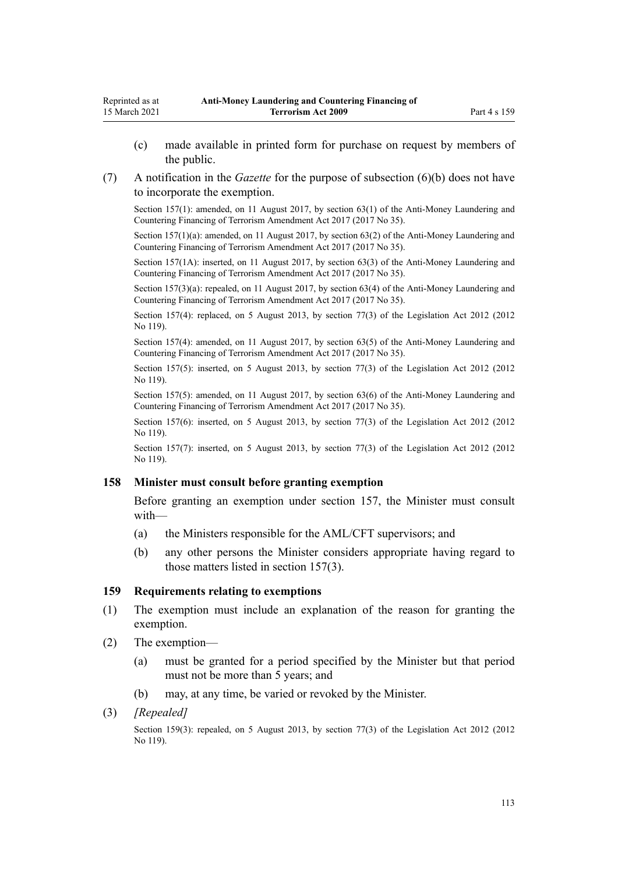- (c) made available in printed form for purchase on request by members of the public.
- (7) A notification in the *Gazette* for the purpose of subsection (6)(b) does not have to incorporate the exemption.

Section 157(1): amended, on 11 August 2017, by [section 63\(1\)](http://legislation.govt.nz/pdflink.aspx?id=DLM7340637) of the Anti-Money Laundering and Countering Financing of Terrorism Amendment Act 2017 (2017 No 35).

Section 157(1)(a): amended, on 11 August 2017, by [section 63\(2\)](http://legislation.govt.nz/pdflink.aspx?id=DLM7340637) of the Anti-Money Laundering and Countering Financing of Terrorism Amendment Act 2017 (2017 No 35).

Section 157(1A): inserted, on 11 August 2017, by [section 63\(3\)](http://legislation.govt.nz/pdflink.aspx?id=DLM7340637) of the Anti-Money Laundering and Countering Financing of Terrorism Amendment Act 2017 (2017 No 35).

Section 157(3)(a): repealed, on 11 August 2017, by [section 63\(4\)](http://legislation.govt.nz/pdflink.aspx?id=DLM7340637) of the Anti-Money Laundering and Countering Financing of Terrorism Amendment Act 2017 (2017 No 35).

Section 157(4): replaced, on 5 August 2013, by [section 77\(3\)](http://legislation.govt.nz/pdflink.aspx?id=DLM2998633) of the Legislation Act 2012 (2012 No 119).

Section 157(4): amended, on 11 August 2017, by [section 63\(5\)](http://legislation.govt.nz/pdflink.aspx?id=DLM7340637) of the Anti-Money Laundering and Countering Financing of Terrorism Amendment Act 2017 (2017 No 35).

Section 157(5): inserted, on 5 August 2013, by [section 77\(3\)](http://legislation.govt.nz/pdflink.aspx?id=DLM2998633) of the Legislation Act 2012 (2012) No 119).

Section 157(5): amended, on 11 August 2017, by [section 63\(6\)](http://legislation.govt.nz/pdflink.aspx?id=DLM7340637) of the Anti-Money Laundering and Countering Financing of Terrorism Amendment Act 2017 (2017 No 35).

Section 157(6): inserted, on 5 August 2013, by [section 77\(3\)](http://legislation.govt.nz/pdflink.aspx?id=DLM2998633) of the Legislation Act 2012 (2012) No 119).

Section 157(7): inserted, on 5 August 2013, by [section 77\(3\)](http://legislation.govt.nz/pdflink.aspx?id=DLM2998633) of the Legislation Act 2012 (2012) No 119).

## **158 Minister must consult before granting exemption**

Before granting an exemption under [section 157](#page-110-0), the Minister must consult with—

- (a) the Ministers responsible for the AML/CFT supervisors; and
- (b) any other persons the Minister considers appropriate having regard to those matters listed in section 157(3).

#### **159 Requirements relating to exemptions**

- (1) The exemption must include an explanation of the reason for granting the exemption.
- (2) The exemption—
	- (a) must be granted for a period specified by the Minister but that period must not be more than 5 years; and
	- (b) may, at any time, be varied or revoked by the Minister.
- (3) *[Repealed]*

Section 159(3): repealed, on 5 August 2013, by [section 77\(3\)](http://legislation.govt.nz/pdflink.aspx?id=DLM2998633) of the Legislation Act 2012 (2012) No 119).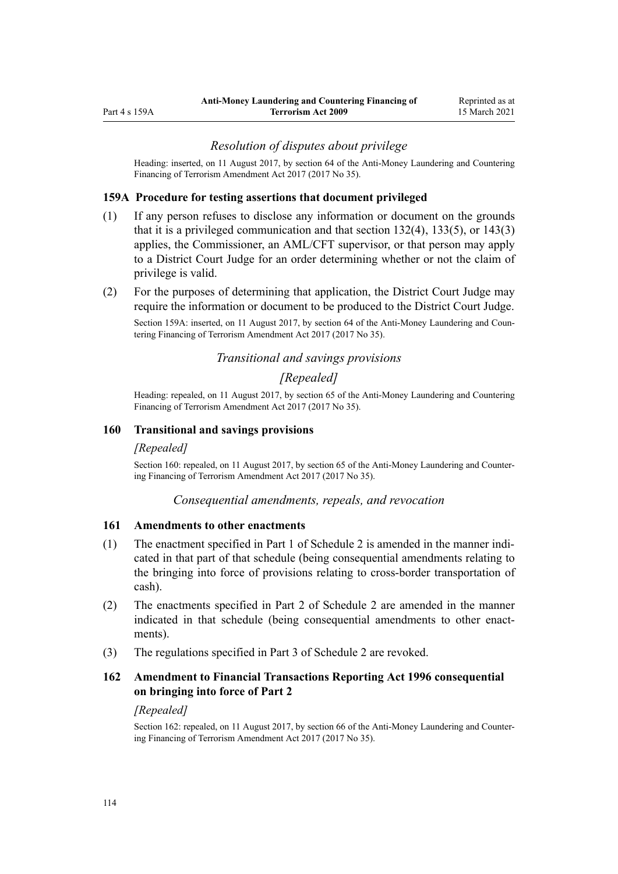#### *Resolution of disputes about privilege*

<span id="page-113-0"></span>Heading: inserted, on 11 August 2017, by [section 64](http://legislation.govt.nz/pdflink.aspx?id=DLM7340638) of the Anti-Money Laundering and Countering Financing of Terrorism Amendment Act 2017 (2017 No 35).

#### **159A Procedure for testing assertions that document privileged**

- (1) If any person refuses to disclose any information or document on the grounds that it is a privileged communication and that [section 132\(4\),](#page-92-0) [133\(5\),](#page-93-0) or [143\(3\)](#page-101-0) applies, the Commissioner, an AML/CFT supervisor, or that person may apply to a District Court Judge for an order determining whether or not the claim of privilege is valid.
- (2) For the purposes of determining that application, the District Court Judge may require the information or document to be produced to the District Court Judge.

Section 159A: inserted, on 11 August 2017, by [section 64](http://legislation.govt.nz/pdflink.aspx?id=DLM7340638) of the Anti-Money Laundering and Countering Financing of Terrorism Amendment Act 2017 (2017 No 35).

## *Transitional and savings provisions*

#### *[Repealed]*

Heading: repealed, on 11 August 2017, by [section 65](http://legislation.govt.nz/pdflink.aspx?id=DLM7340641) of the Anti-Money Laundering and Countering Financing of Terrorism Amendment Act 2017 (2017 No 35).

#### **160 Transitional and savings provisions**

#### *[Repealed]*

Section 160: repealed, on 11 August 2017, by [section 65](http://legislation.govt.nz/pdflink.aspx?id=DLM7340641) of the Anti-Money Laundering and Countering Financing of Terrorism Amendment Act 2017 (2017 No 35).

#### *Consequential amendments, repeals, and revocation*

#### **161 Amendments to other enactments**

- (1) The enactment specified in [Part 1](#page-118-0) of Schedule 2 is amended in the manner indicated in that part of that schedule (being consequential amendments relating to the bringing into force of provisions relating to cross-border transportation of cash).
- (2) The enactments specified in [Part 2](#page-118-0) of Schedule 2 are amended in the manner indicated in that schedule (being consequential amendments to other enactments).
- (3) The regulations specified in [Part 3](#page-120-0) of Schedule 2 are revoked.

# **162 Amendment to Financial Transactions Reporting Act 1996 consequential on bringing into force of Part 2**

#### *[Repealed]*

Section 162: repealed, on 11 August 2017, by [section 66](http://legislation.govt.nz/pdflink.aspx?id=DLM7161354) of the Anti-Money Laundering and Countering Financing of Terrorism Amendment Act 2017 (2017 No 35).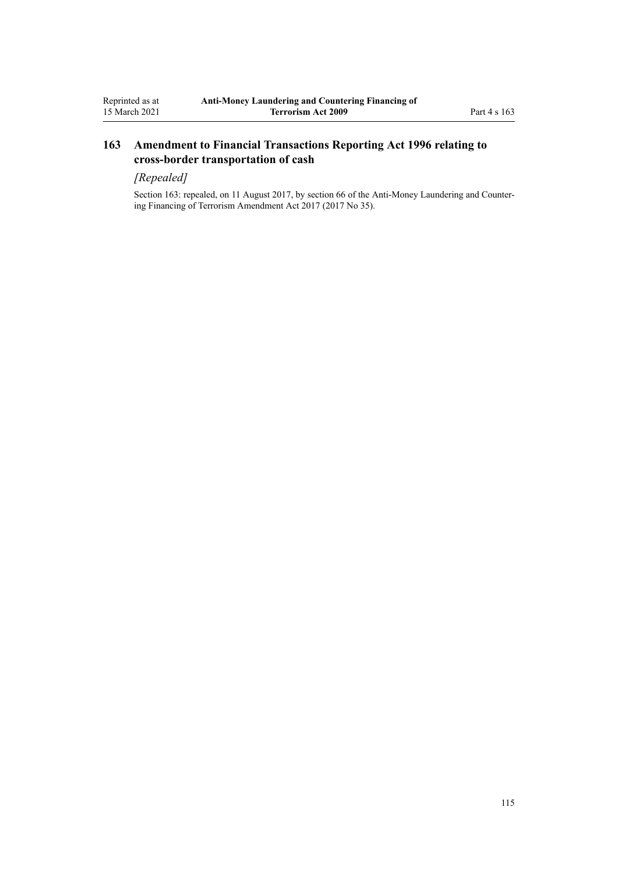# **163 Amendment to Financial Transactions Reporting Act 1996 relating to cross-border transportation of cash**

# *[Repealed]*

Section 163: repealed, on 11 August 2017, by [section 66](http://legislation.govt.nz/pdflink.aspx?id=DLM7161354) of the Anti-Money Laundering and Countering Financing of Terrorism Amendment Act 2017 (2017 No 35).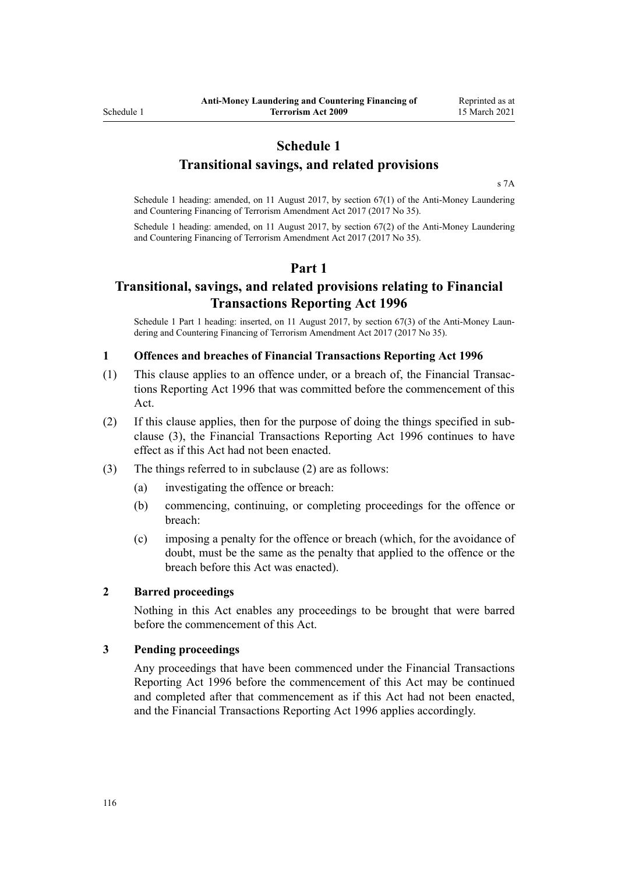# **Schedule 1**

# **Transitional savings, and related provisions**

[s 7A](#page-30-0)

Schedule 1 heading: amended, on 11 August 2017, by [section 67\(1\)](http://legislation.govt.nz/pdflink.aspx?id=DLM7340642) of the Anti-Money Laundering and Countering Financing of Terrorism Amendment Act 2017 (2017 No 35).

Schedule 1 heading: amended, on 11 August 2017, by [section 67\(2\)](http://legislation.govt.nz/pdflink.aspx?id=DLM7340642) of the Anti-Money Laundering and Countering Financing of Terrorism Amendment Act 2017 (2017 No 35).

# **Part 1**

# **Transitional, savings, and related provisions relating to Financial Transactions Reporting Act 1996**

Schedule 1 Part 1 heading: inserted, on 11 August 2017, by [section 67\(3\)](http://legislation.govt.nz/pdflink.aspx?id=DLM7340642) of the Anti-Money Laundering and Countering Financing of Terrorism Amendment Act 2017 (2017 No 35).

#### **1 Offences and breaches of Financial Transactions Reporting Act 1996**

- (1) This clause applies to an offence under, or a breach of, the [Financial Transac](http://legislation.govt.nz/pdflink.aspx?id=DLM373803)[tions Reporting Act 1996](http://legislation.govt.nz/pdflink.aspx?id=DLM373803) that was committed before the commencement of this Act.
- (2) If this clause applies, then for the purpose of doing the things specified in subclause (3), the [Financial Transactions Reporting Act 1996](http://legislation.govt.nz/pdflink.aspx?id=DLM373803) continues to have effect as if this Act had not been enacted.
- (3) The things referred to in subclause (2) are as follows:
	- (a) investigating the offence or breach:
	- (b) commencing, continuing, or completing proceedings for the offence or breach:
	- (c) imposing a penalty for the offence or breach (which, for the avoidance of doubt, must be the same as the penalty that applied to the offence or the breach before this Act was enacted).

## **2 Barred proceedings**

Nothing in this Act enables any proceedings to be brought that were barred before the commencement of this Act.

#### **3 Pending proceedings**

Any proceedings that have been commenced under the [Financial Transactions](http://legislation.govt.nz/pdflink.aspx?id=DLM373803) [Reporting Act 1996](http://legislation.govt.nz/pdflink.aspx?id=DLM373803) before the commencement of this Act may be continued and completed after that commencement as if this Act had not been enacted, and the Financial Transactions Reporting Act 1996 applies accordingly.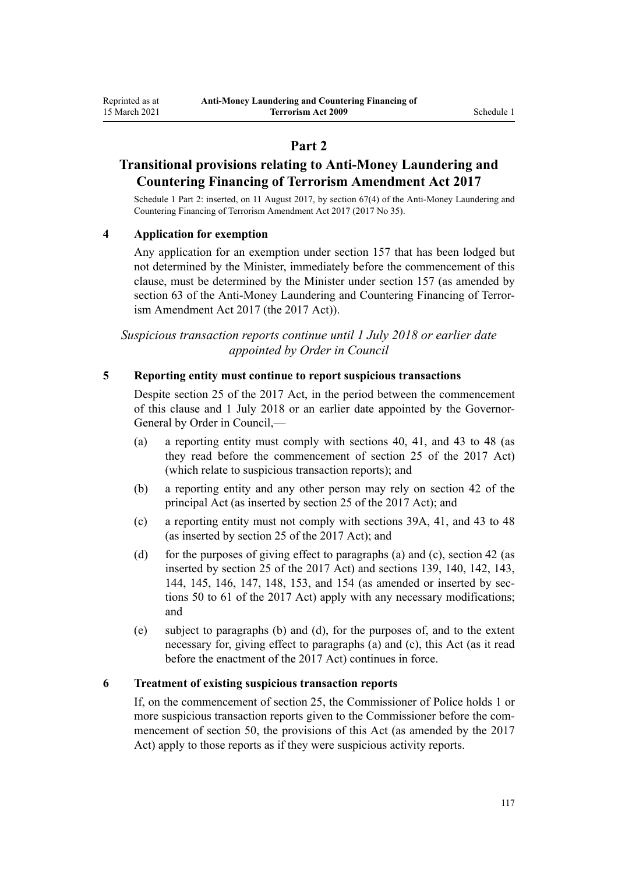# **Part 2**

# **Transitional provisions relating to Anti-Money Laundering and Countering Financing of Terrorism Amendment Act 2017**

Schedule 1 Part 2: inserted, on 11 August 2017, by [section 67\(4\)](http://legislation.govt.nz/pdflink.aspx?id=DLM7340642) of the Anti-Money Laundering and Countering Financing of Terrorism Amendment Act 2017 (2017 No 35).

## **4 Application for exemption**

Any application for an exemption under [section 157](#page-110-0) that has been lodged but not determined by the Minister, immediately before the commencement of this clause, must be determined by the Minister under section 157 (as amended by [section 63](http://legislation.govt.nz/pdflink.aspx?id=DLM7340637) of the Anti-Money Laundering and Countering Financing of Terrorism Amendment Act 2017 (the 2017 Act)).

*Suspicious transaction reports continue until 1 July 2018 or earlier date appointed by Order in Council*

#### **5 Reporting entity must continue to report suspicious transactions**

Despite [section 25](http://legislation.govt.nz/pdflink.aspx?id=DLM7161289) of the 2017 Act, in the period between the commencement of this clause and 1 July 2018 or an earlier date appointed by the Governor-General by Order in Council,—

- (a) a reporting entity must comply with [sections 40,](#page-50-0) [41,](#page-51-0) and [43 to 48](#page-52-0) (as they read before the commencement of [section 25](http://legislation.govt.nz/pdflink.aspx?id=DLM7161289) of the 2017 Act) (which relate to suspicious transaction reports); and
- (b) a reporting entity and any other person may rely on [section 42](#page-51-0) of the principal Act (as inserted by [section 25](http://legislation.govt.nz/pdflink.aspx?id=DLM7161289) of the 2017 Act); and
- (c) a reporting entity must not comply with [sections 39A,](#page-50-0) [41,](#page-51-0) and [43 to 48](#page-52-0) (as inserted by [section 25](http://legislation.govt.nz/pdflink.aspx?id=DLM7161289) of the 2017 Act); and
- (d) for the purposes of giving effect to paragraphs (a) and (c), [section 42](#page-51-0) (as inserted by [section 25](http://legislation.govt.nz/pdflink.aspx?id=DLM7161289) of the 2017 Act) and [sections 139,](#page-96-0) [140](#page-97-0), [142,](#page-99-0) [143](#page-101-0), [144](#page-101-0), [145,](#page-102-0) [146,](#page-103-0) [147,](#page-104-0) [148,](#page-104-0) [153,](#page-106-0) and [154](#page-107-0) (as amended or inserted by [sec](http://legislation.govt.nz/pdflink.aspx?id=DLM7161329)[tions 50 to 61](http://legislation.govt.nz/pdflink.aspx?id=DLM7161329) of the 2017 Act) apply with any necessary modifications; and
- (e) subject to paragraphs (b) and (d), for the purposes of, and to the extent necessary for, giving effect to paragraphs (a) and (c), this Act (as it read before the enactment of the 2017 Act) continues in force.

#### **6 Treatment of existing suspicious transaction reports**

If, on the commencement of [section 25](http://legislation.govt.nz/pdflink.aspx?id=DLM7161289), the Commissioner of Police holds 1 or more suspicious transaction reports given to the Commissioner before the commencement of [section 50](http://legislation.govt.nz/pdflink.aspx?id=DLM7161329), the provisions of this Act (as amended by the 2017 Act) apply to those reports as if they were suspicious activity reports.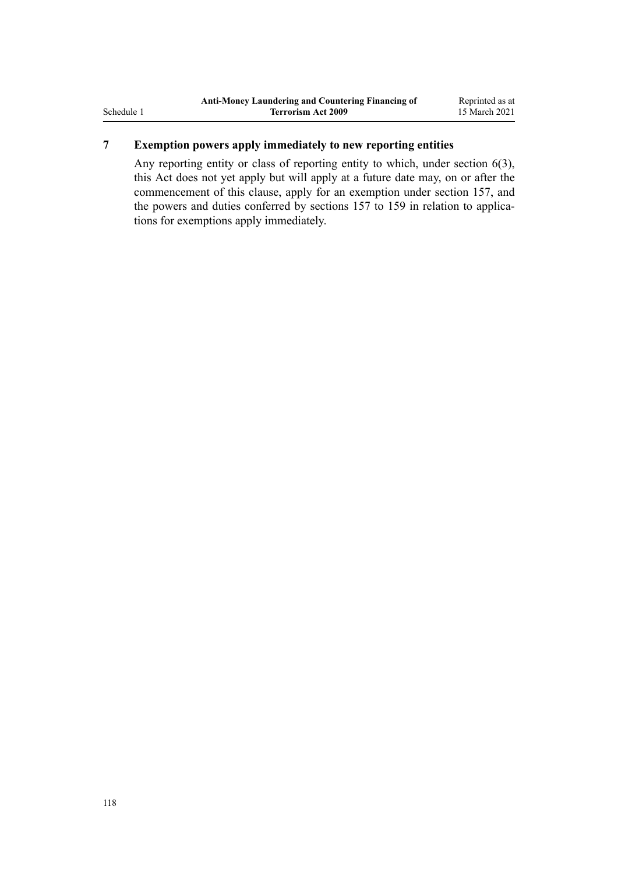# **7 Exemption powers apply immediately to new reporting entities**

Any reporting entity or class of reporting entity to which, under [section 6\(3\)](#page-28-0), this Act does not yet apply but will apply at a future date may, on or after the commencement of this clause, apply for an exemption under [section 157,](#page-110-0) and the powers and duties conferred by sections 157 to 159 in relation to applications for exemptions apply immediately.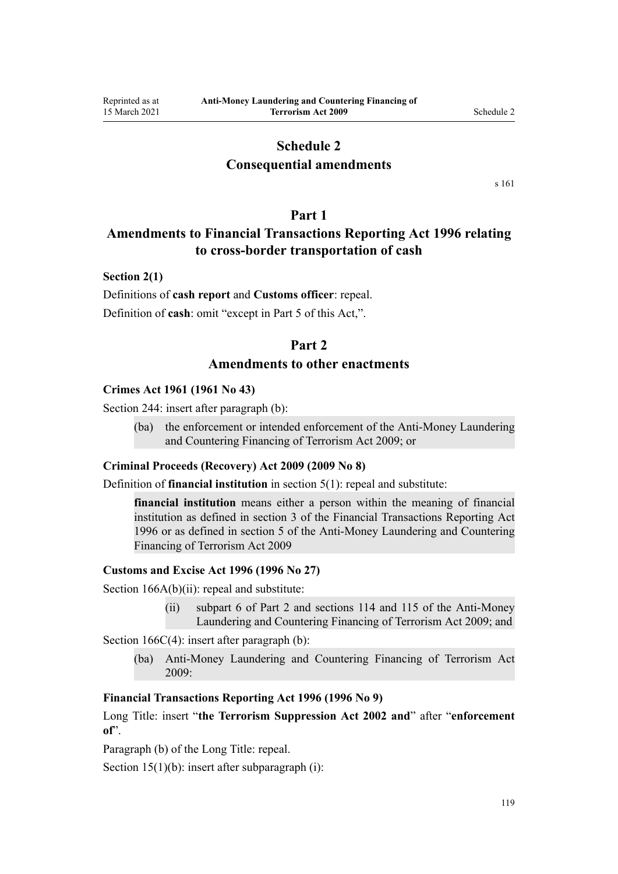# **Schedule 2**

# **Consequential amendments**

[s 161](#page-113-0)

## **Part 1**

# <span id="page-118-0"></span>**Amendments to Financial Transactions Reporting Act 1996 relating to cross-border transportation of cash**

#### **Section 2(1)**

Definitions of **cash report** and **Customs officer**: repeal. Definition of **cash**: omit "except in Part 5 of this Act,".

## **Part 2**

## **Amendments to other enactments**

#### **Crimes Act 1961 (1961 No 43)**

[Section 244:](http://legislation.govt.nz/pdflink.aspx?id=DLM330403) insert after paragraph (b):

(ba) the enforcement or intended enforcement of the Anti-Money Laundering and Countering Financing of Terrorism Act 2009; or

#### **Criminal Proceeds (Recovery) Act 2009 (2009 No 8)**

Definition of **financial institution** in [section 5\(1\)](http://legislation.govt.nz/pdflink.aspx?id=DLM1451012): repeal and substitute:

**financial institution** means either a person within the meaning of financial institution as defined in section 3 of the Financial Transactions Reporting Act 1996 or as defined in section 5 of the Anti-Money Laundering and Countering Financing of Terrorism Act 2009

#### **Customs and Excise Act 1996 (1996 No 27)**

[Section 166A\(b\)\(ii\):](http://legislation.govt.nz/pdflink.aspx?id=DLM379246) repeal and substitute:

(ii) subpart 6 of Part 2 and sections 114 and 115 of the Anti-Money Laundering and Countering Financing of Terrorism Act 2009; and

[Section 166C\(4\):](http://legislation.govt.nz/pdflink.aspx?id=DLM379250) insert after paragraph (b):

(ba) Anti-Money Laundering and Countering Financing of Terrorism Act 2009:

## **Financial Transactions Reporting Act 1996 (1996 No 9)**

[Long Title:](http://legislation.govt.nz/pdflink.aspx?id=DLM373806) insert "**the Terrorism Suppression Act 2002 and**" after "**enforcement of**".

Paragraph (b) of the Long Title: repeal.

[Section 15\(1\)\(b\):](http://legislation.govt.nz/pdflink.aspx?id=DLM373899) insert after subparagraph (i):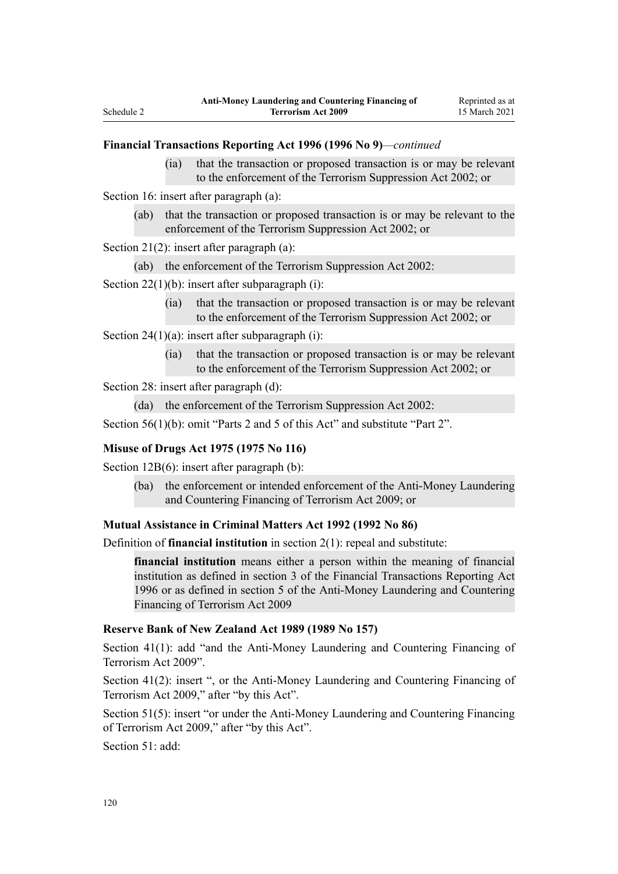#### **Financial Transactions Reporting Act 1996 (1996 No 9)***—continued*

(ia) that the transaction or proposed transaction is or may be relevant to the enforcement of the Terrorism Suppression Act 2002; or

[Section 16](http://legislation.govt.nz/pdflink.aspx?id=DLM374103): insert after paragraph (a):

(ab) that the transaction or proposed transaction is or may be relevant to the enforcement of the Terrorism Suppression Act 2002; or

[Section 21\(2\)](http://legislation.govt.nz/pdflink.aspx?id=DLM374114): insert after paragraph (a):

(ab) the enforcement of the Terrorism Suppression Act 2002:

[Section 22\(1\)\(b\):](http://legislation.govt.nz/pdflink.aspx?id=DLM374118) insert after subparagraph (i):

(ia) that the transaction or proposed transaction is or may be relevant to the enforcement of the Terrorism Suppression Act 2002; or

[Section 24\(1\)\(a\)](http://legislation.govt.nz/pdflink.aspx?id=DLM374123): insert after subparagraph (i):

(ia) that the transaction or proposed transaction is or may be relevant to the enforcement of the Terrorism Suppression Act 2002; or

Section 28: insert after paragraph (d):

(da) the enforcement of the Terrorism Suppression Act 2002:

[Section 56\(1\)\(b\):](http://legislation.govt.nz/pdflink.aspx?id=DLM374191) omit "Parts 2 and 5 of this Act" and substitute "Part 2".

#### **Misuse of Drugs Act 1975 (1975 No 116)**

[Section 12B\(6\)](http://legislation.govt.nz/pdflink.aspx?id=DLM436285): insert after paragraph (b):

(ba) the enforcement or intended enforcement of the Anti-Money Laundering and Countering Financing of Terrorism Act 2009; or

#### **Mutual Assistance in Criminal Matters Act 1992 (1992 No 86)**

Definition of **financial institution** in [section 2\(1\)](http://legislation.govt.nz/pdflink.aspx?id=DLM273063): repeal and substitute:

**financial institution** means either a person within the meaning of financial institution as defined in section 3 of the Financial Transactions Reporting Act 1996 or as defined in section 5 of the Anti-Money Laundering and Countering Financing of Terrorism Act 2009

#### **Reserve Bank of New Zealand Act 1989 (1989 No 157)**

[Section 41\(1\)](http://legislation.govt.nz/pdflink.aspx?id=DLM200032): add "and the Anti-Money Laundering and Countering Financing of Terrorism Act 2009".

[Section 41\(2\):](http://legislation.govt.nz/pdflink.aspx?id=DLM200032) insert ", or the Anti-Money Laundering and Countering Financing of Terrorism Act 2009," after "by this Act".

[Section 51\(5\):](http://legislation.govt.nz/pdflink.aspx?id=DLM200048) insert "or under the Anti-Money Laundering and Countering Financing of Terrorism Act 2009," after "by this Act".

[Section 51](http://legislation.govt.nz/pdflink.aspx?id=DLM200048): add: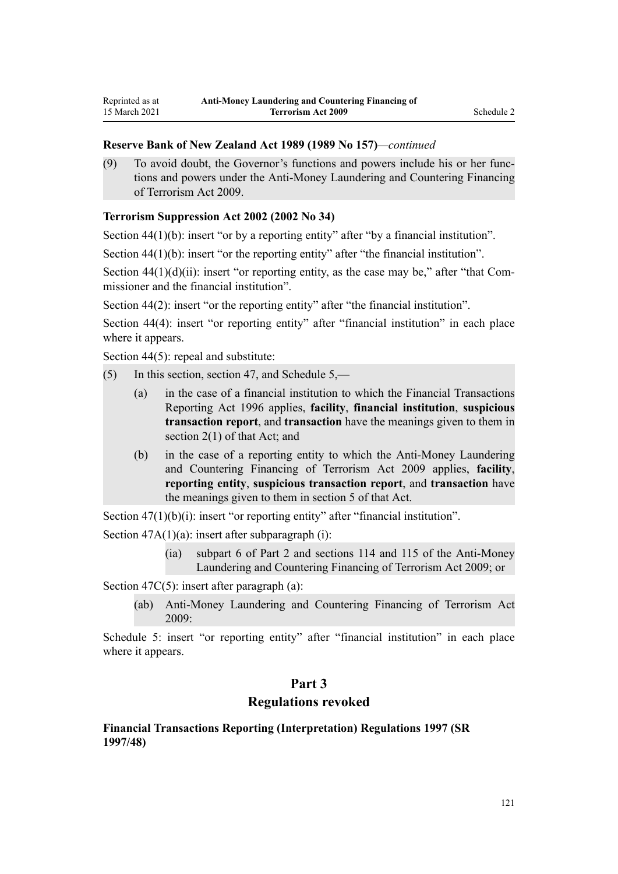#### <span id="page-120-0"></span>**Reserve Bank of New Zealand Act 1989 (1989 No 157)***—continued*

(9) To avoid doubt, the Governor's functions and powers include his or her functions and powers under the Anti-Money Laundering and Countering Financing of Terrorism Act 2009.

## **Terrorism Suppression Act 2002 (2002 No 34)**

[Section 44\(1\)\(b\):](http://legislation.govt.nz/pdflink.aspx?id=DLM152784) insert "or by a reporting entity" after "by a financial institution".

[Section 44\(1\)\(b\):](http://legislation.govt.nz/pdflink.aspx?id=DLM152784) insert "or the reporting entity" after "the financial institution".

Section  $44(1)(d)(ii)$ : insert "or reporting entity, as the case may be," after "that Commissioner and the financial institution".

[Section 44\(2\)](http://legislation.govt.nz/pdflink.aspx?id=DLM152784): insert "or the reporting entity" after "the financial institution".

[Section 44\(4\):](http://legislation.govt.nz/pdflink.aspx?id=DLM152784) insert "or reporting entity" after "financial institution" in each place where it appears.

[Section 44\(5\)](http://legislation.govt.nz/pdflink.aspx?id=DLM152784): repeal and substitute:

- (5) In this section, section 47, and Schedule 5,—
	- (a) in the case of a financial institution to which the Financial Transactions Reporting Act 1996 applies, **facility**, **financial institution**, **suspicious transaction report**, and **transaction** have the meanings given to them in section 2(1) of that Act; and
	- (b) in the case of a reporting entity to which the Anti-Money Laundering and Countering Financing of Terrorism Act 2009 applies, **facility**, **reporting entity**, **suspicious transaction report**, and **transaction** have the meanings given to them in section 5 of that Act.

[Section 47\(1\)\(b\)\(i\):](http://legislation.govt.nz/pdflink.aspx?id=DLM152787) insert "or reporting entity" after "financial institution".

Section  $47A(1)(a)$ : insert after subparagraph (i):

(ia) subpart 6 of Part 2 and sections 114 and 115 of the Anti-Money Laundering and Countering Financing of Terrorism Act 2009; or

[Section 47C\(5\)](http://legislation.govt.nz/pdflink.aspx?id=DLM153305): insert after paragraph (a):

(ab) Anti-Money Laundering and Countering Financing of Terrorism Act 2009:

[Schedule 5:](http://legislation.govt.nz/pdflink.aspx?id=DLM154177) insert "or reporting entity" after "financial institution" in each place where it appears.

# **Part 3**

# **Regulations revoked**

## **Financial Transactions Reporting (Interpretation) Regulations 1997 (SR 1997/48)**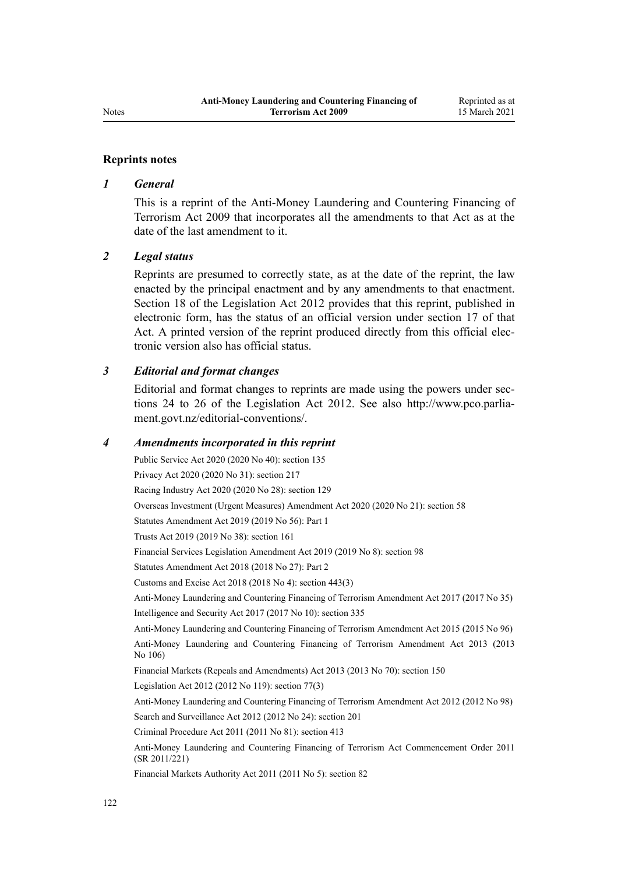#### **Reprints notes**

#### *1 General*

This is a reprint of the Anti-Money Laundering and Countering Financing of Terrorism Act 2009 that incorporates all the amendments to that Act as at the date of the last amendment to it.

#### *2 Legal status*

Reprints are presumed to correctly state, as at the date of the reprint, the law enacted by the principal enactment and by any amendments to that enactment. [Section 18](http://legislation.govt.nz/pdflink.aspx?id=DLM2998516) of the Legislation Act 2012 provides that this reprint, published in electronic form, has the status of an official version under [section 17](http://legislation.govt.nz/pdflink.aspx?id=DLM2998515) of that Act. A printed version of the reprint produced directly from this official electronic version also has official status.

#### *3 Editorial and format changes*

Editorial and format changes to reprints are made using the powers under [sec](http://legislation.govt.nz/pdflink.aspx?id=DLM2998532)[tions 24 to 26](http://legislation.govt.nz/pdflink.aspx?id=DLM2998532) of the Legislation Act 2012. See also [http://www.pco.parlia](http://www.pco.parliament.govt.nz/editorial-conventions/)[ment.govt.nz/editorial-conventions/](http://www.pco.parliament.govt.nz/editorial-conventions/).

#### *4 Amendments incorporated in this reprint*

Public Service Act 2020 (2020 No 40): [section 135](http://legislation.govt.nz/pdflink.aspx?id=LMS176959) Privacy Act 2020 (2020 No 31): [section 217](http://legislation.govt.nz/pdflink.aspx?id=LMS23706) Racing Industry Act 2020 (2020 No 28): [section 129](http://legislation.govt.nz/pdflink.aspx?id=LMS292230) Overseas Investment (Urgent Measures) Amendment Act 2020 (2020 No 21): [section 58](http://legislation.govt.nz/pdflink.aspx?id=LMS342576) Statutes Amendment Act 2019 (2019 No 56): [Part 1](http://legislation.govt.nz/pdflink.aspx?id=LMS58874) Trusts Act 2019 (2019 No 38): [section 161](http://legislation.govt.nz/pdflink.aspx?id=DLM7383110) Financial Services Legislation Amendment Act 2019 (2019 No 8): [section 98](http://legislation.govt.nz/pdflink.aspx?id=DLM7386624) Statutes Amendment Act 2018 (2018 No 27): [Part 2](http://legislation.govt.nz/pdflink.aspx?id=LMS11629) Customs and Excise Act 2018 (2018 No 4): [section 443\(3\)](http://legislation.govt.nz/pdflink.aspx?id=DLM7039957) [Anti-Money Laundering and Countering Financing of Terrorism Amendment Act 2017](http://legislation.govt.nz/pdflink.aspx?id=DLM7161200) (2017 No 35) Intelligence and Security Act 2017 (2017 No 10): [section 335](http://legislation.govt.nz/pdflink.aspx?id=DLM6921475) [Anti-Money Laundering and Countering Financing of Terrorism Amendment Act 2015](http://legislation.govt.nz/pdflink.aspx?id=DLM6602202) (2015 No 96) [Anti-Money Laundering and Countering Financing of Terrorism Amendment Act 2013](http://legislation.govt.nz/pdflink.aspx?id=DLM5621500) (2013 No 106) Financial Markets (Repeals and Amendments) Act 2013 (2013 No 70): [section 150](http://legislation.govt.nz/pdflink.aspx?id=DLM5561603) Legislation Act 2012 (2012 No 119): [section 77\(3\)](http://legislation.govt.nz/pdflink.aspx?id=DLM2998633) [Anti-Money Laundering and Countering Financing of Terrorism Amendment Act 2012](http://legislation.govt.nz/pdflink.aspx?id=DLM4109800) (2012 No 98) Search and Surveillance Act 2012 (2012 No 24): [section 201](http://legislation.govt.nz/pdflink.aspx?id=DLM4355905) Criminal Procedure Act 2011 (2011 No 81): [section 413](http://legislation.govt.nz/pdflink.aspx?id=DLM3360714) [Anti-Money Laundering and Countering Financing of Terrorism Act Commencement Order 2011](http://legislation.govt.nz/pdflink.aspx?id=DLM3831000) (SR 2011/221) Financial Markets Authority Act 2011 (2011 No 5): [section 82](http://legislation.govt.nz/pdflink.aspx?id=DLM3231793)